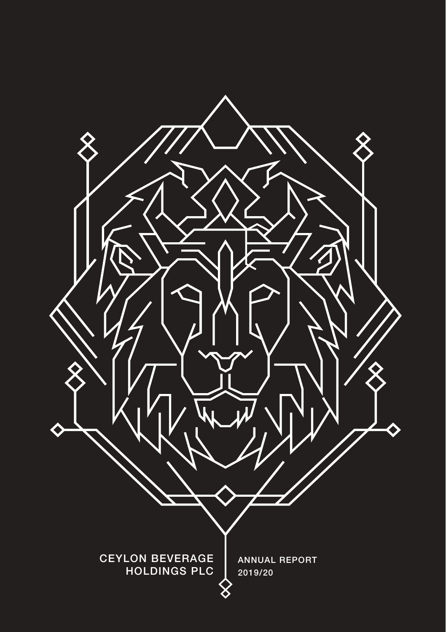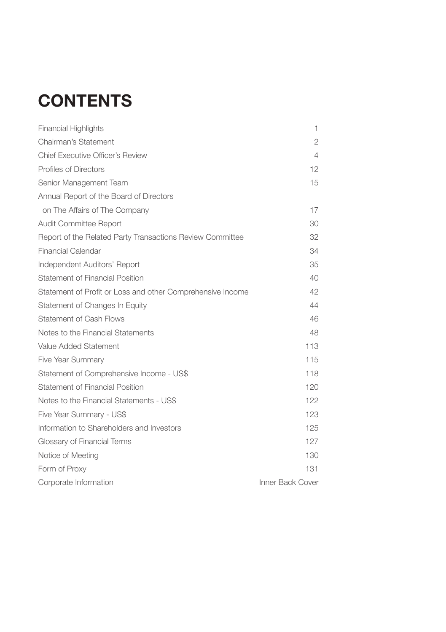# **CONTENTS**

| <b>Financial Highlights</b>                                | 1                |
|------------------------------------------------------------|------------------|
| Chairman's Statement                                       | 2                |
| Chief Executive Officer's Review                           | 4                |
| Profiles of Directors                                      | 12               |
| Senior Management Team                                     | 15               |
| Annual Report of the Board of Directors                    |                  |
| on The Affairs of The Company                              | 17               |
| Audit Committee Report                                     | 30               |
| Report of the Related Party Transactions Review Committee  | 32               |
| <b>Financial Calendar</b>                                  | 34               |
| Independent Auditors' Report                               | 35               |
| Statement of Financial Position                            | 40               |
| Statement of Profit or Loss and other Comprehensive Income | 42               |
| Statement of Changes In Equity                             | 44               |
| Statement of Cash Flows                                    | 46               |
| Notes to the Financial Statements                          | 48               |
| Value Added Statement                                      | 113              |
| Five Year Summary                                          | 115              |
| Statement of Comprehensive Income - US\$                   | 118              |
| Statement of Financial Position                            | 120              |
| Notes to the Financial Statements - US\$                   | 122              |
| Five Year Summary - US\$                                   | 123              |
| Information to Shareholders and Investors                  | 125              |
| Glossary of Financial Terms                                | 127              |
| Notice of Meeting                                          | 130              |
| Form of Proxy                                              | 131              |
| Corporate Information                                      | Inner Back Cover |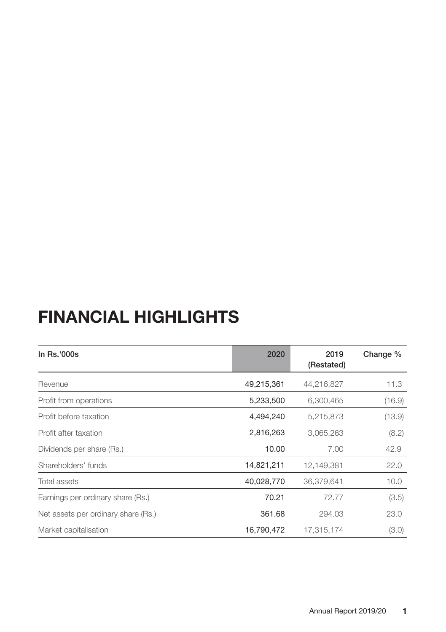## **FINANCIAL HIGHLIGHTS**

| In Rs.'000s                         | 2020       | 2019<br>(Restated) | Change % |
|-------------------------------------|------------|--------------------|----------|
| Revenue                             | 49,215,361 | 44,216,827         | 11.3     |
| Profit from operations              | 5,233,500  | 6,300,465          | (16.9)   |
| Profit before taxation              | 4,494,240  | 5,215,873          | (13.9)   |
| Profit after taxation               | 2,816,263  | 3,065,263          | (8.2)    |
| Dividends per share (Rs.)           | 10.00      | 7.00               | 42.9     |
| Shareholders' funds                 | 14,821,211 | 12,149,381         | 22.0     |
| Total assets                        | 40,028,770 | 36,379,641         | 10.0     |
| Earnings per ordinary share (Rs.)   | 70.21      | 72.77              | (3.5)    |
| Net assets per ordinary share (Rs.) | 361.68     | 294.03             | 23.0     |
| Market capitalisation               | 16,790,472 | 17,315,174         | (3.0)    |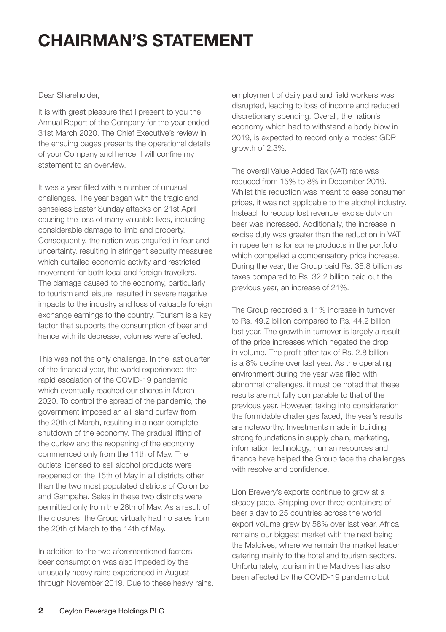## **CHAIRMAN'S STATEMENT**

#### Dear Shareholder,

It is with great pleasure that I present to you the Annual Report of the Company for the year ended 31st March 2020. The Chief Executive's review in the ensuing pages presents the operational details of your Company and hence, I will confine my statement to an overview.

It was a year filled with a number of unusual challenges. The year began with the tragic and senseless Easter Sunday attacks on 21st April causing the loss of many valuable lives, including considerable damage to limb and property. Consequently, the nation was engulfed in fear and uncertainty, resulting in stringent security measures which curtailed economic activity and restricted movement for both local and foreign travellers. The damage caused to the economy, particularly to tourism and leisure, resulted in severe negative impacts to the industry and loss of valuable foreign exchange earnings to the country. Tourism is a key factor that supports the consumption of beer and hence with its decrease, volumes were affected.

This was not the only challenge. In the last quarter of the financial year, the world experienced the rapid escalation of the COVID-19 pandemic which eventually reached our shores in March 2020. To control the spread of the pandemic, the government imposed an all island curfew from the 20th of March, resulting in a near complete shutdown of the economy. The gradual lifting of the curfew and the reopening of the economy commenced only from the 11th of May. The outlets licensed to sell alcohol products were reopened on the 15th of May in all districts other than the two most populated districts of Colombo and Gampaha. Sales in these two districts were permitted only from the 26th of May. As a result of the closures, the Group virtually had no sales from the 20th of March to the 14th of May.

In addition to the two aforementioned factors, beer consumption was also impeded by the unusually heavy rains experienced in August through November 2019. Due to these heavy rains, employment of daily paid and field workers was disrupted, leading to loss of income and reduced discretionary spending. Overall, the nation's economy which had to withstand a body blow in 2019, is expected to record only a modest GDP growth of 2.3%.

The overall Value Added Tax (VAT) rate was reduced from 15% to 8% in December 2019. Whilst this reduction was meant to ease consumer prices, it was not applicable to the alcohol industry. Instead, to recoup lost revenue, excise duty on beer was increased. Additionally, the increase in excise duty was greater than the reduction in VAT in rupee terms for some products in the portfolio which compelled a compensatory price increase. During the year, the Group paid Rs. 38.8 billion as taxes compared to Rs. 32.2 billion paid out the previous year, an increase of 21%.

The Group recorded a 11% increase in turnover to Rs. 49.2 billion compared to Rs. 44.2 billion last year. The growth in turnover is largely a result of the price increases which negated the drop in volume. The profit after tax of Rs. 2.8 billion is a 8% decline over last year. As the operating environment during the year was filled with abnormal challenges, it must be noted that these results are not fully comparable to that of the previous year. However, taking into consideration the formidable challenges faced, the year's results are noteworthy. Investments made in building strong foundations in supply chain, marketing, information technology, human resources and finance have helped the Group face the challenges with resolve and confidence.

Lion Brewery's exports continue to grow at a steady pace. Shipping over three containers of beer a day to 25 countries across the world, export volume grew by 58% over last year. Africa remains our biggest market with the next being the Maldives, where we remain the market leader, catering mainly to the hotel and tourism sectors. Unfortunately, tourism in the Maldives has also been affected by the COVID-19 pandemic but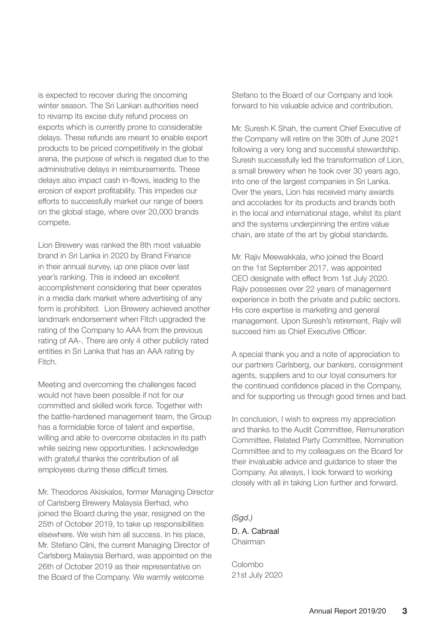is expected to recover during the oncoming winter season. The Sri Lankan authorities need to revamp its excise duty refund process on exports which is currently prone to considerable delays. These refunds are meant to enable export products to be priced competitively in the global arena, the purpose of which is negated due to the administrative delays in reimbursements. These delays also impact cash in-flows, leading to the erosion of export profitability. This impedes our efforts to successfully market our range of beers on the global stage, where over 20,000 brands compete.

Lion Brewery was ranked the 8th most valuable brand in Sri Lanka in 2020 by Brand Finance in their annual survey, up one place over last year's ranking. This is indeed an excellent accomplishment considering that beer operates in a media dark market where advertising of any form is prohibited. Lion Brewery achieved another landmark endorsement when Fitch upgraded the rating of the Company to AAA from the previous rating of AA-. There are only 4 other publicly rated entities in Sri Lanka that has an AAA rating by Fitch.

Meeting and overcoming the challenges faced would not have been possible if not for our committed and skilled work force. Together with the battle-hardened management team, the Group has a formidable force of talent and expertise, willing and able to overcome obstacles in its path while seizing new opportunities. I acknowledge with grateful thanks the contribution of all employees during these difficult times.

Mr. Theodoros Akiskalos, former Managing Director of Carlsberg Brewery Malaysia Berhad, who joined the Board during the year, resigned on the 25th of October 2019, to take up responsibilities elsewhere. We wish him all success. In his place, Mr. Stefano Clini, the current Managing Director of Carlsberg Malaysia Berhard, was appointed on the 26th of October 2019 as their representative on the Board of the Company. We warmly welcome

Stefano to the Board of our Company and look forward to his valuable advice and contribution.

Mr. Suresh K Shah, the current Chief Executive of the Company will retire on the 30th of June 2021 following a very long and successful stewardship. Suresh successfully led the transformation of Lion, a small brewery when he took over 30 years ago, into one of the largest companies in Sri Lanka. Over the years, Lion has received many awards and accolades for its products and brands both in the local and international stage, whilst its plant and the systems underpinning the entire value chain, are state of the art by global standards.

Mr. Rajiv Meewakkala, who joined the Board on the 1st September 2017, was appointed CEO designate with effect from 1st July 2020. Rajiv possesses over 22 years of management experience in both the private and public sectors. His core expertise is marketing and general management. Upon Suresh's retirement, Rajiv will succeed him as Chief Executive Officer

A special thank you and a note of appreciation to our partners Carlsberg, our bankers, consignment agents, suppliers and to our loyal consumers for the continued confidence placed in the Company, and for supporting us through good times and bad.

In conclusion, I wish to express my appreciation and thanks to the Audit Committee, Remuneration Committee, Related Party Committee, Nomination Committee and to my colleagues on the Board for their invaluable advice and guidance to steer the Company. As always, I look forward to working closely with all in taking Lion further and forward.

*(Sgd.)* D. A. Cabraal Chairman

Colombo 21st July 2020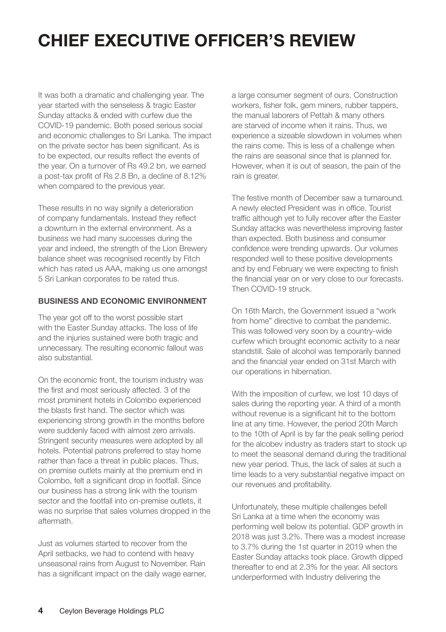# **CHIEF EXECUTIVE OFFICER'S REVIEW**

It was both a dramatic and challenging year. The year started with the senseless & tragic Easter Sunday attacks & ended with curfew due the COVID-19 pandemic. Both posed serious social and economic challenges to Sri Lanka. The impact on the private sector has been significant. As is to be expected, our results reflect the events of the year. On a turnover of Rs 49.2 bn, we earned a post-tax profit of Rs 2.8 Bn, a decline of 8.12% when compared to the previous year.

These results in no way signify a deterioration of company fundamentals. Instead they reflect a downturn in the external environment. As a business we had many successes during the year and indeed, the strength of the Lion Brewery balance sheet was recognised recently by Fitch which has rated us AAA, making us one amongst 5 Sri Lankan corporates to be rated thus.

#### **BUSINESS AND ECONOMIC ENVIRONMENT**

The year got off to the worst possible start with the Easter Sunday attacks. The loss of life and the injuries sustained were both tragic and unnecessary. The resulting economic fallout was also substantial.

On the economic front, the tourism industry was the first and most seriously affected. 3 of the most prominent hotels in Colombo experienced the blasts first hand. The sector which was experiencing strong growth in the months before were suddenly faced with almost zero arrivals. Stringent security measures were adopted by all hotels. Potential patrons preferred to stay home rather than face a threat in public places. Thus, on premise outlets mainly at the premium end in Colombo, felt a significant drop in footfall. Since our business has a strong link with the tourism sector and the footfall into on-premise outlets, it was no surprise that sales volumes dropped in the aftermath.

Just as volumes started to recover from the April setbacks, we had to contend with heavy unseasonal rains from August to November. Rain has a significant impact on the daily wage earner, a large consumer segment of ours. Construction workers, fisher folk, gem miners, rubber tappers, the manual laborers of Pettah & many others are starved of income when it rains. Thus, we experience a sizeable slowdown in volumes when the rains come. This is less of a challenge when the rains are seasonal since that is planned for. However, when it is out of season, the pain of the rain is greater.

The festive month of December saw a turnaround. A newly elected President was in office. Tourist traffic although yet to fully recover after the Easter Sunday attacks was nevertheless improving faster than expected. Both business and consumer confidence were trending upwards. Our volumes responded well to these positive developments and by end February we were expecting to finish the financial year on or very close to our forecasts. Then COVID-19 struck.

On 16th March, the Government issued a "work from home" directive to combat the pandemic. This was followed very soon by a country-wide curfew which brought economic activity to a near standstill. Sale of alcohol was temporarily banned and the financial year ended on 31st March with our operations in hibernation.

With the imposition of curfew, we lost 10 days of sales during the reporting year. A third of a month without revenue is a significant hit to the bottom line at any time. However, the period 20th March to the 10th of April is by far the peak selling period for the alcobev industry as traders start to stock up to meet the seasonal demand during the traditional new year period. Thus, the lack of sales at such a time leads to a very substantial negative impact on our revenues and profitability.

Unfortunately, these multiple challenges befell Sri Lanka at a time when the economy was performing well below its potential. GDP growth in 2018 was just 3.2%. There was a modest increase to 3.7% during the 1st quarter in 2019 when the Easter Sunday attacks took place. Growth dipped thereafter to end at 2.3% for the year. All sectors underperformed with Industry delivering the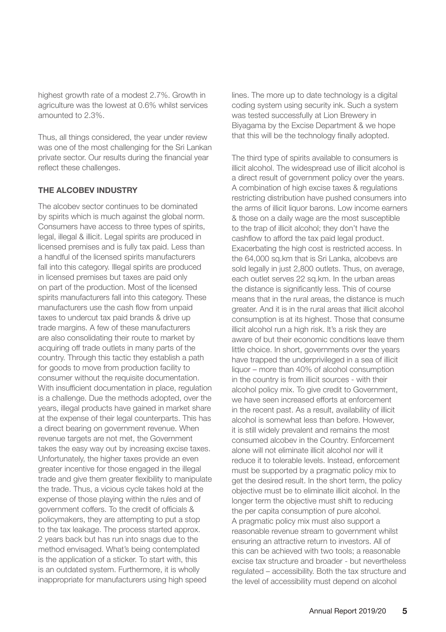highest growth rate of a modest 2.7%. Growth in agriculture was the lowest at 0.6% whilst services amounted to 2.3%.

Thus, all things considered, the year under review was one of the most challenging for the Sri Lankan private sector. Our results during the financial year reflect these challenges.

#### **THE ALCOBEV INDUSTRY**

The alcobev sector continues to be dominated by spirits which is much against the global norm. Consumers have access to three types of spirits, legal, illegal & illicit. Legal spirits are produced in licensed premises and is fully tax paid. Less than a handful of the licensed spirits manufacturers fall into this category. Illegal spirits are produced in licensed premises but taxes are paid only on part of the production. Most of the licensed spirits manufacturers fall into this category. These manufacturers use the cash flow from unpaid taxes to undercut tax paid brands & drive up trade margins. A few of these manufacturers are also consolidating their route to market by acquiring off trade outlets in many parts of the country. Through this tactic they establish a path for goods to move from production facility to consumer without the requisite documentation. With insufficient documentation in place, regulation is a challenge. Due the methods adopted, over the years, illegal products have gained in market share at the expense of their legal counterparts. This has a direct bearing on government revenue. When revenue targets are not met, the Government takes the easy way out by increasing excise taxes. Unfortunately, the higher taxes provide an even greater incentive for those engaged in the illegal trade and give them greater flexibility to manipulate the trade. Thus, a vicious cycle takes hold at the expense of those playing within the rules and of government coffers. To the credit of officials & policymakers, they are attempting to put a stop to the tax leakage. The process started approx. 2 years back but has run into snags due to the method envisaged. What's being contemplated is the application of a sticker. To start with, this is an outdated system. Furthermore, it is wholly inappropriate for manufacturers using high speed

lines. The more up to date technology is a digital coding system using security ink. Such a system was tested successfully at Lion Brewery in Biyagama by the Excise Department & we hope that this will be the technology finally adopted.

The third type of spirits available to consumers is illicit alcohol. The widespread use of illicit alcohol is a direct result of government policy over the years. A combination of high excise taxes & regulations restricting distribution have pushed consumers into the arms of illicit liquor barons. Low income earners & those on a daily wage are the most susceptible to the trap of illicit alcohol; they don't have the cashflow to afford the tax paid legal product. Exacerbating the high cost is restricted access. In the 64,000 sq.km that is Sri Lanka, alcobevs are sold legally in just 2,800 outlets. Thus, on average, each outlet serves 22 sq.km. In the urban areas the distance is significantly less. This of course means that in the rural areas, the distance is much greater. And it is in the rural areas that illicit alcohol consumption is at its highest. Those that consume illicit alcohol run a high risk. It's a risk they are aware of but their economic conditions leave them little choice. In short, governments over the years have trapped the underprivileged in a sea of illicit liquor – more than 40% of alcohol consumption in the country is from illicit sources - with their alcohol policy mix. To give credit to Government, we have seen increased efforts at enforcement in the recent past. As a result, availability of illicit alcohol is somewhat less than before. However, it is still widely prevalent and remains the most consumed alcobev in the Country. Enforcement alone will not eliminate illicit alcohol nor will it reduce it to tolerable levels. Instead, enforcement must be supported by a pragmatic policy mix to get the desired result. In the short term, the policy objective must be to eliminate illicit alcohol. In the longer term the objective must shift to reducing the per capita consumption of pure alcohol. A pragmatic policy mix must also support a reasonable revenue stream to government whilst ensuring an attractive return to investors. All of this can be achieved with two tools; a reasonable excise tax structure and broader - but nevertheless regulated – accessibility. Both the tax structure and the level of accessibility must depend on alcohol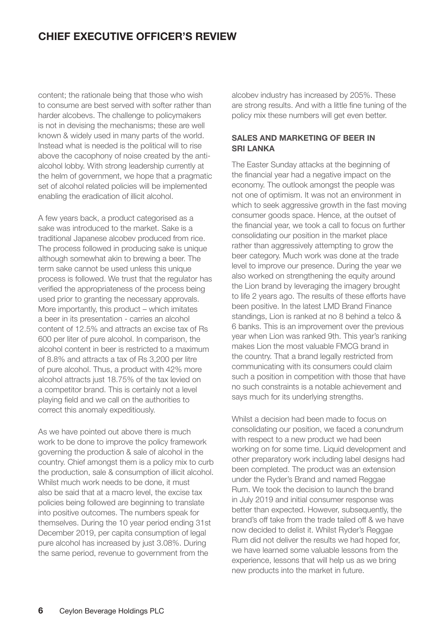## **CHIEF EXECUTIVE OFFICER'S REVIEW**

content; the rationale being that those who wish to consume are best served with softer rather than harder alcobevs. The challenge to policymakers is not in devising the mechanisms; these are well known & widely used in many parts of the world. Instead what is needed is the political will to rise above the cacophony of noise created by the antialcohol lobby. With strong leadership currently at the helm of government, we hope that a pragmatic set of alcohol related policies will be implemented enabling the eradication of illicit alcohol.

A few years back, a product categorised as a sake was introduced to the market. Sake is a traditional Japanese alcobev produced from rice. The process followed in producing sake is unique although somewhat akin to brewing a beer. The term sake cannot be used unless this unique process is followed. We trust that the regulator has verified the appropriateness of the process being used prior to granting the necessary approvals. More importantly, this product – which imitates a beer in its presentation - carries an alcohol content of 12.5% and attracts an excise tax of Rs 600 per liter of pure alcohol. In comparison, the alcohol content in beer is restricted to a maximum of 8.8% and attracts a tax of Rs 3,200 per litre of pure alcohol. Thus, a product with 42% more alcohol attracts just 18.75% of the tax levied on a competitor brand. This is certainly not a level playing field and we call on the authorities to correct this anomaly expeditiously.

As we have pointed out above there is much work to be done to improve the policy framework governing the production & sale of alcohol in the country. Chief amongst them is a policy mix to curb the production, sale & consumption of illicit alcohol. Whilst much work needs to be done, it must also be said that at a macro level, the excise tax policies being followed are beginning to translate into positive outcomes. The numbers speak for themselves. During the 10 year period ending 31st December 2019, per capita consumption of legal pure alcohol has increased by just 3.08%. During the same period, revenue to government from the

alcobev industry has increased by 205%. These are strong results. And with a little fine tuning of the policy mix these numbers will get even better.

#### **SALES AND MARKETING OF BEER IN SRI LANKA**

The Easter Sunday attacks at the beginning of the financial year had a negative impact on the economy. The outlook amongst the people was not one of optimism. It was not an environment in which to seek aggressive growth in the fast moving consumer goods space. Hence, at the outset of the financial year, we took a call to focus on further consolidating our position in the market place rather than aggressively attempting to grow the beer category. Much work was done at the trade level to improve our presence. During the year we also worked on strengthening the equity around the Lion brand by leveraging the imagery brought to life 2 years ago. The results of these efforts have been positive. In the latest LMD Brand Finance standings, Lion is ranked at no 8 behind a telco & 6 banks. This is an improvement over the previous year when Lion was ranked 9th. This year's ranking makes Lion the most valuable FMCG brand in the country. That a brand legally restricted from communicating with its consumers could claim such a position in competition with those that have no such constraints is a notable achievement and says much for its underlying strengths.

Whilst a decision had been made to focus on consolidating our position, we faced a conundrum with respect to a new product we had been working on for some time. Liquid development and other preparatory work including label designs had been completed. The product was an extension under the Ryder's Brand and named Reggae Rum. We took the decision to launch the brand in July 2019 and initial consumer response was better than expected. However, subsequently, the brand's off take from the trade tailed off & we have now decided to delist it. Whilst Ryder's Reggae Rum did not deliver the results we had hoped for, we have learned some valuable lessons from the experience, lessons that will help us as we bring new products into the market in future.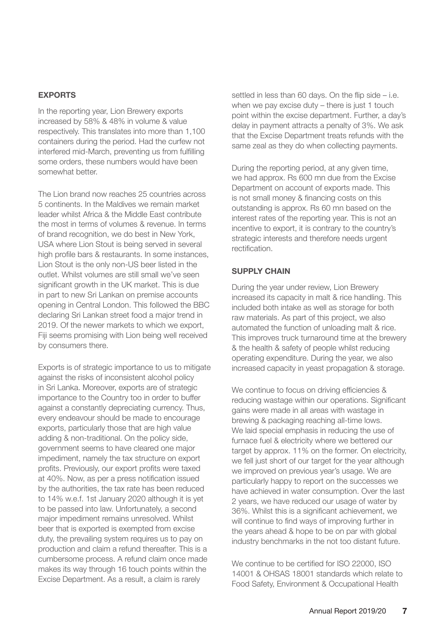#### **EXPORTS**

In the reporting year, Lion Brewery exports increased by 58% & 48% in volume & value respectively. This translates into more than 1,100 containers during the period. Had the curfew not interfered mid-March, preventing us from fulfilling some orders, these numbers would have been somewhat better.

The Lion brand now reaches 25 countries across 5 continents. In the Maldives we remain market leader whilst Africa & the Middle East contribute the most in terms of volumes & revenue. In terms of brand recognition, we do best in New York, USA where Lion Stout is being served in several high profile bars & restaurants. In some instances, Lion Stout is the only non-US beer listed in the outlet. Whilst volumes are still small we've seen significant growth in the UK market. This is due in part to new Sri Lankan on premise accounts opening in Central London. This followed the BBC declaring Sri Lankan street food a major trend in 2019. Of the newer markets to which we export, Fiji seems promising with Lion being well received by consumers there.

Exports is of strategic importance to us to mitigate against the risks of inconsistent alcohol policy in Sri Lanka. Moreover, exports are of strategic importance to the Country too in order to buffer against a constantly depreciating currency. Thus, every endeavour should be made to encourage exports, particularly those that are high value adding & non-traditional. On the policy side, government seems to have cleared one major impediment, namely the tax structure on export profits. Previously, our export profits were taxed at 40%. Now, as per a press notification issued by the authorities, the tax rate has been reduced to 14% w.e.f. 1st January 2020 although it is yet to be passed into law. Unfortunately, a second major impediment remains unresolved. Whilst beer that is exported is exempted from excise duty, the prevailing system requires us to pay on production and claim a refund thereafter. This is a cumbersome process. A refund claim once made makes its way through 16 touch points within the Excise Department. As a result, a claim is rarely

settled in less than 60 days. On the flip side – i.e. when we pay excise duty – there is just 1 touch point within the excise department. Further, a day's delay in payment attracts a penalty of 3%. We ask that the Excise Department treats refunds with the same zeal as they do when collecting payments.

During the reporting period, at any given time, we had approx. Rs 600 mn due from the Excise Department on account of exports made. This is not small money & financing costs on this outstanding is approx. Rs 60 mn based on the interest rates of the reporting year. This is not an incentive to export, it is contrary to the country's strategic interests and therefore needs urgent rectification.

#### **SUPPLY CHAIN**

During the year under review, Lion Brewery increased its capacity in malt & rice handling. This included both intake as well as storage for both raw materials. As part of this project, we also automated the function of unloading malt & rice. This improves truck turnaround time at the brewery & the health & safety of people whilst reducing operating expenditure. During the year, we also increased capacity in yeast propagation & storage.

We continue to focus on driving efficiencies & reducing wastage within our operations. Significant gains were made in all areas with wastage in brewing & packaging reaching all-time lows. We laid special emphasis in reducing the use of furnace fuel & electricity where we bettered our target by approx. 11% on the former. On electricity, we fell just short of our target for the year although we improved on previous year's usage. We are particularly happy to report on the successes we have achieved in water consumption. Over the last 2 years, we have reduced our usage of water by 36%. Whilst this is a significant achievement, we will continue to find ways of improving further in the years ahead & hope to be on par with global industry benchmarks in the not too distant future.

We continue to be certified for ISO 22000, ISO 14001 & OHSAS 18001 standards which relate to Food Safety, Environment & Occupational Health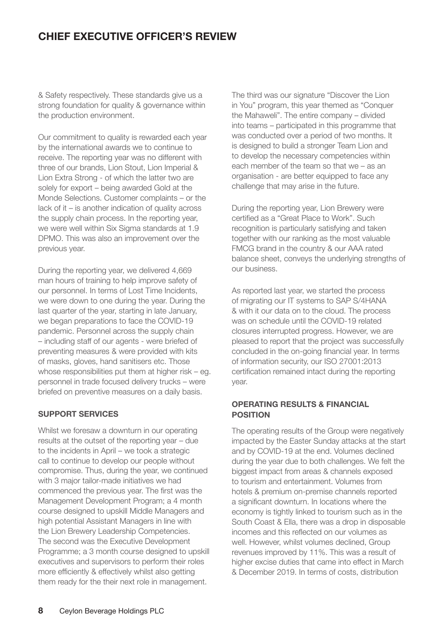## **CHIEF EXECUTIVE OFFICER'S REVIEW**

& Safety respectively. These standards give us a strong foundation for quality & governance within the production environment.

Our commitment to quality is rewarded each year by the international awards we to continue to receive. The reporting year was no different with three of our brands, Lion Stout, Lion Imperial & Lion Extra Strong - of which the latter two are solely for export – being awarded Gold at the Monde Selections. Customer complaints – or the lack of it – is another indication of quality across the supply chain process. In the reporting year, we were well within Six Sigma standards at 1.9 DPMO. This was also an improvement over the previous year.

During the reporting year, we delivered 4,669 man hours of training to help improve safety of our personnel. In terms of Lost Time Incidents, we were down to one during the year. During the last quarter of the year, starting in late January, we began preparations to face the COVID-19 pandemic. Personnel across the supply chain – including staff of our agents - were briefed of preventing measures & were provided with kits of masks, gloves, hand sanitisers etc. Those whose responsibilities put them at higher risk – eg. personnel in trade focused delivery trucks – were briefed on preventive measures on a daily basis.

#### **SUPPORT SERVICES**

Whilst we foresaw a downturn in our operating results at the outset of the reporting year – due to the incidents in April – we took a strategic call to continue to develop our people without compromise. Thus, during the year, we continued with 3 major tailor-made initiatives we had commenced the previous year. The first was the Management Development Program; a 4 month course designed to upskill Middle Managers and high potential Assistant Managers in line with the Lion Brewery Leadership Competencies. The second was the Executive Development Programme; a 3 month course designed to upskill executives and supervisors to perform their roles more efficiently & effectively whilst also getting them ready for the their next role in management.

The third was our signature "Discover the Lion in You" program, this year themed as "Conquer the Mahaweli". The entire company – divided into teams – participated in this programme that was conducted over a period of two months. It is designed to build a stronger Team Lion and to develop the necessary competencies within each member of the team so that we – as an organisation - are better equipped to face any challenge that may arise in the future.

During the reporting year, Lion Brewery were certified as a "Great Place to Work". Such recognition is particularly satisfying and taken together with our ranking as the most valuable FMCG brand in the country & our AAA rated balance sheet, conveys the underlying strengths of our business.

As reported last year, we started the process of migrating our IT systems to SAP S/4HANA & with it our data on to the cloud. The process was on schedule until the COVID-19 related closures interrupted progress. However, we are pleased to report that the project was successfully concluded in the on-going financial year. In terms of information security, our ISO 27001:2013 certification remained intact during the reporting year.

#### **OPERATING RESULTS & FINANCIAL POSITION**

The operating results of the Group were negatively impacted by the Easter Sunday attacks at the start and by COVID-19 at the end. Volumes declined during the year due to both challenges. We felt the biggest impact from areas & channels exposed to tourism and entertainment. Volumes from hotels & premium on-premise channels reported a significant downturn. In locations where the economy is tightly linked to tourism such as in the South Coast & Ella, there was a drop in disposable incomes and this reflected on our volumes as well. However, whilst volumes declined, Group revenues improved by 11%. This was a result of higher excise duties that came into effect in March & December 2019. In terms of costs, distribution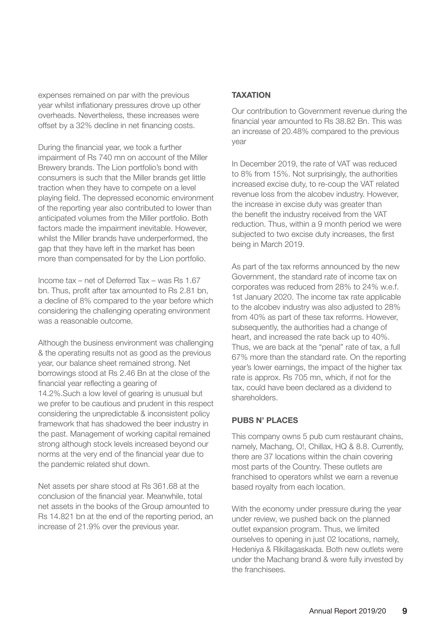expenses remained on par with the previous year whilst inflationary pressures drove up other overheads. Nevertheless, these increases were offset by a 32% decline in net financing costs.

During the financial year, we took a further impairment of Rs 740 mn on account of the Miller Brewery brands. The Lion portfolio's bond with consumers is such that the Miller brands get little traction when they have to compete on a level playing field. The depressed economic environment of the reporting year also contributed to lower than anticipated volumes from the Miller portfolio. Both factors made the impairment inevitable. However, whilst the Miller brands have underperformed, the gap that they have left in the market has been more than compensated for by the Lion portfolio.

Income tax – net of Deferred Tax – was Rs 1.67 bn. Thus, profit after tax amounted to Rs 2.81 bn, a decline of 8% compared to the year before which considering the challenging operating environment was a reasonable outcome.

Although the business environment was challenging & the operating results not as good as the previous year, our balance sheet remained strong. Net borrowings stood at Rs 2.46 Bn at the close of the financial year reflecting a gearing of 14.2%.Such a low level of gearing is unusual but we prefer to be cautious and prudent in this respect considering the unpredictable & inconsistent policy framework that has shadowed the beer industry in the past. Management of working capital remained strong although stock levels increased beyond our norms at the very end of the financial year due to the pandemic related shut down.

Net assets per share stood at Rs 361.68 at the conclusion of the financial year. Meanwhile, total net assets in the books of the Group amounted to Rs 14.821 bn at the end of the reporting period, an increase of 21.9% over the previous year.

#### **TAXATION**

Our contribution to Government revenue during the financial year amounted to Rs 38.82 Bn. This was an increase of 20.48% compared to the previous year

In December 2019, the rate of VAT was reduced to 8% from 15%. Not surprisingly, the authorities increased excise duty, to re-coup the VAT related revenue loss from the alcobev industry. However, the increase in excise duty was greater than the benefit the industry received from the VAT reduction. Thus, within a 9 month period we were subjected to two excise duty increases, the first being in March 2019.

As part of the tax reforms announced by the new Government, the standard rate of income tax on corporates was reduced from 28% to 24% w.e.f. 1st January 2020. The income tax rate applicable to the alcobev industry was also adjusted to 28% from 40% as part of these tax reforms. However, subsequently, the authorities had a change of heart, and increased the rate back up to 40%. Thus, we are back at the "penal" rate of tax, a full 67% more than the standard rate. On the reporting year's lower earnings, the impact of the higher tax rate is approx. Rs 705 mn, which, if not for the tax, could have been declared as a dividend to shareholders.

#### **PUBS N' PLACES**

This company owns 5 pub cum restaurant chains, namely, Machang, O!, Chillax, HQ & 8.8. Currently, there are 37 locations within the chain covering most parts of the Country. These outlets are franchised to operators whilst we earn a revenue based royalty from each location.

With the economy under pressure during the year under review, we pushed back on the planned outlet expansion program. Thus, we limited ourselves to opening in just 02 locations, namely, Hedeniya & Rikillagaskada. Both new outlets were under the Machang brand & were fully invested by the franchisees.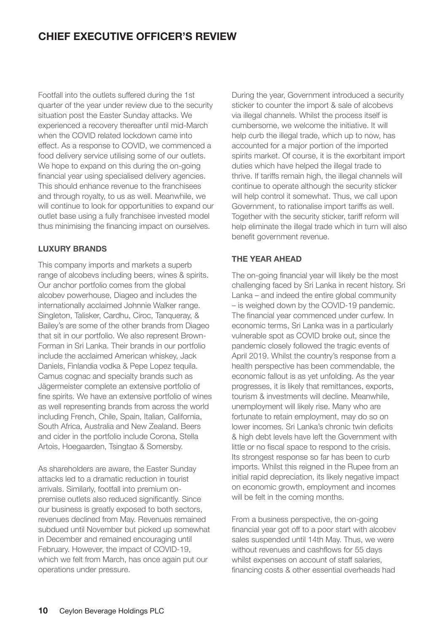## **CHIEF EXECUTIVE OFFICER'S REVIEW**

Footfall into the outlets suffered during the 1st quarter of the year under review due to the security situation post the Easter Sunday attacks. We experienced a recovery thereafter until mid-March when the COVID related lockdown came into effect. As a response to COVID, we commenced a food delivery service utilising some of our outlets. We hope to expand on this during the on-going financial year using specialised delivery agencies. This should enhance revenue to the franchisees and through royalty, to us as well. Meanwhile, we will continue to look for opportunities to expand our outlet base using a fully franchisee invested model thus minimising the financing impact on ourselves.

#### **LUXURY BRANDS**

This company imports and markets a superb range of alcobevs including beers, wines & spirits. Our anchor portfolio comes from the global alcobev powerhouse, Diageo and includes the internationally acclaimed Johnnie Walker range. Singleton, Talisker, Cardhu, Ciroc, Tanqueray, & Bailey's are some of the other brands from Diageo that sit in our portfolio. We also represent Brown-Forman in Sri Lanka. Their brands in our portfolio include the acclaimed American whiskey, Jack Daniels, Finlandia vodka & Pepe Lopez tequila. Camus cognac and specialty brands such as Jägermeister complete an extensive portfolio of fine spirits. We have an extensive portfolio of wines as well representing brands from across the world including French, Chile, Spain, Italian, California, South Africa, Australia and New Zealand. Beers and cider in the portfolio include Corona, Stella Artois, Hoegaarden, Tsingtao & Somersby.

As shareholders are aware, the Easter Sunday attacks led to a dramatic reduction in tourist arrivals. Similarly, footfall into premium onpremise outlets also reduced significantly. Since our business is greatly exposed to both sectors, revenues declined from May. Revenues remained subdued until November but picked up somewhat in December and remained encouraging until February. However, the impact of COVID-19, which we felt from March, has once again put our operations under pressure.

During the year, Government introduced a security sticker to counter the import & sale of alcobevs via illegal channels. Whilst the process itself is cumbersome, we welcome the initiative. It will help curb the illegal trade, which up to now, has accounted for a major portion of the imported spirits market. Of course, it is the exorbitant import duties which have helped the illegal trade to thrive. If tariffs remain high, the illegal channels will continue to operate although the security sticker will help control it somewhat. Thus, we call upon Government, to rationalise import tariffs as well. Together with the security sticker, tariff reform will help eliminate the illegal trade which in turn will also benefit government revenue.

#### **THE YEAR AHEAD**

The on-going financial year will likely be the most challenging faced by Sri Lanka in recent history. Sri Lanka – and indeed the entire global community – is weighed down by the COVID-19 pandemic. The financial year commenced under curfew. In economic terms, Sri Lanka was in a particularly vulnerable spot as COVID broke out, since the pandemic closely followed the tragic events of April 2019. Whilst the country's response from a health perspective has been commendable, the economic fallout is as yet unfolding. As the year progresses, it is likely that remittances, exports, tourism & investments will decline. Meanwhile, unemployment will likely rise. Many who are fortunate to retain employment, may do so on lower incomes. Sri Lanka's chronic twin deficits & high debt levels have left the Government with little or no fiscal space to respond to the crisis. Its strongest response so far has been to curb imports. Whilst this reigned in the Rupee from an initial rapid depreciation, its likely negative impact on economic growth, employment and incomes will be felt in the coming months.

From a business perspective, the on-going financial year got off to a poor start with alcobev sales suspended until 14th May. Thus, we were without revenues and cashflows for 55 days whilst expenses on account of staff salaries, financing costs & other essential overheads had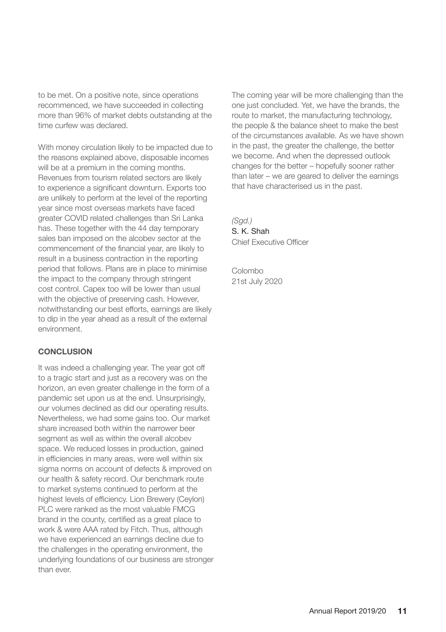to be met. On a positive note, since operations recommenced, we have succeeded in collecting more than 96% of market debts outstanding at the time curfew was declared.

With money circulation likely to be impacted due to the reasons explained above, disposable incomes will be at a premium in the coming months. Revenues from tourism related sectors are likely to experience a significant downturn. Exports too are unlikely to perform at the level of the reporting year since most overseas markets have faced greater COVID related challenges than Sri Lanka has. These together with the 44 day temporary sales ban imposed on the alcobev sector at the commencement of the financial year, are likely to result in a business contraction in the reporting period that follows. Plans are in place to minimise the impact to the company through stringent cost control. Capex too will be lower than usual with the objective of preserving cash. However, notwithstanding our best efforts, earnings are likely to dip in the year ahead as a result of the external environment.

#### **CONCLUSION**

It was indeed a challenging year. The year got off to a tragic start and just as a recovery was on the horizon, an even greater challenge in the form of a pandemic set upon us at the end. Unsurprisingly, our volumes declined as did our operating results. Nevertheless, we had some gains too. Our market share increased both within the narrower beer segment as well as within the overall alcobev space. We reduced losses in production, gained in efficiencies in many areas, were well within six sigma norms on account of defects & improved on our health & safety record. Our benchmark route to market systems continued to perform at the highest levels of efficiency. Lion Brewery (Ceylon) PLC were ranked as the most valuable FMCG brand in the county, certified as a great place to work & were AAA rated by Fitch. Thus, although we have experienced an earnings decline due to the challenges in the operating environment, the underlying foundations of our business are stronger than ever.

The coming year will be more challenging than the one just concluded. Yet, we have the brands, the route to market, the manufacturing technology, the people & the balance sheet to make the best of the circumstances available. As we have shown in the past, the greater the challenge, the better we become. And when the depressed outlook changes for the better – hopefully sooner rather than later – we are geared to deliver the earnings that have characterised us in the past.

*(Sgd.)* S. K. Shah Chief Executive Officer

Colombo 21st July 2020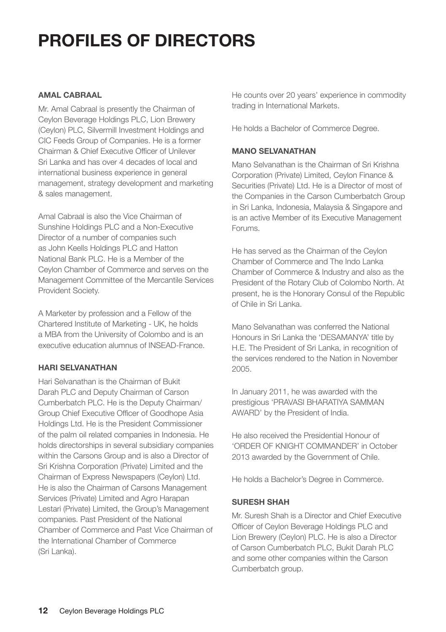# **PROFILES OF DIRECTORS**

#### **AMAL CABRAAL**

Mr. Amal Cabraal is presently the Chairman of Ceylon Beverage Holdings PLC, Lion Brewery (Ceylon) PLC, Silvermill Investment Holdings and CIC Feeds Group of Companies. He is a former Chairman & Chief Executive Officer of Unilever Sri Lanka and has over 4 decades of local and international business experience in general management, strategy development and marketing & sales management.

Amal Cabraal is also the Vice Chairman of Sunshine Holdings PLC and a Non-Executive Director of a number of companies such as John Keells Holdings PLC and Hatton National Bank PLC. He is a Member of the Ceylon Chamber of Commerce and serves on the Management Committee of the Mercantile Services Provident Society.

A Marketer by profession and a Fellow of the Chartered Institute of Marketing - UK, he holds a MBA from the University of Colombo and is an executive education alumnus of INSEAD-France.

#### **HARI SELVANATHAN**

Hari Selvanathan is the Chairman of Bukit Darah PLC and Deputy Chairman of Carson Cumberbatch PLC. He is the Deputy Chairman/ Group Chief Executive Officer of Goodhope Asia Holdings Ltd. He is the President Commissioner of the palm oil related companies in Indonesia. He holds directorships in several subsidiary companies within the Carsons Group and is also a Director of Sri Krishna Corporation (Private) Limited and the Chairman of Express Newspapers (Ceylon) Ltd. He is also the Chairman of Carsons Management Services (Private) Limited and Agro Harapan Lestari (Private) Limited, the Group's Management companies. Past President of the National Chamber of Commerce and Past Vice Chairman of the International Chamber of Commerce (Sri Lanka).

He counts over 20 years' experience in commodity trading in International Markets.

He holds a Bachelor of Commerce Degree.

#### **MANO SELVANATHAN**

Mano Selvanathan is the Chairman of Sri Krishna Corporation (Private) Limited, Ceylon Finance & Securities (Private) Ltd. He is a Director of most of the Companies in the Carson Cumberbatch Group in Sri Lanka, Indonesia, Malaysia & Singapore and is an active Member of its Executive Management Forums.

He has served as the Chairman of the Ceylon Chamber of Commerce and The Indo Lanka Chamber of Commerce & Industry and also as the President of the Rotary Club of Colombo North. At present, he is the Honorary Consul of the Republic of Chile in Sri Lanka.

Mano Selvanathan was conferred the National Honours in Sri Lanka the 'DESAMANYA' title by H.E. The President of Sri Lanka, in recognition of the services rendered to the Nation in November 2005.

In January 2011, he was awarded with the prestigious 'PRAVASI BHARATIYA SAMMAN AWARD' by the President of India.

He also received the Presidential Honour of 'ORDER OF KNIGHT COMMANDER' in October 2013 awarded by the Government of Chile.

He holds a Bachelor's Degree in Commerce.

#### **SURESH SHAH**

Mr. Suresh Shah is a Director and Chief Executive Officer of Ceylon Beverage Holdings PLC and Lion Brewery (Ceylon) PLC. He is also a Director of Carson Cumberbatch PLC, Bukit Darah PLC and some other companies within the Carson Cumberbatch group.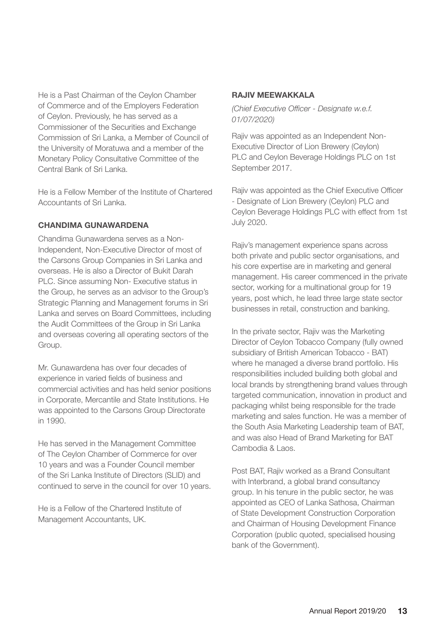He is a Past Chairman of the Ceylon Chamber of Commerce and of the Employers Federation of Ceylon. Previously, he has served as a Commissioner of the Securities and Exchange Commission of Sri Lanka, a Member of Council of the University of Moratuwa and a member of the Monetary Policy Consultative Committee of the Central Bank of Sri Lanka.

He is a Fellow Member of the Institute of Chartered Accountants of Sri Lanka.

#### **CHANDIMA GUNAWARDENA**

Chandima Gunawardena serves as a Non-Independent, Non-Executive Director of most of the Carsons Group Companies in Sri Lanka and overseas. He is also a Director of Bukit Darah PLC. Since assuming Non- Executive status in the Group, he serves as an advisor to the Group's Strategic Planning and Management forums in Sri Lanka and serves on Board Committees, including the Audit Committees of the Group in Sri Lanka and overseas covering all operating sectors of the Group.

Mr. Gunawardena has over four decades of experience in varied fields of business and commercial activities and has held senior positions in Corporate, Mercantile and State Institutions. He was appointed to the Carsons Group Directorate in 1990.

He has served in the Management Committee of The Ceylon Chamber of Commerce for over 10 years and was a Founder Council member of the Sri Lanka Institute of Directors (SLID) and continued to serve in the council for over 10 years.

He is a Fellow of the Chartered Institute of Management Accountants, UK.

#### **RAJIV MEEWAKKALA**

*(Chief Executive Officer - Designate w.e.f. 01/07/2020)*

Rajiv was appointed as an Independent Non-Executive Director of Lion Brewery (Ceylon) PLC and Ceylon Beverage Holdings PLC on 1st September 2017.

Rajiv was appointed as the Chief Executive Officer - Designate of Lion Brewery (Ceylon) PLC and Ceylon Beverage Holdings PLC with effect from 1st July 2020.

Rajiv's management experience spans across both private and public sector organisations, and his core expertise are in marketing and general management. His career commenced in the private sector, working for a multinational group for 19 years, post which, he lead three large state sector businesses in retail, construction and banking.

In the private sector, Rajiv was the Marketing Director of Ceylon Tobacco Company (fully owned subsidiary of British American Tobacco - BAT) where he managed a diverse brand portfolio. His responsibilities included building both global and local brands by strengthening brand values through targeted communication, innovation in product and packaging whilst being responsible for the trade marketing and sales function. He was a member of the South Asia Marketing Leadership team of BAT, and was also Head of Brand Marketing for BAT Cambodia & Laos.

Post BAT, Rajiv worked as a Brand Consultant with Interbrand, a global brand consultancy group. In his tenure in the public sector, he was appointed as CEO of Lanka Sathosa, Chairman of State Development Construction Corporation and Chairman of Housing Development Finance Corporation (public quoted, specialised housing bank of the Government).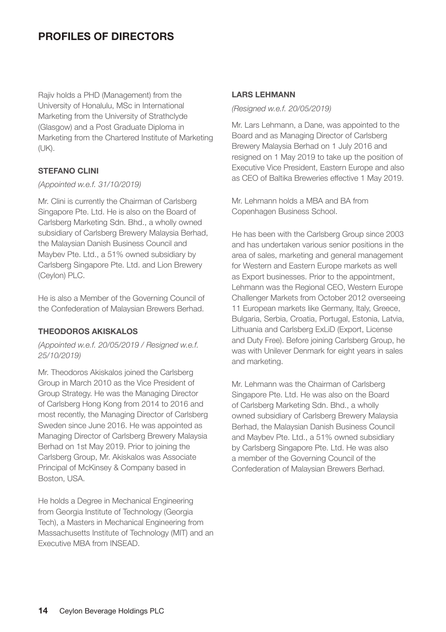## **PROFILES OF DIRECTORS**

Rajiv holds a PHD (Management) from the University of Honalulu, MSc in International Marketing from the University of Strathclyde (Glasgow) and a Post Graduate Diploma in Marketing from the Chartered Institute of Marketing (UK).

#### **STEFANO CLINI**

#### *(Appointed w.e.f. 31/10/2019)*

Mr. Clini is currently the Chairman of Carlsberg Singapore Pte. Ltd. He is also on the Board of Carlsberg Marketing Sdn. Bhd., a wholly owned subsidiary of Carlsberg Brewery Malaysia Berhad, the Malaysian Danish Business Council and Maybev Pte. Ltd., a 51% owned subsidiary by Carlsberg Singapore Pte. Ltd. and Lion Brewery (Ceylon) PLC.

He is also a Member of the Governing Council of the Confederation of Malaysian Brewers Berhad.

#### **THEODOROS AKISKALOS**

*(Appointed w.e.f. 20/05/2019 / Resigned w.e.f. 25/10/2019)*

Mr. Theodoros Akiskalos joined the Carlsberg Group in March 2010 as the Vice President of Group Strategy. He was the Managing Director of Carlsberg Hong Kong from 2014 to 2016 and most recently, the Managing Director of Carlsberg Sweden since June 2016. He was appointed as Managing Director of Carlsberg Brewery Malaysia Berhad on 1st May 2019. Prior to joining the Carlsberg Group, Mr. Akiskalos was Associate Principal of McKinsey & Company based in Boston, USA.

He holds a Degree in Mechanical Engineering from Georgia Institute of Technology (Georgia Tech), a Masters in Mechanical Engineering from Massachusetts Institute of Technology (MIT) and an Executive MBA from INSEAD.

#### **LARS LEHMANN**

*(Resigned w.e.f. 20/05/2019)*

Mr. Lars Lehmann, a Dane, was appointed to the Board and as Managing Director of Carlsberg Brewery Malaysia Berhad on 1 July 2016 and resigned on 1 May 2019 to take up the position of Executive Vice President, Eastern Europe and also as CEO of Baltika Breweries effective 1 May 2019.

Mr. Lehmann holds a MBA and BA from Copenhagen Business School.

He has been with the Carlsberg Group since 2003 and has undertaken various senior positions in the area of sales, marketing and general management for Western and Eastern Europe markets as well as Export businesses. Prior to the appointment, Lehmann was the Regional CEO, Western Europe Challenger Markets from October 2012 overseeing 11 European markets like Germany, Italy, Greece, Bulgaria, Serbia, Croatia, Portugal, Estonia, Latvia, Lithuania and Carlsberg ExLiD (Export, License and Duty Free). Before joining Carlsberg Group, he was with Unilever Denmark for eight years in sales and marketing.

Mr. Lehmann was the Chairman of Carlsberg Singapore Pte. Ltd. He was also on the Board of Carlsberg Marketing Sdn. Bhd., a wholly owned subsidiary of Carlsberg Brewery Malaysia Berhad, the Malaysian Danish Business Council and Maybev Pte. Ltd., a 51% owned subsidiary by Carlsberg Singapore Pte. Ltd. He was also a member of the Governing Council of the Confederation of Malaysian Brewers Berhad.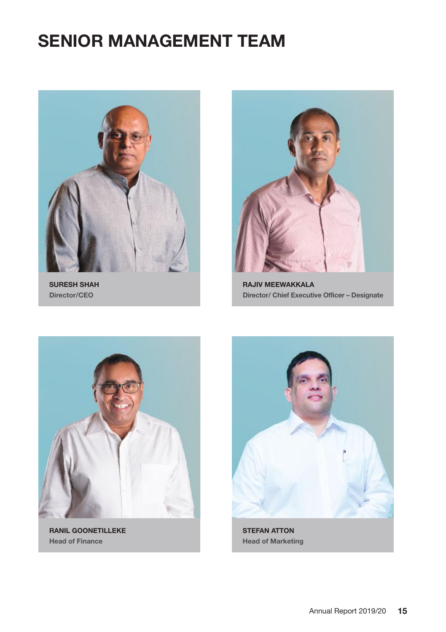## **SENIOR MANAGEMENT TEAM**



**SURESH SHAH Director/CEO**



**RAJIV MEEWAKKALA Director/ Chief Executive Officer – Designate**



**RANIL GOONETILLEKE Head of Finance**



**Head of Marketing**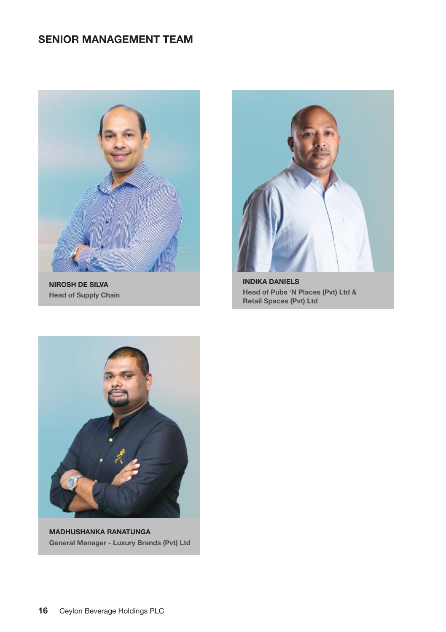### **SENIOR MANAGEMENT TEAM**



**NIROSH DE SILVA Head of Supply Chain**



**INDIKA DANIELS Head of Pubs 'N Places (Pvt) Ltd & Retail Spaces (Pvt) Ltd**



**MADHUSHANKA RANATUNGA General Manager - Luxury Brands (Pvt) Ltd**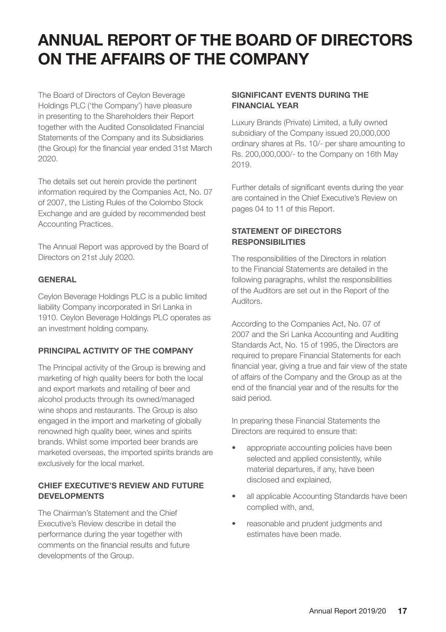The Board of Directors of Ceylon Beverage Holdings PLC ('the Company') have pleasure in presenting to the Shareholders their Report together with the Audited Consolidated Financial Statements of the Company and its Subsidiaries (the Group) for the financial year ended 31st March 2020.

The details set out herein provide the pertinent information required by the Companies Act, No. 07 of 2007, the Listing Rules of the Colombo Stock Exchange and are guided by recommended best Accounting Practices.

The Annual Report was approved by the Board of Directors on 21st July 2020.

#### **GENERAL**

Ceylon Beverage Holdings PLC is a public limited liability Company incorporated in Sri Lanka in 1910. Ceylon Beverage Holdings PLC operates as an investment holding company.

#### **PRINCIPAL ACTIVITY OF THE COMPANY**

The Principal activity of the Group is brewing and marketing of high quality beers for both the local and export markets and retailing of beer and alcohol products through its owned/managed wine shops and restaurants. The Group is also engaged in the import and marketing of globally renowned high quality beer, wines and spirits brands. Whilst some imported beer brands are marketed overseas, the imported spirits brands are exclusively for the local market.

#### **CHIEF EXECUTIVE'S REVIEW AND FUTURE DEVELOPMENTS**

The Chairman's Statement and the Chief Executive's Review describe in detail the performance during the year together with comments on the financial results and future developments of the Group.

#### **SIGNIFICANT EVENTS DURING THE FINANCIAL YEAR**

Luxury Brands (Private) Limited, a fully owned subsidiary of the Company issued 20,000,000 ordinary shares at Rs. 10/- per share amounting to Rs. 200,000,000/- to the Company on 16th May 2019.

Further details of significant events during the year are contained in the Chief Executive's Review on pages 04 to 11 of this Report.

#### **STATEMENT OF DIRECTORS RESPONSIBILITIES**

The responsibilities of the Directors in relation to the Financial Statements are detailed in the following paragraphs, whilst the responsibilities of the Auditors are set out in the Report of the Auditors.

According to the Companies Act, No. 07 of 2007 and the Sri Lanka Accounting and Auditing Standards Act, No. 15 of 1995, the Directors are required to prepare Financial Statements for each financial year, giving a true and fair view of the state of affairs of the Company and the Group as at the end of the financial year and of the results for the said period.

In preparing these Financial Statements the Directors are required to ensure that:

- appropriate accounting policies have been selected and applied consistently, while material departures, if any, have been disclosed and explained,
- all applicable Accounting Standards have been complied with, and,
- reasonable and prudent judgments and estimates have been made.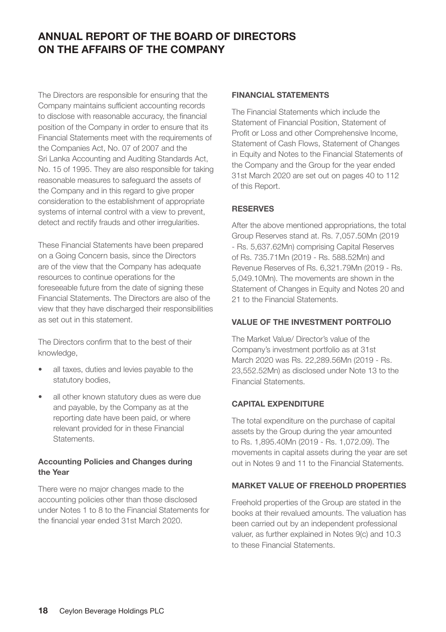The Directors are responsible for ensuring that the Company maintains sufficient accounting records to disclose with reasonable accuracy, the financial position of the Company in order to ensure that its Financial Statements meet with the requirements of the Companies Act, No. 07 of 2007 and the Sri Lanka Accounting and Auditing Standards Act, No. 15 of 1995. They are also responsible for taking reasonable measures to safeguard the assets of the Company and in this regard to give proper consideration to the establishment of appropriate systems of internal control with a view to prevent, detect and rectify frauds and other irregularities.

These Financial Statements have been prepared on a Going Concern basis, since the Directors are of the view that the Company has adequate resources to continue operations for the foreseeable future from the date of signing these Financial Statements. The Directors are also of the view that they have discharged their responsibilities as set out in this statement.

The Directors confirm that to the best of their knowledge,

- all taxes, duties and levies payable to the statutory bodies.
- all other known statutory dues as were due and payable, by the Company as at the reporting date have been paid, or where relevant provided for in these Financial Statements.

#### **Accounting Policies and Changes during the Year**

There were no major changes made to the accounting policies other than those disclosed under Notes 1 to 8 to the Financial Statements for the financial year ended 31st March 2020.

#### **FINANCIAL STATEMENTS**

The Financial Statements which include the Statement of Financial Position, Statement of Profit or Loss and other Comprehensive Income, Statement of Cash Flows, Statement of Changes in Equity and Notes to the Financial Statements of the Company and the Group for the year ended 31st March 2020 are set out on pages 40 to 112 of this Report.

#### **RESERVES**

After the above mentioned appropriations, the total Group Reserves stand at. Rs. 7,057.50Mn (2019 - Rs. 5,637.62Mn) comprising Capital Reserves of Rs. 735.71Mn (2019 - Rs. 588.52Mn) and Revenue Reserves of Rs. 6,321.79Mn (2019 - Rs. 5,049.10Mn). The movements are shown in the Statement of Changes in Equity and Notes 20 and 21 to the Financial Statements.

#### **VALUE OF THE INVESTMENT PORTFOLIO**

The Market Value/ Director's value of the Company's investment portfolio as at 31st March 2020 was Rs. 22,289.56Mn (2019 - Rs. 23,552.52Mn) as disclosed under Note 13 to the Financial Statements.

#### **CAPITAL EXPENDITURE**

The total expenditure on the purchase of capital assets by the Group during the year amounted to Rs. 1,895.40Mn (2019 - Rs. 1,072.09). The movements in capital assets during the year are set out in Notes 9 and 11 to the Financial Statements.

#### **MARKET VALUE OF FREEHOLD PROPERTIES**

Freehold properties of the Group are stated in the books at their revalued amounts. The valuation has been carried out by an independent professional valuer, as further explained in Notes 9(c) and 10.3 to these Financial Statements.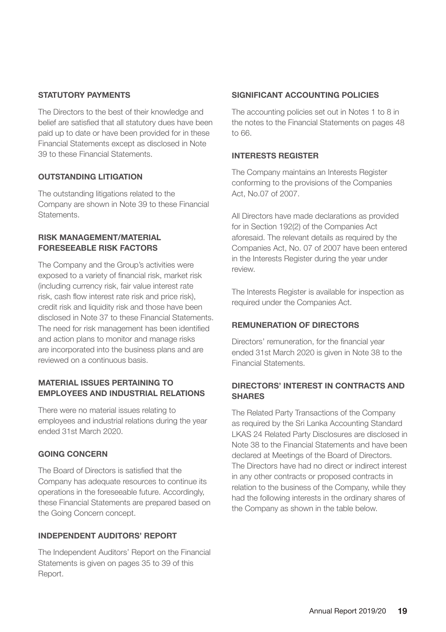#### **STATUTORY PAYMENTS**

The Directors to the best of their knowledge and belief are satisfied that all statutory dues have been paid up to date or have been provided for in these Financial Statements except as disclosed in Note 39 to these Financial Statements.

#### **OUTSTANDING LITIGATION**

The outstanding litigations related to the Company are shown in Note 39 to these Financial Statements.

#### **RISK MANAGEMENT/MATERIAL FORESEEABLE RISK FACTORS**

The Company and the Group's activities were exposed to a variety of financial risk, market risk (including currency risk, fair value interest rate risk, cash flow interest rate risk and price risk), credit risk and liquidity risk and those have been disclosed in Note 37 to these Financial Statements. The need for risk management has been identified and action plans to monitor and manage risks are incorporated into the business plans and are reviewed on a continuous basis.

#### **MATERIAL ISSUES PERTAINING TO EMPLOYEES AND INDUSTRIAL RELATIONS**

There were no material issues relating to employees and industrial relations during the year ended 31st March 2020.

#### **GOING CONCERN**

The Board of Directors is satisfied that the Company has adequate resources to continue its operations in the foreseeable future. Accordingly, these Financial Statements are prepared based on the Going Concern concept.

#### **INDEPENDENT AUDITORS' REPORT**

The Independent Auditors' Report on the Financial Statements is given on pages 35 to 39 of this Report.

#### **SIGNIFICANT ACCOUNTING POLICIES**

The accounting policies set out in Notes 1 to 8 in the notes to the Financial Statements on pages 48 to 66.

#### **INTERESTS REGISTER**

The Company maintains an Interests Register conforming to the provisions of the Companies Act, No.07 of 2007.

All Directors have made declarations as provided for in Section 192(2) of the Companies Act aforesaid. The relevant details as required by the Companies Act, No. 07 of 2007 have been entered in the Interests Register during the year under review.

The Interests Register is available for inspection as required under the Companies Act.

#### **REMUNERATION OF DIRECTORS**

Directors' remuneration, for the financial year ended 31st March 2020 is given in Note 38 to the Financial Statements.

#### **DIRECTORS' INTEREST IN CONTRACTS AND SHARES**

The Related Party Transactions of the Company as required by the Sri Lanka Accounting Standard LKAS 24 Related Party Disclosures are disclosed in Note 38 to the Financial Statements and have been declared at Meetings of the Board of Directors. The Directors have had no direct or indirect interest in any other contracts or proposed contracts in relation to the business of the Company, while they had the following interests in the ordinary shares of the Company as shown in the table below.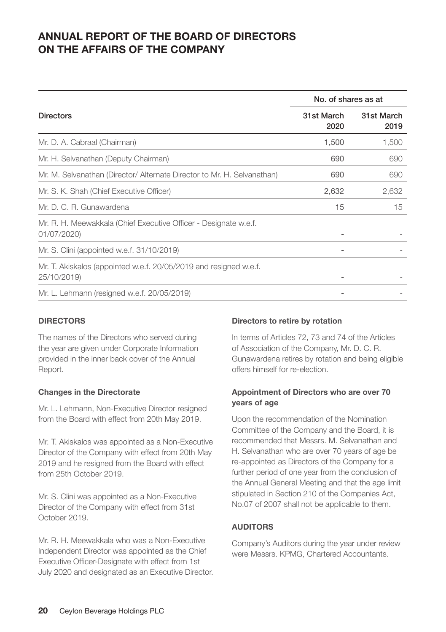|                                                                                  | No. of shares as at |                    |
|----------------------------------------------------------------------------------|---------------------|--------------------|
| <b>Directors</b>                                                                 | 31st March<br>2020  | 31st March<br>2019 |
| Mr. D. A. Cabraal (Chairman)                                                     | 1,500               | 1,500              |
| Mr. H. Selvanathan (Deputy Chairman)                                             | 690                 | 690                |
| Mr. M. Selvanathan (Director/ Alternate Director to Mr. H. Selvanathan)          | 690                 | 690                |
| Mr. S. K. Shah (Chief Executive Officer)                                         | 2,632               | 2,632              |
| Mr. D. C. R. Gunawardena                                                         | 15                  | 15                 |
| Mr. R. H. Meewakkala (Chief Executive Officer - Designate w.e.f.<br>01/07/2020)  |                     |                    |
| Mr. S. Clini (appointed w.e.f. 31/10/2019)                                       |                     |                    |
| Mr. T. Akiskalos (appointed w.e.f. 20/05/2019 and resigned w.e.f.<br>25/10/2019) |                     |                    |
| Mr. L. Lehmann (resigned w.e.f. 20/05/2019)                                      |                     |                    |

#### **DIRECTORS**

The names of the Directors who served during the year are given under Corporate Information provided in the inner back cover of the Annual Report.

#### **Changes in the Directorate**

Mr. L. Lehmann, Non-Executive Director resigned from the Board with effect from 20th May 2019.

Mr. T. Akiskalos was appointed as a Non-Executive Director of the Company with effect from 20th May 2019 and he resigned from the Board with effect from 25th October 2019.

Mr. S. Clini was appointed as a Non-Executive Director of the Company with effect from 31st October 2019.

Mr. R. H. Meewakkala who was a Non-Executive Independent Director was appointed as the Chief Executive Officer-Designate with effect from 1st July 2020 and designated as an Executive Director.

#### **Directors to retire by rotation**

In terms of Articles 72, 73 and 74 of the Articles of Association of the Company, Mr. D. C. R. Gunawardena retires by rotation and being eligible offers himself for re-election.

#### **Appointment of Directors who are over 70 years of age**

Upon the recommendation of the Nomination Committee of the Company and the Board, it is recommended that Messrs. M. Selvanathan and H. Selvanathan who are over 70 years of age be re-appointed as Directors of the Company for a further period of one year from the conclusion of the Annual General Meeting and that the age limit stipulated in Section 210 of the Companies Act, No.07 of 2007 shall not be applicable to them.

#### **AUDITORS**

Company's Auditors during the year under review were Messrs. KPMG, Chartered Accountants.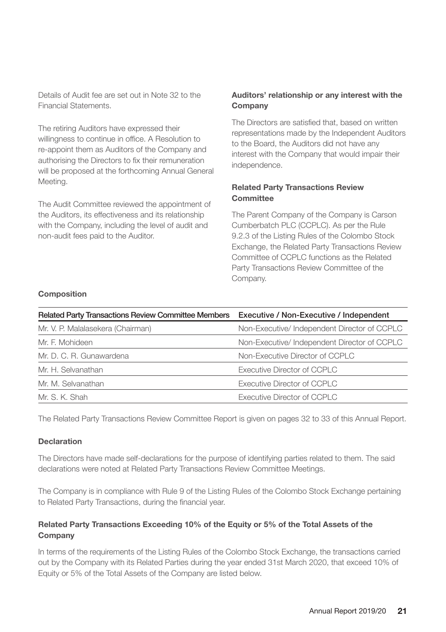Details of Audit fee are set out in Note 32 to the Financial Statements.

The retiring Auditors have expressed their willingness to continue in office. A Resolution to re-appoint them as Auditors of the Company and authorising the Directors to fix their remuneration will be proposed at the forthcoming Annual General Meeting.

The Audit Committee reviewed the appointment of the Auditors, its effectiveness and its relationship with the Company, including the level of audit and non-audit fees paid to the Auditor.

#### **Auditors' relationship or any interest with the Company**

The Directors are satisfied that, based on written representations made by the Independent Auditors to the Board, the Auditors did not have any interest with the Company that would impair their independence.

#### **Related Party Transactions Review Committee**

The Parent Company of the Company is Carson Cumberbatch PLC (CCPLC). As per the Rule 9.2.3 of the Listing Rules of the Colombo Stock Exchange, the Related Party Transactions Review Committee of CCPLC functions as the Related Party Transactions Review Committee of the Company.

#### **Composition**

| <b>Related Party Transactions Review Committee Members</b> | Executive / Non-Executive / Independent     |
|------------------------------------------------------------|---------------------------------------------|
| Mr. V. P. Malalasekera (Chairman)                          | Non-Executive/Independent Director of CCPLC |
| Mr. F. Mohideen                                            | Non-Executive/Independent Director of CCPLC |
| Mr. D. C. R. Gunawardena                                   | Non-Executive Director of CCPLC             |
| Mr. H. Selvanathan                                         | Executive Director of CCPLC                 |
| Mr. M. Selvanathan                                         | Executive Director of CCPLC                 |
| Mr. S. K. Shah                                             | Executive Director of CCPLC                 |

The Related Party Transactions Review Committee Report is given on pages 32 to 33 of this Annual Report.

#### **Declaration**

The Directors have made self-declarations for the purpose of identifying parties related to them. The said declarations were noted at Related Party Transactions Review Committee Meetings.

The Company is in compliance with Rule 9 of the Listing Rules of the Colombo Stock Exchange pertaining to Related Party Transactions, during the financial year.

#### **Related Party Transactions Exceeding 10% of the Equity or 5% of the Total Assets of the Company**

In terms of the requirements of the Listing Rules of the Colombo Stock Exchange, the transactions carried out by the Company with its Related Parties during the year ended 31st March 2020, that exceed 10% of Equity or 5% of the Total Assets of the Company are listed below.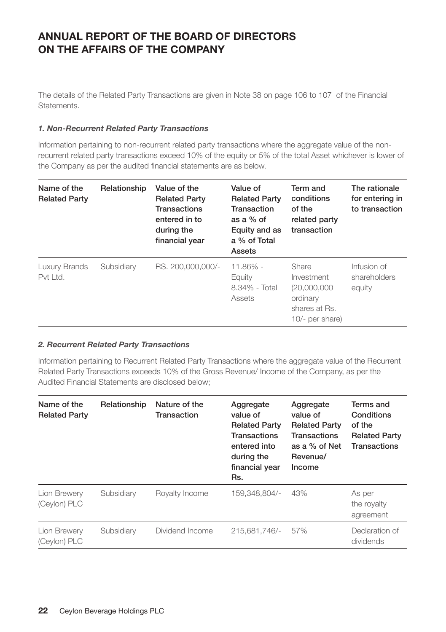The details of the Related Party Transactions are given in Note 38 on page 106 to 107 of the Financial Statements.

#### *1. Non-Recurrent Related Party Transactions*

Information pertaining to non-recurrent related party transactions where the aggregate value of the nonrecurrent related party transactions exceed 10% of the equity or 5% of the total Asset whichever is lower of the Company as per the audited financial statements are as below.

| Name of the<br><b>Related Party</b> | Relationship | Value of the<br><b>Related Party</b><br><b>Transactions</b><br>entered in to<br>during the<br>financial year | Value of<br><b>Related Party</b><br>Transaction<br>as a $%$ of<br>Equity and as<br>a % of Total<br>Assets | Term and<br>conditions<br>of the<br>related party<br>transaction                      | The rationale<br>for entering in<br>to transaction |
|-------------------------------------|--------------|--------------------------------------------------------------------------------------------------------------|-----------------------------------------------------------------------------------------------------------|---------------------------------------------------------------------------------------|----------------------------------------------------|
| Luxury Brands<br>Pvt Ltd.           | Subsidiary   | RS. 200.000.000/-                                                                                            | $11.86\%$ -<br>Equity<br>$8.34\%$ - Total<br>Assets                                                       | Share<br>Investment<br>(20.000.000)<br>ordinary<br>shares at Rs.<br>$10/-$ per share) | Infusion of<br>shareholders<br>equity              |

#### *2. Recurrent Related Party Transactions*

Information pertaining to Recurrent Related Party Transactions where the aggregate value of the Recurrent Related Party Transactions exceeds 10% of the Gross Revenue/ Income of the Company, as per the Audited Financial Statements are disclosed below;

| Name of the<br><b>Related Party</b> | Relationship | Nature of the<br>Transaction | Aggregate<br>value of<br><b>Related Party</b><br><b>Transactions</b><br>entered into<br>during the<br>financial year<br>Rs. | Aggregate<br>value of<br><b>Related Party</b><br><b>Transactions</b><br>as a % of Net<br>Revenue/<br>Income | Terms and<br>Conditions<br>of the<br><b>Related Party</b><br>Transactions |
|-------------------------------------|--------------|------------------------------|-----------------------------------------------------------------------------------------------------------------------------|-------------------------------------------------------------------------------------------------------------|---------------------------------------------------------------------------|
| Lion Brewery<br>(Ceylon) PLC        | Subsidiary   | Royalty Income               | 159.348.804/-                                                                                                               | 43%                                                                                                         | As per<br>the royalty<br>agreement                                        |
| Lion Brewery<br>(Ceylon) PLC        | Subsidiary   | Dividend Income              | 215.681.746/-                                                                                                               | 57%                                                                                                         | Declaration of<br>dividends                                               |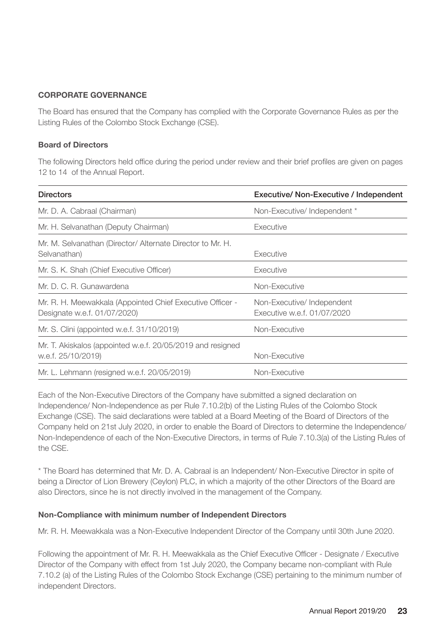#### **CORPORATE GOVERNANCE**

The Board has ensured that the Company has complied with the Corporate Governance Rules as per the Listing Rules of the Colombo Stock Exchange (CSE).

#### **Board of Directors**

The following Directors held office during the period under review and their brief profiles are given on pages 12 to 14 of the Annual Report.

| <b>Directors</b>                                                                          | Executive/ Non-Executive / Independent                   |
|-------------------------------------------------------------------------------------------|----------------------------------------------------------|
| Mr. D. A. Cabraal (Chairman)                                                              | Non-Executive/Independent *                              |
| Mr. H. Selvanathan (Deputy Chairman)                                                      | Executive                                                |
| Mr. M. Selvanathan (Director/ Alternate Director to Mr. H.<br>Selvanathan)                | Executive                                                |
| Mr. S. K. Shah (Chief Executive Officer)                                                  | Executive                                                |
| Mr. D. C. R. Gunawardena                                                                  | Non-Executive                                            |
| Mr. R. H. Meewakkala (Appointed Chief Executive Officer -<br>Designate w.e.f. 01/07/2020) | Non-Executive/Independent<br>Executive w.e.f. 01/07/2020 |
| Mr. S. Clini (appointed w.e.f. 31/10/2019)                                                | Non-Executive                                            |
| Mr. T. Akiskalos (appointed w.e.f. 20/05/2019 and resigned<br>w.e.f. 25/10/2019)          | Non-Executive                                            |
| Mr. L. Lehmann (resigned w.e.f. 20/05/2019)                                               | Non-Executive                                            |

Each of the Non-Executive Directors of the Company have submitted a signed declaration on Independence/ Non-Independence as per Rule 7.10.2(b) of the Listing Rules of the Colombo Stock Exchange (CSE). The said declarations were tabled at a Board Meeting of the Board of Directors of the Company held on 21st July 2020, in order to enable the Board of Directors to determine the Independence/ Non-Independence of each of the Non-Executive Directors, in terms of Rule 7.10.3(a) of the Listing Rules of the CSE.

\* The Board has determined that Mr. D. A. Cabraal is an Independent/ Non-Executive Director in spite of being a Director of Lion Brewery (Ceylon) PLC, in which a majority of the other Directors of the Board are also Directors, since he is not directly involved in the management of the Company.

#### **Non-Compliance with minimum number of Independent Directors**

Mr. R. H. Meewakkala was a Non-Executive Independent Director of the Company until 30th June 2020.

Following the appointment of Mr. R. H. Meewakkala as the Chief Executive Officer - Designate / Executive Director of the Company with effect from 1st July 2020, the Company became non-compliant with Rule 7.10.2 (a) of the Listing Rules of the Colombo Stock Exchange (CSE) pertaining to the minimum number of independent Directors.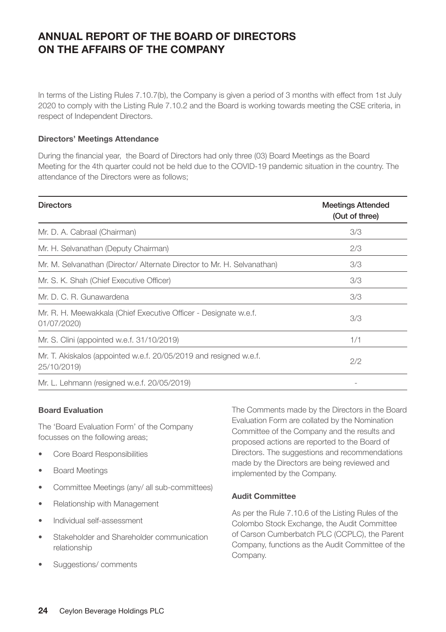In terms of the Listing Rules 7.10.7(b), the Company is given a period of 3 months with effect from 1st July 2020 to comply with the Listing Rule 7.10.2 and the Board is working towards meeting the CSE criteria, in respect of Independent Directors.

#### **Directors' Meetings Attendance**

During the financial year, the Board of Directors had only three (03) Board Meetings as the Board Meeting for the 4th quarter could not be held due to the COVID-19 pandemic situation in the country. The attendance of the Directors were as follows;

| <b>Directors</b>                                                                 | <b>Meetings Attended</b><br>(Out of three) |
|----------------------------------------------------------------------------------|--------------------------------------------|
| Mr. D. A. Cabraal (Chairman)                                                     | 3/3                                        |
| Mr. H. Selvanathan (Deputy Chairman)                                             | 2/3                                        |
| Mr. M. Selvanathan (Director/ Alternate Director to Mr. H. Selvanathan)          | 3/3                                        |
| Mr. S. K. Shah (Chief Executive Officer)                                         | 3/3                                        |
| Mr. D. C. R. Gunawardena                                                         | 3/3                                        |
| Mr. R. H. Meewakkala (Chief Executive Officer - Designate w.e.f.<br>01/07/2020)  | 3/3                                        |
| Mr. S. Clini (appointed w.e.f. 31/10/2019)                                       | 1/1                                        |
| Mr. T. Akiskalos (appointed w.e.f. 20/05/2019 and resigned w.e.f.<br>25/10/2019) | 2/2                                        |
| Mr. L. Lehmann (resigned w.e.f. 20/05/2019)                                      |                                            |

#### **Board Evaluation**

The 'Board Evaluation Form' of the Company focusses on the following areas;

- Core Board Responsibilities
- Board Meetings
- Committee Meetings (any/ all sub-committees)
- Relationship with Management
- Individual self-assessment
- Stakeholder and Shareholder communication relationship
- Suggestions/ comments

The Comments made by the Directors in the Board Evaluation Form are collated by the Nomination Committee of the Company and the results and proposed actions are reported to the Board of Directors. The suggestions and recommendations made by the Directors are being reviewed and implemented by the Company.

#### **Audit Committee**

As per the Rule 7.10.6 of the Listing Rules of the Colombo Stock Exchange, the Audit Committee of Carson Cumberbatch PLC (CCPLC), the Parent Company, functions as the Audit Committee of the Company.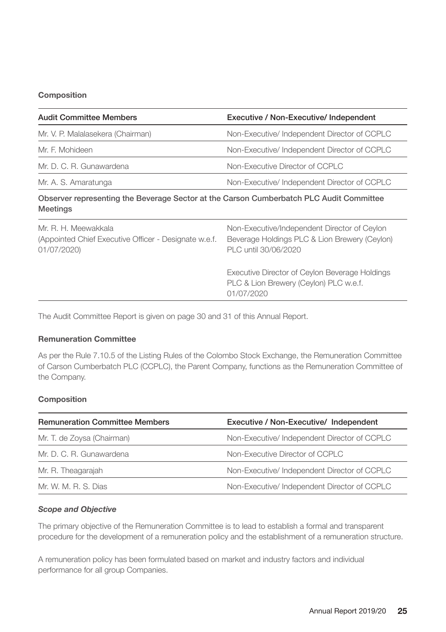#### **Composition**

| <b>Audit Committee Members</b>    | Executive / Non-Executive/ Independent      |
|-----------------------------------|---------------------------------------------|
| Mr. V. P. Malalasekera (Chairman) | Non-Executive/Independent Director of CCPLC |
| Mr. F. Mohideen                   | Non-Executive/Independent Director of CCPLC |
| Mr. D. C. R. Gunawardena          | Non-Executive Director of CCPLC             |
| Mr. A. S. Amaratunga              | Non-Executive/Independent Director of CCPLC |

#### Observer representing the Beverage Sector at the Carson Cumberbatch PLC Audit Committee Meetings

| Mr. R. H. Meewakkala<br>(Appointed Chief Executive Officer - Designate w.e.f.<br>01/07/2020) | Non-Executive/Independent Director of Cevlon<br>Beverage Holdings PLC & Lion Brewery (Ceylon)<br>PLC until 30/06/2020 |
|----------------------------------------------------------------------------------------------|-----------------------------------------------------------------------------------------------------------------------|
|                                                                                              | Executive Director of Ceylon Beverage Holdings<br>PLC & Lion Brewery (Ceylon) PLC w.e.f.<br>01/07/2020                |
|                                                                                              |                                                                                                                       |

The Audit Committee Report is given on page 30 and 31 of this Annual Report.

#### **Remuneration Committee**

As per the Rule 7.10.5 of the Listing Rules of the Colombo Stock Exchange, the Remuneration Committee of Carson Cumberbatch PLC (CCPLC), the Parent Company, functions as the Remuneration Committee of the Company.

#### **Composition**

| <b>Remuneration Committee Members</b> | Executive / Non-Executive/ Independent       |
|---------------------------------------|----------------------------------------------|
| Mr. T. de Zoysa (Chairman)            | Non-Executive/ Independent Director of CCPLC |
| Mr. D. C. R. Gunawardena              | Non-Executive Director of CCPLC              |
| Mr. R. Theagarajah                    | Non-Executive/Independent Director of CCPLC  |
| Mr. W. M. R. S. Dias                  | Non-Executive/ Independent Director of CCPLC |

#### *Scope and Objective*

The primary objective of the Remuneration Committee is to lead to establish a formal and transparent procedure for the development of a remuneration policy and the establishment of a remuneration structure.

A remuneration policy has been formulated based on market and industry factors and individual performance for all group Companies.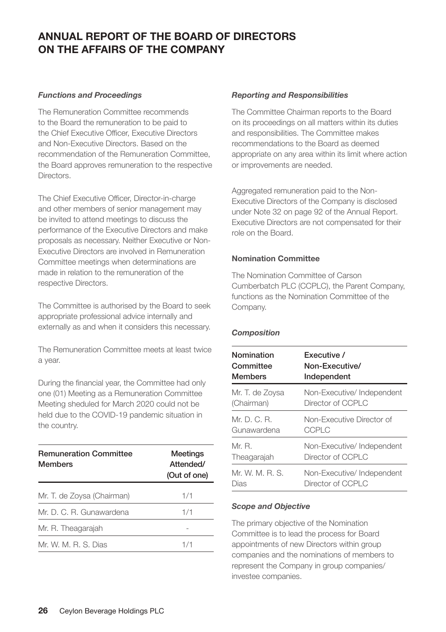#### *Functions and Proceedings*

The Remuneration Committee recommends to the Board the remuneration to be paid to the Chief Executive Officer, Executive Directors and Non-Executive Directors. Based on the recommendation of the Remuneration Committee, the Board approves remuneration to the respective **Directors** 

The Chief Executive Officer, Director-in-charge and other members of senior management may be invited to attend meetings to discuss the performance of the Executive Directors and make proposals as necessary. Neither Executive or Non-Executive Directors are involved in Remuneration Committee meetings when determinations are made in relation to the remuneration of the respective Directors.

The Committee is authorised by the Board to seek appropriate professional advice internally and externally as and when it considers this necessary.

The Remuneration Committee meets at least twice a year.

During the financial year, the Committee had only one (01) Meeting as a Remuneration Committee Meeting sheduled for March 2020 could not be held due to the COVID-19 pandemic situation in the country.

| <b>Remuneration Committee</b><br><b>Members</b> | Meetings<br>Attended/<br>(Out of one) |  |
|-------------------------------------------------|---------------------------------------|--|
| Mr. T. de Zoysa (Chairman)                      | 1/1                                   |  |
| Mr. D. C. R. Gunawardena                        | 1/1                                   |  |
| Mr. R. Theagarajah                              |                                       |  |
| Mr. W. M. R. S. Dias                            | 1/1                                   |  |

#### *Reporting and Responsibilities*

The Committee Chairman reports to the Board on its proceedings on all matters within its duties and responsibilities. The Committee makes recommendations to the Board as deemed appropriate on any area within its limit where action or improvements are needed.

Aggregated remuneration paid to the Non-Executive Directors of the Company is disclosed under Note 32 on page 92 of the Annual Report. Executive Directors are not compensated for their role on the Board.

#### **Nomination Committee**

The Nomination Committee of Carson Cumberbatch PLC (CCPLC), the Parent Company, functions as the Nomination Committee of the Company.

#### *Composition*

| Nomination      | <b>Fxecutive /</b>        |  |
|-----------------|---------------------------|--|
| Committee       | Non-Executive/            |  |
| <b>Members</b>  | Independent               |  |
| Mr. T. de Zoysa | Non-Executive/Independent |  |
| (Chairman)      | Director of CCPLC         |  |
| Mr.D.C.B.       | Non-Executive Director of |  |
| Gunawardena     | CCPLC                     |  |
| Mr. R.          | Non-Executive/Independent |  |
| Theagarajah     | Director of CCPLC         |  |
| Mr. W. M. R. S. | Non-Executive/Independent |  |
| Dias            | Director of CCPLC         |  |

#### *Scope and Objective*

The primary objective of the Nomination Committee is to lead the process for Board appointments of new Directors within group companies and the nominations of members to represent the Company in group companies/ investee companies.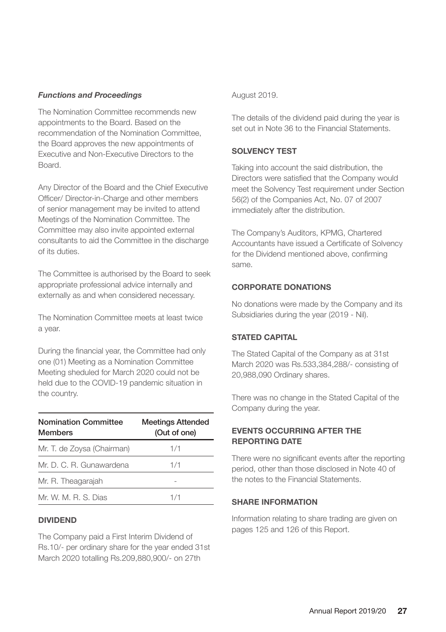#### *Functions and Proceedings*

The Nomination Committee recommends new appointments to the Board. Based on the recommendation of the Nomination Committee, the Board approves the new appointments of Executive and Non-Executive Directors to the Board.

Any Director of the Board and the Chief Executive Officer/ Director-in-Charge and other members of senior management may be invited to attend Meetings of the Nomination Committee. The Committee may also invite appointed external consultants to aid the Committee in the discharge of its duties.

The Committee is authorised by the Board to seek appropriate professional advice internally and externally as and when considered necessary.

The Nomination Committee meets at least twice a year.

During the financial year, the Committee had only one (01) Meeting as a Nomination Committee Meeting sheduled for March 2020 could not be held due to the COVID-19 pandemic situation in the country.

| <b>Nomination Committee</b><br><b>Members</b> | <b>Meetings Attended</b><br>(Out of one) |  |
|-----------------------------------------------|------------------------------------------|--|
| Mr. T. de Zoysa (Chairman)                    | 1/1                                      |  |
| Mr. D. C. R. Gunawardena                      | 1/1                                      |  |
| Mr. R. Theagarajah                            |                                          |  |
| Mr. W. M. R. S. Dias                          | 1/1                                      |  |

#### **DIVIDEND**

The Company paid a First Interim Dividend of Rs.10/- per ordinary share for the year ended 31st March 2020 totalling Rs.209,880,900/- on 27th

#### August 2019.

The details of the dividend paid during the year is set out in Note 36 to the Financial Statements.

#### **SOLVENCY TEST**

Taking into account the said distribution, the Directors were satisfied that the Company would meet the Solvency Test requirement under Section 56(2) of the Companies Act, No. 07 of 2007 immediately after the distribution.

The Company's Auditors, KPMG, Chartered Accountants have issued a Certificate of Solvency for the Dividend mentioned above, confirming same.

#### **CORPORATE DONATIONS**

No donations were made by the Company and its Subsidiaries during the year (2019 - Nil).

#### **STATED CAPITAL**

The Stated Capital of the Company as at 31st March 2020 was Rs.533,384,288/- consisting of 20,988,090 Ordinary shares.

There was no change in the Stated Capital of the Company during the year.

#### **EVENTS OCCURRING AFTER THE REPORTING DATE**

There were no significant events after the reporting period, other than those disclosed in Note 40 of the notes to the Financial Statements.

#### **SHARE INFORMATION**

Information relating to share trading are given on pages 125 and 126 of this Report.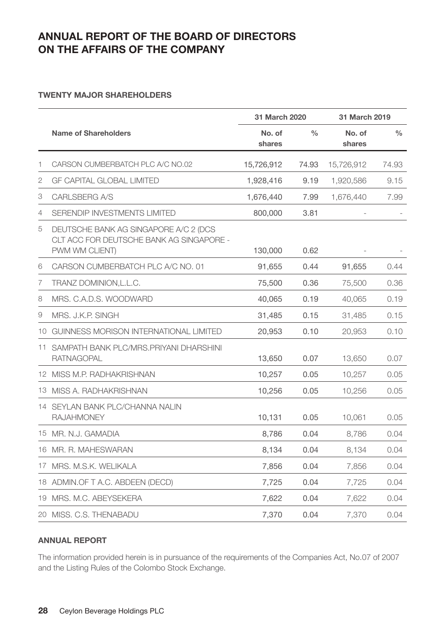#### **TWENTY MAJOR SHAREHOLDERS**

|    |                                                                                                     | 31 March 2020    |               | 31 March 2019    |               |
|----|-----------------------------------------------------------------------------------------------------|------------------|---------------|------------------|---------------|
|    | Name of Shareholders                                                                                | No. of<br>shares | $\frac{0}{0}$ | No. of<br>shares | $\frac{0}{0}$ |
| 1  | CARSON CUMBERBATCH PLC A/C NO.02                                                                    | 15,726,912       | 74.93         | 15,726,912       | 74.93         |
| 2  | <b>GF CAPITAL GLOBAL LIMITED</b>                                                                    | 1,928,416        | 9.19          | 1,920,586        | 9.15          |
| 3  | CARLSBERG A/S                                                                                       | 1,676,440        | 7.99          | 1,676,440        | 7.99          |
| 4  | SERENDIP INVESTMENTS LIMITED                                                                        | 800,000          | 3.81          |                  |               |
| 5  | DEUTSCHE BANK AG SINGAPORE A/C 2 (DCS<br>CLT ACC FOR DEUTSCHE BANK AG SINGAPORE -<br>PWM WM CLIENT) | 130,000          | 0.62          |                  |               |
| 6  | CARSON CUMBERBATCH PLC A/C NO. 01                                                                   | 91,655           | 0.44          | 91,655           | 0.44          |
| 7  | TRANZ DOMINION, L.L.C.                                                                              | 75,500           | 0.36          | 75,500           | 0.36          |
| 8  | MRS. C.A.D.S. WOODWARD                                                                              | 40.065           | 0.19          | 40.065           | 0.19          |
| 9  | MRS. J.K.P. SINGH                                                                                   | 31.485           | 0.15          | 31.485           | 0.15          |
|    | 10 GUINNESS MORISON INTERNATIONAL LIMITED                                                           | 20,953           | 0.10          | 20,953           | 0.10          |
|    | 11 SAMPATH BANK PLC/MRS.PRIYANI DHARSHINI<br><b>RATNAGOPAL</b>                                      | 13,650           | 0.07          | 13,650           | 0.07          |
|    | 12 MISS M.P. RADHAKRISHNAN                                                                          | 10,257           | 0.05          | 10,257           | 0.05          |
|    | 13 MISS A. RADHAKRISHNAN                                                                            | 10,256           | 0.05          | 10,256           | 0.05          |
|    | 14 SEYLAN BANK PLC/CHANNA NALIN<br><b>RAJAHMONEY</b>                                                | 10,131           | 0.05          | 10,061           | 0.05          |
|    | 15 MR. N.J. GAMADIA                                                                                 | 8.786            | 0.04          | 8.786            | 0.04          |
|    | 16 MR. R. MAHESWARAN                                                                                | 8,134            | 0.04          | 8.134            | 0.04          |
|    | 17 MRS, M.S.K. WELIKALA                                                                             | 7,856            | 0.04          | 7,856            | 0.04          |
|    | 18 ADMIN.OF T A.C. ABDEEN (DECD)                                                                    | 7,725            | 0.04          | 7,725            | 0.04          |
| 19 | MRS. M.C. ABEYSEKERA                                                                                | 7,622            | 0.04          | 7,622            | 0.04          |
|    | 20 MISS, C.S. THENABADU                                                                             | 7,370            | 0.04          | 7,370            | 0.04          |

#### **ANNUAL REPORT**

The information provided herein is in pursuance of the requirements of the Companies Act, No.07 of 2007 and the Listing Rules of the Colombo Stock Exchange.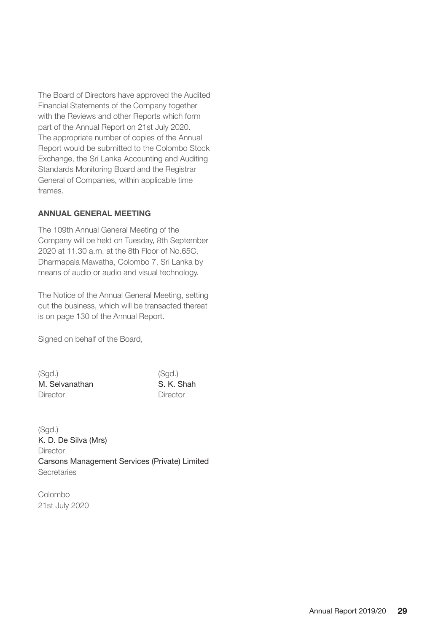The Board of Directors have approved the Audited Financial Statements of the Company together with the Reviews and other Reports which form part of the Annual Report on 21st July 2020. The appropriate number of copies of the Annual Report would be submitted to the Colombo Stock Exchange, the Sri Lanka Accounting and Auditing Standards Monitoring Board and the Registrar General of Companies, within applicable time frames.

#### **ANNUAL GENERAL MEETING**

The 109th Annual General Meeting of the Company will be held on Tuesday, 8th September 2020 at 11.30 a.m. at the 8th Floor of No.65C, Dharmapala Mawatha, Colombo 7, Sri Lanka by means of audio or audio and visual technology.

The Notice of the Annual General Meeting, setting out the business, which will be transacted thereat is on page 130 of the Annual Report.

Signed on behalf of the Board,

| (Sqd.)         | (Sad.)     |
|----------------|------------|
| M. Selvanathan | S. K. Shah |
| Director       | Director   |

 $(Sod.)$ K. D. De Silva (Mrs) **Director** Carsons Management Services (Private) Limited Secretaries

Colombo 21st July 2020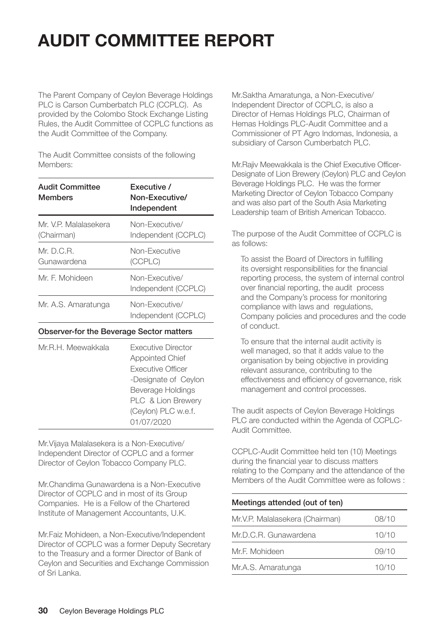# **AUDIT COMMITTEE REPORT**

The Parent Company of Ceylon Beverage Holdings PLC is Carson Cumberbatch PLC (CCPLC). As provided by the Colombo Stock Exchange Listing Rules, the Audit Committee of CCPLC functions as the Audit Committee of the Company.

The Audit Committee consists of the following Members:

| Audit Committee<br><b>Members</b>        | <b>Fxecutive</b> /<br>Non-Executive/<br>Independent |  |
|------------------------------------------|-----------------------------------------------------|--|
| Mr. V.P. Malalasekera<br>(Chairman)      | Non-Executive/<br>Independent (CCPLC)               |  |
| Mr.D.C.R.<br>Gunawardena                 | Non-Executive<br>(CCPLC)                            |  |
| Mr. F. Mohideen                          | Non-Executive/<br>Independent (CCPLC)               |  |
| Mr. A.S. Amaratunga                      | Non-Executive/<br>Independent (CCPLC)               |  |
| Observer-for the Beverage Sector matters |                                                     |  |

| Mr.R.H. Meewakkala | <b>Executive Director</b><br>Appointed Chief<br><b>Executive Officer</b><br>-Designate of Ceylon<br>Beverage Holdings<br>PLC & Lion Brewery<br>(Ceylon) PLC w.e.f. |
|--------------------|--------------------------------------------------------------------------------------------------------------------------------------------------------------------|
|                    | 01/07/2020                                                                                                                                                         |
|                    |                                                                                                                                                                    |

Mr.Vijaya Malalasekera is a Non-Executive/ Independent Director of CCPLC and a former Director of Ceylon Tobacco Company PLC.

Mr.Chandima Gunawardena is a Non-Executive Director of CCPLC and in most of its Group Companies. He is a Fellow of the Chartered Institute of Management Accountants, U.K.

Mr.Faiz Mohideen, a Non-Executive/Independent Director of CCPLC was a former Deputy Secretary to the Treasury and a former Director of Bank of Ceylon and Securities and Exchange Commission of Sri Lanka.

Mr.Saktha Amaratunga, a Non-Executive/ Independent Director of CCPLC, is also a Director of Hemas Holdings PLC, Chairman of Hemas Holdings PLC-Audit Committee and a Commissioner of PT Agro Indomas, Indonesia, a subsidiary of Carson Cumberbatch PLC.

Mr.Rajiv Meewakkala is the Chief Executive Officer-Designate of Lion Brewery (Ceylon) PLC and Ceylon Beverage Holdings PLC. He was the former Marketing Director of Ceylon Tobacco Company and was also part of the South Asia Marketing Leadership team of British American Tobacco.

The purpose of the Audit Committee of CCPLC is as follows:

To assist the Board of Directors in fulfilling its oversight responsibilities for the financial reporting process, the system of internal control over financial reporting, the audit process and the Company's process for monitoring compliance with laws and regulations, Company policies and procedures and the code of conduct.

To ensure that the internal audit activity is well managed, so that it adds value to the organisation by being objective in providing relevant assurance, contributing to the effectiveness and efficiency of governance, risk management and control processes.

The audit aspects of Ceylon Beverage Holdings PLC are conducted within the Agenda of CCPLC-Audit Committee.

CCPLC-Audit Committee held ten (10) Meetings during the financial year to discuss matters relating to the Company and the attendance of the Members of the Audit Committee were as follows :

#### Meetings attended (out of ten)

| Mr.V.P. Malalasekera (Chairman) | 08/10 |
|---------------------------------|-------|
| Mr.D.C.R. Gunawardena           | 10/10 |
| Mr.F. Mohideen                  | 09/10 |
| Mr.A.S. Amaratunga              | 10/10 |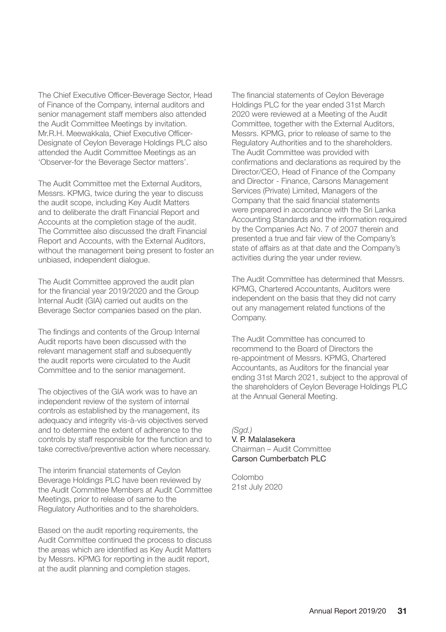The Chief Executive Officer-Beverage Sector, Head of Finance of the Company, internal auditors and senior management staff members also attended the Audit Committee Meetings by invitation. Mr.R.H. Meewakkala, Chief Executive Officer-Designate of Ceylon Beverage Holdings PLC also attended the Audit Committee Meetings as an 'Observer-for the Beverage Sector matters'.

The Audit Committee met the External Auditors, Messrs. KPMG, twice during the year to discuss the audit scope, including Key Audit Matters and to deliberate the draft Financial Report and Accounts at the completion stage of the audit. The Committee also discussed the draft Financial Report and Accounts, with the External Auditors, without the management being present to foster an unbiased, independent dialogue.

The Audit Committee approved the audit plan for the financial year 2019/2020 and the Group Internal Audit (GIA) carried out audits on the Beverage Sector companies based on the plan.

The findings and contents of the Group Internal Audit reports have been discussed with the relevant management staff and subsequently the audit reports were circulated to the Audit Committee and to the senior management.

The objectives of the GIA work was to have an independent review of the system of internal controls as established by the management, its adequacy and integrity vis-à-vis objectives served and to determine the extent of adherence to the controls by staff responsible for the function and to take corrective/preventive action where necessary.

The interim financial statements of Ceylon Beverage Holdings PLC have been reviewed by the Audit Committee Members at Audit Committee Meetings, prior to release of same to the Regulatory Authorities and to the shareholders.

Based on the audit reporting requirements, the Audit Committee continued the process to discuss the areas which are identified as Key Audit Matters by Messrs. KPMG for reporting in the audit report, at the audit planning and completion stages.

The financial statements of Ceylon Beverage Holdings PLC for the year ended 31st March 2020 were reviewed at a Meeting of the Audit Committee, together with the External Auditors, Messrs. KPMG, prior to release of same to the Regulatory Authorities and to the shareholders. The Audit Committee was provided with confirmations and declarations as required by the Director/CEO, Head of Finance of the Company and Director - Finance, Carsons Management Services (Private) Limited, Managers of the Company that the said financial statements were prepared in accordance with the Sri Lanka Accounting Standards and the information required by the Companies Act No. 7 of 2007 therein and presented a true and fair view of the Company's state of affairs as at that date and the Company's activities during the year under review.

The Audit Committee has determined that Messrs. KPMG, Chartered Accountants, Auditors were independent on the basis that they did not carry out any management related functions of the Company.

The Audit Committee has concurred to recommend to the Board of Directors the re-appointment of Messrs. KPMG, Chartered Accountants, as Auditors for the financial year ending 31st March 2021, subject to the approval of the shareholders of Ceylon Beverage Holdings PLC at the Annual General Meeting.

*(Sgd.)* V. P. Malalasekera Chairman – Audit Committee Carson Cumberbatch PLC

Colombo 21st July 2020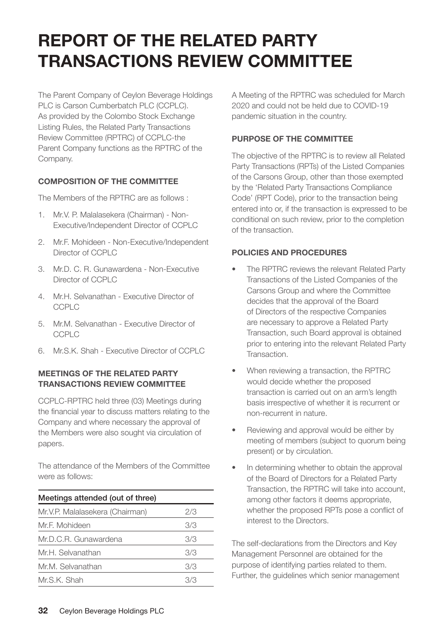## **REPORT OF THE RELATED PARTY TRANSACTIONS REVIEW COMMITTEE**

The Parent Company of Ceylon Beverage Holdings PLC is Carson Cumberbatch PLC (CCPLC). As provided by the Colombo Stock Exchange Listing Rules, the Related Party Transactions Review Committee (RPTRC) of CCPLC-the Parent Company functions as the RPTRC of the Company.

#### **COMPOSITION OF THE COMMITTEE**

The Members of the RPTRC are as follows :

- 1. Mr.V. P. Malalasekera (Chairman) Non-Executive/Independent Director of CCPLC
- 2. Mr.F. Mohideen Non-Executive/Independent Director of CCPLC
- 3. Mr.D. C. R. Gunawardena Non-Executive Director of CCPLC
- 4. Mr.H. Selvanathan Executive Director of CCPLC
- 5. Mr.M. Selvanathan Executive Director of **CCPLC**
- 6. Mr.S.K. Shah Executive Director of CCPLC

#### **MEETINGS OF THE RELATED PARTY TRANSACTIONS REVIEW COMMITTEE**

CCPLC-RPTRC held three (03) Meetings during the financial year to discuss matters relating to the Company and where necessary the approval of the Members were also sought via circulation of papers.

The attendance of the Members of the Committee were as follows:

| Meetings attended (out of three) |     |  |
|----------------------------------|-----|--|
| Mr.V.P. Malalasekera (Chairman)  | 2/3 |  |
| Mr.F. Mohideen                   | 3/3 |  |
| Mr.D.C.R. Gunawardena            | 3/3 |  |
| Mr.H. Selvanathan                | 3/3 |  |
| Mr.M. Selvanathan                | 3/3 |  |
| Mr.S.K. Shah                     | 373 |  |

A Meeting of the RPTRC was scheduled for March 2020 and could not be held due to COVID-19 pandemic situation in the country.

#### **PURPOSE OF THE COMMITTEE**

The objective of the RPTRC is to review all Related Party Transactions (RPTs) of the Listed Companies of the Carsons Group, other than those exempted by the 'Related Party Transactions Compliance Code' (RPT Code), prior to the transaction being entered into or, if the transaction is expressed to be conditional on such review, prior to the completion of the transaction.

#### **POLICIES AND PROCEDURES**

- The RPTRC reviews the relevant Related Party Transactions of the Listed Companies of the Carsons Group and where the Committee decides that the approval of the Board of Directors of the respective Companies are necessary to approve a Related Party Transaction, such Board approval is obtained prior to entering into the relevant Related Party Transaction.
- When reviewing a transaction, the RPTRC would decide whether the proposed transaction is carried out on an arm's length basis irrespective of whether it is recurrent or non-recurrent in nature.
- Reviewing and approval would be either by meeting of members (subject to quorum being present) or by circulation.
- In determining whether to obtain the approval of the Board of Directors for a Related Party Transaction, the RPTRC will take into account, among other factors it deems appropriate, whether the proposed RPTs pose a conflict of interest to the Directors.

The self-declarations from the Directors and Key Management Personnel are obtained for the purpose of identifying parties related to them. Further, the guidelines which senior management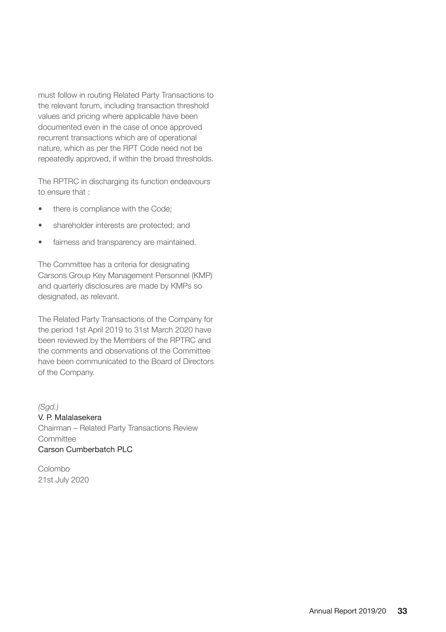must follow in routing Related Party Transactions to the relevant forum, including transaction threshold values and pricing where applicable have been documented even in the case of once approved recurrent transactions which are of operational nature, which as per the RPT Code need not be repeatedly approved, if within the broad thresholds.

The RPTRC in discharging its function endeavours to ensure that :

- there is compliance with the Code;
- shareholder interests are protected; and
- fairness and transparency are maintained.

The Committee has a criteria for designating Carsons Group Key Management Personnel (KMP) and quarterly disclosures are made by KMPs so designated, as relevant.

The Related Party Transactions of the Company for the period 1st April 2019 to 31st March 2020 have been reviewed by the Members of the RPTRC and the comments and observations of the Committee have been communicated to the Board of Directors of the Company.

*(Sgd.)* V. P. Malalasekera Chairman – Related Party Transactions Review Committee Carson Cumberbatch PLC

Colombo 21st July 2020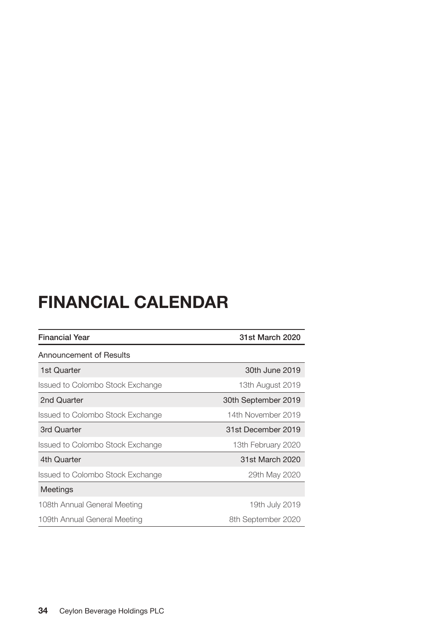# **FINANCIAL CALENDAR**

| <b>Financial Year</b>            | 31st March 2020     |  |  |
|----------------------------------|---------------------|--|--|
| Announcement of Results          |                     |  |  |
| 1st Quarter                      | 30th June 2019      |  |  |
| Issued to Colombo Stock Exchange | 13th August 2019    |  |  |
| 2nd Quarter                      | 30th September 2019 |  |  |
| Issued to Colombo Stock Exchange | 14th November 2019  |  |  |
| 3rd Quarter                      | 31st December 2019  |  |  |
| Issued to Colombo Stock Exchange | 13th February 2020  |  |  |
| 4th Quarter                      | 31st March 2020     |  |  |
| Issued to Colombo Stock Exchange | 29th May 2020       |  |  |
| Meetings                         |                     |  |  |
| 108th Annual General Meeting     | 19th July 2019      |  |  |
| 109th Annual General Meeting     | 8th September 2020  |  |  |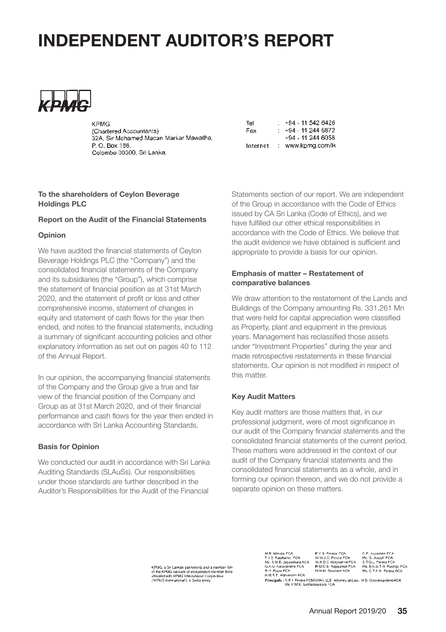

**V DMC** (Chartered Accountants) 32A, Sir Mohamed Macan Markar Mawatha P. O. Box 186 Colombo 00300 Sri Lanka.

| Tel      | +94 - 11 542 6426 |
|----------|-------------------|
| Fax      | +94 - 11 244 5872 |
|          | +94 - 11 244 6058 |
| Internet | www.kpmg.com/lk   |

#### **To the shareholders of Ceylon Beverage Holdings PLC**

#### **Report on the Audit of the Financial Statements**

#### **Opinion**

We have audited the financial statements of Ceylon Beverage Holdings PLC (the "Company") and the consolidated financial statements of the Company and its subsidiaries (the "Group"), which comprise the statement of financial position as at 31st March 2020, and the statement of profit or loss and other comprehensive income, statement of changes in equity and statement of cash flows for the year then ended, and notes to the financial statements, including a summary of significant accounting policies and other explanatory information as set out on pages 40 to 112 of the Annual Report.

In our opinion, the accompanying financial statements of the Company and the Group give a true and fair view of the financial position of the Company and Group as at 31st March 2020, and of their financial performance and cash flows for the year then ended in accordance with Sri Lanka Accounting Standards.

#### **Basis for Opinion**

We conducted our audit in accordance with Sri Lanka Auditing Standards (SLAuSs). Our responsibilities under those standards are further described in the Auditor's Responsibilities for the Audit of the Financial

Statements section of our report. We are independent of the Group in accordance with the Code of Ethics issued by CA Sri Lanka (Code of Ethics), and we have fulfilled our other ethical responsibilities in accordance with the Code of Ethics. We believe that the audit evidence we have obtained is sufficient and appropriate to provide a basis for our opinion.

#### **Emphasis of matter – Restatement of comparative balances**

We draw attention to the restatement of the Lands and Buildings of the Company amounting Rs. 331.261 Mn that were held for capital appreciation were classified as Property, plant and equipment in the previous years. Management has reclassified those assets under "Investment Properties" during the year and made retrospective restatements in these financial statements. Our opinion is not modified in respect of this matter.

#### **Key Audit Matters**

Key audit matters are those matters that, in our professional judgment, were of most significance in our audit of the Company financial statements and the consolidated financial statements of the current period. These matters were addressed in the context of our audit of the Company financial statements and the consolidated financial statements as a whole, and in forming our opinion thereon, and we do not provide a separate opinion on these matters.

KPMG, a Sn Lankan partnership and a member firm<br>of the KPMG nelwork of incependent member firms<br>atfiliated with KPMG Infernational Cooperative<br>("KPMG International"), a Swiss entity

P Y S. Perera, FCA<br>W W J.C. Perera FCA<br>W.K.D.C. Abeyrathne FCA<br>R M D.B. Rajapakse FCA<br>M N M. Shumeel ACA **M.D. House, FCA** C.P. Investora FCA C.P. Jayaniske FCA<br>Ms. S. Joseph FCA<br>S.T.O.U. Perera FCA<br>Ms. S.K.O.T.N. Radrige FCA<br>Ms. C.T.K.N. Perera ACA M. N. Million Front<br>T. J. S. Rajakarier, FCA<br>Ms. S.M.B. Jayasekara ACA<br>G.A.U. Karunarafne FCA Ms. S.M.B. Jayasekara AC<br>G.A.U. Karunaratne FCA<br>R.H. Rajan FCA<br>A.M.R.P. Alahakoon ACA

A.M.R.P. Alahakoon ACA<br>Principals - S.R.I. Perera FCMA(IJK), LLB. Atlomey-al-Law, H.S. Goonewardene ACA<br>- Mall P.M.K. Sumanasekara FCA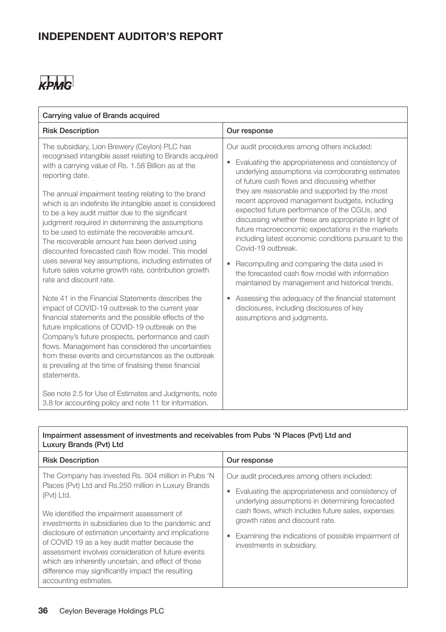## KPMG

| Carrying value of Brands acquired                                                                                                                                                                                                                                                                                                                                                                                                                                                                                                                                                                                                                                                                                 |                                                                                                                                                                                                                                                                                                                                                                                                                                                                                                                                                                                                                                                                                                                 |
|-------------------------------------------------------------------------------------------------------------------------------------------------------------------------------------------------------------------------------------------------------------------------------------------------------------------------------------------------------------------------------------------------------------------------------------------------------------------------------------------------------------------------------------------------------------------------------------------------------------------------------------------------------------------------------------------------------------------|-----------------------------------------------------------------------------------------------------------------------------------------------------------------------------------------------------------------------------------------------------------------------------------------------------------------------------------------------------------------------------------------------------------------------------------------------------------------------------------------------------------------------------------------------------------------------------------------------------------------------------------------------------------------------------------------------------------------|
| <b>Risk Description</b>                                                                                                                                                                                                                                                                                                                                                                                                                                                                                                                                                                                                                                                                                           | Our response                                                                                                                                                                                                                                                                                                                                                                                                                                                                                                                                                                                                                                                                                                    |
| The subsidiary, Lion Brewery (Ceylon) PLC has<br>recognised intangible asset relating to Brands acquired<br>with a carrying value of Rs. 1.58 Billion as at the<br>reporting date.<br>The annual impairment testing relating to the brand<br>which is an indefinite life intangible asset is considered<br>to be a key audit matter due to the significant<br>judgment required in determining the assumptions<br>to be used to estimate the recoverable amount.<br>The recoverable amount has been derived using<br>discounted forecasted cash flow model. This model<br>uses several key assumptions, including estimates of<br>future sales volume growth rate, contribution growth<br>rate and discount rate. | Our audit procedures among others included:<br>Evaluating the appropriateness and consistency of<br>٠<br>underlying assumptions via corroborating estimates<br>of future cash flows and discussing whether<br>they are reasonable and supported by the most<br>recent approved management budgets, including<br>expected future performance of the CGUs, and<br>discussing whether these are appropriate in light of<br>future macroeconomic expectations in the markets<br>including latest economic conditions pursuant to the<br>Covid-19 outbreak.<br>Recomputing and comparing the data used in<br>٠<br>the forecasted cash flow model with information<br>maintained by management and historical trends. |
| Note 41 in the Financial Statements describes the<br>impact of COVID-19 outbreak to the current year<br>financial statements and the possible effects of the<br>future implications of COVID-19 outbreak on the<br>Company's future prospects, performance and cash<br>flows. Management has considered the uncertainties<br>from these events and circumstances as the outbreak<br>is prevailing at the time of finalising these financial<br>statements.<br>See note 2.5 for Use of Estimates and Judgments, note<br>3.8 for accounting policy and note 11 for information.                                                                                                                                     | Assessing the adequacy of the financial statement<br>٠<br>disclosures, including disclosures of key<br>assumptions and judgments.                                                                                                                                                                                                                                                                                                                                                                                                                                                                                                                                                                               |

#### Impairment assessment of investments and receivables from Pubs 'N Places (Pvt) Ltd and Luxury Brands (Pvt) Ltd

| <b>Risk Description</b>                                                                                                                                                                                                                                                                           | Our response                                                                                               |
|---------------------------------------------------------------------------------------------------------------------------------------------------------------------------------------------------------------------------------------------------------------------------------------------------|------------------------------------------------------------------------------------------------------------|
| The Company has invested Rs. 304 million in Pubs 'N                                                                                                                                                                                                                                               | Our audit procedures among others included:                                                                |
| Places (Pvt) Ltd and Rs.250 million in Luxury Brands<br>(Pvt) Ltd.                                                                                                                                                                                                                                | Evaluating the appropriateness and consistency of<br>٠<br>underlying assumptions in determining forecasted |
| We identified the impairment assessment of<br>investments in subsidiaries due to the pandemic and                                                                                                                                                                                                 | cash flows, which includes future sales, expenses<br>growth rates and discount rate.                       |
| disclosure of estimation uncertainty and implications<br>of COVID 19 as a key audit matter because the<br>assessment involves consideration of future events<br>which are inherently uncertain, and effect of those<br>difference may significantly impact the resulting<br>accounting estimates. | Examining the indications of possible impairment of<br>٠<br>investments in subsidiary.                     |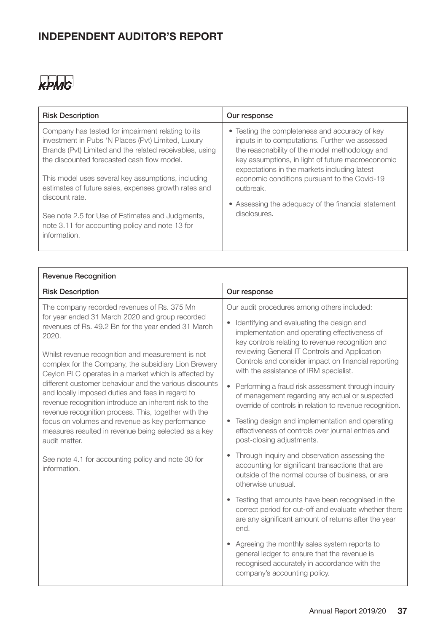## KPMG

| <b>Risk Description</b>                                                                                                                                                                                                                                                                                                                                                                                                                                                 | Our response                                                                                                                                                                                                                                                                                                                                                                                |
|-------------------------------------------------------------------------------------------------------------------------------------------------------------------------------------------------------------------------------------------------------------------------------------------------------------------------------------------------------------------------------------------------------------------------------------------------------------------------|---------------------------------------------------------------------------------------------------------------------------------------------------------------------------------------------------------------------------------------------------------------------------------------------------------------------------------------------------------------------------------------------|
| Company has tested for impairment relating to its<br>investment in Pubs 'N Places (Pvt) Limited, Luxury<br>Brands (Pvt) Limited and the related receivables, using<br>the discounted forecasted cash flow model.<br>This model uses several key assumptions, including<br>estimates of future sales, expenses growth rates and<br>discount rate.<br>See note 2.5 for Use of Estimates and Judgments,<br>note 3.11 for accounting policy and note 13 for<br>information. | • Testing the completeness and accuracy of key<br>inputs in to computations. Further we assessed<br>the reasonability of the model methodology and<br>key assumptions, in light of future macroeconomic<br>expectations in the markets including latest<br>economic conditions pursuant to the Covid-19<br>outbreak.<br>• Assessing the adequacy of the financial statement<br>disclosures. |
|                                                                                                                                                                                                                                                                                                                                                                                                                                                                         |                                                                                                                                                                                                                                                                                                                                                                                             |

| <b>Revenue Recognition</b>                                                                                                                                                                                                  |                                                                                                                                                                                                            |
|-----------------------------------------------------------------------------------------------------------------------------------------------------------------------------------------------------------------------------|------------------------------------------------------------------------------------------------------------------------------------------------------------------------------------------------------------|
| <b>Risk Description</b>                                                                                                                                                                                                     | Our response                                                                                                                                                                                               |
| The company recorded revenues of Rs. 375 Mn<br>for year ended 31 March 2020 and group recorded<br>revenues of Rs. 49.2 Bn for the year ended 31 March<br>2020.                                                              | Our audit procedures among others included:<br>Identifying and evaluating the design and<br>$\bullet$<br>implementation and operating effectiveness of<br>key controls relating to revenue recognition and |
| Whilst revenue recognition and measurement is not<br>complex for the Company, the subsidiary Lion Brewery<br>Ceylon PLC operates in a market which is affected by                                                           | reviewing General IT Controls and Application<br>Controls and consider impact on financial reporting<br>with the assistance of IRM specialist.                                                             |
| different customer behaviour and the various discounts<br>and locally imposed duties and fees in regard to<br>revenue recognition introduce an inherent risk to the<br>revenue recognition process. This, together with the | Performing a fraud risk assessment through inquiry<br>of management regarding any actual or suspected<br>override of controls in relation to revenue recognition.                                          |
| focus on volumes and revenue as key performance<br>measures resulted in revenue being selected as a key<br>audit matter.                                                                                                    | Testing design and implementation and operating<br>$\bullet$<br>effectiveness of controls over journal entries and<br>post-closing adjustments.                                                            |
| See note 4.1 for accounting policy and note 30 for<br>information.                                                                                                                                                          | Through inquiry and observation assessing the<br>accounting for significant transactions that are<br>outside of the normal course of business, or are<br>otherwise unusual.                                |
|                                                                                                                                                                                                                             | Testing that amounts have been recognised in the<br>correct period for cut-off and evaluate whether there<br>are any significant amount of returns after the year<br>end.                                  |
|                                                                                                                                                                                                                             | Agreeing the monthly sales system reports to<br>$\bullet$<br>general ledger to ensure that the revenue is<br>recognised accurately in accordance with the<br>company's accounting policy.                  |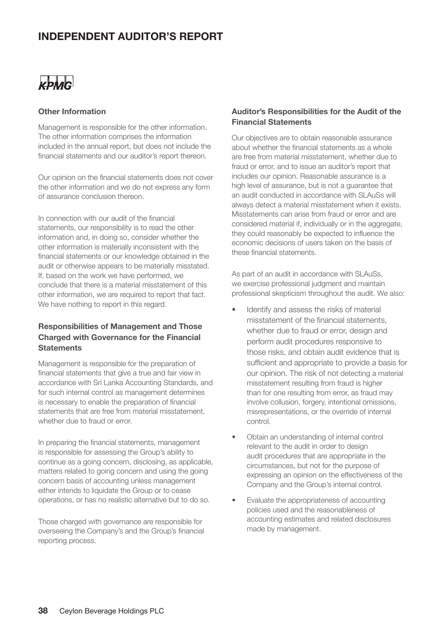

#### **Other Information**

Management is responsible for the other information. The other information comprises the information included in the annual report, but does not include the financial statements and our auditor's report thereon.

Our opinion on the financial statements does not cover the other information and we do not express any form of assurance conclusion thereon.

In connection with our audit of the financial statements, our responsibility is to read the other information and, in doing so, consider whether the other information is materially inconsistent with the financial statements or our knowledge obtained in the audit or otherwise appears to be materially misstated. If, based on the work we have performed, we conclude that there is a material misstatement of this other information, we are required to report that fact. We have nothing to report in this regard.

#### **Responsibilities of Management and Those Charged with Governance for the Financial Statements**

Management is responsible for the preparation of financial statements that give a true and fair view in accordance with Sri Lanka Accounting Standards, and for such internal control as management determines is necessary to enable the preparation of financial statements that are free from material misstatement, whether due to fraud or error.

In preparing the financial statements, management is responsible for assessing the Group's ability to continue as a going concern, disclosing, as applicable, matters related to going concern and using the going concern basis of accounting unless management either intends to liquidate the Group or to cease operations, or has no realistic alternative but to do so.

Those charged with governance are responsible for overseeing the Company's and the Group's financial reporting process.

#### **Auditor's Responsibilities for the Audit of the Financial Statements**

Our objectives are to obtain reasonable assurance about whether the financial statements as a whole are free from material misstatement, whether due to fraud or error, and to issue an auditor's report that includes our opinion. Reasonable assurance is a high level of assurance, but is not a guarantee that an audit conducted in accordance with SLAuSs will always detect a material misstatement when it exists. Misstatements can arise from fraud or error and are considered material if, individually or in the aggregate, they could reasonably be expected to influence the economic decisions of users taken on the basis of these financial statements.

As part of an audit in accordance with SLAuSs, we exercise professional judgment and maintain professional skepticism throughout the audit. We also:

- Identify and assess the risks of material misstatement of the financial statements, whether due to fraud or error, design and perform audit procedures responsive to those risks, and obtain audit evidence that is sufficient and appropriate to provide a basis for our opinion. The risk of not detecting a material misstatement resulting from fraud is higher than for one resulting from error, as fraud may involve collusion, forgery, intentional omissions, misrepresentations, or the override of internal control.
- Obtain an understanding of internal control relevant to the audit in order to design audit procedures that are appropriate in the circumstances, but not for the purpose of expressing an opinion on the effectiveness of the Company and the Group's internal control.
- Evaluate the appropriateness of accounting policies used and the reasonableness of accounting estimates and related disclosures made by management.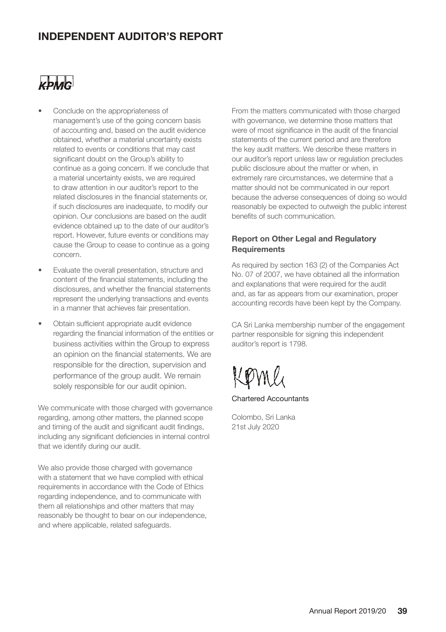

- Conclude on the appropriateness of management's use of the going concern basis of accounting and, based on the audit evidence obtained, whether a material uncertainty exists related to events or conditions that may cast significant doubt on the Group's ability to continue as a going concern. If we conclude that a material uncertainty exists, we are required to draw attention in our auditor's report to the related disclosures in the financial statements or, if such disclosures are inadequate, to modify our opinion. Our conclusions are based on the audit evidence obtained up to the date of our auditor's report. However, future events or conditions may cause the Group to cease to continue as a going concern.
- Evaluate the overall presentation, structure and content of the financial statements, including the disclosures, and whether the financial statements represent the underlying transactions and events in a manner that achieves fair presentation.
- Obtain sufficient appropriate audit evidence regarding the financial information of the entities or business activities within the Group to express an opinion on the financial statements. We are responsible for the direction, supervision and performance of the group audit. We remain solely responsible for our audit opinion.

We communicate with those charged with governance regarding, among other matters, the planned scope and timing of the audit and significant audit findings, including any significant deficiencies in internal control that we identify during our audit.

We also provide those charged with governance with a statement that we have complied with ethical requirements in accordance with the Code of Ethics regarding independence, and to communicate with them all relationships and other matters that may reasonably be thought to bear on our independence, and where applicable, related safeguards.

From the matters communicated with those charged with governance, we determine those matters that were of most significance in the audit of the financial statements of the current period and are therefore the key audit matters. We describe these matters in our auditor's report unless law or regulation precludes public disclosure about the matter or when, in extremely rare circumstances, we determine that a matter should not be communicated in our report because the adverse consequences of doing so would reasonably be expected to outweigh the public interest benefits of such communication.

#### **Report on Other Legal and Regulatory Requirements**

As required by section 163 (2) of the Companies Act No. 07 of 2007, we have obtained all the information and explanations that were required for the audit and, as far as appears from our examination, proper accounting records have been kept by the Company.

CA Sri Lanka membership number of the engagement partner responsible for signing this independent auditor's report is 1798.

KOM

Chartered Accountants

Colombo, Sri Lanka 21st July 2020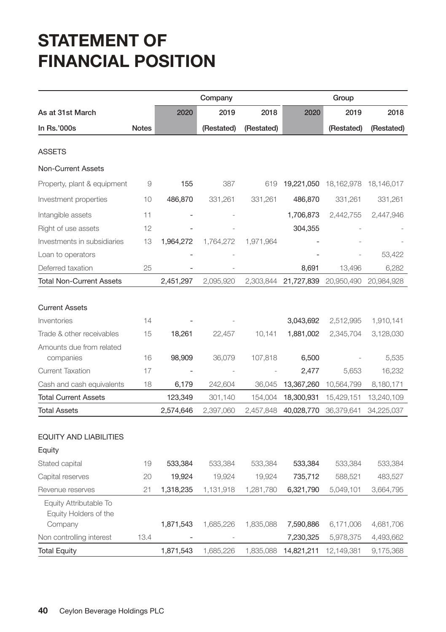## **STATEMENT OF FINANCIAL POSITION**

|                                                 |              |           | Company    |            |            | Group        |            |
|-------------------------------------------------|--------------|-----------|------------|------------|------------|--------------|------------|
| As at 31st March                                |              | 2020      | 2019       | 2018       | 2020       | 2019         | 2018       |
| In Rs.'000s                                     | <b>Notes</b> |           | (Restated) | (Restated) |            | (Restated)   | (Restated) |
|                                                 |              |           |            |            |            |              |            |
| ASSETS                                          |              |           |            |            |            |              |            |
| <b>Non-Current Assets</b>                       |              |           |            |            |            |              |            |
| Property, plant & equipment                     | 9            | 155       | 387        | 619        | 19,221,050 | 18, 162, 978 | 18,146,017 |
| Investment properties                           | 10           | 486,870   | 331,261    | 331,261    | 486,870    | 331,261      | 331,261    |
| Intangible assets                               | 11           |           |            |            | 1,706,873  | 2,442,755    | 2,447,946  |
| Right of use assets                             | 12           |           |            |            | 304,355    |              |            |
| Investments in subsidiaries                     | 13           | 1,964,272 | 1,764,272  | 1,971,964  |            |              |            |
| Loan to operators                               |              |           |            |            |            |              | 53,422     |
| Deferred taxation                               | 25           |           |            |            | 8,691      | 13,496       | 6,282      |
| <b>Total Non-Current Assets</b>                 |              | 2,451,297 | 2,095,920  | 2,303,844  | 21,727,839 | 20,950,490   | 20,984,928 |
|                                                 |              |           |            |            |            |              |            |
| <b>Current Assets</b>                           |              |           |            |            |            |              |            |
| Inventories                                     | 14           |           |            |            | 3,043,692  | 2,512,995    | 1,910,141  |
| Trade & other receivables                       | 15           | 18,261    | 22,457     | 10,141     | 1,881,002  | 2,345,704    | 3,128,030  |
| Amounts due from related                        |              |           |            |            |            |              |            |
| companies                                       | 16           | 98,909    | 36,079     | 107,818    | 6,500      |              | 5,535      |
| <b>Current Taxation</b>                         | 17           |           |            |            | 2,477      | 5,653        | 16,232     |
| Cash and cash equivalents                       | 18           | 6,179     | 242,604    | 36,045     | 13,367,260 | 10,564,799   | 8,180,171  |
| <b>Total Current Assets</b>                     |              | 123,349   | 301,140    | 154,004    | 18,300,931 | 15,429,151   | 13,240,109 |
| <b>Total Assets</b>                             |              | 2,574,646 | 2,397,060  | 2,457,848  | 40,028,770 | 36,379,641   | 34,225,037 |
| <b>EQUITY AND LIABILITIES</b>                   |              |           |            |            |            |              |            |
| Equity                                          |              |           |            |            |            |              |            |
| Stated capital                                  | 19           | 533,384   | 533,384    | 533,384    | 533,384    | 533,384      | 533,384    |
| Capital reserves                                | 20           | 19,924    | 19,924     | 19,924     | 735,712    | 588,521      | 483,527    |
| Revenue reserves                                | 21           | 1,318,235 | 1,131,918  | 1,281,780  | 6,321,790  | 5,049,101    | 3,664,795  |
| Equity Attributable To<br>Equity Holders of the |              |           |            |            |            |              |            |
| Company                                         |              | 1,871,543 | 1,685,226  | 1,835,088  | 7,590,886  | 6,171,006    | 4,681,706  |
| Non controlling interest                        | 13.4         |           |            |            | 7,230,325  | 5,978,375    | 4,493,662  |
| <b>Total Equity</b>                             |              | 1,871,543 | 1,685,226  | 1,835,088  | 14,821,211 | 12,149,381   | 9,175,368  |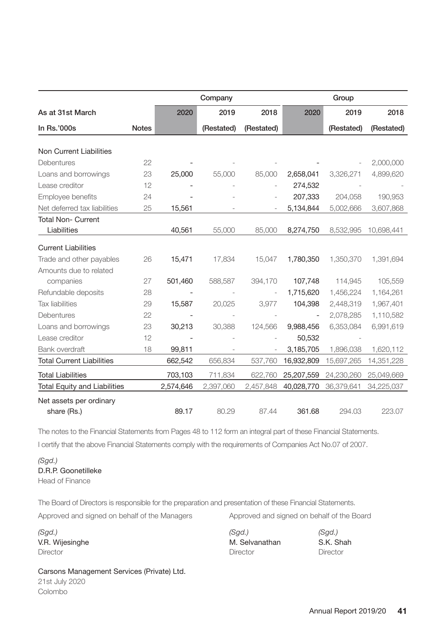|                                     |              |           | Company    |            |                          | Group      |            |
|-------------------------------------|--------------|-----------|------------|------------|--------------------------|------------|------------|
| As at 31st March                    |              | 2020      | 2019       | 2018       | 2020                     | 2019       | 2018       |
| In Rs.'000s                         | <b>Notes</b> |           | (Restated) | (Restated) |                          | (Restated) | (Restated) |
|                                     |              |           |            |            |                          |            |            |
| Non Current Liabilities             |              |           |            |            |                          |            |            |
| Debentures                          | 22           |           |            |            |                          |            | 2,000,000  |
| Loans and borrowings                | 23           | 25,000    | 55,000     | 85,000     | 2,658,041                | 3,326,271  | 4,899,620  |
| Lease creditor                      | 12           |           |            |            | 274,532                  |            |            |
| Employee benefits                   | 24           |           |            |            | 207,333                  | 204,058    | 190,953    |
| Net deferred tax liabilities        | 25           | 15,561    |            |            | 5,134,844                | 5,002,666  | 3,607,868  |
| <b>Total Non- Current</b>           |              |           |            |            |                          |            |            |
| Liabilities                         |              | 40,561    | 55,000     | 85,000     | 8,274,750                | 8,532,995  | 10,698,441 |
| <b>Current Liabilities</b>          |              |           |            |            |                          |            |            |
| Trade and other payables            | 26           | 15,471    | 17,834     | 15,047     | 1,780,350                | 1,350,370  | 1,391,694  |
| Amounts due to related              |              |           |            |            |                          |            |            |
| companies                           | 27           | 501,460   | 588,587    | 394,170    | 107,748                  | 114,945    | 105,559    |
| Refundable deposits                 | 28           |           |            |            | 1,715,620                | 1,456,224  | 1,164,261  |
| <b>Tax liabilities</b>              | 29           | 15,587    | 20,025     | 3,977      | 104,398                  | 2,448,319  | 1,967,401  |
| Debentures                          | 22           |           |            |            | $\overline{\phantom{a}}$ | 2,078,285  | 1,110,582  |
| Loans and borrowings                | 23           | 30,213    | 30,388     | 124,566    | 9,988,456                | 6,353,084  | 6,991,619  |
| Lease creditor                      | 12           |           |            |            | 50,532                   |            |            |
| Bank overdraft                      | 18           | 99,811    |            |            | 3,185,705                | 1,896,038  | 1,620,112  |
| <b>Total Current Liabilities</b>    |              | 662,542   | 656,834    | 537,760    | 16,932,809               | 15,697,265 | 14,351,228 |
| <b>Total Liabilities</b>            |              | 703,103   | 711,834    | 622,760    | 25,207,559               | 24,230,260 | 25,049,669 |
| <b>Total Equity and Liabilities</b> |              | 2,574,646 | 2,397,060  | 2,457,848  | 40,028,770               | 36,379,641 | 34,225,037 |
| Net assets per ordinary             |              |           |            |            |                          |            |            |
| share (Rs.)                         |              | 89.17     | 80.29      | 87.44      | 361.68                   | 294.03     | 223.07     |

The notes to the Financial Statements from Pages 48 to 112 form an integral part of these Financial Statements.

I certify that the above Financial Statements comply with the requirements of Companies Act No.07 of 2007.

*(Sgd.)* D.R.P. Goonetilleke Head of Finance

The Board of Directors is responsible for the preparation and presentation of these Financial Statements.

*(Sgd.) (Sgd.) (Sgd.)*  V.R. Wijesinghe M. Selvanathan S.K. Shah Director Director Director

Approved and signed on behalf of the Managers Approved and signed on behalf of the Board

#### Carsons Management Services (Private) Ltd.

21st July 2020 Colombo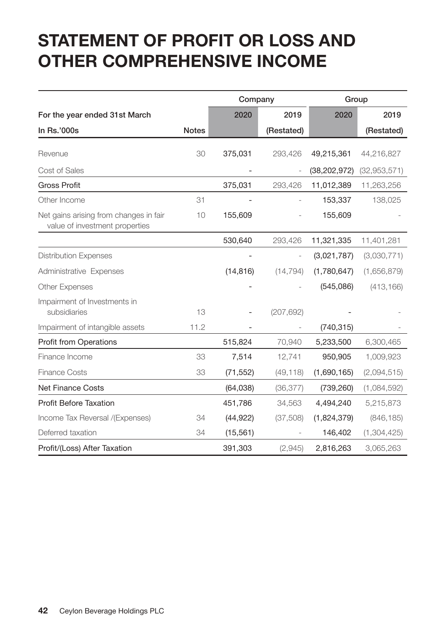## **STATEMENT OF PROFIT OR LOSS AND OTHER COMPREHENSIVE INCOME**

|                                                                          |              | Company   |            |                | Group        |
|--------------------------------------------------------------------------|--------------|-----------|------------|----------------|--------------|
| For the year ended 31st March                                            |              | 2020      | 2019       | 2020           | 2019         |
| In Rs.'000s                                                              | <b>Notes</b> |           | (Restated) |                | (Restated)   |
| Revenue                                                                  | 30           | 375,031   | 293,426    | 49,215,361     | 44,216,827   |
| Cost of Sales                                                            |              |           |            | (38, 202, 972) | (32,953,571) |
| <b>Gross Profit</b>                                                      |              | 375,031   | 293,426    | 11,012,389     | 11,263,256   |
| Other Income                                                             | 31           |           |            | 153,337        | 138,025      |
| Net gains arising from changes in fair<br>value of investment properties | 10           | 155,609   |            | 155,609        |              |
|                                                                          |              | 530,640   | 293,426    | 11,321,335     | 11,401,281   |
| <b>Distribution Expenses</b>                                             |              |           |            | (3,021,787)    | (3,030,771)  |
| Administrative Expenses                                                  |              | (14, 816) | (14, 794)  | (1,780,647)    | (1,656,879)  |
| <b>Other Expenses</b>                                                    |              |           |            | (545,086)      | (413, 166)   |
| Impairment of Investments in<br>subsidiaries                             | 13           |           | (207, 692) |                |              |
| Impairment of intangible assets                                          | 11.2         |           |            | (740, 315)     |              |
| <b>Profit from Operations</b>                                            |              | 515,824   | 70,940     | 5,233,500      | 6,300,465    |
| Finance Income                                                           | 33           | 7,514     | 12,741     | 950,905        | 1,009,923    |
| <b>Finance Costs</b>                                                     | 33           | (71, 552) | (49, 118)  | (1,690,165)    | (2,094,515)  |
| <b>Net Finance Costs</b>                                                 |              | (64, 038) | (36, 377)  | (739, 260)     | (1,084,592)  |
| <b>Profit Before Taxation</b>                                            |              | 451,786   | 34,563     | 4,494,240      | 5,215,873    |
| Income Tax Reversal /(Expenses)                                          | 34           | (44, 922) | (37, 508)  | (1,824,379)    | (846, 185)   |
| Deferred taxation                                                        | 34           | (15, 561) |            | 146,402        | (1,304,425)  |
| Profit/(Loss) After Taxation                                             |              | 391,303   | (2,945)    | 2,816,263      | 3,065,263    |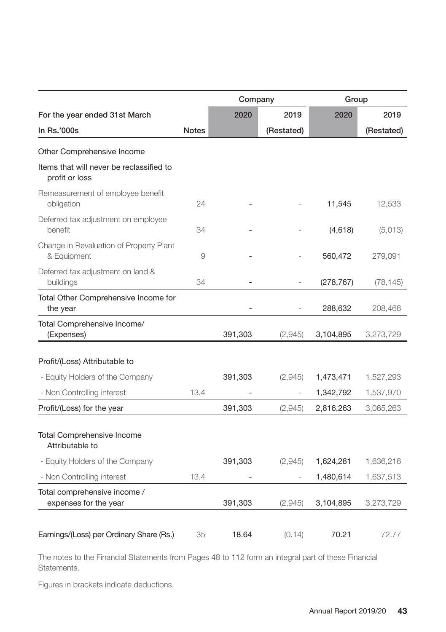|                                                            |              | Company |            | Group      |            |
|------------------------------------------------------------|--------------|---------|------------|------------|------------|
| For the year ended 31st March                              |              | 2020    | 2019       | 2020       | 2019       |
| In Rs.'000s                                                | <b>Notes</b> |         | (Restated) |            | (Restated) |
| Other Comprehensive Income                                 |              |         |            |            |            |
| Items that will never be reclassified to<br>profit or loss |              |         |            |            |            |
| Remeasurement of employee benefit<br>obligation            | 24           |         |            | 11,545     | 12,533     |
| Deferred tax adjustment on employee<br>benefit             | 34           |         |            | (4,618)    | (5,013)    |
| Change in Revaluation of Property Plant<br>& Equipment     | 9            |         |            | 560,472    | 279,091    |
| Deferred tax adjustment on land &<br>buildings             | 34           |         |            | (278, 767) | (78, 145)  |
| Total Other Comprehensive Income for<br>the year           |              |         |            | 288,632    | 208,466    |
| Total Comprehensive Income/<br>(Expenses)                  |              | 391,303 | (2,945)    | 3,104,895  | 3,273,729  |
|                                                            |              |         |            |            |            |
| Profit/(Loss) Attributable to                              |              |         |            |            |            |
| - Equity Holders of the Company                            |              | 391,303 | (2,945)    | 1,473,471  | 1,527,293  |
| - Non Controlling interest                                 | 13.4         |         |            | 1,342,792  | 1,537,970  |
| Profit/(Loss) for the year                                 |              | 391,303 | (2,945)    | 2,816,263  | 3,065,263  |
| <b>Total Comprehensive Income</b><br>Attributable to       |              |         |            |            |            |
| - Equity Holders of the Company                            |              | 391,303 | (2,945)    | 1,624,281  | 1,636,216  |
| - Non Controlling interest                                 | 13.4         |         |            | 1,480,614  | 1,637,513  |
| Total comprehensive income /<br>expenses for the year      |              | 391,303 | (2,945)    | 3,104,895  | 3,273,729  |
|                                                            |              |         |            |            |            |
| Earnings/(Loss) per Ordinary Share (Rs.)                   | 35           | 18.64   | (0.14)     | 70.21      | 72.77      |

The notes to the Financial Statements from Pages 48 to 112 form an integral part of these Financial Statements.

Figures in brackets indicate deductions.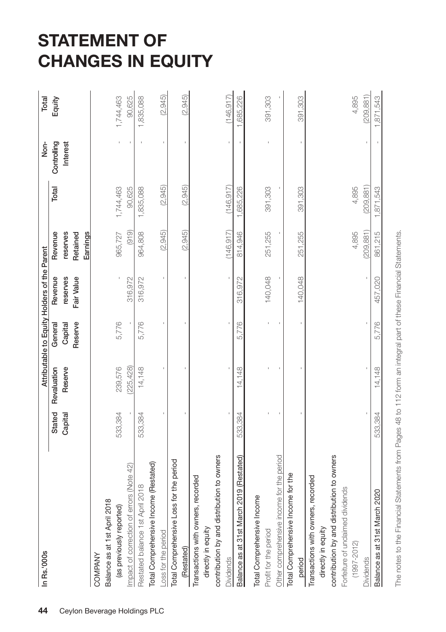## **STATEMENT OF CHANGES IN EQUITY**

| In Rs.'000s                                |         |             |                    | Attributable to Equity Holders of the Parent |                      |            | Non-        | Total      |
|--------------------------------------------|---------|-------------|--------------------|----------------------------------------------|----------------------|------------|-------------|------------|
|                                            | Stated  | Revaluation | General            | Revenue                                      | Revenue              | Total      | Controlling | Equity     |
|                                            | Capital | Reserve     | Reserve<br>Capital | reserves<br>Fair Value                       | reserves<br>Retained |            | Interest    |            |
|                                            |         |             |                    |                                              | Earnings             |            |             |            |
| COMPANY                                    |         |             |                    |                                              |                      |            |             |            |
| Balance as at 1st April 2018               |         |             |                    |                                              |                      |            |             |            |
| (as previously reported)                   | 533,384 | 239,576     | 5,776              |                                              | 965,727              | 1,744,463  |             | 1,744,463  |
| mpact of correction of errors (Note 42)    |         | (225, 428)  |                    | 316,972                                      | (919)                | 90,625     |             | 90,625     |
| Restated balance 1st April 2018            | 533,384 | 14,148      | 5,776              | 316,972                                      | 964,808              | 1,835,088  |             | 1,835,088  |
| Total Comprehensive Income (Restated)      |         |             |                    |                                              |                      |            |             |            |
| -oss for the period                        |         |             |                    |                                              | (2,945)              | (2,945)    |             | (2,945)    |
| lotal Comprehensive Loss for the period    |         |             |                    |                                              |                      |            |             |            |
| (Restated)                                 |         |             |                    |                                              | (2,945)              | (2, 945)   |             | (2,945)    |
| Transactions with owners, recorded         |         |             |                    |                                              |                      |            |             |            |
| directly in equity                         |         |             |                    |                                              |                      |            |             |            |
| contribution by and distribution to owners |         |             |                    |                                              |                      |            |             |            |
| <b>Dividends</b>                           |         |             |                    |                                              | (146, 917)           | (146.917)  |             | (146, 917) |
| Balance as at 31st March 2019 (Restated)   | 533,384 | 14,148      | 5,776              | 316,972                                      | 814,946              | 1,685,226  |             | 1,685,226  |
| Total Comprehensive Income                 |         |             |                    |                                              |                      |            |             |            |
| Profit for the period                      |         |             |                    | 140,048                                      | 251,255              | 391,303    |             | 391,303    |
| Other comprehensive income for the period  |         |             |                    |                                              |                      |            |             |            |
| Total Comprehensive Income for the         |         |             |                    |                                              |                      |            |             |            |
| period                                     |         |             |                    | 140,048                                      | 251,255              | 391,303    |             | 391,303    |
| Transactions with owners, recorded         |         |             |                    |                                              |                      |            |             |            |
| directly in equity                         |         |             |                    |                                              |                      |            |             |            |
| contribution by and distribution to owners |         |             |                    |                                              |                      |            |             |            |
| Forfeiture of unclaimed dividends          |         |             |                    |                                              |                      |            |             |            |
| $(1997 - 2012)$                            |         |             |                    |                                              | 4,895                | 4,895      |             | 4,895      |
| <b>Dividends</b>                           |         |             |                    |                                              | (209, 881)           | (209, 881) |             | (209, 881) |
| Balance as at 31st March 2020              | 533,384 | 14,148      | 5,776              | 457,020                                      | 861,215              | 1,871,543  |             | 1,871,543  |
|                                            |         |             |                    |                                              |                      |            |             |            |

The notes to the Financial Statements from Pages 48 to 112 form an integral part of these Financial Statements. The notes to the Financial Statements from Pages 48 to 112 form an integral part of these Financial Statements.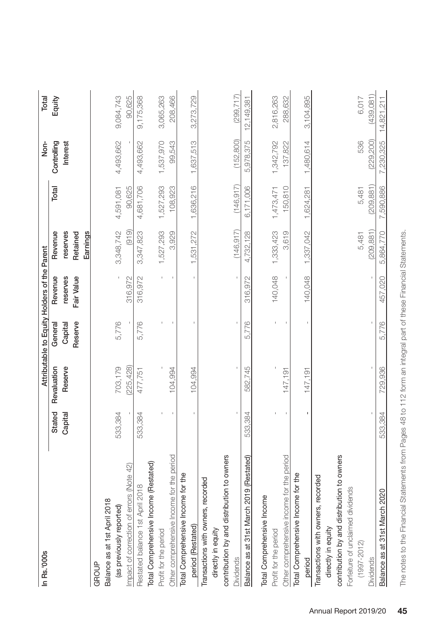| In Rs.'000s                                |         |             | Attributable to Equity Holders of the Parent |                        |                      |            | Non-        | Total        |
|--------------------------------------------|---------|-------------|----------------------------------------------|------------------------|----------------------|------------|-------------|--------------|
|                                            | Stated  | Revaluation | General                                      | Revenue                | Revenue              | Total      | Controlling | Equity       |
|                                            | Capital | Reserve     | Reserve<br>Capital                           | Fair Value<br>reserves | reserves<br>Retained |            | Interest    |              |
|                                            |         |             |                                              |                        | Earnings             |            |             |              |
| GROUP                                      |         |             |                                              |                        |                      |            |             |              |
| Balance as at 1st April 2018               |         |             |                                              |                        |                      |            |             |              |
| (as previously reported)                   | 533,384 | 703,179     | 5,776                                        |                        | 3,348,742            | 4,591,081  | 4,493,662   | 9,084,743    |
| mpact of correction of errors (Note 42)    |         | (225, 428)  |                                              | 316,972                | (919)                | 90,625     |             | 90,625       |
| Restated balance 1st April 2018            | 533,384 | 477,751     | 5,776                                        | 316,972                | 3,347,823            | 4,681,706  | 4,493,662   | 9,175,368    |
| Total Comprehensive Income (Restated)      |         |             |                                              |                        |                      |            |             |              |
| Profit for the period                      |         |             |                                              |                        | 1,527,293            | 1,527,293  | 1,537,970   | 3,065,263    |
| Other comprehensive Income for the period  |         | 104.994     |                                              |                        | 3,929                | 108,923    | 99,543      | 208,466      |
| Total Comprehensive Income for the         |         |             |                                              |                        |                      |            |             |              |
| period (Restated)                          |         | 104,994     |                                              |                        | 1,531,272            | 1,636,216  | 1,637,513   | 3,273,729    |
| Transactions with owners, recorded         |         |             |                                              |                        |                      |            |             |              |
| directly in equity                         |         |             |                                              |                        |                      |            |             |              |
| contribution by and distribution to owners |         |             |                                              |                        |                      |            |             |              |
| <b>Dividends</b>                           |         |             |                                              |                        | (146.917)            | (146.917)  | (152, 800)  | (299.717)    |
| Balance as at 31st March 2019 (Restated)   | 533,384 | 582,745     | 5.776                                        | 316,972                | 4.732.128            | 6.171.006  | 5,978,375   | 12, 149, 381 |
| Total Comprehensive Income                 |         |             |                                              |                        |                      |            |             |              |
| Profit for the period                      |         |             |                                              | 140,048                | 1,333,423            | 1,473,471  | 1,342,792   | 2,816,263    |
| Other comprehensive income for the period  |         | 147,191     |                                              |                        | 3,619                | 150,810    | 137,822     | 288,632      |
| Total Comprehensive Income for the         |         |             |                                              |                        |                      |            |             |              |
| period                                     |         | 147.191     |                                              | 140,048                | 1,337,042            | 1,624,281  | 1,480,614   | 3,104,895    |
| Transactions with owners, recorded         |         |             |                                              |                        |                      |            |             |              |
| directly in equity                         |         |             |                                              |                        |                      |            |             |              |
| contribution by and distribution to owners |         |             |                                              |                        |                      |            |             |              |
| Forfeiture of unclaimed dividends          |         |             |                                              |                        |                      |            |             |              |
| $(1997 - 2012)$                            |         |             |                                              |                        | 5,481                | 5,481      | 536         | 6,017        |
| <b>Dividends</b>                           |         |             |                                              |                        | (209.881)            | (209, 881) | (229.200)   | (439.081)    |
| Balance as at 31st March 2020              | 533,384 | 729,936     | 5.776                                        | 457,020                | 5.864,770            | 7,590,886  | 7,230,325   | 14,821,211   |
|                                            |         |             |                                              |                        |                      |            |             |              |

The notes to the Financial Statements from Pages 48 to 112 form an integral part of these Financial Statements. The notes to the Financial Statements from Pages 48 to 112 form an integral part of these Financial Statements.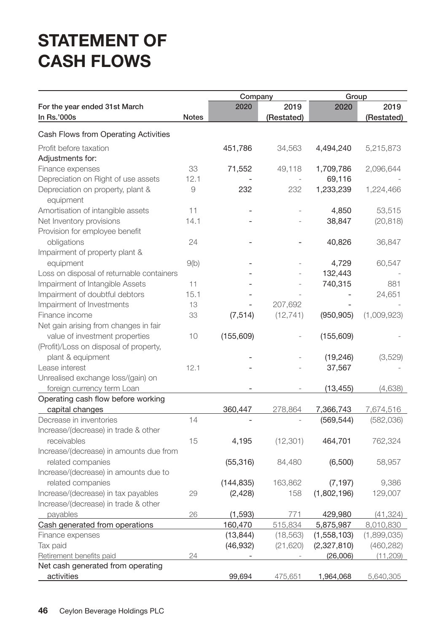## **STATEMENT OF CASH FLOWS**

|                                                |              | Company    |            | Group       |             |
|------------------------------------------------|--------------|------------|------------|-------------|-------------|
| For the year ended 31st March                  |              | 2020       | 2019       | 2020        | 2019        |
| In Rs.'000s                                    | <b>Notes</b> |            | (Restated) |             | (Restated)  |
| Cash Flows from Operating Activities           |              |            |            |             |             |
| Profit before taxation                         |              | 451,786    | 34,563     | 4,494,240   | 5,215,873   |
| Adjustments for:                               |              |            |            |             |             |
| Finance expenses                               | 33           | 71,552     | 49,118     | 1,709,786   | 2,096,644   |
| Depreciation on Right of use assets            | 12.1         |            |            | 69,116      |             |
| Depreciation on property, plant &<br>equipment | 9            | 232        | 232        | 1,233,239   | 1,224,466   |
| Amortisation of intangible assets              | 11           |            |            | 4,850       | 53,515      |
| Net Inventory provisions                       | 14.1         |            |            | 38,847      | (20, 818)   |
| Provision for employee benefit                 |              |            |            |             |             |
| obligations                                    | 24           |            |            | 40,826      | 36,847      |
| Impairment of property plant &                 |              |            |            |             |             |
| equipment                                      | 9(b)         |            |            | 4,729       | 60,547      |
| Loss on disposal of returnable containers      |              |            |            | 132,443     |             |
| Impairment of Intangible Assets                | 11           |            |            | 740,315     | 881         |
| Impairment of doubtful debtors                 | 15.1         |            |            |             | 24,651      |
| Impairment of Investments                      | 13           |            | 207,692    |             |             |
| Finance income                                 | 33           | (7, 514)   | (12, 741)  | (950, 905)  | (1,009,923) |
| Net gain arising from changes in fair          |              |            |            |             |             |
| value of investment properties                 | 10           | (155, 609) |            | (155,609)   |             |
| (Profit)/Loss on disposal of property,         |              |            |            |             |             |
| plant & equipment                              |              |            |            | (19, 246)   | (3,529)     |
| Lease interest                                 | 12.1         |            |            | 37,567      |             |
| Unrealised exchange loss/(gain) on             |              |            |            |             |             |
| foreign currency term Loan                     |              |            |            | (13, 455)   | (4,638)     |
| Operating cash flow before working             |              |            |            |             |             |
| capital changes                                |              | 360,447    | 278,864    | 7,366,743   | 7,674,516   |
| Decrease in inventories                        | 14           |            |            | (569, 544)  | (582,036)   |
| Increase/(decrease) in trade & other           |              |            |            |             |             |
| receivables                                    | 15           | 4,195      | (12, 301)  | 464,701     | 762,324     |
| Increase/(decrease) in amounts due from        |              |            |            |             |             |
| related companies                              |              | (55, 316)  | 84,480     | (6,500)     | 58,957      |
| Increase/(decrease) in amounts due to          |              |            |            |             |             |
| related companies                              |              | (144, 835) | 163,862    | (7, 197)    | 9,386       |
| Increase/(decrease) in tax payables            | 29           | (2, 428)   | 158        | (1,802,196) | 129,007     |
| Increase/(decrease) in trade & other           |              |            |            |             |             |
| payables                                       | 26           | (1, 593)   | 771        | 429,980     | (41, 324)   |
| Cash generated from operations                 |              | 160,470    | 515,834    | 5,875,987   | 8,010,830   |
| Finance expenses                               |              | (13, 844)  | (18, 563)  | (1,558,103) | (1,899,035) |
| Tax paid                                       |              | (46, 932)  | (21, 620)  | (2,327,810) | (460, 282)  |
| Retirement benefits paid                       | 24           |            |            | (26,006)    | (11, 209)   |
| Net cash generated from operating              |              |            |            |             |             |
| activities                                     |              | 99,694     | 475,651    | 1,964,068   | 5,640,305   |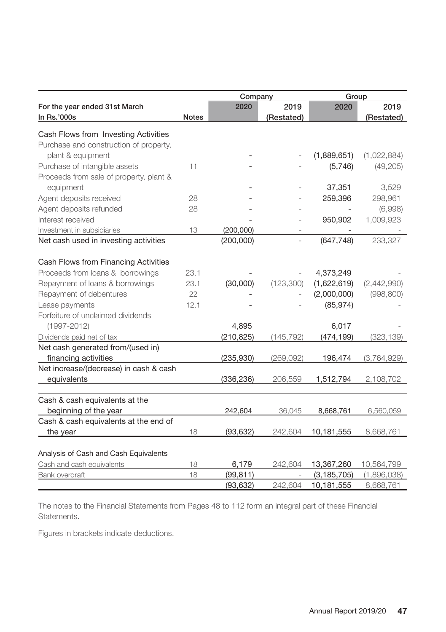|                                             |              | Company    |                | Group         |             |
|---------------------------------------------|--------------|------------|----------------|---------------|-------------|
| For the year ended 31st March               |              | 2020       | 2019           | 2020          | 2019        |
| In Rs.'000s                                 | <b>Notes</b> |            | (Restated)     |               | (Restated)  |
| Cash Flows from Investing Activities        |              |            |                |               |             |
| Purchase and construction of property,      |              |            |                |               |             |
| plant & equipment                           |              |            |                | (1,889,651)   | (1,022,884) |
| Purchase of intangible assets               | 11           |            |                | (5,746)       | (49, 205)   |
| Proceeds from sale of property, plant &     |              |            |                |               |             |
| equipment                                   |              |            |                | 37,351        | 3,529       |
| Agent deposits received                     | 28           |            |                | 259,396       | 298,961     |
| Agent deposits refunded                     | 28           |            |                |               | (6,998)     |
| Interest received                           |              |            |                | 950,902       | 1,009,923   |
| Investment in subsidiaries                  | 13           | (200,000)  |                |               |             |
| Net cash used in investing activities       |              | (200,000)  | $\overline{a}$ | (647, 748)    | 233,327     |
|                                             |              |            |                |               |             |
| Cash Flows from Financing Activities        |              |            |                |               |             |
| Proceeds from loans & borrowings            | 23.1         |            |                | 4,373,249     |             |
| Repayment of loans & borrowings             | 23.1         | (30,000)   | (123,300)      | (1,622,619)   | (2,442,990) |
| Repayment of debentures                     | 22           |            |                | (2,000,000)   | (998, 800)  |
| Lease payments                              | 12.1         |            |                | (85, 974)     |             |
| Forfeiture of unclaimed dividends           |              |            |                |               |             |
| $(1997 - 2012)$                             |              | 4,895      |                | 6,017         |             |
| Dividends paid net of tax                   |              | (210, 825) | (145, 792)     | (474, 199)    | (323, 139)  |
| Net cash generated from/(used in)           |              |            |                |               |             |
| financing activities                        |              | (235, 930) | (269, 092)     | 196,474       | (3,764,929) |
| Net increase/(decrease) in cash & cash      |              |            |                |               |             |
| equivalents                                 |              | (336, 236) | 206,559        | 1,512,794     | 2,108,702   |
|                                             |              |            |                |               |             |
| Cash & cash equivalents at the              |              |            |                |               |             |
| beginning of the year                       |              | 242,604    | 36,045         | 8,668,761     | 6,560,059   |
| Cash & cash equivalents at the end of       |              |            |                |               |             |
| the year                                    | 18           | (93, 632)  | 242,604        | 10,181,555    | 8,668,761   |
|                                             |              |            |                |               |             |
| Analysis of Cash and Cash Equivalents       |              |            |                |               |             |
| Cash and cash equivalents<br>Bank overdraft | 18<br>18     | 6,179      | 242,604        | 13,367,260    | 10,564,799  |
|                                             |              | (99, 811)  |                | (3, 185, 705) | (1,896,038) |
|                                             |              | (93, 632)  | 242,604        | 10,181,555    | 8,668,761   |

The notes to the Financial Statements from Pages 48 to 112 form an integral part of these Financial Statements.

Figures in brackets indicate deductions.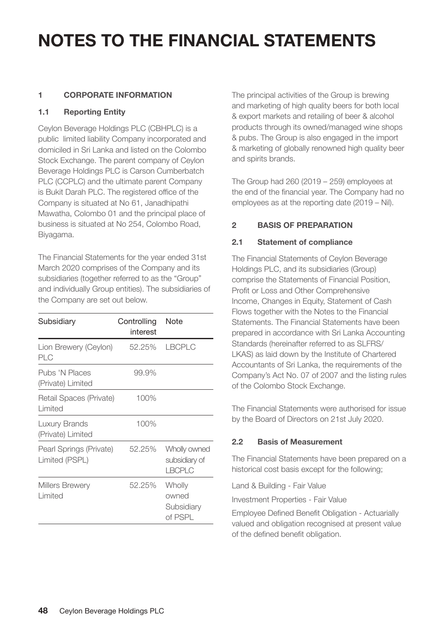#### **1 CORPORATE INFORMATION**

#### **1.1 Reporting Entity**

Ceylon Beverage Holdings PLC (CBHPLC) is a public limited liability Company incorporated and domiciled in Sri Lanka and listed on the Colombo Stock Exchange. The parent company of Ceylon Beverage Holdings PLC is Carson Cumberbatch PLC (CCPLC) and the ultimate parent Company is Bukit Darah PLC. The registered office of the Company is situated at No 61, Janadhipathi Mawatha, Colombo 01 and the principal place of business is situated at No 254, Colombo Road, Biyagama.

The Financial Statements for the year ended 31st March 2020 comprises of the Company and its subsidiaries (together referred to as the "Group" and individually Group entities). The subsidiaries of the Company are set out below.

| Subsidiary                                | Controlling<br>interest | Note                                           |
|-------------------------------------------|-------------------------|------------------------------------------------|
| Lion Brewery (Ceylon)<br>PLC              | 52.25%                  | <b>LBCPLC</b>                                  |
| Pubs 'N Places<br>(Private) Limited       | 99.9%                   |                                                |
| Retail Spaces (Private)<br>Limited        | 100%                    |                                                |
| Luxury Brands<br>(Private) Limited        | 100%                    |                                                |
| Pearl Springs (Private)<br>Limited (PSPL) | 52.25%                  | Wholly owned<br>subsidiary of<br><b>LBCPLC</b> |
| <b>Millers Brewery</b><br>Limited         | 52.25%                  | Wholly<br>owned<br>Subsidiary<br>of PSPL       |

The principal activities of the Group is brewing and marketing of high quality beers for both local & export markets and retailing of beer & alcohol products through its owned/managed wine shops & pubs. The Group is also engaged in the import & marketing of globally renowned high quality beer and spirits brands.

The Group had 260 (2019 – 259) employees at the end of the financial year. The Company had no employees as at the reporting date (2019 – Nil).

#### **2 BASIS OF PREPARATION**

#### **2.1 Statement of compliance**

The Financial Statements of Ceylon Beverage Holdings PLC, and its subsidiaries (Group) comprise the Statements of Financial Position, Profit or Loss and Other Comprehensive Income, Changes in Equity, Statement of Cash Flows together with the Notes to the Financial Statements. The Financial Statements have been prepared in accordance with Sri Lanka Accounting Standards (hereinafter referred to as SLFRS/ LKAS) as laid down by the Institute of Chartered Accountants of Sri Lanka, the requirements of the Company's Act No. 07 of 2007 and the listing rules of the Colombo Stock Exchange.

The Financial Statements were authorised for issue by the Board of Directors on 21st July 2020.

#### **2.2 Basis of Measurement**

The Financial Statements have been prepared on a historical cost basis except for the following;

Land & Building - Fair Value

Investment Properties - Fair Value

Employee Defined Benefit Obligation - Actuarially valued and obligation recognised at present value of the defined benefit obligation.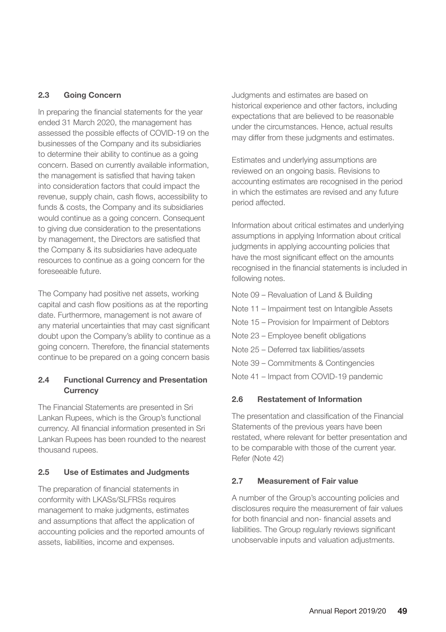#### **2.3 Going Concern**

In preparing the financial statements for the year ended 31 March 2020, the management has assessed the possible effects of COVID‐19 on the businesses of the Company and its subsidiaries to determine their ability to continue as a going concern. Based on currently available information, the management is satisfied that having taken into consideration factors that could impact the revenue, supply chain, cash flows, accessibility to funds & costs, the Company and its subsidiaries would continue as a going concern. Consequent to giving due consideration to the presentations by management, the Directors are satisfied that the Company & its subsidiaries have adequate resources to continue as a going concern for the foreseeable future.

The Company had positive net assets, working capital and cash flow positions as at the reporting date. Furthermore, management is not aware of any material uncertainties that may cast significant doubt upon the Company's ability to continue as a going concern. Therefore, the financial statements continue to be prepared on a going concern basis

#### **2.4 Functional Currency and Presentation Currency**

The Financial Statements are presented in Sri Lankan Rupees, which is the Group's functional currency. All financial information presented in Sri Lankan Rupees has been rounded to the nearest thousand rupees.

#### **2.5 Use of Estimates and Judgments**

The preparation of financial statements in conformity with LKASs/SLFRSs requires management to make judgments, estimates and assumptions that affect the application of accounting policies and the reported amounts of assets, liabilities, income and expenses.

Judgments and estimates are based on historical experience and other factors, including expectations that are believed to be reasonable under the circumstances. Hence, actual results may differ from these judgments and estimates.

Estimates and underlying assumptions are reviewed on an ongoing basis. Revisions to accounting estimates are recognised in the period in which the estimates are revised and any future period affected.

Information about critical estimates and underlying assumptions in applying Information about critical judgments in applying accounting policies that have the most significant effect on the amounts recognised in the financial statements is included in following notes.

Note 09 – Revaluation of Land & Building Note 11 – Impairment test on Intangible Assets Note 15 – Provision for Impairment of Debtors Note 23 – Employee benefit obligations Note 25 – Deferred tax liabilities/assets Note 39 – Commitments & Contingencies Note 41 – Impact from COVID-19 pandemic

#### **2.6 Restatement of Information**

The presentation and classification of the Financial Statements of the previous years have been restated, where relevant for better presentation and to be comparable with those of the current year. Refer (Note 42)

#### **2.7 Measurement of Fair value**

A number of the Group's accounting policies and disclosures require the measurement of fair values for both financial and non- financial assets and liabilities. The Group regularly reviews significant unobservable inputs and valuation adjustments.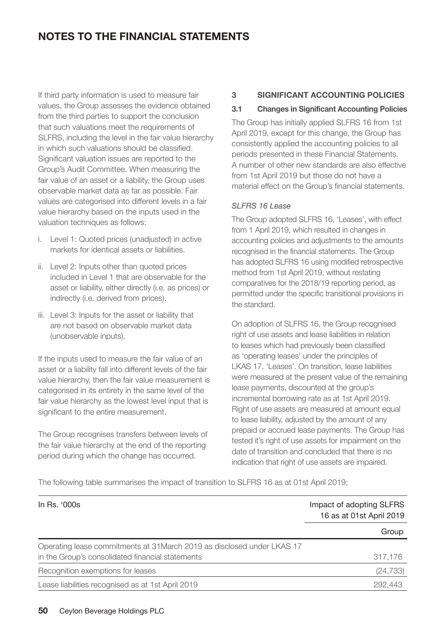If third party information is used to measure fair values, the Group assesses the evidence obtained from the third parties to support the conclusion that such valuations meet the requirements of SLFRS, including the level in the fair value hierarchy in which such valuations should be classified. Significant valuation issues are reported to the Group's Audit Committee. When measuring the fair value of an asset or a liability, the Group uses observable market data as far as possible. Fair values are categorised into different levels in a fair value hierarchy based on the inputs used in the valuation techniques as follows:

- i. Level 1: Quoted prices (unadjusted) in active markets for identical assets or liabilities.
- ii. Level 2: Inputs other than quoted prices included in Level 1 that are observable for the asset or liability, either directly (i.e. as prices) or indirectly (i.e. derived from prices).
- iii. Level 3: Inputs for the asset or liability that are not based on observable market data (unobservable inputs).

If the inputs used to measure the fair value of an asset or a liability fall into different levels of the fair value hierarchy, then the fair value measurement is categorised in its entirety in the same level of the fair value hierarchy as the lowest level input that is significant to the entire measurement.

The Group recognises transfers between levels of the fair value hierarchy at the end of the reporting period during which the change has occurred.

#### **3 SIGNIFICANT ACCOUNTING POLICIES**

#### **3.1 Changes in Significant Accounting Policies**

The Group has initially applied SLFRS 16 from 1st April 2019, except for this change, the Group has consistently applied the accounting policies to all periods presented in these Financial Statements. A number of other new standards are also effective from 1st April 2019 but those do not have a material effect on the Group's financial statements.

#### *SLFRS 16 Lease*

The Group adopted SLFRS 16, 'Leases', with effect from 1 April 2019, which resulted in changes in accounting policies and adjustments to the amounts recognised in the financial statements. The Group has adopted SLFRS 16 using modified retrospective method from 1st April 2019, without restating comparatives for the 2018/19 reporting period, as permitted under the specific transitional provisions in the standard.

On adoption of SLFRS 16, the Group recognised right of use assets and lease liabilities in relation to leases which had previously been classified as 'operating leases' under the principles of LKAS 17, 'Leases'. On transition, lease liabilities were measured at the present value of the remaining lease payments, discounted at the group's incremental borrowing rate as at 1st April 2019. Right of use assets are measured at amount equal to lease liability, adjusted by the amount of any prepaid or accrued lease payments. The Group has tested it's right of use assets for impairment on the date of transition and concluded that there is no indication that right of use assets are impaired.

The following table summarises the impact of transition to SLFRS 16 as at 01st April 2019;

| In Rs. '000s                                                            | Impact of adopting SLFRS<br>16 as at 01st April 2019 |
|-------------------------------------------------------------------------|------------------------------------------------------|
|                                                                         | Group                                                |
| Operating lease commitments at 31 March 2019 as disclosed under LKAS 17 |                                                      |
| in the Group's consolidated financial statements                        | 317,176                                              |
| Recognition exemptions for leases                                       | (24, 733)                                            |
| Lease liabilities recognised as at 1st April 2019                       | 292.443                                              |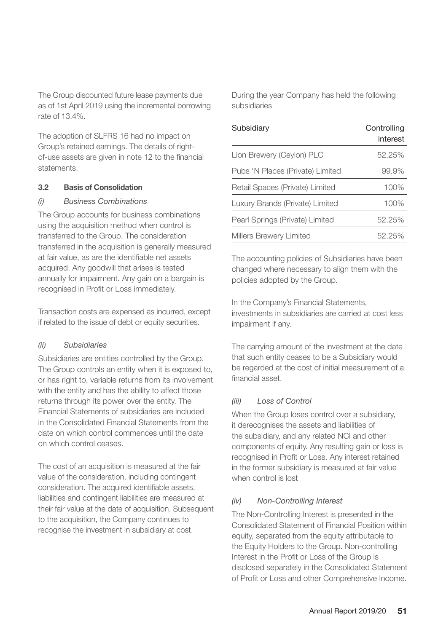The Group discounted future lease payments due as of 1st April 2019 using the incremental borrowing rate of 13.4%.

The adoption of SLFRS 16 had no impact on Group's retained earnings. The details of rightof-use assets are given in note 12 to the financial statements.

#### **3.2 Basis of Consolidation**

#### *(i) Business Combinations*

The Group accounts for business combinations using the acquisition method when control is transferred to the Group. The consideration transferred in the acquisition is generally measured at fair value, as are the identifiable net assets acquired. Any goodwill that arises is tested annually for impairment. Any gain on a bargain is recognised in Profit or Loss immediately.

Transaction costs are expensed as incurred, except if related to the issue of debt or equity securities.

#### *(ii) Subsidiaries*

Subsidiaries are entities controlled by the Group. The Group controls an entity when it is exposed to, or has right to, variable returns from its involvement with the entity and has the ability to affect those returns through its power over the entity. The Financial Statements of subsidiaries are included in the Consolidated Financial Statements from the date on which control commences until the date on which control ceases.

The cost of an acquisition is measured at the fair value of the consideration, including contingent consideration. The acquired identifiable assets, liabilities and contingent liabilities are measured at their fair value at the date of acquisition. Subsequent to the acquisition, the Company continues to recognise the investment in subsidiary at cost.

During the year Company has held the following subsidiaries

| Subsidiary                       | Controlling<br>interest |
|----------------------------------|-------------------------|
| Lion Brewery (Ceylon) PLC        | 52.25%                  |
| Pubs 'N Places (Private) Limited | 99.9%                   |
| Retail Spaces (Private) Limited  | 100%                    |
| Luxury Brands (Private) Limited  | 100%                    |
| Pearl Springs (Private) Limited  | 52.25%                  |
| Millers Brewery Limited          | 52.25%                  |

The accounting policies of Subsidiaries have been changed where necessary to align them with the policies adopted by the Group.

In the Company's Financial Statements, investments in subsidiaries are carried at cost less impairment if any.

The carrying amount of the investment at the date that such entity ceases to be a Subsidiary would be regarded at the cost of initial measurement of a financial asset.

#### *(iii) Loss of Control*

When the Group loses control over a subsidiary, it derecognises the assets and liabilities of the subsidiary, and any related NCI and other components of equity. Any resulting gain or loss is recognised in Profit or Loss. Any interest retained in the former subsidiary is measured at fair value when control is lost

#### *(iv) Non-Controlling Interest*

The Non-Controlling Interest is presented in the Consolidated Statement of Financial Position within equity, separated from the equity attributable to the Equity Holders to the Group. Non-controlling Interest in the Profit or Loss of the Group is disclosed separately in the Consolidated Statement of Profit or Loss and other Comprehensive Income.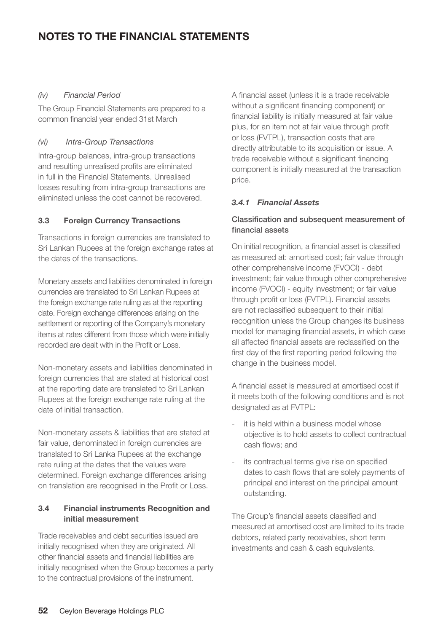#### *(iv) Financial Period*

The Group Financial Statements are prepared to a common financial year ended 31st March

#### *(vi) Intra-Group Transactions*

Intra-group balances, intra-group transactions and resulting unrealised profits are eliminated in full in the Financial Statements. Unrealised losses resulting from intra-group transactions are eliminated unless the cost cannot be recovered.

#### **3.3 Foreign Currency Transactions**

Transactions in foreign currencies are translated to Sri Lankan Rupees at the foreign exchange rates at the dates of the transactions.

Monetary assets and liabilities denominated in foreign currencies are translated to Sri Lankan Rupees at the foreign exchange rate ruling as at the reporting date. Foreign exchange differences arising on the settlement or reporting of the Company's monetary items at rates different from those which were initially recorded are dealt with in the Profit or Loss.

Non-monetary assets and liabilities denominated in foreign currencies that are stated at historical cost at the reporting date are translated to Sri Lankan Rupees at the foreign exchange rate ruling at the date of initial transaction.

Non-monetary assets & liabilities that are stated at fair value, denominated in foreign currencies are translated to Sri Lanka Rupees at the exchange rate ruling at the dates that the values were determined. Foreign exchange differences arising on translation are recognised in the Profit or Loss.

#### **3.4 Financial instruments Recognition and initial measurement**

Trade receivables and debt securities issued are initially recognised when they are originated. All other financial assets and financial liabilities are initially recognised when the Group becomes a party to the contractual provisions of the instrument.

A financial asset (unless it is a trade receivable without a significant financing component) or financial liability is initially measured at fair value plus, for an item not at fair value through profit or loss (FVTPL), transaction costs that are directly attributable to its acquisition or issue. A trade receivable without a significant financing component is initially measured at the transaction price.

#### *3.4.1 Financial Assets*

#### Classification and subsequent measurement of financial assets

On initial recognition, a financial asset is classified as measured at: amortised cost; fair value through other comprehensive income (FVOCI) - debt investment; fair value through other comprehensive income (FVOCI) - equity investment; or fair value through profit or loss (FVTPL). Financial assets are not reclassified subsequent to their initial recognition unless the Group changes its business model for managing financial assets, in which case all affected financial assets are reclassified on the first day of the first reporting period following the change in the business model.

A financial asset is measured at amortised cost if it meets both of the following conditions and is not designated as at FVTPL:

- it is held within a business model whose objective is to hold assets to collect contractual cash flows; and
- its contractual terms give rise on specified dates to cash flows that are solely payments of principal and interest on the principal amount outstanding.

The Group's financial assets classified and measured at amortised cost are limited to its trade debtors, related party receivables, short term investments and cash & cash equivalents.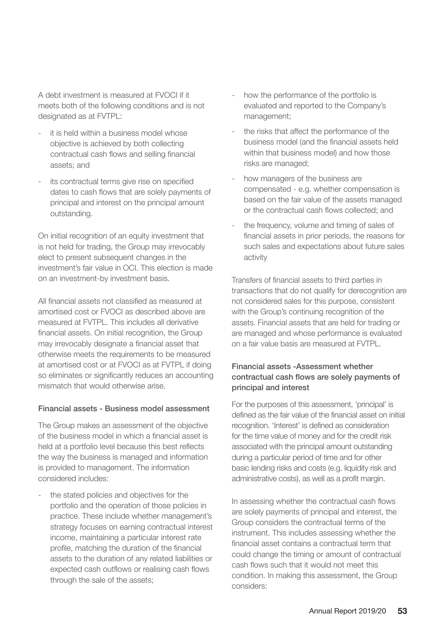A debt investment is measured at FVOCI if it meets both of the following conditions and is not designated as at FVTPL:

- it is held within a business model whose objective is achieved by both collecting contractual cash flows and selling financial assets; and
- its contractual terms give rise on specified dates to cash flows that are solely payments of principal and interest on the principal amount outstanding.

On initial recognition of an equity investment that is not held for trading, the Group may irrevocably elect to present subsequent changes in the investment's fair value in OCI. This election is made on an investment-by investment basis.

All financial assets not classified as measured at amortised cost or FVOCI as described above are measured at FVTPL. This includes all derivative financial assets. On initial recognition, the Group may irrevocably designate a financial asset that otherwise meets the requirements to be measured at amortised cost or at FVOCI as at FVTPL if doing so eliminates or significantly reduces an accounting mismatch that would otherwise arise.

#### Financial assets - Business model assessment

The Group makes an assessment of the objective of the business model in which a financial asset is held at a portfolio level because this best reflects the way the business is managed and information is provided to management. The information considered includes:

the stated policies and objectives for the portfolio and the operation of those policies in practice. These include whether management's strategy focuses on earning contractual interest income, maintaining a particular interest rate profile, matching the duration of the financial assets to the duration of any related liabilities or expected cash outflows or realising cash flows through the sale of the assets;

- how the performance of the portfolio is evaluated and reported to the Company's management;
- the risks that affect the performance of the business model (and the financial assets held within that business model) and how those risks are managed;
- how managers of the business are compensated - e.g. whether compensation is based on the fair value of the assets managed or the contractual cash flows collected; and
- the frequency, volume and timing of sales of financial assets in prior periods, the reasons for such sales and expectations about future sales activity

Transfers of financial assets to third parties in transactions that do not qualify for derecognition are not considered sales for this purpose, consistent with the Group's continuing recognition of the assets. Financial assets that are held for trading or are managed and whose performance is evaluated on a fair value basis are measured at FVTPL.

#### Financial assets -Assessment whether contractual cash flows are solely payments of principal and interest

For the purposes of this assessment, 'principal' is defined as the fair value of the financial asset on initial recognition. 'Interest' is defined as consideration for the time value of money and for the credit risk associated with the principal amount outstanding during a particular period of time and for other basic lending risks and costs (e.g. liquidity risk and administrative costs), as well as a profit margin.

In assessing whether the contractual cash flows are solely payments of principal and interest, the Group considers the contractual terms of the instrument. This includes assessing whether the financial asset contains a contractual term that could change the timing or amount of contractual cash flows such that it would not meet this condition. In making this assessment, the Group considers: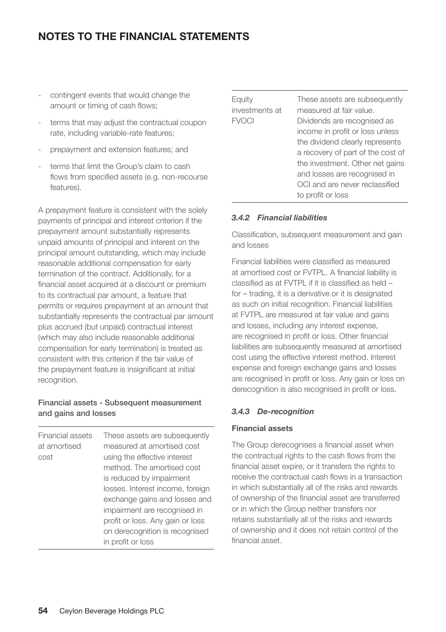- contingent events that would change the amount or timing of cash flows;
- terms that may adjust the contractual coupon rate, including variable-rate features;
- prepayment and extension features; and
- terms that limit the Group's claim to cash flows from specified assets (e.g. non-recourse features).

A prepayment feature is consistent with the solely payments of principal and interest criterion if the prepayment amount substantially represents unpaid amounts of principal and interest on the principal amount outstanding, which may include reasonable additional compensation for early termination of the contract. Additionally, for a financial asset acquired at a discount or premium to its contractual par amount, a feature that permits or requires prepayment at an amount that substantially represents the contractual par amount plus accrued (but unpaid) contractual interest (which may also include reasonable additional compensation for early termination) is treated as consistent with this criterion if the fair value of the prepayment feature is insignificant at initial recognition.

#### Financial assets - Subsequent measurement and gains and losses

Financial assets at amortised cost These assets are subsequently measured at amortised cost using the effective interest method. The amortised cost is reduced by impairment losses. Interest income, foreign exchange gains and losses and impairment are recognised in profit or loss. Any gain or loss on derecognition is recognised in profit or loss

| Equity<br>investments at<br><b>FVOCI</b> | These assets are subsequently<br>measured at fair value.<br>Dividends are recognised as<br>income in profit or loss unless<br>the dividend clearly represents<br>a recovery of part of the cost of<br>the investment. Other net gains<br>and losses are recognised in<br>OCI and are never reclassified<br>to profit or loss |
|------------------------------------------|------------------------------------------------------------------------------------------------------------------------------------------------------------------------------------------------------------------------------------------------------------------------------------------------------------------------------|
|------------------------------------------|------------------------------------------------------------------------------------------------------------------------------------------------------------------------------------------------------------------------------------------------------------------------------------------------------------------------------|

#### *3.4.2 Financial liabilities*

Classification, subsequent measurement and gain and losses

Financial liabilities were classified as measured at amortised cost or FVTPL. A financial liability is classified as at FVTPL if it is classified as held – for – trading, it is a derivative or it is designated as such on initial recognition. Financial liabilities at FVTPL are measured at fair value and gains and losses, including any interest expense, are recognised in profit or loss. Other financial liabilities are subsequently measured at amortised cost using the effective interest method. Interest expense and foreign exchange gains and losses are recognised in profit or loss. Any gain or loss on derecognition is also recognised in profit or loss.

#### *3.4.3 De-recognition*

#### **Financial assets**

The Group derecognises a financial asset when the contractual rights to the cash flows from the financial asset expire, or it transfers the rights to receive the contractual cash flows in a transaction in which substantially all of the risks and rewards of ownership of the financial asset are transferred or in which the Group neither transfers nor retains substantially all of the risks and rewards of ownership and it does not retain control of the financial asset.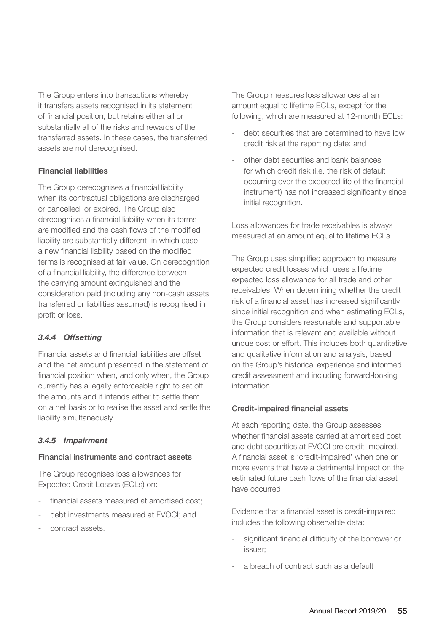The Group enters into transactions whereby it transfers assets recognised in its statement of financial position, but retains either all or substantially all of the risks and rewards of the transferred assets. In these cases, the transferred assets are not derecognised.

#### **Financial liabilities**

The Group derecognises a financial liability when its contractual obligations are discharged or cancelled, or expired. The Group also derecognises a financial liability when its terms are modified and the cash flows of the modified liability are substantially different, in which case a new financial liability based on the modified terms is recognised at fair value. On derecognition of a financial liability, the difference between the carrying amount extinguished and the consideration paid (including any non-cash assets transferred or liabilities assumed) is recognised in profit or loss.

#### *3.4.4 Offsetting*

Financial assets and financial liabilities are offset and the net amount presented in the statement of financial position when, and only when, the Group currently has a legally enforceable right to set off the amounts and it intends either to settle them on a net basis or to realise the asset and settle the liability simultaneously.

#### *3.4.5 Impairment*

#### Financial instruments and contract assets

The Group recognises loss allowances for Expected Credit Losses (ECLs) on:

- financial assets measured at amortised cost:
- debt investments measured at FVOCI; and
- contract assets.

The Group measures loss allowances at an amount equal to lifetime ECLs, except for the following, which are measured at 12-month ECLs:

- debt securities that are determined to have low credit risk at the reporting date; and
- other debt securities and bank balances for which credit risk (i.e. the risk of default occurring over the expected life of the financial instrument) has not increased significantly since initial recognition.

Loss allowances for trade receivables is always measured at an amount equal to lifetime ECLs.

The Group uses simplified approach to measure expected credit losses which uses a lifetime expected loss allowance for all trade and other receivables. When determining whether the credit risk of a financial asset has increased significantly since initial recognition and when estimating ECLs, the Group considers reasonable and supportable information that is relevant and available without undue cost or effort. This includes both quantitative and qualitative information and analysis, based on the Group's historical experience and informed credit assessment and including forward-looking information

#### Credit-impaired financial assets

At each reporting date, the Group assesses whether financial assets carried at amortised cost and debt securities at FVOCI are credit-impaired. A financial asset is 'credit-impaired' when one or more events that have a detrimental impact on the estimated future cash flows of the financial asset have occurred.

Evidence that a financial asset is credit-impaired includes the following observable data:

- significant financial difficulty of the borrower or issuer;
- a breach of contract such as a default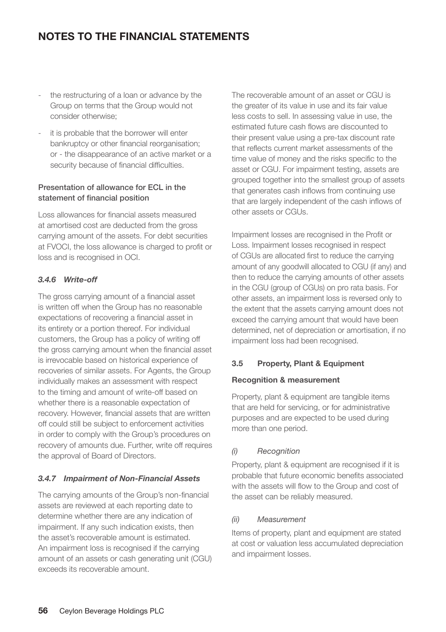- the restructuring of a loan or advance by the Group on terms that the Group would not consider otherwise;
- it is probable that the borrower will enter bankruptcy or other financial reorganisation; or - the disappearance of an active market or a security because of financial difficulties.

#### Presentation of allowance for ECL in the statement of financial position

Loss allowances for financial assets measured at amortised cost are deducted from the gross carrying amount of the assets. For debt securities at FVOCI, the loss allowance is charged to profit or loss and is recognised in OCI.

#### *3.4.6 Write-off*

The gross carrying amount of a financial asset is written off when the Group has no reasonable expectations of recovering a financial asset in its entirety or a portion thereof. For individual customers, the Group has a policy of writing off the gross carrying amount when the financial asset is irrevocable based on historical experience of recoveries of similar assets. For Agents, the Group individually makes an assessment with respect to the timing and amount of write-off based on whether there is a reasonable expectation of recovery. However, financial assets that are written off could still be subject to enforcement activities in order to comply with the Group's procedures on recovery of amounts due. Further, write off requires the approval of Board of Directors.

#### *3.4.7 Impairment of Non-Financial Assets*

The carrying amounts of the Group's non-financial assets are reviewed at each reporting date to determine whether there are any indication of impairment. If any such indication exists, then the asset's recoverable amount is estimated. An impairment loss is recognised if the carrying amount of an assets or cash generating unit (CGU) exceeds its recoverable amount.

The recoverable amount of an asset or CGU is the greater of its value in use and its fair value less costs to sell. In assessing value in use, the estimated future cash flows are discounted to their present value using a pre-tax discount rate that reflects current market assessments of the time value of money and the risks specific to the asset or CGU. For impairment testing, assets are grouped together into the smallest group of assets that generates cash inflows from continuing use that are largely independent of the cash inflows of other assets or CGUs.

Impairment losses are recognised in the Profit or Loss. Impairment losses recognised in respect of CGUs are allocated first to reduce the carrying amount of any goodwill allocated to CGU (if any) and then to reduce the carrying amounts of other assets in the CGU (group of CGUs) on pro rata basis. For other assets, an impairment loss is reversed only to the extent that the assets carrying amount does not exceed the carrying amount that would have been determined, net of depreciation or amortisation, if no impairment loss had been recognised.

#### **3.5 Property, Plant & Equipment**

#### **Recognition & measurement**

Property, plant & equipment are tangible items that are held for servicing, or for administrative purposes and are expected to be used during more than one period.

#### *(i) Recognition*

Property, plant & equipment are recognised if it is probable that future economic benefits associated with the assets will flow to the Group and cost of the asset can be reliably measured.

#### *(ii) Measurement*

Items of property, plant and equipment are stated at cost or valuation less accumulated depreciation and impairment losses.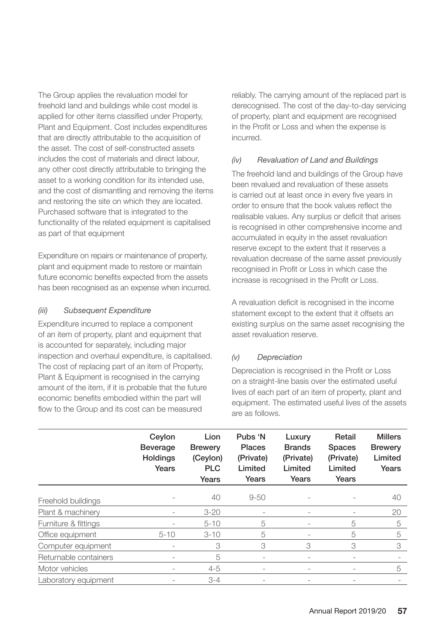The Group applies the revaluation model for freehold land and buildings while cost model is applied for other items classified under Property, Plant and Equipment. Cost includes expenditures that are directly attributable to the acquisition of the asset. The cost of self-constructed assets includes the cost of materials and direct labour, any other cost directly attributable to bringing the asset to a working condition for its intended use, and the cost of dismantling and removing the items and restoring the site on which they are located. Purchased software that is integrated to the functionality of the related equipment is capitalised as part of that equipment

Expenditure on repairs or maintenance of property, plant and equipment made to restore or maintain future economic benefits expected from the assets has been recognised as an expense when incurred.

#### *(iii) Subsequent Expenditure*

Expenditure incurred to replace a component of an item of property, plant and equipment that is accounted for separately, including major inspection and overhaul expenditure, is capitalised. The cost of replacing part of an item of Property, Plant & Equipment is recognised in the carrying amount of the item, if it is probable that the future economic benefits embodied within the part will flow to the Group and its cost can be measured

reliably. The carrying amount of the replaced part is derecognised. The cost of the day-to-day servicing of property, plant and equipment are recognised in the Profit or Loss and when the expense is incurred.

#### *(iv) Revaluation of Land and Buildings*

The freehold land and buildings of the Group have been revalued and revaluation of these assets is carried out at least once in every five years in order to ensure that the book values reflect the realisable values. Any surplus or deficit that arises is recognised in other comprehensive income and accumulated in equity in the asset revaluation reserve except to the extent that it reserves a revaluation decrease of the same asset previously recognised in Profit or Loss in which case the increase is recognised in the Profit or Loss.

A revaluation deficit is recognised in the income statement except to the extent that it offsets an existing surplus on the same asset recognising the asset revaluation reserve.

#### *(v) Depreciation*

Depreciation is recognised in the Profit or Loss on a straight-line basis over the estimated useful lives of each part of an item of property, plant and equipment. The estimated useful lives of the assets are as follows.

|                       | Ceylon<br><b>Beverage</b><br>Holdings<br>Years | Lion<br><b>Brewery</b><br>(Ceylon)<br><b>PLC</b><br>Years | Pubs 'N<br><b>Places</b><br>(Private)<br>Limited<br>Years | Luxury<br><b>Brands</b><br>(Private)<br>Limited<br>Years | Retail<br><b>Spaces</b><br>(Private)<br>Limited<br>Years | <b>Millers</b><br><b>Brewery</b><br>Limited<br>Years |
|-----------------------|------------------------------------------------|-----------------------------------------------------------|-----------------------------------------------------------|----------------------------------------------------------|----------------------------------------------------------|------------------------------------------------------|
| Freehold buildings    |                                                | 40                                                        | $9 - 50$                                                  |                                                          |                                                          | 40                                                   |
| Plant & machinery     | $\overline{\phantom{a}}$                       | $3 - 20$                                                  | $\overline{\phantom{a}}$                                  | $\overline{\phantom{a}}$                                 |                                                          | 20                                                   |
| Furniture & fittings  |                                                | $5 - 10$                                                  | 5                                                         |                                                          | 5                                                        | 5                                                    |
| Office equipment      | $5 - 10$                                       | $3 - 10$                                                  | 5                                                         |                                                          | 5                                                        | 5                                                    |
| Computer equipment    | ۰                                              | 3                                                         | 3                                                         | 3                                                        | 3                                                        | 3                                                    |
| Returnable containers |                                                | 5                                                         |                                                           | Ξ.                                                       |                                                          |                                                      |
| Motor vehicles        | $\overline{\phantom{a}}$                       | $4 - 5$                                                   | $\overline{a}$                                            |                                                          |                                                          | 5                                                    |
| Laboratory equipment  |                                                | $3 - 4$                                                   |                                                           |                                                          |                                                          |                                                      |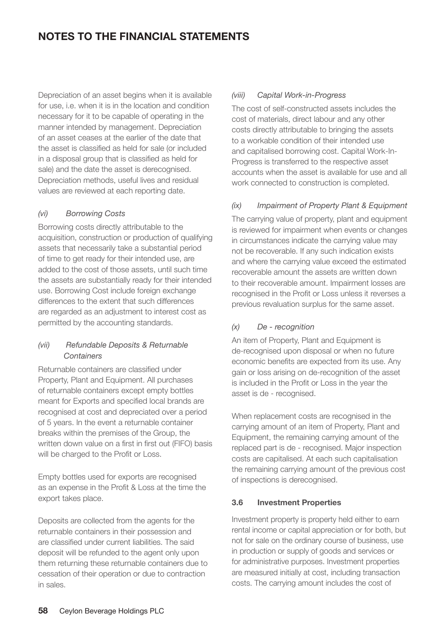Depreciation of an asset begins when it is available for use, i.e. when it is in the location and condition necessary for it to be capable of operating in the manner intended by management. Depreciation of an asset ceases at the earlier of the date that the asset is classified as held for sale (or included in a disposal group that is classified as held for sale) and the date the asset is derecognised. Depreciation methods, useful lives and residual values are reviewed at each reporting date.

#### *(vi) Borrowing Costs*

Borrowing costs directly attributable to the acquisition, construction or production of qualifying assets that necessarily take a substantial period of time to get ready for their intended use, are added to the cost of those assets, until such time the assets are substantially ready for their intended use. Borrowing Cost include foreign exchange differences to the extent that such differences are regarded as an adjustment to interest cost as permitted by the accounting standards.

#### *(vii) Refundable Deposits & Returnable Containers*

Returnable containers are classified under Property, Plant and Equipment. All purchases of returnable containers except empty bottles meant for Exports and specified local brands are recognised at cost and depreciated over a period of 5 years. In the event a returnable container breaks within the premises of the Group, the written down value on a first in first out (FIFO) basis will be charged to the Profit or Loss.

Empty bottles used for exports are recognised as an expense in the Profit & Loss at the time the export takes place.

Deposits are collected from the agents for the returnable containers in their possession and are classified under current liabilities. The said deposit will be refunded to the agent only upon them returning these returnable containers due to cessation of their operation or due to contraction in sales.

#### *(viii) Capital Work-in-Progress*

The cost of self-constructed assets includes the cost of materials, direct labour and any other costs directly attributable to bringing the assets to a workable condition of their intended use and capitalised borrowing cost. Capital Work-In-Progress is transferred to the respective asset accounts when the asset is available for use and all work connected to construction is completed.

#### *(ix) Impairment of Property Plant & Equipment*

The carrying value of property, plant and equipment is reviewed for impairment when events or changes in circumstances indicate the carrying value may not be recoverable. If any such indication exists and where the carrying value exceed the estimated recoverable amount the assets are written down to their recoverable amount. Impairment losses are recognised in the Profit or Loss unless it reverses a previous revaluation surplus for the same asset.

#### *(x) De - recognition*

An item of Property, Plant and Equipment is de-recognised upon disposal or when no future economic benefits are expected from its use. Any gain or loss arising on de-recognition of the asset is included in the Profit or Loss in the year the asset is de - recognised.

When replacement costs are recognised in the carrying amount of an item of Property, Plant and Equipment, the remaining carrying amount of the replaced part is de - recognised. Major inspection costs are capitalised. At each such capitalisation the remaining carrying amount of the previous cost of inspections is derecognised.

#### **3.6 Investment Properties**

Investment property is property held either to earn rental income or capital appreciation or for both, but not for sale on the ordinary course of business, use in production or supply of goods and services or for administrative purposes. Investment properties are measured initially at cost, including transaction costs. The carrying amount includes the cost of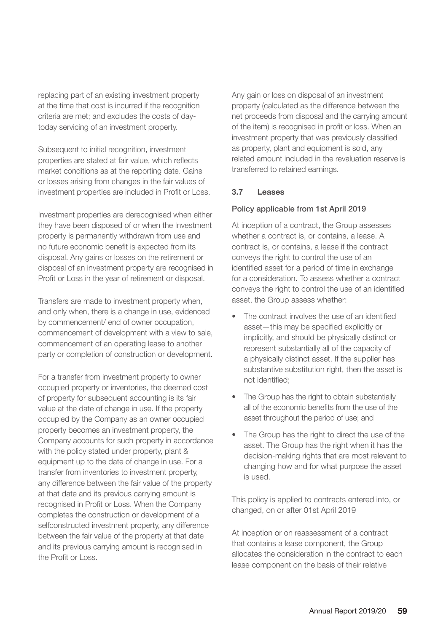replacing part of an existing investment property at the time that cost is incurred if the recognition criteria are met; and excludes the costs of daytoday servicing of an investment property.

Subsequent to initial recognition, investment properties are stated at fair value, which reflects market conditions as at the reporting date. Gains or losses arising from changes in the fair values of investment properties are included in Profit or Loss.

Investment properties are derecognised when either they have been disposed of or when the Investment property is permanently withdrawn from use and no future economic benefit is expected from its disposal. Any gains or losses on the retirement or disposal of an investment property are recognised in Profit or Loss in the year of retirement or disposal.

Transfers are made to investment property when, and only when, there is a change in use, evidenced by commencement/ end of owner occupation, commencement of development with a view to sale, commencement of an operating lease to another party or completion of construction or development.

For a transfer from investment property to owner occupied property or inventories, the deemed cost of property for subsequent accounting is its fair value at the date of change in use. If the property occupied by the Company as an owner occupied property becomes an investment property, the Company accounts for such property in accordance with the policy stated under property, plant & equipment up to the date of change in use. For a transfer from inventories to investment property, any difference between the fair value of the property at that date and its previous carrying amount is recognised in Profit or Loss. When the Company completes the construction or development of a selfconstructed investment property, any difference between the fair value of the property at that date and its previous carrying amount is recognised in the Profit or Loss.

Any gain or loss on disposal of an investment property (calculated as the difference between the net proceeds from disposal and the carrying amount of the item) is recognised in profit or loss. When an investment property that was previously classified as property, plant and equipment is sold, any related amount included in the revaluation reserve is transferred to retained earnings.

#### **3.7 Leases**

#### Policy applicable from 1st April 2019

At inception of a contract, the Group assesses whether a contract is, or contains, a lease. A contract is, or contains, a lease if the contract conveys the right to control the use of an identified asset for a period of time in exchange for a consideration. To assess whether a contract conveys the right to control the use of an identified asset, the Group assess whether:

- The contract involves the use of an identified asset—this may be specified explicitly or implicitly, and should be physically distinct or represent substantially all of the capacity of a physically distinct asset. If the supplier has substantive substitution right, then the asset is not identified;
- The Group has the right to obtain substantially all of the economic benefits from the use of the asset throughout the period of use; and
- The Group has the right to direct the use of the asset. The Group has the right when it has the decision-making rights that are most relevant to changing how and for what purpose the asset is used.

This policy is applied to contracts entered into, or changed, on or after 01st April 2019

At inception or on reassessment of a contract that contains a lease component, the Group allocates the consideration in the contract to each lease component on the basis of their relative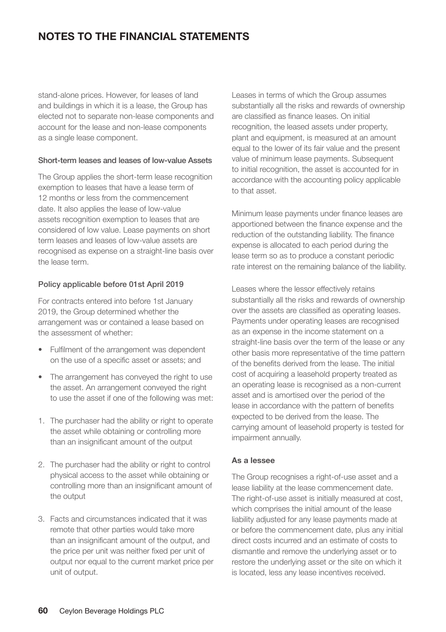stand-alone prices. However, for leases of land and buildings in which it is a lease, the Group has elected not to separate non-lease components and account for the lease and non-lease components as a single lease component.

#### Short-term leases and leases of low-value Assets

The Group applies the short-term lease recognition exemption to leases that have a lease term of 12 months or less from the commencement date. It also applies the lease of low-value assets recognition exemption to leases that are considered of low value. Lease payments on short term leases and leases of low-value assets are recognised as expense on a straight-line basis over the lease term.

#### Policy applicable before 01st April 2019

For contracts entered into before 1st January 2019, the Group determined whether the arrangement was or contained a lease based on the assessment of whether:

- Fulfilment of the arrangement was dependent on the use of a specific asset or assets; and
- The arrangement has conveyed the right to use the asset. An arrangement conveyed the right to use the asset if one of the following was met:
- 1. The purchaser had the ability or right to operate the asset while obtaining or controlling more than an insignificant amount of the output
- 2. The purchaser had the ability or right to control physical access to the asset while obtaining or controlling more than an insignificant amount of the output
- 3. Facts and circumstances indicated that it was remote that other parties would take more than an insignificant amount of the output, and the price per unit was neither fixed per unit of output nor equal to the current market price per unit of output.

Leases in terms of which the Group assumes substantially all the risks and rewards of ownership are classified as finance leases. On initial recognition, the leased assets under property, plant and equipment, is measured at an amount equal to the lower of its fair value and the present value of minimum lease payments. Subsequent to initial recognition, the asset is accounted for in accordance with the accounting policy applicable to that asset.

Minimum lease payments under finance leases are apportioned between the finance expense and the reduction of the outstanding liability. The finance expense is allocated to each period during the lease term so as to produce a constant periodic rate interest on the remaining balance of the liability.

Leases where the lessor effectively retains substantially all the risks and rewards of ownership over the assets are classified as operating leases. Payments under operating leases are recognised as an expense in the income statement on a straight-line basis over the term of the lease or any other basis more representative of the time pattern of the benefits derived from the lease. The initial cost of acquiring a leasehold property treated as an operating lease is recognised as a non-current asset and is amortised over the period of the lease in accordance with the pattern of benefits expected to be derived from the lease. The carrying amount of leasehold property is tested for impairment annually.

#### **As a lessee**

The Group recognises a right-of-use asset and a lease liability at the lease commencement date. The right-of-use asset is initially measured at cost, which comprises the initial amount of the lease liability adjusted for any lease payments made at or before the commencement date, plus any initial direct costs incurred and an estimate of costs to dismantle and remove the underlying asset or to restore the underlying asset or the site on which it is located, less any lease incentives received.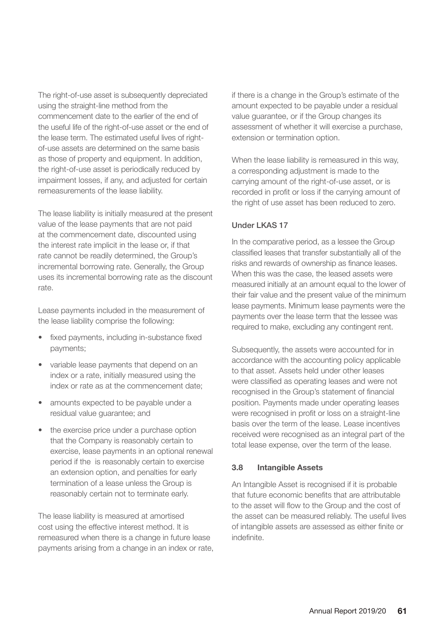The right-of-use asset is subsequently depreciated using the straight-line method from the commencement date to the earlier of the end of the useful life of the right-of-use asset or the end of the lease term. The estimated useful lives of rightof-use assets are determined on the same basis as those of property and equipment. In addition, the right-of-use asset is periodically reduced by impairment losses, if any, and adjusted for certain remeasurements of the lease liability.

The lease liability is initially measured at the present value of the lease payments that are not paid at the commencement date, discounted using the interest rate implicit in the lease or, if that rate cannot be readily determined, the Group's incremental borrowing rate. Generally, the Group uses its incremental borrowing rate as the discount rate.

Lease payments included in the measurement of the lease liability comprise the following:

- fixed payments, including in-substance fixed payments;
- variable lease payments that depend on an index or a rate, initially measured using the index or rate as at the commencement date;
- amounts expected to be payable under a residual value guarantee; and
- the exercise price under a purchase option that the Company is reasonably certain to exercise, lease payments in an optional renewal period if the is reasonably certain to exercise an extension option, and penalties for early termination of a lease unless the Group is reasonably certain not to terminate early.

The lease liability is measured at amortised cost using the effective interest method. It is remeasured when there is a change in future lease payments arising from a change in an index or rate, if there is a change in the Group's estimate of the amount expected to be payable under a residual value guarantee, or if the Group changes its assessment of whether it will exercise a purchase, extension or termination option.

When the lease liability is remeasured in this way, a corresponding adjustment is made to the carrying amount of the right-of-use asset, or is recorded in profit or loss if the carrying amount of the right of use asset has been reduced to zero.

#### Under LKAS 17

In the comparative period, as a lessee the Group classified leases that transfer substantially all of the risks and rewards of ownership as finance leases. When this was the case, the leased assets were measured initially at an amount equal to the lower of their fair value and the present value of the minimum lease payments. Minimum lease payments were the payments over the lease term that the lessee was required to make, excluding any contingent rent.

Subsequently, the assets were accounted for in accordance with the accounting policy applicable to that asset. Assets held under other leases were classified as operating leases and were not recognised in the Group's statement of financial position. Payments made under operating leases were recognised in profit or loss on a straight-line basis over the term of the lease. Lease incentives received were recognised as an integral part of the total lease expense, over the term of the lease.

#### **3.8 Intangible Assets**

An Intangible Asset is recognised if it is probable that future economic benefits that are attributable to the asset will flow to the Group and the cost of the asset can be measured reliably. The useful lives of intangible assets are assessed as either finite or indefinite.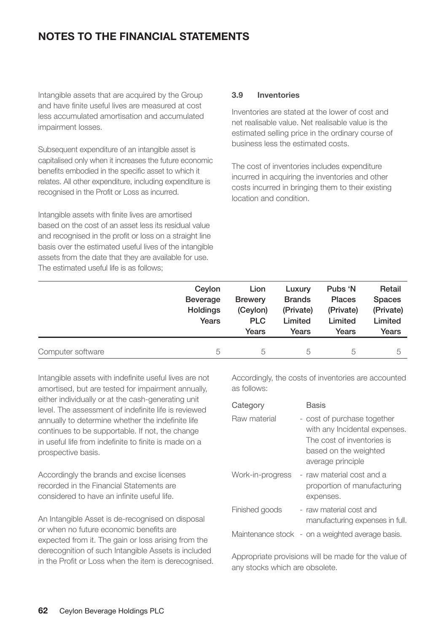Intangible assets that are acquired by the Group and have finite useful lives are measured at cost less accumulated amortisation and accumulated impairment losses.

Subsequent expenditure of an intangible asset is capitalised only when it increases the future economic benefits embodied in the specific asset to which it relates. All other expenditure, including expenditure is recognised in the Profit or Loss as incurred.

Intangible assets with finite lives are amortised based on the cost of an asset less its residual value and recognised in the profit or loss on a straight line basis over the estimated useful lives of the intangible assets from the date that they are available for use. The estimated useful life is as follows;

#### **3.9 Inventories**

Inventories are stated at the lower of cost and net realisable value. Net realisable value is the estimated selling price in the ordinary course of business less the estimated costs.

The cost of inventories includes expenditure incurred in acquiring the inventories and other costs incurred in bringing them to their existing location and condition.

|                   | Ceylon<br>Beverage<br>Holdings<br>Years | Lion<br><b>Brewery</b><br>(Ceylon)<br><b>PLC</b><br>Years | Luxury<br><b>Brands</b><br>(Private)<br>Limited<br>Years | Pubs 'N<br><b>Places</b><br>(Private)<br>Limited<br>Years | Retail<br><b>Spaces</b><br>(Private)<br>Limited<br>Years |
|-------------------|-----------------------------------------|-----------------------------------------------------------|----------------------------------------------------------|-----------------------------------------------------------|----------------------------------------------------------|
| Computer software | 5                                       | 5                                                         | 5                                                        | 5                                                         | 5                                                        |

Intangible assets with indefinite useful lives are not amortised, but are tested for impairment annually, either individually or at the cash-generating unit level. The assessment of indefinite life is reviewed annually to determine whether the indefinite life continues to be supportable. If not, the change in useful life from indefinite to finite is made on a prospective basis.

Accordingly the brands and excise licenses recorded in the Financial Statements are considered to have an infinite useful life.

An Intangible Asset is de-recognised on disposal or when no future economic benefits are expected from it. The gain or loss arising from the derecognition of such Intangible Assets is included in the Profit or Loss when the item is derecognised.

Accordingly, the costs of inventories are accounted as follows:

| Category         | <b>Basis</b>                                                                                                                             |
|------------------|------------------------------------------------------------------------------------------------------------------------------------------|
| Raw material     | - cost of purchase together<br>with any Incidental expenses.<br>The cost of inventories is<br>based on the weighted<br>average principle |
| Work-in-progress | - raw material cost and a<br>proportion of manufacturing<br>expenses.                                                                    |
| Finished goods   | - raw material cost and<br>manufacturing expenses in full.                                                                               |
|                  | Maintenance stock - on a weighted average basis.                                                                                         |

Appropriate provisions will be made for the value of any stocks which are obsolete.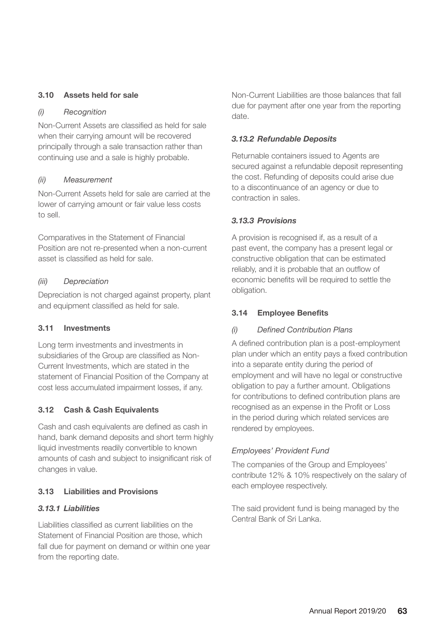#### **3.10 Assets held for sale**

#### *(i) Recognition*

Non-Current Assets are classified as held for sale when their carrying amount will be recovered principally through a sale transaction rather than continuing use and a sale is highly probable.

#### *(ii) Measurement*

Non-Current Assets held for sale are carried at the lower of carrying amount or fair value less costs to sell.

Comparatives in the Statement of Financial Position are not re-presented when a non-current asset is classified as held for sale.

#### *(iii) Depreciation*

Depreciation is not charged against property, plant and equipment classified as held for sale.

#### **3.11 Investments**

Long term investments and investments in subsidiaries of the Group are classified as Non-Current Investments, which are stated in the statement of Financial Position of the Company at cost less accumulated impairment losses, if any.

#### **3.12 Cash & Cash Equivalents**

Cash and cash equivalents are defined as cash in hand, bank demand deposits and short term highly liquid investments readily convertible to known amounts of cash and subject to insignificant risk of changes in value.

#### **3.13 Liabilities and Provisions**

#### *3.13.1 Liabilities*

Liabilities classified as current liabilities on the Statement of Financial Position are those, which fall due for payment on demand or within one year from the reporting date.

Non-Current Liabilities are those balances that fall due for payment after one year from the reporting date.

#### *3.13.2 Refundable Deposits*

Returnable containers issued to Agents are secured against a refundable deposit representing the cost. Refunding of deposits could arise due to a discontinuance of an agency or due to contraction in sales.

#### *3.13.3 Provisions*

A provision is recognised if, as a result of a past event, the company has a present legal or constructive obligation that can be estimated reliably, and it is probable that an outflow of economic benefits will be required to settle the obligation.

#### **3.14 Employee Benefits**

#### *(i) Defined Contribution Plans*

A defined contribution plan is a post-employment plan under which an entity pays a fixed contribution into a separate entity during the period of employment and will have no legal or constructive obligation to pay a further amount. Obligations for contributions to defined contribution plans are recognised as an expense in the Profit or Loss in the period during which related services are rendered by employees.

#### *Employees' Provident Fund*

The companies of the Group and Employees' contribute 12% & 10% respectively on the salary of each employee respectively.

The said provident fund is being managed by the Central Bank of Sri Lanka.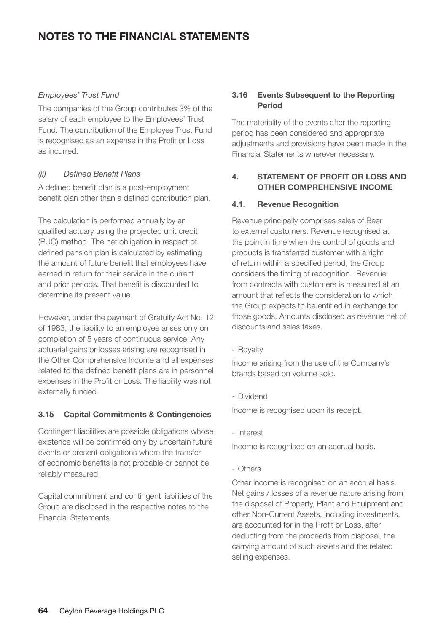#### *Employees' Trust Fund*

The companies of the Group contributes 3% of the salary of each employee to the Employees' Trust Fund. The contribution of the Employee Trust Fund is recognised as an expense in the Profit or Loss as incurred.

#### *(ii) Defined Benefit Plans*

A defined benefit plan is a post-employment benefit plan other than a defined contribution plan.

The calculation is performed annually by an qualified actuary using the projected unit credit (PUC) method. The net obligation in respect of defined pension plan is calculated by estimating the amount of future benefit that employees have earned in return for their service in the current and prior periods. That benefit is discounted to determine its present value.

However, under the payment of Gratuity Act No. 12 of 1983, the liability to an employee arises only on completion of 5 years of continuous service. Any actuarial gains or losses arising are recognised in the Other Comprehensive Income and all expenses related to the defined benefit plans are in personnel expenses in the Profit or Loss. The liability was not externally funded.

#### **3.15 Capital Commitments & Contingencies**

Contingent liabilities are possible obligations whose existence will be confirmed only by uncertain future events or present obligations where the transfer of economic benefits is not probable or cannot be reliably measured.

Capital commitment and contingent liabilities of the Group are disclosed in the respective notes to the Financial Statements.

#### **3.16 Events Subsequent to the Reporting Period**

The materiality of the events after the reporting period has been considered and appropriate adjustments and provisions have been made in the Financial Statements wherever necessary.

#### **4. STATEMENT OF PROFIT OR LOSS AND OTHER COMPREHENSIVE INCOME**

#### **4.1. Revenue Recognition**

Revenue principally comprises sales of Beer to external customers. Revenue recognised at the point in time when the control of goods and products is transferred customer with a right of return within a specified period, the Group considers the timing of recognition. Revenue from contracts with customers is measured at an amount that reflects the consideration to which the Group expects to be entitled in exchange for those goods. Amounts disclosed as revenue net of discounts and sales taxes.

- Royalty

Income arising from the use of the Company's brands based on volume sold.

- Dividend

Income is recognised upon its receipt.

- Interest

Income is recognised on an accrual basis.

- Others

Other income is recognised on an accrual basis. Net gains / losses of a revenue nature arising from the disposal of Property, Plant and Equipment and other Non-Current Assets, including investments, are accounted for in the Profit or Loss, after deducting from the proceeds from disposal, the carrying amount of such assets and the related selling expenses.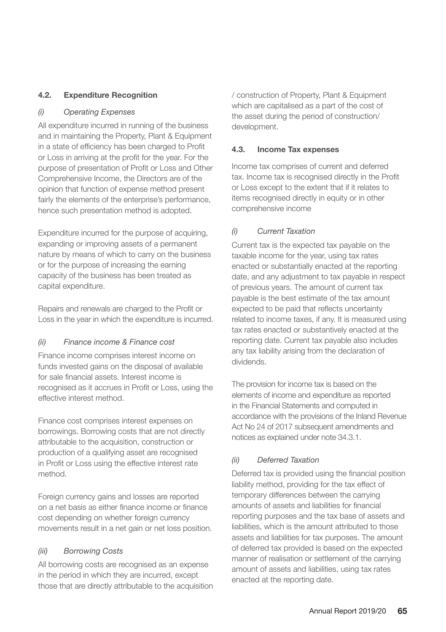#### **4.2. Expenditure Recognition**

#### *(i) Operating Expenses*

All expenditure incurred in running of the business and in maintaining the Property, Plant & Equipment in a state of efficiency has been charged to Profit or Loss in arriving at the profit for the year. For the purpose of presentation of Profit or Loss and Other Comprehensive Income, the Directors are of the opinion that function of expense method present fairly the elements of the enterprise's performance, hence such presentation method is adopted.

Expenditure incurred for the purpose of acquiring, expanding or improving assets of a permanent nature by means of which to carry on the business or for the purpose of increasing the earning capacity of the business has been treated as capital expenditure.

Repairs and renewals are charged to the Profit or Loss in the year in which the expenditure is incurred.

#### *(ii) Finance income & Finance cost*

Finance income comprises interest income on funds invested gains on the disposal of available for sale financial assets. Interest income is recognised as it accrues in Profit or Loss, using the effective interest method.

Finance cost comprises interest expenses on borrowings. Borrowing costs that are not directly attributable to the acquisition, construction or production of a qualifying asset are recognised in Profit or Loss using the effective interest rate method.

Foreign currency gains and losses are reported on a net basis as either finance income or finance cost depending on whether foreign currency movements result in a net gain or net loss position.

#### *(iii) Borrowing Costs*

All borrowing costs are recognised as an expense in the period in which they are incurred, except those that are directly attributable to the acquisition / construction of Property, Plant & Equipment which are capitalised as a part of the cost of the asset during the period of construction/ development.

#### **4.3. Income Tax expenses**

Income tax comprises of current and deferred tax. Income tax is recognised directly in the Profit or Loss except to the extent that if it relates to items recognised directly in equity or in other comprehensive income

#### *(i) Current Taxation*

Current tax is the expected tax payable on the taxable income for the year, using tax rates enacted or substantially enacted at the reporting date, and any adjustment to tax payable in respect of previous years. The amount of current tax payable is the best estimate of the tax amount expected to be paid that reflects uncertainty related to income taxes, if any. It is measured using tax rates enacted or substantively enacted at the reporting date. Current tax payable also includes any tax liability arising from the declaration of dividends.

The provision for income tax is based on the elements of income and expenditure as reported in the Financial Statements and computed in accordance with the provisions of the Inland Revenue Act No 24 of 2017 subsequent amendments and notices as explained under note 34.3.1.

#### *(ii) Deferred Taxation*

Deferred tax is provided using the financial position liability method, providing for the tax effect of temporary differences between the carrying amounts of assets and liabilities for financial reporting purposes and the tax base of assets and liabilities, which is the amount attributed to those assets and liabilities for tax purposes. The amount of deferred tax provided is based on the expected manner of realisation or settlement of the carrying amount of assets and liabilities, using tax rates enacted at the reporting date.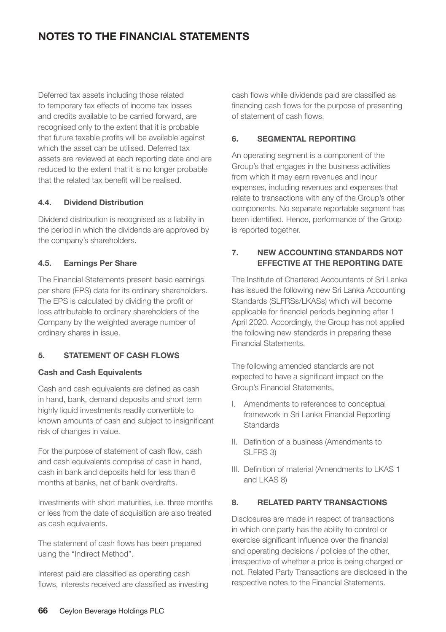Deferred tax assets including those related to temporary tax effects of income tax losses and credits available to be carried forward, are recognised only to the extent that it is probable that future taxable profits will be available against which the asset can be utilised. Deferred tax assets are reviewed at each reporting date and are reduced to the extent that it is no longer probable that the related tax benefit will be realised.

#### **4.4. Dividend Distribution**

Dividend distribution is recognised as a liability in the period in which the dividends are approved by the company's shareholders.

#### **4.5. Earnings Per Share**

The Financial Statements present basic earnings per share (EPS) data for its ordinary shareholders. The EPS is calculated by dividing the profit or loss attributable to ordinary shareholders of the Company by the weighted average number of ordinary shares in issue.

#### **5. STATEMENT OF CASH FLOWS**

#### **Cash and Cash Equivalents**

Cash and cash equivalents are defined as cash in hand, bank, demand deposits and short term highly liquid investments readily convertible to known amounts of cash and subject to insignificant risk of changes in value.

For the purpose of statement of cash flow, cash and cash equivalents comprise of cash in hand, cash in bank and deposits held for less than 6 months at banks, net of bank overdrafts.

Investments with short maturities, i.e. three months or less from the date of acquisition are also treated as cash equivalents.

The statement of cash flows has been prepared using the "Indirect Method".

Interest paid are classified as operating cash flows, interests received are classified as investing cash flows while dividends paid are classified as financing cash flows for the purpose of presenting of statement of cash flows.

#### **6. SEGMENTAL REPORTING**

An operating segment is a component of the Group's that engages in the business activities from which it may earn revenues and incur expenses, including revenues and expenses that relate to transactions with any of the Group's other components. No separate reportable segment has been identified. Hence, performance of the Group is reported together.

#### **7. NEW ACCOUNTING STANDARDS NOT EFFECTIVE AT THE REPORTING DATE**

The Institute of Chartered Accountants of Sri Lanka has issued the following new Sri Lanka Accounting Standards (SLFRSs/LKASs) which will become applicable for financial periods beginning after 1 April 2020. Accordingly, the Group has not applied the following new standards in preparing these Financial Statements.

The following amended standards are not expected to have a significant impact on the Group's Financial Statements,

- I. Amendments to references to conceptual framework in Sri Lanka Financial Reporting Standards
- II. Definition of a business (Amendments to SLFRS 3)
- III. Definition of material (Amendments to LKAS 1 and LKAS 8)

#### **8. RELATED PARTY TRANSACTIONS**

Disclosures are made in respect of transactions in which one party has the ability to control or exercise significant influence over the financial and operating decisions / policies of the other, irrespective of whether a price is being charged or not. Related Party Transactions are disclosed in the respective notes to the Financial Statements.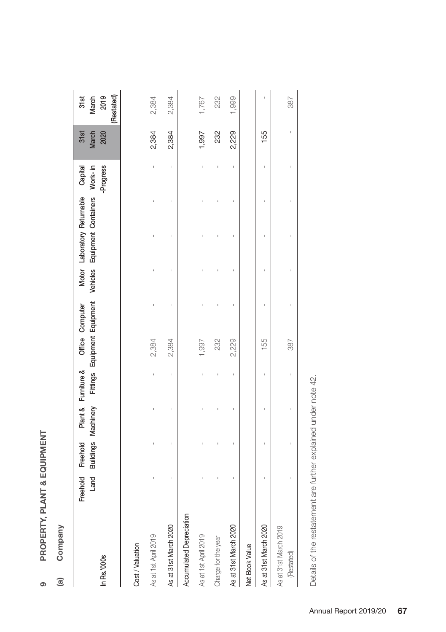| თ |
|---|

## Company **(a) Company**  $\widehat{a}$

| In Rs.'000s                         | Land | Freehold Freehold |  |       | Plant & Furniture & Office Computer | Buildings Machinery Fittings Equipment Equipment Vehicles Equipment Containers Work-in<br>Motor Laboratory Returnable Capital | -Progress | 31st<br>March<br>2020 | (Restated)<br>March<br>2019<br>31st |
|-------------------------------------|------|-------------------|--|-------|-------------------------------------|-------------------------------------------------------------------------------------------------------------------------------|-----------|-----------------------|-------------------------------------|
| Cost / Valuation                    |      |                   |  |       |                                     |                                                                                                                               |           |                       |                                     |
| As at 1st April 2019                |      |                   |  | 2,384 |                                     |                                                                                                                               |           | 2,384                 | 2,384                               |
| As at 31st March 2020               |      |                   |  | 2,384 |                                     |                                                                                                                               |           | 2,384                 | 2,384                               |
| Accumulated Depreciation            |      |                   |  |       |                                     |                                                                                                                               |           |                       |                                     |
| As at 1st April 2019                |      |                   |  | 1,997 |                                     |                                                                                                                               |           | 1,997                 | 1,767                               |
| Charge for the year                 |      |                   |  | 232   |                                     |                                                                                                                               |           | 232                   | 232                                 |
| As at 31st March 2020               |      |                   |  | 2,229 |                                     |                                                                                                                               |           | 2,229                 | 1,999                               |
| Net Book Value                      |      |                   |  |       |                                     |                                                                                                                               |           |                       |                                     |
| As at 31st March 2020               |      |                   |  | 155   |                                     |                                                                                                                               |           | 155                   |                                     |
| As at 31st March 2019<br>(Restated) |      |                   |  | 387   |                                     |                                                                                                                               |           |                       | 387                                 |
|                                     |      |                   |  |       |                                     |                                                                                                                               |           |                       |                                     |

Details of the restatement are further explained under note 42. Details of the restatement are further explained under note 42.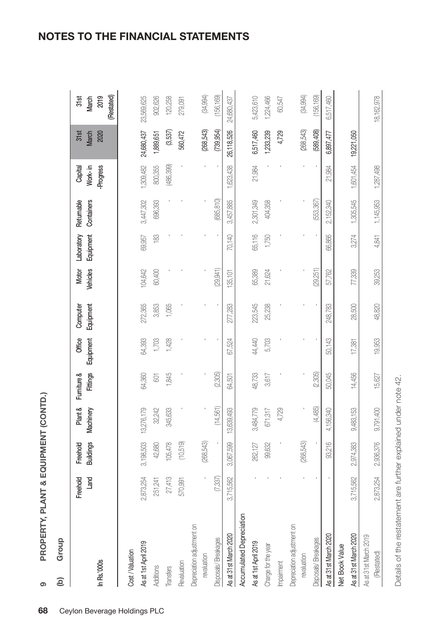PROPERTY, PLANT & EQUIPMENT (CONTD.) **PROPERTY, PLANT & EQUIPMENT (CONTD.)**

**9**

Group **(b) Group**  $\widehat{e}$ 

| In Rs.'000s                         | Land<br>Freehold | <b>Buildings</b><br>Freehold | Plant &<br>Machinery | Fittings<br>Fumiture & | Office<br>Equipment | Equipment<br>Computer | Vehicles<br>Motor | Laboratory<br>Equipment | Returnable<br>Containers | Work-in<br><b>Progress</b><br>Capital | 31st<br>March<br>2020 | (Restated)<br>31st<br>2019<br>March |
|-------------------------------------|------------------|------------------------------|----------------------|------------------------|---------------------|-----------------------|-------------------|-------------------------|--------------------------|---------------------------------------|-----------------------|-------------------------------------|
| Cost/Valuation                      |                  |                              |                      |                        |                     |                       |                   |                         |                          |                                       |                       |                                     |
| As at 1st April 2019                | 2,873,254        | 3,198,503                    | 13,276,179           | 64,360                 | 64,393              | 272,365               | 104,642           | 69,957                  | 3,447,302                | 1,309,482                             | 24,680,437            | 23,569,625                          |
| Additions                           | 251,241          | 42,680                       | 32,242               | $\overline{\otimes}$   | ,703                | 3,853                 | 60,400            | $\frac{83}{2}$          | 696,393                  | 800,355                               | 1,889,651             | 902,626                             |
| Transfers                           | 27,413           | 105,478                      | 345,633              | 1,845                  | 1,428               | 1,065                 |                   |                         |                          | (486,399)                             | (3,537)               | 120,258                             |
| Revaluation                         | 570,991          | (10, 519)                    |                      |                        |                     |                       |                   |                         |                          |                                       | 560,472               | 279,091                             |
| Depreciation adjustment on          |                  |                              |                      |                        |                     |                       |                   |                         |                          |                                       |                       |                                     |
| revaluation                         |                  | (268,543)                    |                      |                        |                     |                       |                   |                         |                          |                                       | (268, 543)            | (34, 994)                           |
| Disposals/Breakages                 | (7,337)          |                              | (14,561)             | (2,305)                |                     |                       | (29,941)          |                         | (685,810)                |                                       | (739, 954)            | 156,169                             |
| As at 31st March 2020               | 3,715,562        | 3,067,599                    | 13,639,493           | 64,501                 | 67,524              | 277,283               | 135,101           | 70,140                  | 3,457,885                | 1,623,438                             | 26,118,526            | 24,680,437                          |
| <b>Accumulated Depreciation</b>     |                  |                              |                      |                        |                     |                       |                   |                         |                          |                                       |                       |                                     |
| As at 1st April 2019                |                  | 262,127                      | 3,484,779            | 48,733                 | 44,440              | 223,545               | 65,389            | 65,116                  | 2,301,349                | 21,984                                | 6,517,460             | 5,423,610                           |
| Charge for the year                 |                  | 99,632                       | 671,317              | 3,617                  | 5,703               | 25,238                | 21,624            | 1,750                   | 404,358                  |                                       | 1,233,239             | 1,224,466                           |
| mpairment                           |                  |                              | 4,729                |                        |                     |                       |                   |                         |                          |                                       | 4,729                 | 60,547                              |
| Depreciation adjustment on          |                  |                              |                      |                        |                     |                       |                   |                         |                          |                                       |                       |                                     |
| revaluation                         |                  | (268,543)                    |                      |                        |                     |                       |                   |                         |                          |                                       | (268,543)             | (34, 994)                           |
| Disposals/Breakages                 |                  |                              | (4,485)              | (2,305)                |                     |                       | (29, 251)         |                         | (553,367)                |                                       | (589,408)             | (156, 169)                          |
| As at 31st March 2020               |                  | 93,216                       | 4,156,340            | 50,045                 | 50,143              | 248,783               | 57,762            | 66,866                  | 2,152,340                | 21,984                                | 6,897,477             | 6,517,460                           |
| Net Book Value                      |                  |                              |                      |                        |                     |                       |                   |                         |                          |                                       |                       |                                     |
| As at 31st March 2020               | 3,715,562        | 2,974,383                    | 9,483,153            | 14,456                 | 17,381              | 28,500                | 77,339            | 3,274                   | 1,305,545                | 1,601,454                             | 19,221,050            |                                     |
| As at 31st March 2019<br>(Restated) | 2,873,254        | 2,936,376                    | 9,791,400            | 15,627                 | 19,953              | 48.820                | 39,253            | 4.841                   | 1,145,953                | 1,287,498                             |                       | 18,162,978                          |
|                                     |                  |                              |                      |                        |                     |                       |                   |                         |                          |                                       |                       |                                     |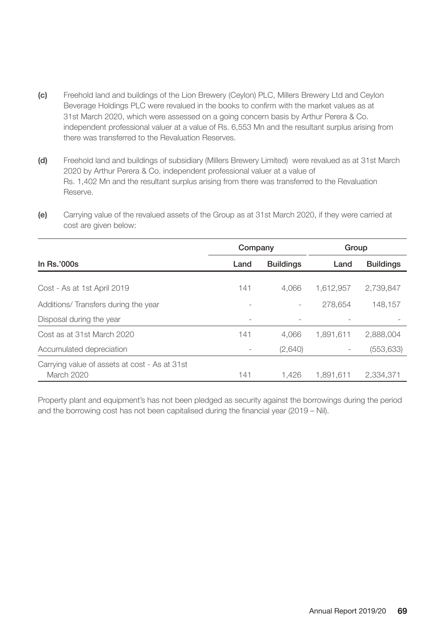- **(c)** Freehold land and buildings of the Lion Brewery (Ceylon) PLC, Millers Brewery Ltd and Ceylon Beverage Holdings PLC were revalued in the books to confirm with the market values as at 31st March 2020, which were assessed on a going concern basis by Arthur Perera & Co. independent professional valuer at a value of Rs. 6,553 Mn and the resultant surplus arising from there was transferred to the Revaluation Reserves.
- **(d)** Freehold land and buildings of subsidiary (Millers Brewery Limited) were revalued as at 31st March 2020 by Arthur Perera & Co. independent professional valuer at a value of Rs. 1,402 Mn and the resultant surplus arising from there was transferred to the Revaluation Reserve.
- **(e)** Carrying value of the revalued assets of the Group as at 31st March 2020, if they were carried at cost are given below:

|                                               | Company |                  | Group     |                  |
|-----------------------------------------------|---------|------------------|-----------|------------------|
| In $Rs.'000s$                                 | Land    | <b>Buildings</b> | Land      | <b>Buildings</b> |
|                                               |         |                  |           |                  |
| Cost - As at 1st April 2019                   | 141     | 4.066            | 1.612.957 | 2,739,847        |
| Additions/Transfers during the year           |         |                  | 278.654   | 148.157          |
| Disposal during the year                      |         |                  |           |                  |
| Cost as at 31st March 2020                    | 141     | 4.066            | 1.891.611 | 2,888,004        |
| Accumulated depreciation                      |         | (2,640)          |           | (553, 633)       |
| Carrying value of assets at cost - As at 31st |         |                  |           |                  |
| March 2020                                    | 141     | 1.426            | 1,891,611 | 2,334,371        |

Property plant and equipment's has not been pledged as security against the borrowings during the period and the borrowing cost has not been capitalised during the financial year (2019 – Nil).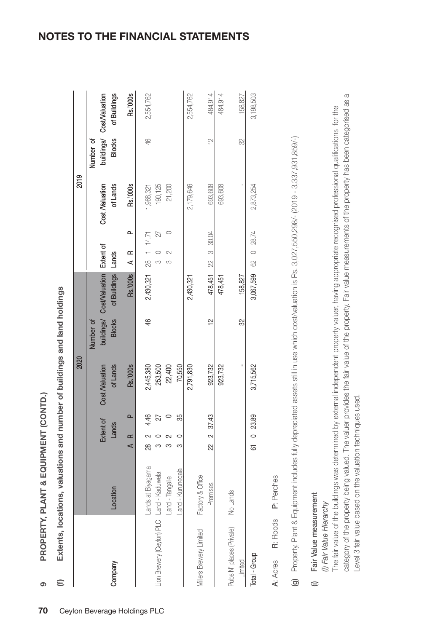PROPERTY, PLANT & EQUIPMENT (CONTD.) **PROPERTY, PLANT & EQUIPMENT (CONTD.)**

**9**

Extents, locations, valuations and number of buildings and land holdings **(f) Extents, locations, valuations and number of buildings and land holdings**  $\epsilon$ 

|                                           |                   |            |                    | 2020                       |               |                                                     |                    |    | 2019                       |               |                                           |
|-------------------------------------------|-------------------|------------|--------------------|----------------------------|---------------|-----------------------------------------------------|--------------------|----|----------------------------|---------------|-------------------------------------------|
|                                           |                   |            |                    |                            | Number of     |                                                     |                    |    |                            | Number of     |                                           |
| Company                                   | Location          |            | Extent of<br>Lands | Cost Naluation<br>of Lands | <b>Blocks</b> | buildings/ Cost/Valuation Extent of<br>of Buildings | Lands              |    | of Lands<br>Cost Naluation | <b>Blocks</b> | buildings/ Cost/Valuation<br>of Buildings |
|                                           |                   | AR         | $\Omega$           | <b>Rs.'000s</b>            |               | <b>Rs.'000s</b>                                     | $A$ R              | o. | Rs.'000s                   |               | Rs.'000s                                  |
|                                           | ands at Blyagama  | æ<br>Ro    | 4.46               | 2,445,380                  | \$            | 2,430,321 28 1 14.71                                |                    |    | 1,968,321                  | 46            | 2,554,762                                 |
| Lion Brewery (Ceylon) PLC Land - Kaduwela |                   |            | 27                 | 253,500                    |               |                                                     | m                  | 22 | 190,125                    |               |                                           |
|                                           | Land - Tangalle   |            |                    | 22,400                     |               |                                                     |                    |    | 21,200                     |               |                                           |
|                                           | Land - Kurunegala | S          | ఘ్                 | 70,550                     |               |                                                     |                    |    |                            |               |                                           |
|                                           |                   |            |                    | 2,791,830                  |               | 2,430,321                                           |                    |    | 2,179,646                  |               | 2,554,762                                 |
| Millers Brewery Limited                   | Factory & Office  |            |                    |                            |               |                                                     |                    |    |                            |               |                                           |
|                                           | Premises          | 22 2 37.43 |                    | 923,732                    | $\frac{1}{2}$ |                                                     | 478,451 22 3 30.04 |    | 693,608                    | $\frac{1}{2}$ | 484,914                                   |
|                                           |                   |            |                    | 923,732                    |               | 478,451                                             |                    |    | 693,608                    |               | 484,914                                   |
| Pubs N' places (Private)                  | No Lands          |            |                    |                            |               |                                                     |                    |    |                            |               |                                           |
| Limited                                   |                   |            |                    |                            | 32            | 158,827                                             |                    |    |                            | R             | 158,827                                   |
| Total - Group                             |                   | 61 0 23.89 |                    | 3,715,562                  |               | 3,067,599 62 0 28.74                                |                    |    | 2,873,254                  |               | 3,198,503                                 |
|                                           |                   |            |                    |                            |               |                                                     |                    |    |                            |               |                                           |

P: Perches A: Acres R: Roods P: Perches R: Roods A: Acres Property, Plant & Equipment includes fully depreciated assets still in use which cost/valuation is Rs. 3,027,550,298/- (2019 - 3,337,931,859/-) (g) Property, Plant & Equipment includes fully depreciated assets still in use which cost/valuation is Rs. 3,027,550,298/- (2019 - 3,337,931,859/-)  $\odot$ 

# Fair Value measurement (i) Fair Value measurement  $\widehat{=}$

(i) Fair Value Hierarchy *(i) Fair Value Hierarchy*

category of the property being valued. The valuer provides the fair value of the property. Fair value measurements of the property has been categorised as a category of the property being valued. The valuer provides the fair value of the property. Fair value measurements of the property has been categorised as a The fair value of the buildings was determined by external independent property valuer, having appropriate recognised professional qualifications for the The fair value of the buildings was determined by external independent property valuer, having appropriate recognised professional qualifications for the evel 3 fair value based on the valuation techniques used. Level 3 fair value based on the valuation techniques used.

### **NOTES TO THE FINANCIAL STATEMENTS**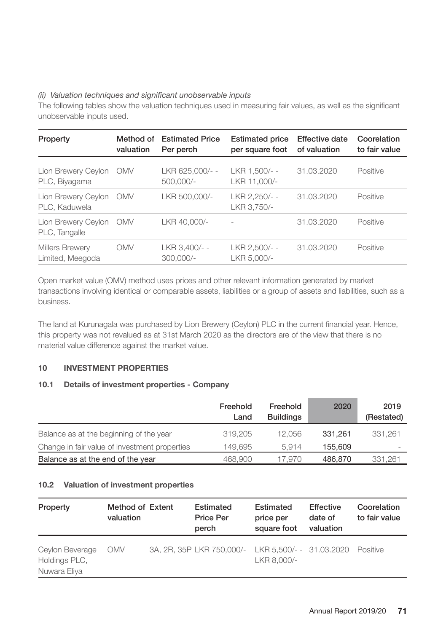## *(ii) Valuation techniques and significant unobservable inputs*

The following tables show the valuation techniques used in measuring fair values, as well as the significant unobservable inputs used.

| Property                             | Method of<br>valuation | <b>Estimated Price</b><br>Per perch | <b>Estimated price</b><br>per square foot | <b>Effective date</b><br>of valuation | Coorelation<br>to fair value |
|--------------------------------------|------------------------|-------------------------------------|-------------------------------------------|---------------------------------------|------------------------------|
| Lion Brewery Ceylon<br>PLC, Biyagama | <b>OMV</b>             | LKR 625.000/--<br>500,000/-         | LKR 1.500/--<br>LKR 11,000/-              | 31.03.2020                            | Positive                     |
| Lion Brewery Ceylon<br>PLC, Kaduwela | <b>OMV</b>             | LKR 500,000/-                       | LKR 2.250/--<br>LKR 3.750/-               | 31.03.2020                            | Positive                     |
| Lion Brewery Ceylon<br>PLC, Tangalle | <b>OMV</b>             | LKR 40.000/-                        |                                           | 31.03.2020                            | Positive                     |
| Millers Brewery<br>Limited, Meegoda  | OMV                    | LKR 3.400/--<br>$300,000/-$         | LKR 2.500/--<br>LKR 5,000/-               | 31.03.2020                            | Positive                     |

Open market value (OMV) method uses prices and other relevant information generated by market transactions involving identical or comparable assets, liabilities or a group of assets and liabilities, such as a business.

The land at Kurunagala was purchased by Lion Brewery (Ceylon) PLC in the current financial year. Hence, this property was not revalued as at 31st March 2020 as the directors are of the view that there is no material value difference against the market value.

# **10 INVESTMENT PROPERTIES**

# **10.1 Details of investment properties - Company**

|                                               | Freehold<br>Land | Freehold<br><b>Buildings</b> | 2020    | 2019<br>(Restated)       |
|-----------------------------------------------|------------------|------------------------------|---------|--------------------------|
| Balance as at the beginning of the year       | 319.205          | 12.056                       | 331.261 | 331.261                  |
| Change in fair value of investment properties | 149.695          | 5.914                        | 155.609 | $\overline{\phantom{a}}$ |
| Balance as at the end of the year             | 468.900          | 17.970                       | 486,870 | 331,261                  |

# **10.2 Valuation of investment properties**

| Property                                         | Method of Extent<br>valuation | Estimated<br><b>Price Per</b><br>perch             | Estimated<br>price per<br>square foot | Effective<br>date of<br>valuation | Coorelation<br>to fair value |
|--------------------------------------------------|-------------------------------|----------------------------------------------------|---------------------------------------|-----------------------------------|------------------------------|
| Ceylon Beverage<br>Holdings PLC,<br>Nuwara Eliya | <b>OMV</b>                    | 3A, 2R, 35P LKR 750,000/- LKR 5,500/- - 31.03.2020 | LKR 8.000/-                           |                                   | Positive                     |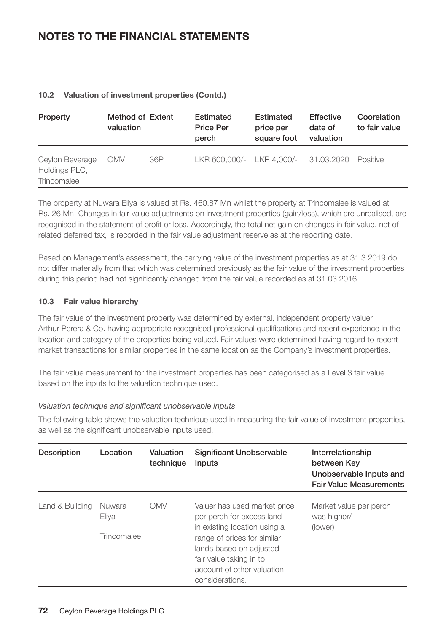| Property                                        | Method of Extent<br>valuation |     | Estimated<br><b>Price Per</b><br>perch | Estimated<br>price per<br>square foot | Effective<br>date of<br>valuation | Coorelation<br>to fair value |
|-------------------------------------------------|-------------------------------|-----|----------------------------------------|---------------------------------------|-----------------------------------|------------------------------|
| Ceylon Beverage<br>Holdings PLC,<br>Trincomalee | <b>OMV</b>                    | 36P | LKR 600,000/- LKR 4,000/-              |                                       | 31.03.2020 Positive               |                              |

# **10.2 Valuation of investment properties (Contd.)**

The property at Nuwara Eliya is valued at Rs. 460.87 Mn whilst the property at Trincomalee is valued at Rs. 26 Mn. Changes in fair value adjustments on investment properties (gain/loss), which are unrealised, are recognised in the statement of profit or loss. Accordingly, the total net gain on changes in fair value, net of related deferred tax, is recorded in the fair value adjustment reserve as at the reporting date.

Based on Management's assessment, the carrying value of the investment properties as at 31.3.2019 do not differ materially from that which was determined previously as the fair value of the investment properties during this period had not significantly changed from the fair value recorded as at 31.03.2016.

# **10.3 Fair value hierarchy**

The fair value of the investment property was determined by external, independent property valuer, Arthur Perera & Co. having appropriate recognised professional qualifications and recent experience in the location and category of the properties being valued. Fair values were determined having regard to recent market transactions for similar properties in the same location as the Company's investment properties.

The fair value measurement for the investment properties has been categorised as a Level 3 fair value based on the inputs to the valuation technique used.

# *Valuation technique and significant unobservable inputs*

The following table shows the valuation technique used in measuring the fair value of investment properties, as well as the significant unobservable inputs used.

| Description     | Location    | Valuation<br>technique | Significant Unobservable<br>Inputs                                                                                                                                 | Interrelationship<br>between Kev<br>Unobservable Inputs and<br><b>Fair Value Measurements</b> |
|-----------------|-------------|------------------------|--------------------------------------------------------------------------------------------------------------------------------------------------------------------|-----------------------------------------------------------------------------------------------|
| Land & Building | Nuwara      | OMV                    | Valuer has used market price                                                                                                                                       | Market value per perch                                                                        |
|                 | Eliya       |                        | per perch for excess land                                                                                                                                          | was higher/                                                                                   |
|                 | Trincomalee |                        | in existing location using a<br>range of prices for similar<br>lands based on adjusted<br>fair value taking in to<br>account of other valuation<br>considerations. | (lower)                                                                                       |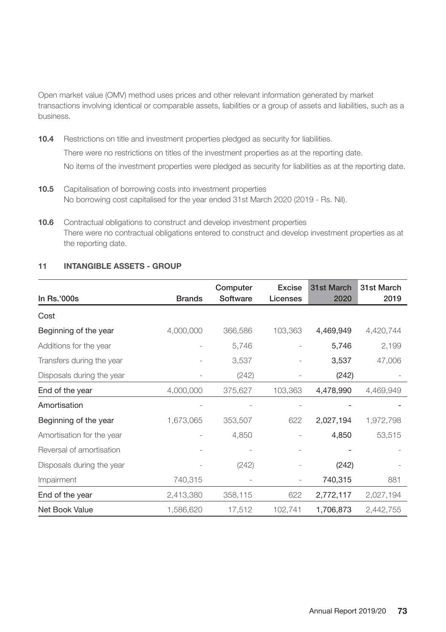Open market value (OMV) method uses prices and other relevant information generated by market transactions involving identical or comparable assets, liabilities or a group of assets and liabilities, such as a business.

**10.4** Restrictions on title and investment properties pledged as security for liabilities. There were no restrictions on titles of the investment properties as at the reporting date. No items of the investment properties were pledged as security for liabilities as at the reporting date.

- **10.5** Capitalisation of borrowing costs into investment properties No borrowing cost capitalised for the year ended 31st March 2020 (2019 - Rs. Nil).
- **10.6** Contractual obligations to construct and develop investment properties There were no contractual obligations entered to construct and develop investment properties as at the reporting date.

| 11 | <b>INTANGIBLE ASSETS - GROUP</b> |  |
|----|----------------------------------|--|
|    |                                  |  |

| In Rs.'000s               | <b>Brands</b> | Computer<br>Software | Excise<br>Licenses | 31st March<br>2020 | 31st March<br>2019 |
|---------------------------|---------------|----------------------|--------------------|--------------------|--------------------|
| Cost                      |               |                      |                    |                    |                    |
| Beginning of the year     | 4,000,000     | 366,586              | 103,363            | 4,469,949          | 4,420,744          |
| Additions for the year    |               | 5,746                |                    | 5,746              | 2,199              |
| Transfers during the year |               | 3,537                |                    | 3,537              | 47,006             |
| Disposals during the year |               | (242)                |                    | (242)              |                    |
| End of the year           | 4,000,000     | 375,627              | 103,363            | 4,478,990          | 4,469,949          |
| Amortisation              |               |                      |                    |                    |                    |
| Beginning of the year     | 1,673,065     | 353,507              | 622                | 2,027,194          | 1,972,798          |
| Amortisation for the year |               | 4,850                |                    | 4,850              | 53,515             |
| Reversal of amortisation  |               |                      |                    |                    |                    |
| Disposals during the year |               | (242)                |                    | (242)              |                    |
| Impairment                | 740,315       |                      |                    | 740,315            | 881                |
| End of the year           | 2,413,380     | 358,115              | 622                | 2,772,117          | 2,027,194          |
| Net Book Value            | 1,586,620     | 17,512               | 102,741            | 1,706,873          | 2,442,755          |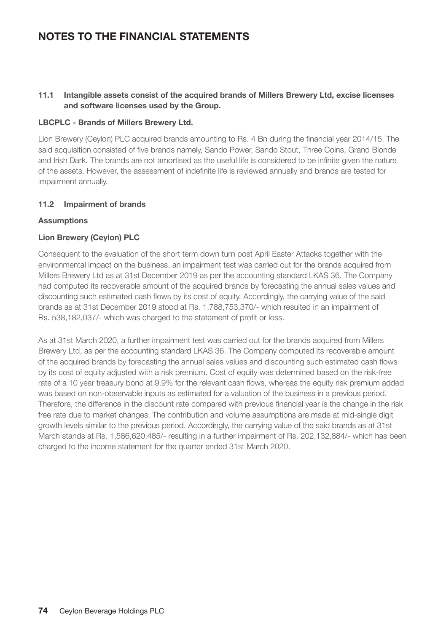# **11.1 Intangible assets consist of the acquired brands of Millers Brewery Ltd, excise licenses and software licenses used by the Group.**

## **LBCPLC - Brands of Millers Brewery Ltd.**

Lion Brewery (Ceylon) PLC acquired brands amounting to Rs. 4 Bn during the financial year 2014/15. The said acquisition consisted of five brands namely, Sando Power, Sando Stout, Three Coins, Grand Blonde and Irish Dark. The brands are not amortised as the useful life is considered to be infinite given the nature of the assets. However, the assessment of indefinite life is reviewed annually and brands are tested for impairment annually.

## **11.2 Impairment of brands**

## **Assumptions**

## **Lion Brewery (Ceylon) PLC**

Consequent to the evaluation of the short term down turn post April Easter Attacks together with the environmental impact on the business, an impairment test was carried out for the brands acquired from Millers Brewery Ltd as at 31st December 2019 as per the accounting standard LKAS 36. The Company had computed its recoverable amount of the acquired brands by forecasting the annual sales values and discounting such estimated cash flows by its cost of equity. Accordingly, the carrying value of the said brands as at 31st December 2019 stood at Rs. 1,788,753,370/‐ which resulted in an impairment of Rs. 538,182,037/‐ which was charged to the statement of profit or loss.

As at 31st March 2020, a further impairment test was carried out for the brands acquired from Millers Brewery Ltd, as per the accounting standard LKAS 36. The Company computed its recoverable amount of the acquired brands by forecasting the annual sales values and discounting such estimated cash flows by its cost of equity adjusted with a risk premium. Cost of equity was determined based on the risk-free rate of a 10 year treasury bond at 9.9% for the relevant cash flows, whereas the equity risk premium added was based on non-observable inputs as estimated for a valuation of the business in a previous period. Therefore, the difference in the discount rate compared with previous financial year is the change in the risk free rate due to market changes. The contribution and volume assumptions are made at mid-single digit growth levels similar to the previous period. Accordingly, the carrying value of the said brands as at 31st March stands at Rs. 1,586,620,485/‐ resulting in a further impairment of Rs. 202,132,884/‐ which has been charged to the income statement for the quarter ended 31st March 2020.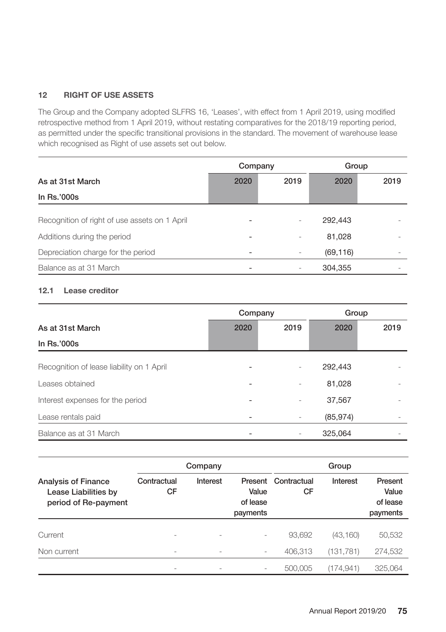# **12 RIGHT OF USE ASSETS**

The Group and the Company adopted SLFRS 16, 'Leases', with effect from 1 April 2019, using modified retrospective method from 1 April 2019, without restating comparatives for the 2018/19 reporting period, as permitted under the specific transitional provisions in the standard. The movement of warehouse lease which recognised as Right of use assets set out below.

|                                               | Company |      | Group     |      |
|-----------------------------------------------|---------|------|-----------|------|
| As at 31st March                              | 2020    | 2019 | 2020      | 2019 |
| In Rs.'000s                                   |         |      |           |      |
| Recognition of right of use assets on 1 April |         |      | 292.443   |      |
| Additions during the period                   |         |      | 81,028    |      |
| Depreciation charge for the period            |         |      | (69, 116) |      |
| Balance as at 31 March                        |         |      | 304,355   |      |

# **12.1 Lease creditor**

|                                           | Company |      | Group     |      |
|-------------------------------------------|---------|------|-----------|------|
| As at 31st March                          | 2020    | 2019 | 2020      | 2019 |
| In Rs.'000s                               |         |      |           |      |
| Recognition of lease liability on 1 April |         |      | 292,443   |      |
| Leases obtained                           |         |      | 81,028    |      |
| Interest expenses for the period          |         |      | 37,567    |      |
| Lease rentals paid                        |         |      | (85, 974) |      |
| Balance as at 31 March                    |         |      | 325,064   |      |

|                                                                            |                   | Company                  |                               |                           | Group     |                                          |
|----------------------------------------------------------------------------|-------------------|--------------------------|-------------------------------|---------------------------|-----------|------------------------------------------|
| <b>Analysis of Finance</b><br>Lease Liabilities by<br>period of Re-payment | Contractual<br>CF | Interest                 | Value<br>of lease<br>payments | Present Contractual<br>CF | Interest  | Present<br>Value<br>of lease<br>payments |
|                                                                            |                   |                          |                               |                           |           |                                          |
| Current                                                                    |                   |                          |                               | 93.692                    | (43, 160) | 50,532                                   |
| Non current                                                                |                   | $\overline{\phantom{a}}$ | -                             | 406,313                   | (131,781) | 274,532                                  |
|                                                                            |                   |                          |                               | 500,005                   | (174.941) | 325.064                                  |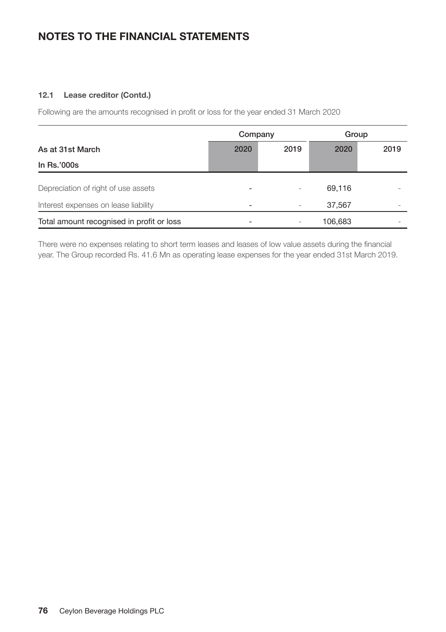# **12.1 Lease creditor (Contd.)**

Following are the amounts recognised in profit or loss for the year ended 31 March 2020

|                                           | Company |      | Group   |      |
|-------------------------------------------|---------|------|---------|------|
| As at 31st March                          | 2020    | 2019 | 2020    | 2019 |
| In Rs.'000s                               |         |      |         |      |
| Depreciation of right of use assets       |         |      | 69.116  |      |
| Interest expenses on lease liability      |         |      | 37,567  |      |
| Total amount recognised in profit or loss |         |      | 106,683 |      |

There were no expenses relating to short term leases and leases of low value assets during the financial year. The Group recorded Rs. 41.6 Mn as operating lease expenses for the year ended 31st March 2019.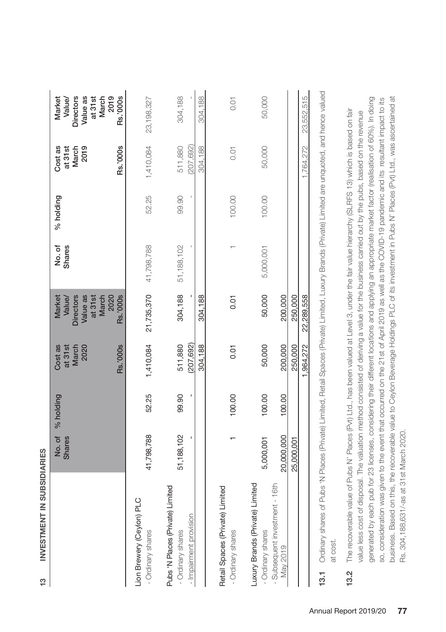| i                          |
|----------------------------|
| i<br>ï                     |
|                            |
| ï<br>í<br>ł<br>ı<br>i      |
| í                          |
| ï<br>ï<br>ï<br>ı<br>٠<br>ı |
| ٠<br>i                     |

|                                                                                                                                                                         | <b>Shares</b>           | No. of % holding | <b>Rs.'000s</b><br>Cost as<br>at 31st<br>March<br>2020 | <b>Directors</b><br>Value as<br>at 31st<br>March<br><b>Rs.'000s</b><br><b>Market</b><br>Value/<br>2020 | No. of<br>Shares      | % holding | Rs.'000s<br>Cost as<br>2019<br>at 31st<br>March | Rs.'000s<br>Directors<br>Value as<br>at 31st<br>March<br>2019<br>Market<br>Value/ |
|-------------------------------------------------------------------------------------------------------------------------------------------------------------------------|-------------------------|------------------|--------------------------------------------------------|--------------------------------------------------------------------------------------------------------|-----------------------|-----------|-------------------------------------------------|-----------------------------------------------------------------------------------|
| Lion Brewery (Ceylon) PLC<br>- Ordinary shares                                                                                                                          | 41,798,788              | 52.25            | 1,410,084                                              |                                                                                                        | 21,735,370 41,798,788 | 52.25     | 1,410,084                                       | 23, 198, 327                                                                      |
| Pubs 'N Places (Private) Limited<br>- Impairment provision<br>- Ordinary shares                                                                                         | 51,188,102              | 99.90            | (207, 692)<br>511,880<br>304,188                       | 304,188<br>304.188                                                                                     | 51,188,102            | 99.90     | 511,880<br>207,692)<br>304,188                  | 304,188<br>304,188                                                                |
| Retail Spaces (Private) Limited<br>- Ordinary shares                                                                                                                    |                         | 100.00           | 0.01                                                   | 0.01                                                                                                   |                       | 100.00    | 0.01                                            | 0.01                                                                              |
| Luxury Brands (Private) Limited<br>- Subsequent investment - 16th<br>- Ordinary shares                                                                                  | 20,000,000<br>5,000,001 | 100.00           | 50,000                                                 | 50,000                                                                                                 | 5,000,001             | 100.00    | 50,000                                          | 50,000                                                                            |
| May 2019                                                                                                                                                                | 25.000.001              | 100.00           | 200,000<br>250,000<br>,964,272                         | 200,000<br>250,000<br>22,289,558                                                                       |                       |           | 764.272                                         | 23,552,515                                                                        |
| Ordinary shares of Pubs 'N Places (Private) Limited, Retail Spaces (Private) Limited, Luxury Brands (Private) Limited are unquoted, and hence valued<br>to chet<br>13.1 |                         |                  |                                                        |                                                                                                        |                       |           |                                                 |                                                                                   |

at cost.

business. Based on this, the recoverable value to Ceylon Beverage Holdings PLC of its investment in Pubs N' Places (Pvt) Ltd., was ascertained at business. Based on this, the recoverable value to Ceylon Beverage Holdings PLC of its investment in Pubs N' Places (Pvt) Ltd., was ascertained at generated by each pub for 23 licenses, considering their different locations and applying an appropriate market factor (realisation of 60%). In doing generated by each pub for 23 licenses, considering their different locations and applying an appropriate market factor (realisation of 60%). In doing so, consideration was given to the event that occurred on the 21st of April 2019 as well as the COVID-19 pandemic and its resultant impact to its so, consideration was given to the event that occurred on the 21st of April 2019 as well as the COVID-19 pandemic and its resultant impact to its The recoverable value of Pubs N' Places (Pvt) Ltd., has been valued at Level 3, under the fair value hierarchy (SLRFS 13) which is based on fair **13.2** The recoverable value of Pubs N' Places (Pvt) Ltd., has been valued at Level 3, under the fair value hierarchy (SLRFS 13) which is based on fair value less cost of disposal. The valuation method consisted of deriving a value for the business carried out by the pubs, based on the revenue value less cost of disposal. The valuation method consisted of deriving a value for the business carried out by the pubs, based on the revenue Rs. 304,188,631/-as at 31st March 2020. Rs. 304,188,631/-as at 31st March 2020. $13.2$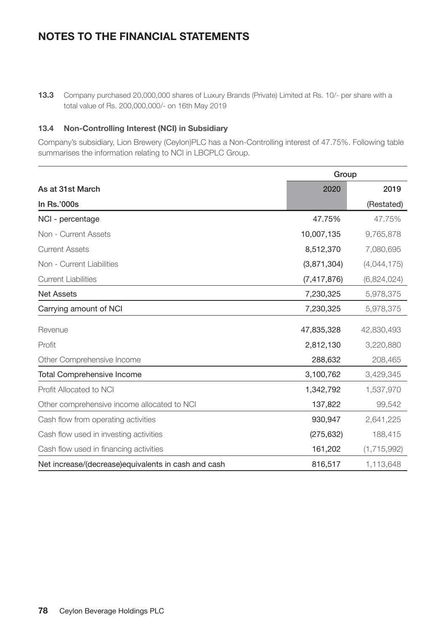**13.3** Company purchased 20,000,000 shares of Luxury Brands (Private) Limited at Rs. 10/- per share with a total value of Rs. 200,000,000/- on 16th May 2019

# **13.4 Non-Controlling Interest (NCI) in Subsidiary**

Company's subsidiary, Lion Brewery (Ceylon)PLC has a Non-Controlling interest of 47.75%. Following table summarises the information relating to NCI in LBCPLC Group.

|                                                     | Group         |             |
|-----------------------------------------------------|---------------|-------------|
| As at 31st March                                    | 2020          | 2019        |
| In Rs.'000s                                         |               | (Restated)  |
| NCI - percentage                                    | 47.75%        | 47.75%      |
| Non - Current Assets                                | 10,007,135    | 9,765,878   |
| <b>Current Assets</b>                               | 8,512,370     | 7,080,695   |
| Non - Current Liabilities                           | (3,871,304)   | (4,044,175) |
| <b>Current Liabilities</b>                          | (7, 417, 876) | (6,824,024) |
| <b>Net Assets</b>                                   | 7,230,325     | 5,978,375   |
| Carrying amount of NCI                              | 7,230,325     | 5,978,375   |
| Revenue                                             | 47,835,328    | 42,830,493  |
| Profit                                              | 2,812,130     | 3,220,880   |
| Other Comprehensive Income                          | 288,632       | 208,465     |
| <b>Total Comprehensive Income</b>                   | 3,100,762     | 3,429,345   |
| Profit Allocated to NCI                             | 1,342,792     | 1,537,970   |
| Other comprehensive income allocated to NCI         | 137,822       | 99,542      |
| Cash flow from operating activities                 | 930,947       | 2,641,225   |
| Cash flow used in investing activities              | (275, 632)    | 188,415     |
| Cash flow used in financing activities              | 161,202       | (1,715,992) |
| Net increase/(decrease)equivalents in cash and cash | 816,517       | 1,113,648   |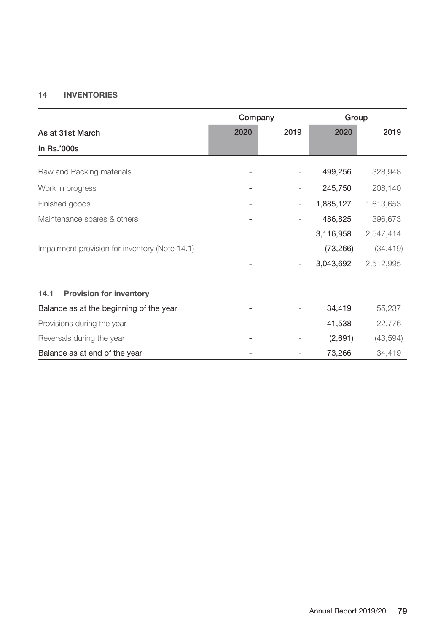# **14 INVENTORIES**

|                                                | Company |      | Group     |           |
|------------------------------------------------|---------|------|-----------|-----------|
| As at 31st March                               | 2020    | 2019 | 2020      | 2019      |
| In Rs.'000s                                    |         |      |           |           |
| Raw and Packing materials                      |         |      | 499,256   | 328,948   |
| Work in progress                               |         |      | 245,750   | 208,140   |
| Finished goods                                 |         |      | 1,885,127 | 1,613,653 |
| Maintenance spares & others                    |         |      | 486,825   | 396,673   |
|                                                |         |      | 3,116,958 | 2,547,414 |
| Impairment provision for inventory (Note 14.1) |         |      | (73, 266) | (34, 419) |
|                                                |         |      | 3,043,692 | 2,512,995 |
|                                                |         |      |           |           |
| 14.1<br><b>Provision for inventory</b>         |         |      |           |           |
| Balance as at the beginning of the year        |         |      | 34,419    | 55,237    |
| Provisions during the year                     |         |      | 41,538    | 22,776    |
| Reversals during the year                      |         |      | (2,691)   | (43, 594) |
| Balance as at end of the year                  |         |      | 73,266    | 34,419    |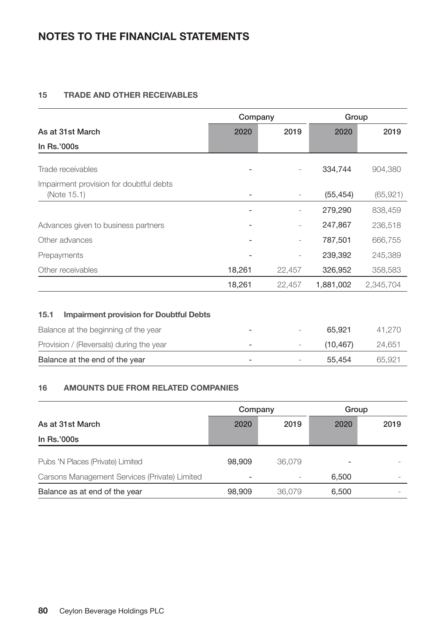# **15 TRADE AND OTHER RECEIVABLES**

|                                                        | Company |                          | Group     |           |
|--------------------------------------------------------|---------|--------------------------|-----------|-----------|
| As at 31st March                                       | 2020    | 2019                     | 2020      | 2019      |
| In Rs.'000s                                            |         |                          |           |           |
| Trade receivables                                      |         |                          | 334,744   | 904,380   |
| Impairment provision for doubtful debts<br>(Note 15.1) |         | -                        | (55, 454) | (65, 921) |
|                                                        |         |                          | 279,290   | 838,459   |
| Advances given to business partners                    |         | $\overline{a}$           | 247,867   | 236,518   |
| Other advances                                         |         | $\overline{\phantom{0}}$ | 787,501   | 666,755   |
| Prepayments                                            |         |                          | 239,392   | 245,389   |
| Other receivables                                      | 18,261  | 22,457                   | 326,952   | 358,583   |
|                                                        | 18.261  | 22.457                   | 1.881.002 | 2.345.704 |

## **15.1 Impairment provision for Doubtful Debts**

| Balance at the beginning of the year    |                          | 65.921   | 41.270 |
|-----------------------------------------|--------------------------|----------|--------|
| Provision / (Reversals) during the year | $\overline{\phantom{0}}$ | (10.467) | 24.651 |
| Balance at the end of the year          | $\overline{\phantom{0}}$ | 55.454   | 65.921 |

# **16 AMOUNTS DUE FROM RELATED COMPANIES**

|                                               | Company |        | Group |      |
|-----------------------------------------------|---------|--------|-------|------|
| As at 31st March                              | 2020    | 2019   | 2020  | 2019 |
| In Rs.'000s                                   |         |        |       |      |
| Pubs 'N Places (Private) Limited              | 98.909  | 36.079 |       |      |
| Carsons Management Services (Private) Limited |         |        | 6.500 |      |
| Balance as at end of the year                 | 98.909  | 36.079 | 6,500 |      |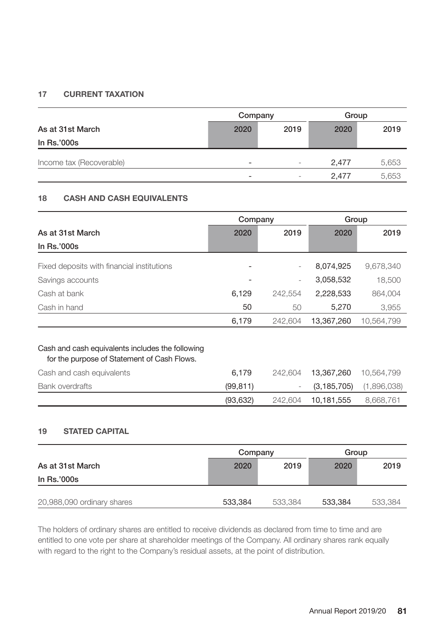# **17 CURRENT TAXATION**

|                          |                          | Company                  |       | Group |
|--------------------------|--------------------------|--------------------------|-------|-------|
| As at 31st March         | 2020                     | 2019                     | 2020  | 2019  |
| In Rs.'000s              |                          |                          |       |       |
| Income tax (Recoverable) |                          | $\overline{\phantom{a}}$ | 2.477 | 5,653 |
|                          | $\overline{\phantom{0}}$ | $\overline{\phantom{a}}$ | 2.477 | 5,653 |

# **18 CASH AND CASH EQUIVALENTS**

|                                                                                                 | Company  |                              | Group         |             |
|-------------------------------------------------------------------------------------------------|----------|------------------------------|---------------|-------------|
| As at 31st March                                                                                | 2020     | 2019                         | 2020          | 2019        |
| In Rs.'000s                                                                                     |          |                              |               |             |
| Fixed deposits with financial institutions                                                      |          |                              | 8,074,925     | 9,678,340   |
| Savings accounts                                                                                |          | $\qquad \qquad \blacksquare$ | 3,058,532     | 18,500      |
| Cash at bank                                                                                    | 6,129    | 242,554                      | 2,228,533     | 864,004     |
| Cash in hand                                                                                    | 50       | 50                           | 5,270         | 3,955       |
|                                                                                                 | 6,179    | 242,604                      | 13,367,260    | 10,564,799  |
| Cash and cash equivalents includes the following<br>for the purpose of Statement of Cash Flows. |          |                              |               |             |
| Cash and cash equivalents                                                                       | 6,179    | 242,604                      | 13,367,260    | 10,564,799  |
| <b>Bank overdrafts</b>                                                                          | (99,811) |                              | (3, 185, 705) | (1,896,038) |
|                                                                                                 | (93,632) | 242.604                      | 10,181,555    | 8,668,761   |

# **19 STATED CAPITAL**

|                            | Company |         | Group   |         |
|----------------------------|---------|---------|---------|---------|
| As at 31st March           | 2020    | 2019    | 2020    | 2019    |
| In Rs.'000s                |         |         |         |         |
| 20,988,090 ordinary shares | 533.384 | 533.384 | 533,384 | 533,384 |

The holders of ordinary shares are entitled to receive dividends as declared from time to time and are entitled to one vote per share at shareholder meetings of the Company. All ordinary shares rank equally with regard to the right to the Company's residual assets, at the point of distribution.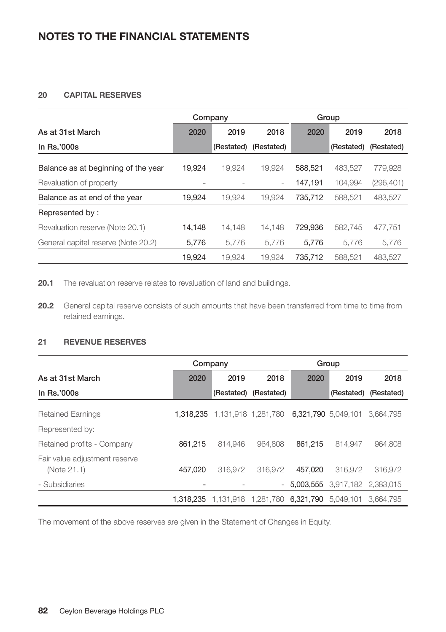# **20 CAPITAL RESERVES**

|                                     | Company |            |                          |         | Group      |            |
|-------------------------------------|---------|------------|--------------------------|---------|------------|------------|
| As at 31st March                    | 2020    | 2019       | 2018                     | 2020    | 2019       | 2018       |
| In $Rs.'000s$                       |         | (Restated) | (Restated)               |         | (Restated) | (Restated) |
| Balance as at beginning of the year | 19.924  | 19.924     | 19.924                   | 588.521 | 483.527    | 779.928    |
| Revaluation of property             |         |            | $\overline{\phantom{0}}$ | 147,191 | 104,994    | (296, 401) |
| Balance as at end of the year       | 19.924  | 19.924     | 19.924                   | 735,712 | 588,521    | 483,527    |
| Represented by:                     |         |            |                          |         |            |            |
| Revaluation reserve (Note 20.1)     | 14.148  | 14.148     | 14.148                   | 729.936 | 582,745    | 477.751    |
| General capital reserve (Note 20.2) | 5,776   | 5.776      | 5.776                    | 5.776   | 5.776      | 5,776      |
|                                     | 19.924  | 19.924     | 19.924                   | 735.712 | 588.521    | 483.527    |

20.1 The revaluation reserve relates to revaluation of land and buildings.

**20.2** General capital reserve consists of such amounts that have been transferred from time to time from retained earnings.

## **21 REVENUE RESERVES**

|                                              | Company   |                     |                          |                     | Group                         |                       |
|----------------------------------------------|-----------|---------------------|--------------------------|---------------------|-------------------------------|-----------------------|
| As at 31st March                             | 2020      | 2019                | 2018                     | 2020                | 2019                          | 2018                  |
| In $Rs.'000s$                                |           | (Restated)          | (Restated)               |                     |                               | (Restated) (Restated) |
| <b>Retained Earnings</b>                     | 1.318.235 | 1,131,918 1,281,780 |                          | 6,321,790 5,049,101 |                               | 3.664.795             |
| Represented by:                              |           |                     |                          |                     |                               |                       |
| Retained profits - Company                   | 861.215   | 814.946             | 964.808                  | 861.215             | 814.947                       | 964.808               |
| Fair value adjustment reserve<br>(Note 21.1) | 457.020   | 316.972             | 316,972                  | 457.020             | 316.972                       | 316.972               |
| - Subsidiaries                               |           |                     | $\overline{\phantom{a}}$ |                     | 5.003.555 3.917.182 2.383.015 |                       |
|                                              | 1.318.235 | 1.131.918           | 1,281,780                | 6.321.790           | 5.049.101                     | 3.664.795             |

The movement of the above reserves are given in the Statement of Changes in Equity.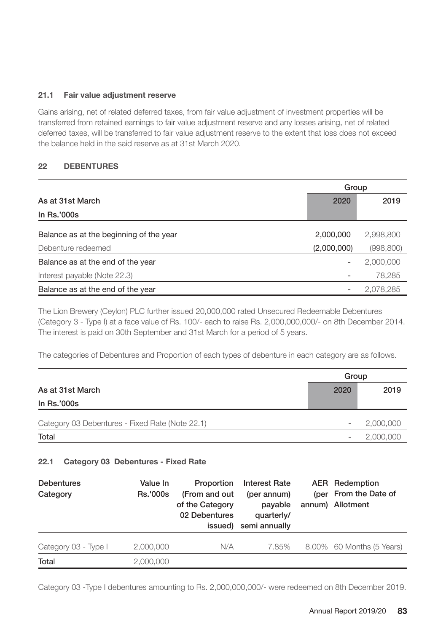# **21.1 Fair value adjustment reserve**

Gains arising, net of related deferred taxes, from fair value adjustment of investment properties will be transferred from retained earnings to fair value adjustment reserve and any losses arising, net of related deferred taxes, will be transferred to fair value adjustment reserve to the extent that loss does not exceed the balance held in the said reserve as at 31st March 2020.

# **22 DEBENTURES**

|                                         | Group       |            |  |
|-----------------------------------------|-------------|------------|--|
| As at 31st March                        | 2020        | 2019       |  |
| In Rs.'000s                             |             |            |  |
| Balance as at the beginning of the year | 2,000,000   | 2,998,800  |  |
| Debenture redeemed                      | (2,000,000) | (998, 800) |  |
| Balance as at the end of the year       |             | 2,000,000  |  |
| Interest payable (Note 22.3)            |             | 78,285     |  |
| Balance as at the end of the year       |             | 2,078,285  |  |

The Lion Brewery (Ceylon) PLC further issued 20,000,000 rated Unsecured Redeemable Debentures (Category 3 - Type I) at a face value of Rs. 100/- each to raise Rs. 2,000,000,000/- on 8th December 2014. The interest is paid on 30th September and 31st March for a period of 5 years.

The categories of Debentures and Proportion of each types of debenture in each category are as follows.

|                                                 |      | Group                                 |
|-------------------------------------------------|------|---------------------------------------|
| As at 31st March                                | 2020 | 2019                                  |
| In Rs.'000s                                     |      |                                       |
| Category 03 Debentures - Fixed Rate (Note 22.1) |      | 2,000,000                             |
| Total                                           |      | 2,000,000<br>$\overline{\phantom{0}}$ |

# **22.1 Category 03 Debentures - Fixed Rate**

| <b>Debentures</b><br>Category | Value In<br><b>Rs.'000s</b> | Proportion<br>(From and out<br>of the Category<br>02 Debentures<br>issued) | <b>Interest Rate</b><br>(per annum)<br>payable<br>quarterly/<br>semi annually | <b>AER</b> Redemption<br>(per From the Date of<br>annum) Allotment |
|-------------------------------|-----------------------------|----------------------------------------------------------------------------|-------------------------------------------------------------------------------|--------------------------------------------------------------------|
| Category 03 - Type I          | 2,000,000                   | N/A                                                                        | 7.85%                                                                         | 8.00% 60 Months (5 Years)                                          |
| Total                         | 2,000,000                   |                                                                            |                                                                               |                                                                    |

Category 03 -Type I debentures amounting to Rs. 2,000,000,000/- were redeemed on 8th December 2019.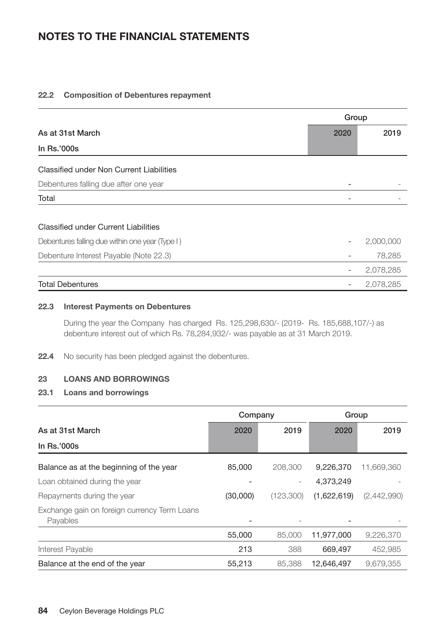#### **22.2 Composition of Debentures repayment**

|                                                 | Group |           |
|-------------------------------------------------|-------|-----------|
| As at 31st March                                | 2020  | 2019      |
| In Rs.'000s                                     |       |           |
| Classified under Non Current Liabilities        |       |           |
| Debentures falling due after one year           |       |           |
| Total                                           |       |           |
|                                                 |       |           |
| Classified under Current Liabilities            |       |           |
| Debentures falling due within one year (Type I) |       | 2,000,000 |
| Debenture Interest Payable (Note 22.3)          |       | 78,285    |
|                                                 |       | 2,078,285 |
| <b>Total Debentures</b>                         |       | 2.078.285 |

# **22.3 Interest Payments on Debentures**

During the year the Company has charged Rs. 125,298,630/- (2019- Rs. 185,688,107/-) as debenture interest out of which Rs. 78,284,932/- was payable as at 31 March 2019.

**22.4** No security has been pledged against the debentures.

# **23 LOANS AND BORROWINGS**

# **23.1 Loans and borrowings**

|                                                          | Company  |           | Group       |             |
|----------------------------------------------------------|----------|-----------|-------------|-------------|
| As at 31st March                                         | 2020     | 2019      | 2020        | 2019        |
| In $Rs.'000s$                                            |          |           |             |             |
| Balance as at the beginning of the year                  | 85,000   | 208,300   | 9.226.370   | 11,669,360  |
| Loan obtained during the year                            |          |           | 4.373.249   |             |
| Repayments during the year                               | (30,000) | (123,300) | (1,622,619) | (2,442,990) |
| Exchange gain on foreign currency Term Loans<br>Payables |          |           |             |             |
|                                                          | 55,000   | 85,000    | 11.977.000  | 9,226,370   |
| Interest Payable                                         | 213      | 388       | 669,497     | 452,985     |
| Balance at the end of the year                           | 55,213   | 85,388    | 12.646.497  | 9.679.355   |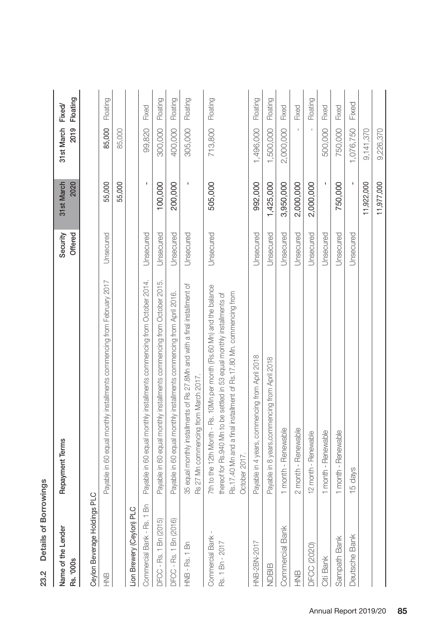| i                       |  |
|-------------------------|--|
| $\frac{1}{2}$<br>etails |  |
| 23.2                    |  |

| <b>Hxed</b><br>ī<br>t           | 2<br>į<br>2019       |  |
|---------------------------------|----------------------|--|
| <b>March</b>                    | 2020                 |  |
| ecuri                           | <b>Hered</b><br>ï    |  |
| j<br>Ś<br>5                     |                      |  |
| ondor<br>j<br>j<br>֘֝֬<br>S NOT | <b>SQC</b><br>Q<br>i |  |

# Ceylon Beverage Holdings PLC Ceylon Beverage Holdings PLC

| 呈                                  | Payable in 60 equal monthly installments commencing from February 2017                                                                                                                                                                    | Unsecured | 55,000       |                  | 85,000 Floating |
|------------------------------------|-------------------------------------------------------------------------------------------------------------------------------------------------------------------------------------------------------------------------------------------|-----------|--------------|------------------|-----------------|
|                                    |                                                                                                                                                                                                                                           |           | 55,000       | 85,000           |                 |
| Lion Brewery (Ceylon) PLC          |                                                                                                                                                                                                                                           |           |              |                  |                 |
| Commercial Bank - Rs. 1 Bn         | Payable in 60 equal monthly installments commencing from October 2014.                                                                                                                                                                    | Unsecured |              | 99,820           | Fixed           |
| DFCC - Rs. 1 Bn (2015)             | Payable in 60 equal monthly installments commencing from October 2015.                                                                                                                                                                    | Unsecured | 100,000      | 300,000          | Floating        |
| DFCC - Rs. 1 Bn (2016)             | Payable in 60 equal monthly installments commencing from April 2016.                                                                                                                                                                      | Unsecured | 200,000      | 400,000          | Floating        |
| HNB - Rs. 1 Bn                     | 35 equal monthly installments of Rs 27.8Mn and with a final installment of<br>Rs 27 Mn commencing from March 2017.                                                                                                                        | Unsecured |              | 305,000          | Floating        |
| Commercial Bank<br>Rs. 1 Bn - 2017 | 7th to the 12th Month - Rs. 10Mn per month (Rs.60 Mn) and the balance<br>Rs.17.40 Mn and a final installment of Rs.17.80 Mn. commencing from<br>thereof for Rs. 940 Mn to be settled in 53 equal monthly installments of<br>October 2017. | Unsecured | 505,000      | 713,800 Floating |                 |
| HNB-2BN-2017                       | Payable in 4 years, commencing from April 2018                                                                                                                                                                                            | Unsecured | 992,000      | 1,496,000        | Floating        |
| NDBIB                              | Payable in 8 years, commencing from April 2018                                                                                                                                                                                            | Unsecured | 1,425,000    | 1,500,000        | Floating        |
| Commercial Bank                    | 1 month - Renewable                                                                                                                                                                                                                       | Unsecured | 3,950,000    | 2,000,000        | Fixed           |
| 9NH                                | 2 month - Renewable                                                                                                                                                                                                                       | Unsecured | 2,000,000    |                  | Fixed           |
| DFCC (2020)                        | 12 month - Renewable                                                                                                                                                                                                                      | Unsecured | 2,000,000    |                  | Floating        |
| Citi Bank                          | 1 month - Renewable                                                                                                                                                                                                                       | Unsecured | $\mathbf{I}$ | 500,000          | Fixed           |
| Sampath Bank                       | 1 month - Renewable                                                                                                                                                                                                                       | Unsecured | 750,000      | 750,000          | Fixed           |
| Deutsche Bank                      | 15 days                                                                                                                                                                                                                                   | Unsecured |              | 1,076,750        | Fixed           |
|                                    |                                                                                                                                                                                                                                           |           | 11,922,000   | 9,141,370        |                 |
|                                    |                                                                                                                                                                                                                                           |           | 11,977,000   | 9,226,370        |                 |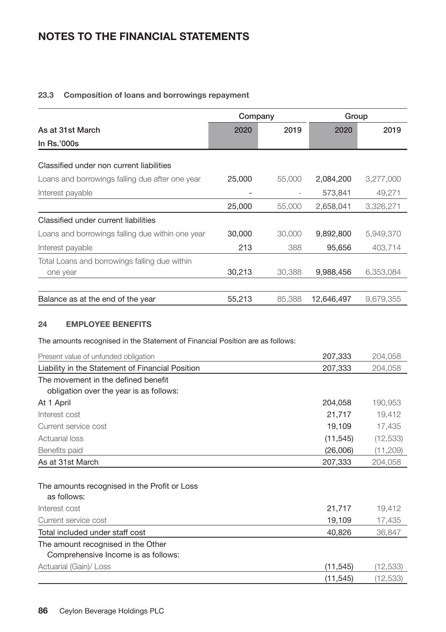# **23.3 Composition of loans and borrowings repayment**

|                                                  | Company |        | Group      |           |
|--------------------------------------------------|---------|--------|------------|-----------|
| As at 31st March                                 | 2020    | 2019   | 2020       | 2019      |
| In Rs.'000s                                      |         |        |            |           |
| Classified under non current liabilities         |         |        |            |           |
| Loans and borrowings falling due after one year  | 25,000  | 55,000 | 2,084,200  | 3,277,000 |
| Interest payable                                 |         |        | 573.841    | 49.271    |
|                                                  | 25,000  | 55,000 | 2,658,041  | 3,326,271 |
| Classified under current liabilities             |         |        |            |           |
| Loans and borrowings falling due within one year | 30,000  | 30,000 | 9,892,800  | 5,949,370 |
| Interest payable                                 | 213     | 388    | 95,656     | 403,714   |
| Total Loans and borrowings falling due within    |         |        |            |           |
| one year                                         | 30,213  | 30.388 | 9,988,456  | 6,353,084 |
|                                                  |         |        |            |           |
| Balance as at the end of the year                | 55,213  | 85,388 | 12,646,497 | 9,679,355 |

# **24 EMPLOYEE BENEFITS**

The amounts recognised in the Statement of Financial Position are as follows:

| Present value of unfunded obligation             | 207,333   | 204,058   |
|--------------------------------------------------|-----------|-----------|
| Liability in the Statement of Financial Position | 207,333   | 204,058   |
| The movement in the defined benefit              |           |           |
| obligation over the year is as follows:          |           |           |
| At 1 April                                       | 204,058   | 190,953   |
| Interest cost                                    | 21,717    | 19,412    |
| Current service cost                             | 19,109    | 17,435    |
| <b>Actuarial loss</b>                            | (11, 545) | (12, 533) |
| Benefits paid                                    | (26,006)  | (11,209)  |
| As at 31st March                                 | 207,333   | 204,058   |
|                                                  |           |           |
| The amounts recognised in the Profit or Loss     |           |           |
| as follows:                                      |           |           |
| Interest cost                                    | 21,717    | 19,412    |
| Current service cost                             | 19,109    | 17,435    |
| Total included under staff cost                  | 40,826    | 36,847    |
| The amount recognised in the Other               |           |           |
| Comprehensive Income is as follows:              |           |           |
| Actuarial (Gain)/ Loss                           | (11, 545) | (12,533)  |
|                                                  | (11, 545) | (12, 533) |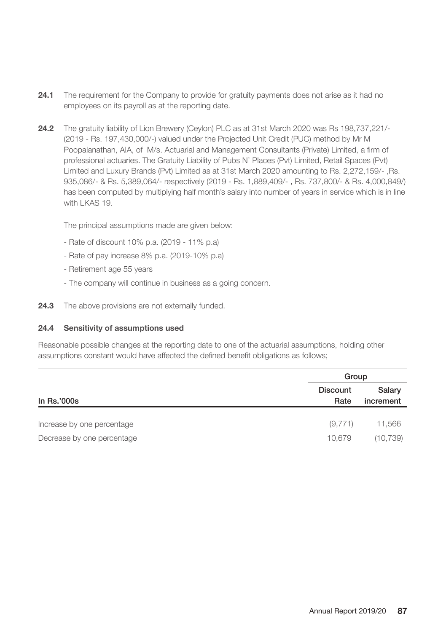- **24.1** The requirement for the Company to provide for gratuity payments does not arise as it had no employees on its payroll as at the reporting date.
- **24.2** The gratuity liability of Lion Brewery (Ceylon) PLC as at 31st March 2020 was Rs 198,737,221/- (2019 - Rs. 197,430,000/-) valued under the Projected Unit Credit (PUC) method by Mr M Poopalanathan, AIA, of M/s. Actuarial and Management Consultants (Private) Limited, a firm of professional actuaries. The Gratuity Liability of Pubs N' Places (Pvt) Limited, Retail Spaces (Pvt) Limited and Luxury Brands (Pvt) Limited as at 31st March 2020 amounting to Rs. 2,272,159/- ,Rs. 935,086/- & Rs. 5,389,064/- respectively (2019 - Rs. 1,889,409/- , Rs. 737,800/- & Rs. 4,000,849/) has been computed by multiplying half month's salary into number of years in service which is in line with LKAS 19.

The principal assumptions made are given below:

- Rate of discount 10% p.a. (2019 11% p.a)
- Rate of pay increase 8% p.a. (2019-10% p.a)
- Retirement age 55 years
- The company will continue in business as a going concern.
- **24.3** The above provisions are not externally funded.

#### **24.4 Sensitivity of assumptions used**

Reasonable possible changes at the reporting date to one of the actuarial assumptions, holding other assumptions constant would have affected the defined benefit obligations as follows;

|                            |                  | Group               |  |  |
|----------------------------|------------------|---------------------|--|--|
| In $Rs.'000s$              | Discount<br>Rate | Salarv<br>increment |  |  |
|                            |                  |                     |  |  |
| Increase by one percentage | (9,771)          | 11,566              |  |  |
| Decrease by one percentage | 10.679           | (10, 739)           |  |  |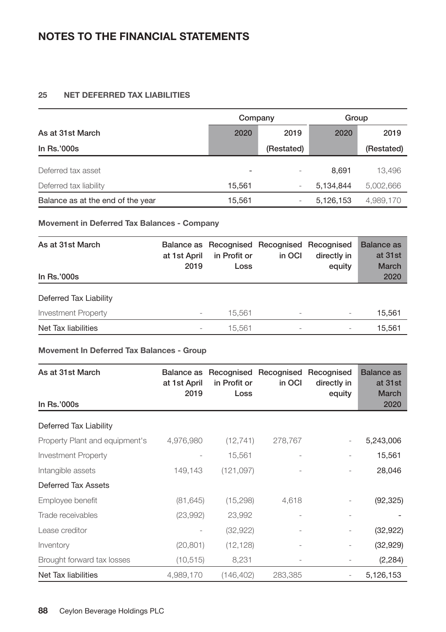# **25 NET DEFERRED TAX LIABILITIES**

|                                   | Company                  |            | Group     |            |
|-----------------------------------|--------------------------|------------|-----------|------------|
| As at 31st March                  | 2020                     | 2019       | 2020      | 2019       |
| In $Rs.'000s$                     |                          | (Restated) |           | (Restated) |
| Deferred tax asset                | $\overline{\phantom{0}}$ |            | 8.691     | 13,496     |
| Deferred tax liability            | 15.561                   |            | 5.134.844 | 5,002,666  |
| Balance as at the end of the year | 15,561                   |            | 5,126,153 | 4,989,170  |

# **Movement in Deferred Tax Balances - Company**

| As at 31st March<br>In Rs.'000s | at 1st April<br>2019     | in Profit or<br>Loss | Balance as Recognised Recognised Recognised<br>in OCI | directly in<br>equity    | <b>Balance as</b><br>at 31st<br><b>March</b><br>2020 |
|---------------------------------|--------------------------|----------------------|-------------------------------------------------------|--------------------------|------------------------------------------------------|
| Deferred Tax Liability          |                          |                      |                                                       |                          |                                                      |
| <b>Investment Property</b>      | $\overline{\phantom{a}}$ | 15.561               | $\overline{\phantom{a}}$                              | $\overline{\phantom{a}}$ | 15.561                                               |
| Net Tax liabilities             |                          | 15.561               | $\overline{\phantom{a}}$                              | $\overline{\phantom{a}}$ | 15.561                                               |

## **Movement In Deferred Tax Balances - Group**

| As at 31st March               | Balance as<br>at 1st April<br>2019 | in Profit or<br>Loss | Recognised Recognised Recognised<br>in OCI | directly in<br>equity    | <b>Balance</b> as<br>at 31st<br><b>March</b> |
|--------------------------------|------------------------------------|----------------------|--------------------------------------------|--------------------------|----------------------------------------------|
| In Rs.'000s                    |                                    |                      |                                            |                          | 2020                                         |
| Deferred Tax Liability         |                                    |                      |                                            |                          |                                              |
| Property Plant and equipment's | 4,976,980                          | (12, 741)            | 278,767                                    | $\overline{\phantom{a}}$ | 5,243,006                                    |
| Investment Property            |                                    | 15,561               |                                            |                          | 15,561                                       |
| Intangible assets              | 149,143                            | (121, 097)           |                                            |                          | 28,046                                       |
| Deferred Tax Assets            |                                    |                      |                                            |                          |                                              |
| Employee benefit               | (81, 645)                          | (15, 298)            | 4,618                                      |                          | (92, 325)                                    |
| Trade receivables              | (23,992)                           | 23,992               |                                            |                          |                                              |
| Lease creditor                 |                                    | (32, 922)            |                                            |                          | (32, 922)                                    |
| Inventory                      | (20, 801)                          | (12, 128)            | $\overline{\phantom{0}}$                   | $\overline{\phantom{a}}$ | (32, 929)                                    |
| Brought forward tax losses     | (10, 515)                          | 8,231                |                                            | $\overline{\phantom{a}}$ | (2, 284)                                     |
| Net Tax liabilities            | 4,989,170                          | (146, 402)           | 283,385                                    |                          | 5,126,153                                    |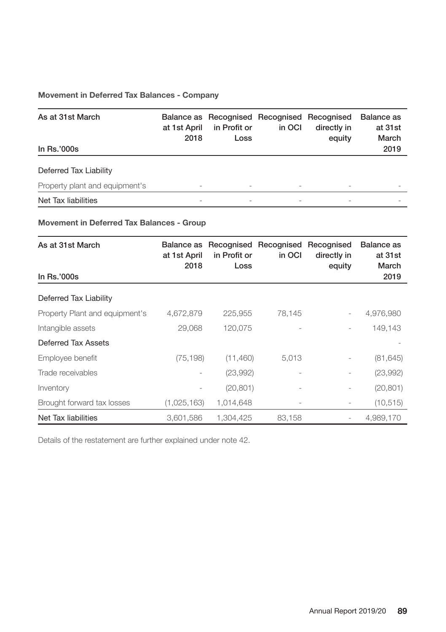# **Movement in Deferred Tax Balances - Company**

| As at 31st March<br>In Rs.'000s | at 1st April<br>2018 | in Profit or<br>Loss     | Balance as Recognised Recognised Recognised<br>in OCI | directly in<br>equity    | Balance as<br>at 31st<br>March<br>2019 |
|---------------------------------|----------------------|--------------------------|-------------------------------------------------------|--------------------------|----------------------------------------|
| Deferred Tax Liability          |                      |                          |                                                       |                          |                                        |
| Property plant and equipment's  | Ξ.                   | $\overline{\phantom{a}}$ |                                                       | $\overline{\phantom{0}}$ |                                        |
| Net Tax liabilities             |                      |                          |                                                       |                          |                                        |

# **Movement in Deferred Tax Balances - Group**

| As at 31st March<br>In Rs.'000s | Balance as<br>at 1st April<br>2018 | in Profit or<br>Loss | Recognised Recognised Recognised<br>in OCI | directly in<br>equity    | Balance as<br>at 31st<br>March<br>2019 |
|---------------------------------|------------------------------------|----------------------|--------------------------------------------|--------------------------|----------------------------------------|
| Deferred Tax Liability          |                                    |                      |                                            |                          |                                        |
| Property Plant and equipment's  | 4,672,879                          | 225.955              | 78.145                                     |                          | 4,976,980                              |
| Intangible assets               | 29.068                             | 120,075              |                                            | $\overline{\phantom{0}}$ | 149,143                                |
| Deferred Tax Assets             |                                    |                      |                                            |                          |                                        |
| Employee benefit                | (75, 198)                          | (11,460)             | 5,013                                      |                          | (81, 645)                              |
| Trade receivables               | $\overline{\phantom{0}}$           | (23,992)             |                                            |                          | (23,992)                               |
| Inventory                       |                                    | (20, 801)            |                                            | $\overline{\phantom{0}}$ | (20, 801)                              |
| Brought forward tax losses      | (1,025,163)                        | 1,014,648            |                                            |                          | (10, 515)                              |
| Net Tax liabilities             | 3.601.586                          | 1.304.425            | 83.158                                     |                          | 4.989.170                              |

Details of the restatement are further explained under note 42.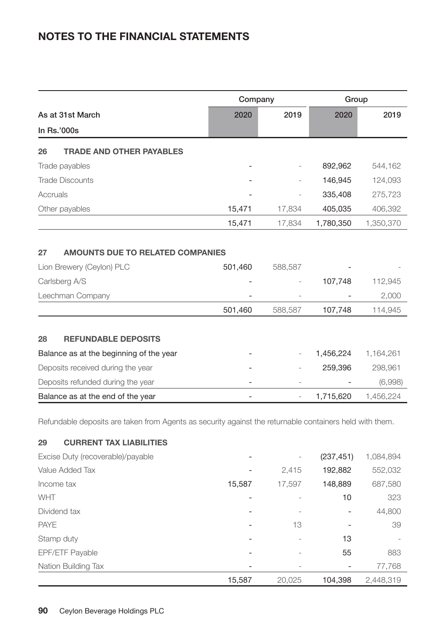| Company                                                                    |         |                | Group     |           |
|----------------------------------------------------------------------------|---------|----------------|-----------|-----------|
| As at 31st March                                                           | 2020    | 2019           | 2020      | 2019      |
| In Rs.'000s                                                                |         |                |           |           |
| <b>TRADE AND OTHER PAYABLES</b><br>26                                      |         |                |           |           |
| Trade payables                                                             |         |                | 892,962   | 544,162   |
| <b>Trade Discounts</b>                                                     |         |                | 146,945   | 124,093   |
| Accruals                                                                   |         |                | 335,408   | 275,723   |
| Other payables                                                             | 15,471  | 17,834         | 405,035   | 406,392   |
|                                                                            | 15,471  | 17,834         | 1,780,350 | 1,350,370 |
| <b>AMOUNTS DUE TO RELATED COMPANIES</b><br>27<br>Lion Brewery (Ceylon) PLC | 501,460 | 588,587        |           |           |
| Carlsberg A/S                                                              |         |                | 107,748   | 112,945   |
| Leechman Company                                                           |         |                |           | 2,000     |
|                                                                            | 501,460 | 588,587        | 107,748   | 114,945   |
| <b>REFUNDABLE DEPOSITS</b><br>28                                           |         |                |           |           |
| Balance as at the beginning of the year                                    |         |                | 1,456,224 | 1,164,261 |
| Deposits received during the year                                          |         |                | 259,396   | 298,961   |
| Deposits refunded during the year                                          |         |                |           | (6,998)   |
| Balance as at the end of the year                                          |         | $\overline{a}$ | 1,715,620 | 1,456,224 |

Refundable deposits are taken from Agents as security against the returnable containers held with them.

# **29 CURRENT TAX LIABILITIES**

| Excise Duty (recoverable)/payable | -                        | $\overline{\phantom{0}}$ | (237, 451)               | 1,084,894 |
|-----------------------------------|--------------------------|--------------------------|--------------------------|-----------|
| Value Added Tax                   | $\overline{\phantom{a}}$ | 2.415                    | 192,882                  | 552,032   |
| Income tax                        | 15,587                   | 17.597                   | 148,889                  | 687,580   |
| WHT                               |                          |                          | 10                       | 323       |
| Dividend tax                      |                          |                          |                          | 44,800    |
| <b>PAYE</b>                       | $\overline{a}$           | 13                       | $\overline{\phantom{0}}$ | 39        |
| Stamp duty                        | $\overline{\phantom{0}}$ |                          | 13                       |           |
| EPF/ETF Payable                   |                          |                          | 55                       | 883       |
| Nation Building Tax               |                          |                          |                          | 77,768    |
|                                   | 15,587                   | 20.025                   | 104,398                  | 2,448,319 |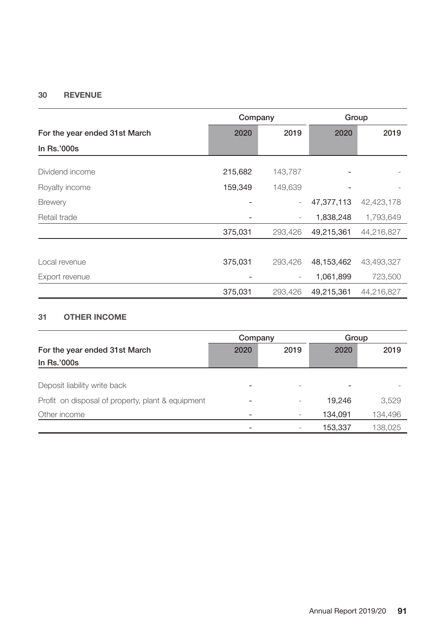# **30 REVENUE**

|                               | Company           |         | Group      |            |
|-------------------------------|-------------------|---------|------------|------------|
| For the year ended 31st March | 2020              | 2019    | 2020       | 2019       |
| In Rs.'000s                   |                   |         |            |            |
| Dividend income               | 215,682           | 143,787 |            |            |
| Royalty income                | 159,349           | 149,639 |            |            |
| <b>Brewery</b>                |                   |         | 47,377,113 | 42,423,178 |
| Retail trade                  |                   |         | 1,838,248  | 1,793,649  |
|                               | 375,031           | 293,426 | 49,215,361 | 44,216,827 |
|                               |                   |         |            |            |
| Local revenue                 | 375,031           | 293.426 | 48,153,462 | 43,493,327 |
| Export revenue                | $\qquad \qquad -$ |         | 1,061,899  | 723,500    |
|                               | 375,031           | 293,426 | 49,215,361 | 44,216,827 |

# **31 OTHER INCOME**

|                                                   | Company                  |                          | Group   |         |
|---------------------------------------------------|--------------------------|--------------------------|---------|---------|
| For the year ended 31st March                     | 2020                     | 2019                     | 2020    | 2019    |
| In Rs.'000s                                       |                          |                          |         |         |
|                                                   |                          |                          |         |         |
| Deposit liability write back                      | $\overline{\phantom{0}}$ | $\overline{\phantom{0}}$ |         |         |
| Profit on disposal of property, plant & equipment | -                        |                          | 19.246  | 3,529   |
| Other income                                      |                          |                          | 134,091 | 134,496 |
|                                                   |                          |                          | 153,337 | 138,025 |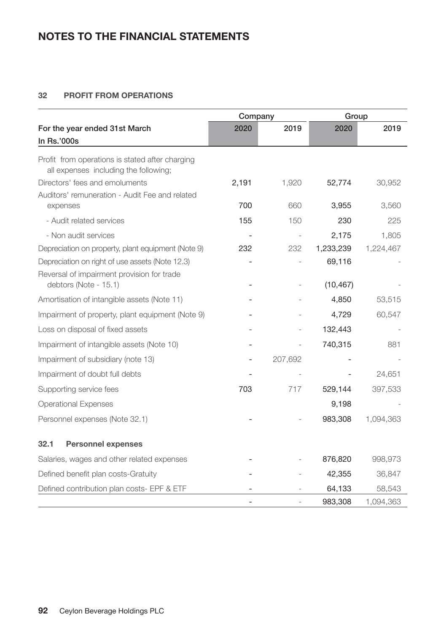# **32 PROFIT FROM OPERATIONS**

|                                                                                          | Company |                          | Group     |           |
|------------------------------------------------------------------------------------------|---------|--------------------------|-----------|-----------|
| For the year ended 31st March<br>In Rs.'000s                                             | 2020    | 2019                     | 2020      | 2019      |
| Profit from operations is stated after charging<br>all expenses including the following; |         |                          |           |           |
| Directors' fees and emoluments                                                           | 2,191   | 1,920                    | 52,774    | 30,952    |
| Auditors' remuneration - Audit Fee and related                                           |         |                          |           |           |
| expenses                                                                                 | 700     | 660                      | 3,955     | 3,560     |
| - Audit related services                                                                 | 155     | 150                      | 230       | 225       |
| - Non audit services                                                                     |         |                          | 2,175     | 1,805     |
| Depreciation on property, plant equipment (Note 9)                                       | 232     | 232                      | 1,233,239 | 1,224,467 |
| Depreciation on right of use assets (Note 12.3)                                          |         |                          | 69,116    |           |
| Reversal of impairment provision for trade<br>debtors (Note - 15.1)                      |         |                          | (10, 467) |           |
| Amortisation of intangible assets (Note 11)                                              |         |                          | 4,850     | 53,515    |
| Impairment of property, plant equipment (Note 9)                                         |         |                          | 4,729     | 60,547    |
| Loss on disposal of fixed assets                                                         |         |                          | 132,443   |           |
| Impairment of intangible assets (Note 10)                                                |         | $\overline{\phantom{0}}$ | 740,315   | 881       |
| Impairment of subsidiary (note 13)                                                       |         | 207,692                  |           |           |
| Impairment of doubt full debts                                                           |         |                          |           | 24,651    |
| Supporting service fees                                                                  | 703     | 717                      | 529,144   | 397,533   |
| <b>Operational Expenses</b>                                                              |         |                          | 9,198     |           |
| Personnel expenses (Note 32.1)                                                           |         |                          | 983,308   | 1,094,363 |
| 32.1<br><b>Personnel expenses</b>                                                        |         |                          |           |           |
| Salaries, wages and other related expenses                                               |         |                          | 876,820   | 998,973   |
| Defined benefit plan costs-Gratuity                                                      |         |                          | 42,355    | 36,847    |
| Defined contribution plan costs- EPF & ETF                                               |         |                          | 64,133    | 58,543    |
|                                                                                          |         |                          | 983,308   | 1,094,363 |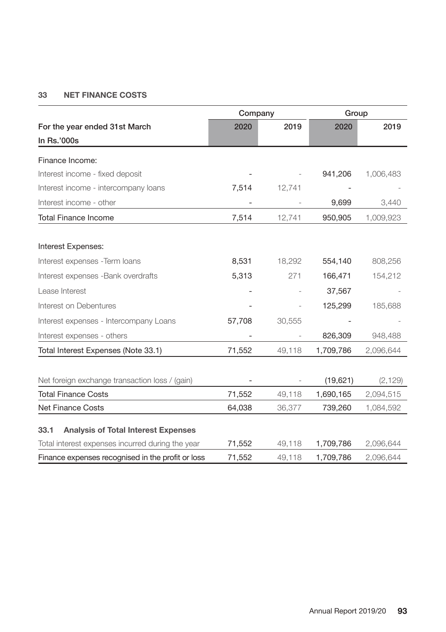# **33 NET FINANCE COSTS**

|                                                   | Company        |        | Group     |           |
|---------------------------------------------------|----------------|--------|-----------|-----------|
| For the year ended 31st March                     | 2020           | 2019   | 2020      | 2019      |
| In Rs.'000s                                       |                |        |           |           |
| Finance Income:                                   |                |        |           |           |
| Interest income - fixed deposit                   |                |        | 941,206   | 1,006,483 |
| Interest income - intercompany loans              | 7,514          | 12,741 |           |           |
|                                                   |                |        |           |           |
| Interest income - other                           | $\overline{a}$ |        | 9,699     | 3,440     |
| <b>Total Finance Income</b>                       | 7,514          | 12,741 | 950,905   | 1,009,923 |
|                                                   |                |        |           |           |
| Interest Expenses:                                |                |        |           |           |
| Interest expenses - Term loans                    | 8,531          | 18,292 | 554,140   | 808,256   |
| Interest expenses - Bank overdrafts               | 5,313          | 271    | 166,471   | 154,212   |
| Lease Interest                                    |                |        | 37,567    |           |
| Interest on Debentures                            |                |        | 125,299   | 185,688   |
| Interest expenses - Intercompany Loans            | 57,708         | 30,555 |           |           |
| Interest expenses - others                        |                |        | 826,309   | 948,488   |
| Total Interest Expenses (Note 33.1)               | 71,552         | 49,118 | 1,709,786 | 2,096,644 |
|                                                   |                |        |           |           |
| Net foreign exchange transaction loss / (gain)    |                |        | (19,621)  | (2, 129)  |
| <b>Total Finance Costs</b>                        | 71,552         | 49,118 | 1,690,165 | 2,094,515 |
| <b>Net Finance Costs</b>                          | 64,038         | 36,377 | 739,260   | 1,084,592 |
| 33.1                                              |                |        |           |           |
| <b>Analysis of Total Interest Expenses</b>        |                |        |           |           |
| Total interest expenses incurred during the year  | 71,552         | 49,118 | 1,709,786 | 2,096,644 |
| Finance expenses recognised in the profit or loss | 71,552         | 49,118 | 1,709,786 | 2,096,644 |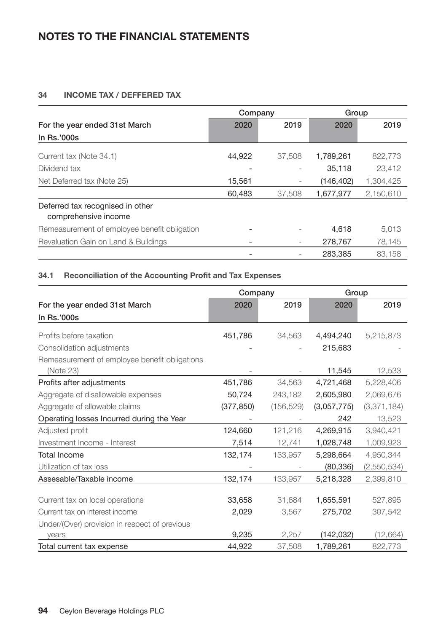# **34 INCOME TAX / DEFFERED TAX**

|                                                          | Company |        | Group      |           |
|----------------------------------------------------------|---------|--------|------------|-----------|
| For the year ended 31st March<br>In Rs.'000s             | 2020    | 2019   | 2020       | 2019      |
|                                                          |         |        |            |           |
| Current tax (Note 34.1)                                  | 44.922  | 37,508 | 1,789,261  | 822,773   |
| Dividend tax                                             |         |        | 35,118     | 23.412    |
| Net Deferred tax (Note 25)                               | 15,561  |        | (146, 402) | 1,304,425 |
|                                                          | 60.483  | 37,508 | 1,677,977  | 2,150,610 |
| Deferred tax recognised in other<br>comprehensive income |         |        |            |           |
| Remeasurement of employee benefit obligation             |         |        | 4.618      | 5,013     |
| Revaluation Gain on Land & Buildings                     |         |        | 278.767    | 78,145    |
|                                                          |         |        | 283.385    | 83.158    |

# **34.1 Reconciliation of the Accounting Profit and Tax Expenses**

|                                               | Company    |            | Group       |             |
|-----------------------------------------------|------------|------------|-------------|-------------|
| For the year ended 31st March                 | 2020       | 2019       | 2020        | 2019        |
| In Rs.'000s                                   |            |            |             |             |
| Profits before taxation                       | 451.786    | 34.563     | 4,494,240   | 5,215,873   |
| Consolidation adjustments                     |            |            | 215,683     |             |
| Remeasurement of employee benefit obligations |            |            |             |             |
| (Note 23)                                     |            |            | 11,545      | 12,533      |
| Profits after adjustments                     | 451,786    | 34.563     | 4,721,468   | 5,228,406   |
| Aggregate of disallowable expenses            | 50,724     | 243,182    | 2,605,980   | 2,069,676   |
| Aggregate of allowable claims                 | (377, 850) | (156, 529) | (3,057,775) | (3,371,184) |
| Operating losses Incurred during the Year     |            |            | 242         | 13,523      |
| Adjusted profit                               | 124,660    | 121.216    | 4,269,915   | 3,940,421   |
| Investment Income - Interest                  | 7,514      | 12,741     | 1,028,748   | 1,009,923   |
| <b>Total Income</b>                           | 132,174    | 133,957    | 5,298,664   | 4,950,344   |
| Utilization of tax loss                       |            |            | (80, 336)   | (2,550,534) |
| Assesable/Taxable income                      | 132,174    | 133,957    | 5,218,328   | 2,399,810   |
|                                               |            |            |             |             |
| Current tax on local operations               | 33,658     | 31.684     | 1,655,591   | 527,895     |
| Current tax on interest income                | 2,029      | 3,567      | 275,702     | 307,542     |
| Under/(Over) provision in respect of previous |            |            |             |             |
| years                                         | 9,235      | 2,257      | (142, 032)  | (12,664)    |
| Total current tax expense                     | 44,922     | 37,508     | 1,789,261   | 822,773     |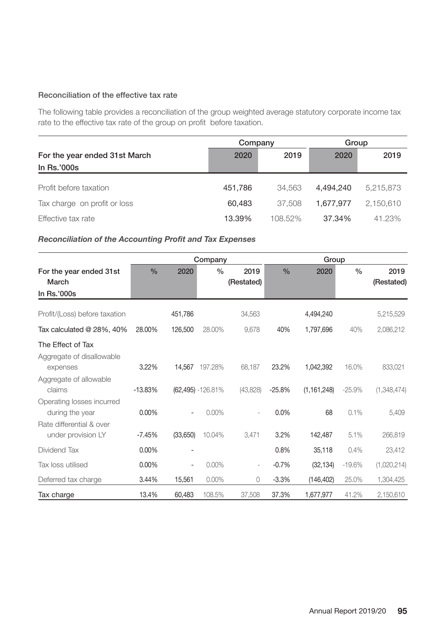## Reconciliation of the effective tax rate

The following table provides a reconciliation of the group weighted average statutory corporate income tax rate to the effective tax rate of the group on profit before taxation.

|                               | Company |         | Group     |           |
|-------------------------------|---------|---------|-----------|-----------|
| For the year ended 31st March | 2020    | 2019    | 2020      | 2019      |
| In Rs.'000s                   |         |         |           |           |
| Profit before taxation        | 451,786 | 34.563  | 4.494.240 | 5.215.873 |
| Tax charge on profit or loss  | 60.483  | 37.508  | 1.677.977 | 2,150,610 |
| Effective tax rate            | 13.39%  | 108.52% | 37.34%    | 41.23%    |

# *Reconciliation of the Accounting Profit and Tax Expenses*

|                                                 |               |          | Company               |                    | Group         |               |               |                    |
|-------------------------------------------------|---------------|----------|-----------------------|--------------------|---------------|---------------|---------------|--------------------|
| For the year ended 31st<br>March<br>In Rs.'000s | $\frac{0}{0}$ | 2020     | $\frac{0}{0}$         | 2019<br>(Restated) | $\frac{0}{0}$ | 2020          | $\frac{0}{0}$ | 2019<br>(Restated) |
| Profit/(Loss) before taxation                   |               | 451.786  |                       | 34,563             |               | 4,494,240     |               | 5,215,529          |
| Tax calculated @ 28%, 40%                       | 28.00%        | 126,500  | 28.00%                | 9,678              | 40%           | 1,797,696     | 40%           | 2,086,212          |
| The Effect of Tax                               |               |          |                       |                    |               |               |               |                    |
| Aggregate of disallowable<br>expenses           | 3.22%         | 14.567   | 197.28%               | 68,187             | 23.2%         | 1.042.392     | 16.0%         | 833,021            |
| Aggregate of allowable<br>claims                | $-13.83%$     |          | $(62,495) - 126.81\%$ | (43,828)           | $-25.8%$      | (1, 161, 248) | $-25.9%$      | (1,348,474)        |
| Operating losses incurred<br>during the year    | $0.00\%$      | ۰        | $0.00\%$              |                    | 0.0%          | 68            | 0.1%          | 5,409              |
| Rate differential & over<br>under provision LY  | $-7.45%$      | (33,650) | 10.04%                | 3,471              | 3.2%          | 142,487       | 5.1%          | 266,819            |
| Dividend Tax                                    | 0.00%         |          |                       |                    | 0.8%          | 35,118        | 0.4%          | 23,412             |
| Tax loss utilised                               | 0.00%         |          | 0.00%                 | $\frac{1}{2}$      | $-0.7%$       | (32, 134)     | $-19.6%$      | (1,020,214)        |
| Deferred tax charge                             | 3.44%         | 15,561   | $0.00\%$              | 0                  | $-3.3%$       | (146, 402)    | 25.0%         | 1,304,425          |
| Tax charge                                      | 13.4%         | 60,483   | 108.5%                | 37,508             | 37.3%         | 1,677,977     | 41.2%         | 2,150,610          |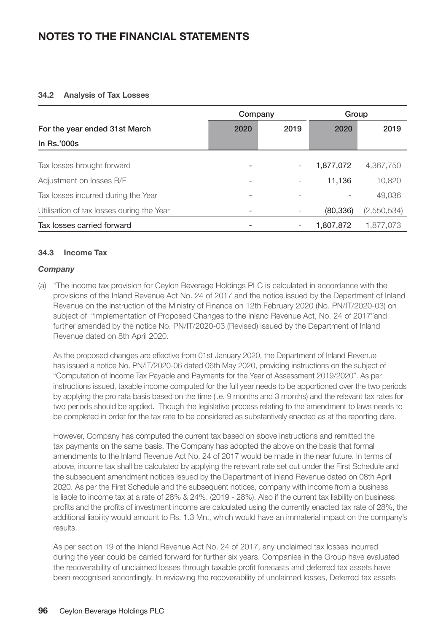#### **34.2 Analysis of Tax Losses**

|                                           | Company |      | Group     |             |
|-------------------------------------------|---------|------|-----------|-------------|
| For the year ended 31st March             | 2020    | 2019 | 2020      | 2019        |
| In Rs.'000s                               |         |      |           |             |
| Tax losses brought forward                |         |      | 1,877,072 | 4,367,750   |
| Adjustment on losses B/F                  |         |      | 11,136    | 10,820      |
| Tax losses incurred during the Year       |         |      |           | 49,036      |
| Utilisation of tax losses during the Year |         |      | (80, 336) | (2,550,534) |
| Tax losses carried forward                |         |      | 1,807,872 | 1.877.073   |

## **34.3 Income Tax**

## *Company*

(a) "The income tax provision for Ceylon Beverage Holdings PLC is calculated in accordance with the provisions of the Inland Revenue Act No. 24 of 2017 and the notice issued by the Department of Inland Revenue on the instruction of the Ministry of Finance on 12th February 2020 (No. PN/IT/2020-03) on subject of "Implementation of Proposed Changes to the Inland Revenue Act, No. 24 of 2017"and further amended by the notice No. PN/IT/2020-03 (Revised) issued by the Department of Inland Revenue dated on 8th April 2020.

As the proposed changes are effective from 01st January 2020, the Department of Inland Revenue has issued a notice No. PN/IT/2020-06 dated 06th May 2020, providing instructions on the subject of "Computation of Income Tax Payable and Payments for the Year of Assessment 2019/2020". As per instructions issued, taxable income computed for the full year needs to be apportioned over the two periods by applying the pro rata basis based on the time (i.e. 9 months and 3 months) and the relevant tax rates for two periods should be applied. Though the legislative process relating to the amendment to laws needs to be completed in order for the tax rate to be considered as substantively enacted as at the reporting date.

However, Company has computed the current tax based on above instructions and remitted the tax payments on the same basis. The Company has adopted the above on the basis that formal amendments to the Inland Revenue Act No. 24 of 2017 would be made in the near future. In terms of above, income tax shall be calculated by applying the relevant rate set out under the First Schedule and the subsequent amendment notices issued by the Department of Inland Revenue dated on 08th April 2020. As per the First Schedule and the subsequent notices, company with income from a business is liable to income tax at a rate of 28% & 24%. (2019 - 28%). Also if the current tax liability on business profits and the profits of investment income are calculated using the currently enacted tax rate of 28%, the additional liability would amount to Rs. 1.3 Mn., which would have an immaterial impact on the company's results.

As per section 19 of the Inland Revenue Act No. 24 of 2017, any unclaimed tax losses incurred during the year could be carried forward for further six years. Companies in the Group have evaluated the recoverability of unclaimed losses through taxable profit forecasts and deferred tax assets have been recognised accordingly. In reviewing the recoverability of unclaimed losses, Deferred tax assets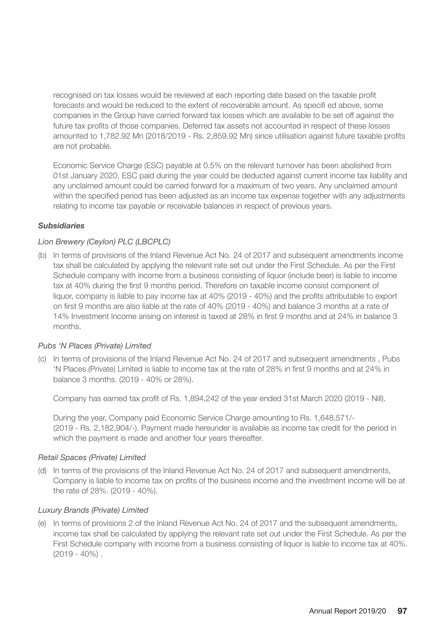recognised on tax losses would be reviewed at each reporting date based on the taxable profit forecasts and would be reduced to the extent of recoverable amount. As specifi ed above, some companies in the Group have carried forward tax losses which are available to be set off against the future tax profits of those companies. Deferred tax assets not accounted in respect of these losses amounted to 1,782.92 Mn (2018/2019 - Rs. 2,859.92 Mn) since utilisation against future taxable profits are not probable.

Economic Service Charge (ESC) payable at 0.5% on the relevant turnover has been abolished from 01st January 2020. ESC paid during the year could be deducted against current income tax liability and any unclaimed amount could be carried forward for a maximum of two years. Any unclaimed amount within the specified period has been adjusted as an income tax expense together with any adjustments relating to income tax payable or receivable balances in respect of previous years.

# *Subsidiaries*

# *Lion Brewery (Ceylon) PLC (LBCPLC)*

(b) In terms of provisions of the Inland Revenue Act No. 24 of 2017 and subsequent amendments income tax shall be calculated by applying the relevant rate set out under the First Schedule. As per the First Schedule company with income from a business consisting of liquor (include beer) is liable to income tax at 40% during the first 9 months period. Therefore on taxable income consist component of liquor, company is liable to pay income tax at 40% (2019 - 40%) and the profits attributable to export on first 9 months are also liable at the rate of 40% (2019 - 40%) and balance 3 months at a rate of 14% Investment Income arising on interest is taxed at 28% in first 9 months and at 24% in balance 3 months.

# *Pubs 'N Places (Private) Limited*

(c) In terms of provisions of the Inland Revenue Act No. 24 of 2017 and subsequent amendments , Pubs 'N Places (Private) Limited is liable to income tax at the rate of 28% in first 9 months and at 24% in balance 3 months. (2019 - 40% or 28%).

Company has earned tax profit of Rs. 1,894,242 of the year ended 31st March 2020 (2019 - Nill).

During the year, Company paid Economic Service Charge amounting to Rs. 1,648,571/- (2019 - Rs. 2,182,904/-). Payment made hereunder is available as income tax credit for the period in which the payment is made and another four years thereafter.

# *Retail Spaces (Private) Limited*

(d) In terms of the provisions of the Inland Revenue Act No. 24 of 2017 and subsequent amendments, Company is liable to income tax on profits of the business income and the investment income will be at the rate of 28%. (2019 - 40%).

# *Luxury Brands (Private) Limited*

(e) In terms of provisions 2 of the Inland Revenue Act No. 24 of 2017 and the subsequent amendments, income tax shall be calculated by applying the relevant rate set out under the First Schedule. As per the First Schedule company with income from a business consisting of liquor is liable to income tax at 40%.  $(2019 - 40\%)$ .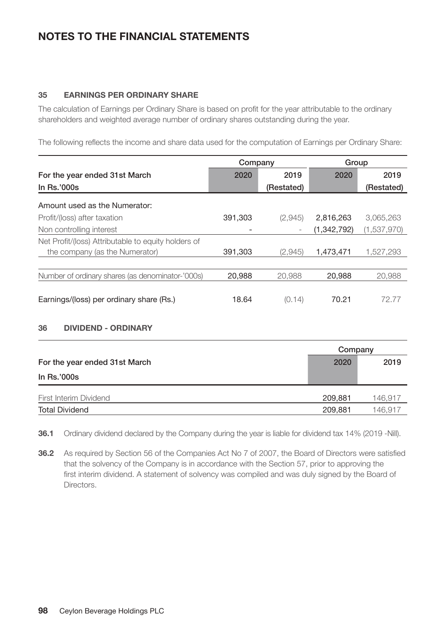## **35 EARNINGS PER ORDINARY SHARE**

The calculation of Earnings per Ordinary Share is based on profit for the year attributable to the ordinary shareholders and weighted average number of ordinary shares outstanding during the year.

The following reflects the income and share data used for the computation of Earnings per Ordinary Share:

|                                                     | Company |            | Group       |             |  |
|-----------------------------------------------------|---------|------------|-------------|-------------|--|
| For the year ended 31st March                       | 2020    | 2019       | 2020        | 2019        |  |
| In $Rs.'000s$                                       |         | (Restated) |             | (Restated)  |  |
| Amount used as the Numerator:                       |         |            |             |             |  |
| Profit/(loss) after taxation                        | 391,303 | (2,945)    | 2,816,263   | 3,065,263   |  |
| Non controlling interest                            |         |            | (1,342,792) | (1,537,970) |  |
| Net Profit/(loss) Attributable to equity holders of |         |            |             |             |  |
| the company (as the Numerator)                      | 391,303 | (2,945)    | 1,473,471   | 1.527.293   |  |
|                                                     |         |            |             |             |  |
| Number of ordinary shares (as denominator-'000s)    | 20,988  | 20,988     | 20,988      | 20,988      |  |
|                                                     |         |            |             |             |  |
| Earnings/(loss) per ordinary share (Rs.)            | 18.64   | (0.14)     | 70.21       | 72.77       |  |

# **36 DIVIDEND - ORDINARY**

|                               | Company |         |  |
|-------------------------------|---------|---------|--|
| For the year ended 31st March |         | 2019    |  |
| In Rs.'000s                   |         |         |  |
| First Interim Dividend        | 209,881 | 146,917 |  |
| <b>Total Dividend</b>         | 209,881 | 146.917 |  |

**36.1** Ordinary dividend declared by the Company during the year is liable for dividend tax 14% (2019 -Nill).

**36.2** As required by Section 56 of the Companies Act No 7 of 2007, the Board of Directors were satisfied that the solvency of the Company is in accordance with the Section 57, prior to approving the first interim dividend. A statement of solvency was compiled and was duly signed by the Board of **Directors**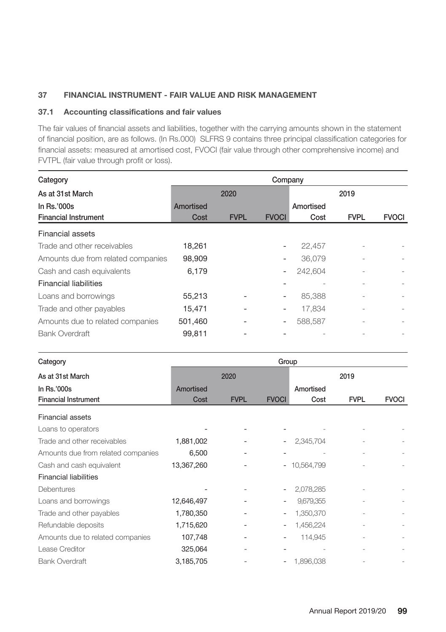# **37 FINANCIAL INSTRUMENT - FAIR VALUE AND RISK MANAGEMENT**

## **37.1 Accounting classifications and fair values**

The fair values of financial assets and liabilities, together with the carrying amounts shown in the statement of financial position, are as follows. (In Rs.000) SLFRS 9 contains three principal classification categories for financial assets: measured at amortised cost, FVOCI (fair value through other comprehensive income) and FVTPL (fair value through profit or loss).

| Category                           | Company   |             |                          |           |             |              |  |
|------------------------------------|-----------|-------------|--------------------------|-----------|-------------|--------------|--|
| As at 31st March                   |           | 2020        |                          |           | 2019        |              |  |
| In $Rs.'000s$                      | Amortised |             |                          | Amortised |             |              |  |
| <b>Financial Instrument</b>        | Cost      | <b>FVPL</b> | <b>FVOCI</b>             | Cost      | <b>FVPL</b> | <b>FVOCI</b> |  |
| Financial assets                   |           |             |                          |           |             |              |  |
| Trade and other receivables        | 18,261    |             |                          | 22,457    |             |              |  |
| Amounts due from related companies | 98,909    |             |                          | 36.079    |             |              |  |
| Cash and cash equivalents          | 6.179     |             |                          | 242.604   |             |              |  |
| <b>Financial liabilities</b>       |           |             |                          |           |             |              |  |
| Loans and borrowings               | 55,213    |             |                          | 85.388    |             |              |  |
| Trade and other payables           | 15.471    |             | $\qquad \qquad -$        | 17.834    |             |              |  |
| Amounts due to related companies   | 501.460   |             | $\overline{\phantom{a}}$ | 588.587   |             |              |  |
| <b>Bank Overdraft</b>              | 99.811    |             |                          |           |             |              |  |

| Category                           |            | Group       |              |               |             |              |  |  |
|------------------------------------|------------|-------------|--------------|---------------|-------------|--------------|--|--|
| As at 31st March                   |            | 2020        |              |               | 2019        |              |  |  |
| In Rs.'000s                        | Amortised  |             |              | Amortised     |             |              |  |  |
| <b>Financial Instrument</b>        | Cost       | <b>FVPL</b> | <b>FVOCI</b> | Cost          | <b>FVPL</b> | <b>FVOCI</b> |  |  |
| Financial assets                   |            |             |              |               |             |              |  |  |
| Loans to operators                 |            |             |              |               |             |              |  |  |
| Trade and other receivables        | 1,881,002  |             |              | 2,345,704     |             |              |  |  |
| Amounts due from related companies | 6,500      |             |              |               |             |              |  |  |
| Cash and cash equivalent           | 13,367,260 |             |              | $-10,564,799$ |             |              |  |  |
| <b>Financial liabilities</b>       |            |             |              |               |             |              |  |  |
| <b>Debentures</b>                  |            |             |              | 2,078,285     |             |              |  |  |
| Loans and borrowings               | 12,646,497 |             |              | 9,679,355     |             |              |  |  |
| Trade and other payables           | 1,780,350  |             |              | 1,350,370     |             |              |  |  |
| Refundable deposits                | 1,715,620  |             |              | 1,456,224     |             |              |  |  |
| Amounts due to related companies   | 107,748    |             |              | 114,945       |             |              |  |  |
| Lease Creditor                     | 325,064    |             |              |               |             |              |  |  |
| <b>Bank Overdraft</b>              | 3,185,705  |             |              | 1,896,038     |             |              |  |  |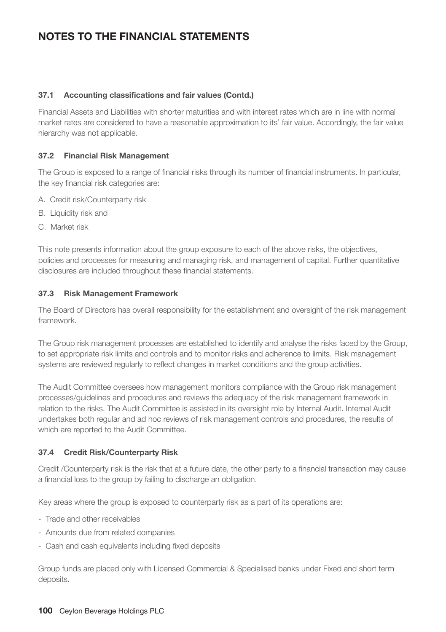# **37.1 Accounting classifications and fair values (Contd.)**

Financial Assets and Liabilities with shorter maturities and with interest rates which are in line with normal market rates are considered to have a reasonable approximation to its' fair value. Accordingly, the fair value hierarchy was not applicable.

## **37.2 Financial Risk Management**

The Group is exposed to a range of financial risks through its number of financial instruments. In particular, the key financial risk categories are:

- A. Credit risk/Counterparty risk
- B. Liquidity risk and
- C. Market risk

This note presents information about the group exposure to each of the above risks, the objectives, policies and processes for measuring and managing risk, and management of capital. Further quantitative disclosures are included throughout these financial statements.

## **37.3 Risk Management Framework**

The Board of Directors has overall responsibility for the establishment and oversight of the risk management framework.

The Group risk management processes are established to identify and analyse the risks faced by the Group, to set appropriate risk limits and controls and to monitor risks and adherence to limits. Risk management systems are reviewed regularly to reflect changes in market conditions and the group activities.

The Audit Committee oversees how management monitors compliance with the Group risk management processes/guidelines and procedures and reviews the adequacy of the risk management framework in relation to the risks. The Audit Committee is assisted in its oversight role by Internal Audit. Internal Audit undertakes both regular and ad hoc reviews of risk management controls and procedures, the results of which are reported to the Audit Committee.

# **37.4 Credit Risk/Counterparty Risk**

Credit /Counterparty risk is the risk that at a future date, the other party to a financial transaction may cause a financial loss to the group by failing to discharge an obligation.

Key areas where the group is exposed to counterparty risk as a part of its operations are:

- Trade and other receivables
- Amounts due from related companies
- Cash and cash equivalents including fixed deposits

Group funds are placed only with Licensed Commercial & Specialised banks under Fixed and short term deposits.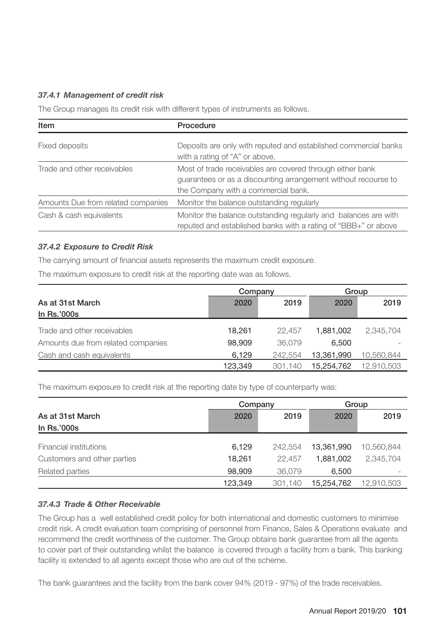# *37.4.1 Management of credit risk*

The Group manages its credit risk with different types of instruments as follows.

| Item                               | Procedure                                                                                                                                                          |
|------------------------------------|--------------------------------------------------------------------------------------------------------------------------------------------------------------------|
| Fixed deposits                     | Deposits are only with reputed and established commercial banks<br>with a rating of "A" or above.                                                                  |
| Trade and other receivables        | Most of trade receivables are covered through either bank<br>quarantees or as a discounting arrangement without recourse to<br>the Company with a commercial bank. |
| Amounts Due from related companies | Monitor the balance outstanding regularly                                                                                                                          |
| Cash & cash equivalents            | Monitor the balance outstanding regularly and balances are with<br>reputed and established banks with a rating of "BBB+" or above                                  |

# *37.4.2 Exposure to Credit Risk*

The carrying amount of financial assets represents the maximum credit exposure.

The maximum exposure to credit risk at the reporting date was as follows.

|                                    | Company |         | Group      |            |
|------------------------------------|---------|---------|------------|------------|
| As at 31st March                   | 2020    | 2019    | 2020       | 2019       |
| In Rs.'000s                        |         |         |            |            |
| Trade and other receivables        | 18.261  | 22.457  | 1.881.002  | 2.345.704  |
| Amounts due from related companies | 98.909  | 36.079  | 6.500      |            |
| Cash and cash equivalents          | 6.129   | 242.554 | 13,361,990 | 10.560.844 |
|                                    | 123.349 | 301.140 | 15,254,762 | 12,910,503 |

The maximum exposure to credit risk at the reporting date by type of counterparty was:

|                             | Company |         | Group      |            |  |
|-----------------------------|---------|---------|------------|------------|--|
| As at 31st March            | 2020    | 2019    | 2020       | 2019       |  |
| In Rs.'000s                 |         |         |            |            |  |
| Financial institutions      | 6.129   | 242.554 | 13.361.990 | 10.560.844 |  |
| Customers and other parties | 18.261  | 22.457  | 1.881.002  | 2.345.704  |  |
| Related parties             | 98.909  | 36.079  | 6.500      |            |  |
|                             | 123.349 | 301,140 | 15,254,762 | 12,910,503 |  |

# *37.4.3 Trade & Other Receivable*

The Group has a well established credit policy for both international and domestic customers to minimise credit risk. A credit evaluation team comprising of personnel from Finance, Sales & Operations evaluate and recommend the credit worthiness of the customer. The Group obtains bank guarantee from all the agents to cover part of their outstanding whilst the balance is covered through a facility from a bank. This banking facility is extended to all agents except those who are out of the scheme.

The bank guarantees and the facility from the bank cover 94% (2019 - 97%) of the trade receivables.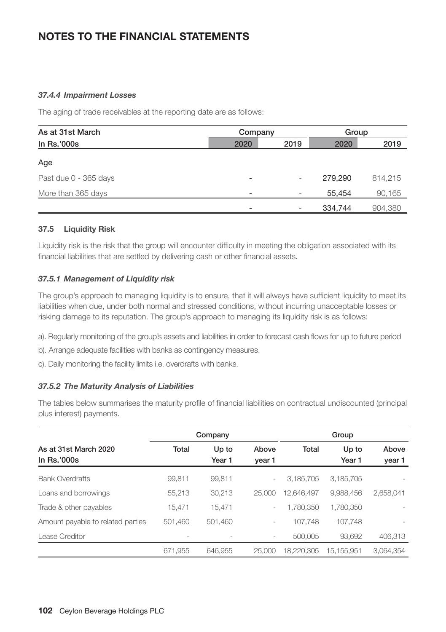# *37.4.4 Impairment Losses*

The aging of trade receivables at the reporting date are as follows:

| As at 31st March      | Company                  |                 | Group   |         |  |
|-----------------------|--------------------------|-----------------|---------|---------|--|
| In Rs.'000s           | 2020                     | 2019            | 2020    | 2019    |  |
| Age                   |                          |                 |         |         |  |
| Past due 0 - 365 days | $\overline{\phantom{0}}$ | -               | 279.290 | 814.215 |  |
| More than 365 days    | $\overline{\phantom{0}}$ | $\qquad \qquad$ | 55.454  | 90,165  |  |
|                       | $\overline{\phantom{0}}$ |                 | 334,744 | 904,380 |  |

## **37.5 Liquidity Risk**

Liquidity risk is the risk that the group will encounter difficulty in meeting the obligation associated with its financial liabilities that are settled by delivering cash or other financial assets.

# *37.5.1 Management of Liquidity risk*

The group's approach to managing liquidity is to ensure, that it will always have sufficient liquidity to meet its liabilities when due, under both normal and stressed conditions, without incurring unacceptable losses or risking damage to its reputation. The group's approach to managing its liquidity risk is as follows:

- a). Regularly monitoring of the group's assets and liabilities in order to forecast cash flows for up to future period
- b). Arrange adequate facilities with banks as contingency measures.
- c). Daily monitoring the facility limits i.e. overdrafts with banks.

#### *37.5.2 The Maturity Analysis of Liabilities*

The tables below summarises the maturity profile of financial liabilities on contractual undiscounted (principal plus interest) payments.

|                                      | Company |                 |                          | Group      |                            |                 |  |
|--------------------------------------|---------|-----------------|--------------------------|------------|----------------------------|-----------------|--|
| As at 31st March 2020<br>In Rs.'000s | Total   | Up to<br>Year 1 | Above<br>year 1          | Total      | Up to<br>Year <sub>1</sub> | Above<br>year 1 |  |
| <b>Bank Overdrafts</b>               | 99.811  | 99.811          | $\overline{\phantom{a}}$ | 3,185,705  | 3,185,705                  |                 |  |
| Loans and borrowings                 | 55,213  | 30.213          | 25,000                   | 12.646.497 | 9.988.456                  | 2.658.041       |  |
| Trade & other payables               | 15.471  | 15.471          | $\overline{\phantom{a}}$ | 1,780,350  | 1.780.350                  |                 |  |
| Amount payable to related parties    | 501.460 | 501,460         | $\overline{\phantom{a}}$ | 107.748    | 107.748                    |                 |  |
| Lease Creditor                       |         |                 | -                        | 500.005    | 93.692                     | 406.313         |  |
|                                      | 671.955 | 646.955         | 25,000                   | 18.220.305 | 15.155.951                 | 3.064.354       |  |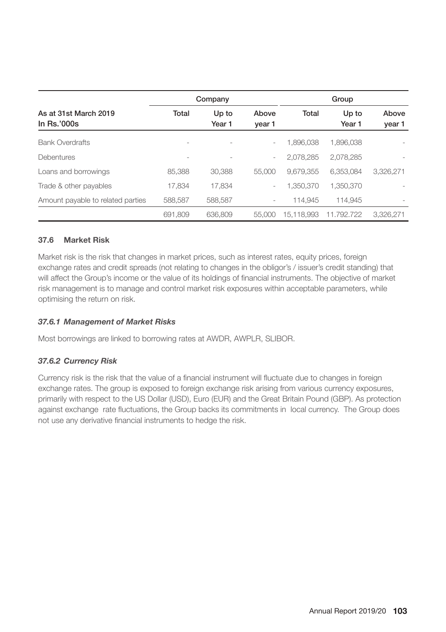|                                        |                          | Company         |                          |            |                 |                 |
|----------------------------------------|--------------------------|-----------------|--------------------------|------------|-----------------|-----------------|
| As at 31st March 2019<br>In $Rs.'000s$ | Total                    | Up to<br>Year 1 | Above<br>year 1          | Total      | Up to<br>Year 1 | Above<br>year 1 |
| <b>Bank Overdrafts</b>                 |                          |                 | $\overline{\phantom{a}}$ | 1,896,038  | 1,896,038       |                 |
| Debentures                             | $\overline{\phantom{a}}$ | ۰               | -                        | 2.078.285  | 2.078.285       |                 |
| Loans and borrowings                   | 85.388                   | 30.388          | 55,000                   | 9.679.355  | 6.353.084       | 3.326.271       |
| Trade & other payables                 | 17.834                   | 17.834          | -                        | 1.350.370  | 1.350.370       |                 |
| Amount payable to related parties      | 588,587                  | 588,587         | -                        | 114.945    | 114.945         |                 |
|                                        | 691,809                  | 636,809         | 55,000                   | 15.118.993 | 11.792.722      | 3.326.271       |

# **37.6 Market Risk**

Market risk is the risk that changes in market prices, such as interest rates, equity prices, foreign exchange rates and credit spreads (not relating to changes in the obligor's / issuer's credit standing) that will affect the Group's income or the value of its holdings of financial instruments. The objective of market risk management is to manage and control market risk exposures within acceptable parameters, while optimising the return on risk.

# *37.6.1 Management of Market Risks*

Most borrowings are linked to borrowing rates at AWDR, AWPLR, SLIBOR.

# *37.6.2 Currency Risk*

Currency risk is the risk that the value of a financial instrument will fluctuate due to changes in foreign exchange rates. The group is exposed to foreign exchange risk arising from various currency exposures, primarily with respect to the US Dollar (USD), Euro (EUR) and the Great Britain Pound (GBP). As protection against exchange rate fluctuations, the Group backs its commitments in local currency. The Group does not use any derivative financial instruments to hedge the risk.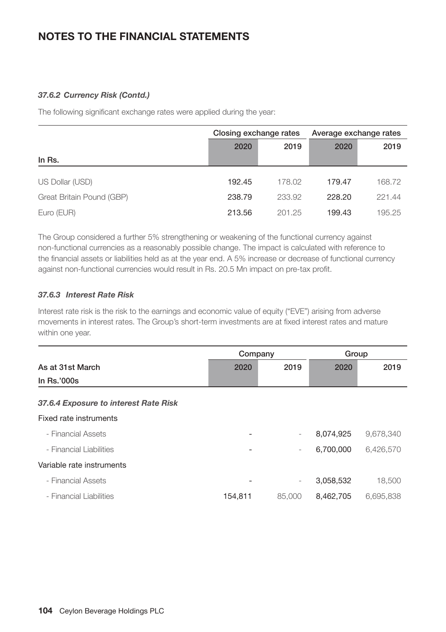# *37.6.2 Currency Risk (Contd.)*

The following significant exchange rates were applied during the year:

|                           | Closing exchange rates |        | Average exchange rates |        |
|---------------------------|------------------------|--------|------------------------|--------|
|                           | 2020                   | 2019   | 2020                   | 2019   |
| In Rs.                    |                        |        |                        |        |
|                           | 192.45                 |        |                        |        |
| US Dollar (USD)           |                        | 178.02 | 179.47                 | 168.72 |
| Great Britain Pound (GBP) | 238.79                 | 233.92 | 228.20                 | 221.44 |
| Euro (EUR)                | 213.56                 | 201.25 | 199.43                 | 195.25 |

The Group considered a further 5% strengthening or weakening of the functional currency against non-functional currencies as a reasonably possible change. The impact is calculated with reference to the financial assets or liabilities held as at the year end. A 5% increase or decrease of functional currency against non-functional currencies would result in Rs. 20.5 Mn impact on pre-tax profit.

# *37.6.3 Interest Rate Risk*

Interest rate risk is the risk to the earnings and economic value of equity ("EVE") arising from adverse movements in interest rates. The Group's short-term investments are at fixed interest rates and mature within one year.

|                                       | Company |                          | Group     |           |
|---------------------------------------|---------|--------------------------|-----------|-----------|
| As at 31st March                      | 2020    | 2019                     | 2020      | 2019      |
| In Rs.'000s                           |         |                          |           |           |
| 37.6.4 Exposure to interest Rate Risk |         |                          |           |           |
| Fixed rate instruments                |         |                          |           |           |
| - Financial Assets                    |         | $\overline{\phantom{0}}$ | 8,074,925 | 9,678,340 |
| - Financial Liabilities               |         | $\overline{\phantom{0}}$ | 6,700,000 | 6,426,570 |
| Variable rate instruments             |         |                          |           |           |
| - Financial Assets                    |         | $\overline{\phantom{0}}$ | 3,058,532 | 18,500    |
| - Financial Liabilities               | 154,811 | 85,000                   | 8,462,705 | 6,695,838 |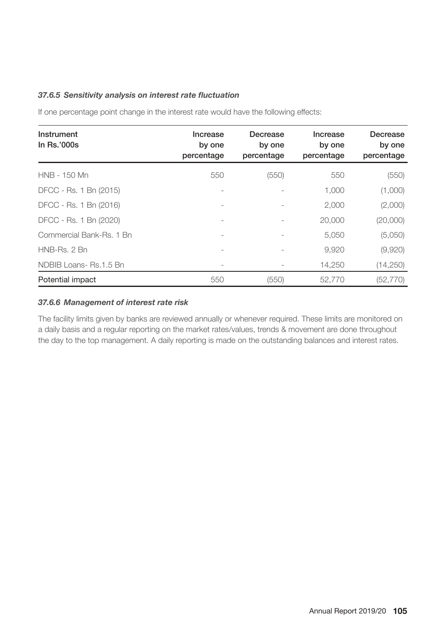## *37.6.5 Sensitivity analysis on interest rate fluctuation*

If one percentage point change in the interest rate would have the following effects:

| Instrument<br>In $Rs.'000s$ | Increase<br>by one<br>percentage | Decrease<br>by one<br>percentage | Increase<br>by one<br>percentage | Decrease<br>by one<br>percentage |
|-----------------------------|----------------------------------|----------------------------------|----------------------------------|----------------------------------|
| HNB - 150 Mn                | 550                              | (550)                            | 550                              | (550)                            |
| DFCC - Rs. 1 Bn (2015)      |                                  |                                  | 1,000                            | (1,000)                          |
| DFCC - Rs. 1 Bn (2016)      | $\overline{a}$                   |                                  | 2,000                            | (2,000)                          |
| DFCC - Rs. 1 Bn (2020)      |                                  |                                  | 20,000                           | (20,000)                         |
| Commercial Bank-Rs. 1 Bn    |                                  |                                  | 5,050                            | (5,050)                          |
| HNB-Rs. 2 Bn                |                                  |                                  | 9,920                            | (9,920)                          |
| NDBIB Loans-Rs.1.5 Bn       |                                  |                                  | 14,250                           | (14, 250)                        |
| Potential impact            | 550                              | (550)                            | 52,770                           | (52, 770)                        |

# *37.6.6 Management of interest rate risk*

The facility limits given by banks are reviewed annually or whenever required. These limits are monitored on a daily basis and a regular reporting on the market rates/values, trends & movement are done throughout the day to the top management. A daily reporting is made on the outstanding balances and interest rates.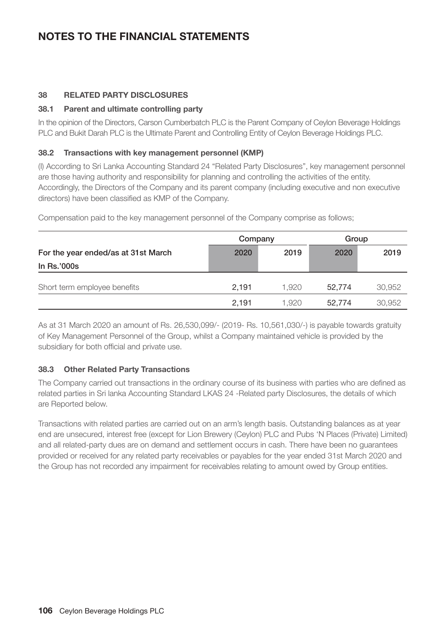# **38 RELATED PARTY DISCLOSURES**

# **38.1 Parent and ultimate controlling party**

In the opinion of the Directors, Carson Cumberbatch PLC is the Parent Company of Ceylon Beverage Holdings PLC and Bukit Darah PLC is the Ultimate Parent and Controlling Entity of Ceylon Beverage Holdings PLC.

# **38.2 Transactions with key management personnel (KMP)**

(I) According to Sri Lanka Accounting Standard 24 "Related Party Disclosures", key management personnel are those having authority and responsibility for planning and controlling the activities of the entity. Accordingly, the Directors of the Company and its parent company (including executive and non executive directors) have been classified as KMP of the Company.

Company Group For the year ended/as at 31st March 2020 2019 2020 2019 In Rs.'000s Short term employee benefits 2,191 1,920 52,774 30,952 2,191 1,920 52,774 30,952

Compensation paid to the key management personnel of the Company comprise as follows;

As at 31 March 2020 an amount of Rs. 26,530,099/- (2019- Rs. 10,561,030/-) is payable towards gratuity of Key Management Personnel of the Group, whilst a Company maintained vehicle is provided by the subsidiary for both official and private use.

# **38.3 Other Related Party Transactions**

The Company carried out transactions in the ordinary course of its business with parties who are defined as related parties in Sri lanka Accounting Standard LKAS 24 -Related party Disclosures, the details of which are Reported below.

Transactions with related parties are carried out on an arm's length basis. Outstanding balances as at year end are unsecured, interest free (except for Lion Brewery (Ceylon) PLC and Pubs 'N Places (Private) Limited) and all related-party dues are on demand and settlement occurs in cash. There have been no guarantees provided or received for any related party receivables or payables for the year ended 31st March 2020 and the Group has not recorded any impairment for receivables relating to amount owed by Group entities.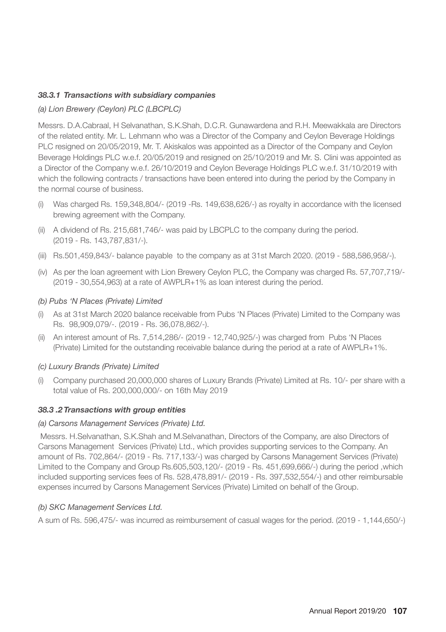### *38.3.1 Transactions with subsidiary companies*

### *(a) Lion Brewery (Ceylon) PLC (LBCPLC)*

Messrs. D.A.Cabraal, H Selvanathan, S.K.Shah, D.C.R. Gunawardena and R.H. Meewakkala are Directors of the related entity. Mr. L. Lehmann who was a Director of the Company and Ceylon Beverage Holdings PLC resigned on 20/05/2019, Mr. T. Akiskalos was appointed as a Director of the Company and Ceylon Beverage Holdings PLC w.e.f. 20/05/2019 and resigned on 25/10/2019 and Mr. S. Clini was appointed as a Director of the Company w.e.f. 26/10/2019 and Ceylon Beverage Holdings PLC w.e.f. 31/10/2019 with which the following contracts / transactions have been entered into during the period by the Company in the normal course of business.

- Was charged Rs. 159,348,804/- (2019 -Rs. 149,638,626/-) as royalty in accordance with the licensed brewing agreement with the Company.
- (ii) A dividend of Rs. 215,681,746/- was paid by LBCPLC to the company during the period. (2019 - Rs. 143,787,831/-).
- (iii) Rs.501,459,843/- balance payable to the company as at 31st March 2020. (2019 588,586,958/-).
- (iv) As per the loan agreement with Lion Brewery Ceylon PLC, the Company was charged Rs. 57,707,719/- (2019 - 30,554,963) at a rate of AWPLR+1% as loan interest during the period.

#### *(b) Pubs 'N Places (Private) Limited*

- (i) As at 31st March 2020 balance receivable from Pubs 'N Places (Private) Limited to the Company was Rs. 98,909,079/-. (2019 - Rs. 36,078,862/-).
- (ii) An interest amount of Rs. 7,514,286/- (2019 12,740,925/-) was charged from Pubs 'N Places (Private) Limited for the outstanding receivable balance during the period at a rate of AWPLR+1%.

#### *(c) Luxury Brands (Private) Limited*

(i) Company purchased 20,000,000 shares of Luxury Brands (Private) Limited at Rs. 10/- per share with a total value of Rs. 200,000,000/- on 16th May 2019

### *38.3 .2 Transactions with group entities*

#### *(a) Carsons Management Services (Private) Ltd.*

 Messrs. H.Selvanathan, S.K.Shah and M.Selvanathan, Directors of the Company, are also Directors of Carsons Management Services (Private) Ltd., which provides supporting services to the Company. An amount of Rs. 702,864/- (2019 - Rs. 717,133/-) was charged by Carsons Management Services (Private) Limited to the Company and Group Rs.605,503,120/- (2019 - Rs. 451,699,666/-) during the period ,which included supporting services fees of Rs. 528,478,891/- (2019 - Rs. 397,532,554/-) and other reimbursable expenses incurred by Carsons Management Services (Private) Limited on behalf of the Group.

#### *(b) SKC Management Services Ltd.*

A sum of Rs. 596,475/- was incurred as reimbursement of casual wages for the period. (2019 - 1,144,650/-)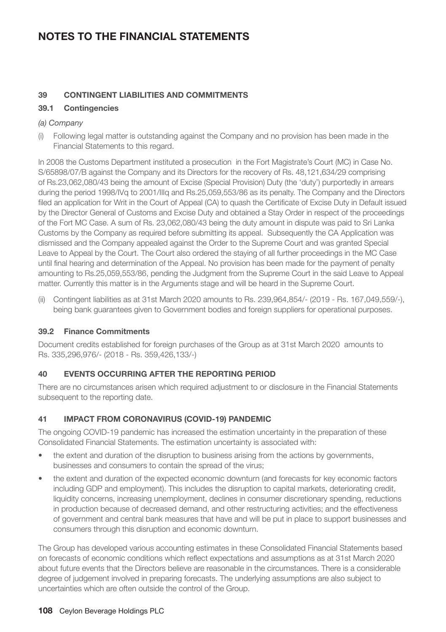## **NOTES TO THE FINANCIAL STATEMENTS**

### **39 CONTINGENT LIABILITIES AND COMMITMENTS**

### **39.1 Contingencies**

### *(a) Company*

(i) Following legal matter is outstanding against the Company and no provision has been made in the Financial Statements to this regard.

In 2008 the Customs Department instituted a prosecution in the Fort Magistrate's Court (MC) in Case No. S/65898/07/B against the Company and its Directors for the recovery of Rs. 48,121,634/29 comprising of Rs.23,062,080/43 being the amount of Excise (Special Provision) Duty (the 'duty') purportedly in arrears during the period 1998/IVq to 2001/IIIq and Rs.25,059,553/86 as its penalty. The Company and the Directors filed an application for Writ in the Court of Appeal (CA) to quash the Certificate of Excise Duty in Default issued by the Director General of Customs and Excise Duty and obtained a Stay Order in respect of the proceedings of the Fort MC Case. A sum of Rs. 23,062,080/43 being the duty amount in dispute was paid to Sri Lanka Customs by the Company as required before submitting its appeal. Subsequently the CA Application was dismissed and the Company appealed against the Order to the Supreme Court and was granted Special Leave to Appeal by the Court. The Court also ordered the staying of all further proceedings in the MC Case until final hearing and determination of the Appeal. No provision has been made for the payment of penalty amounting to Rs.25,059,553/86, pending the Judgment from the Supreme Court in the said Leave to Appeal matter. Currently this matter is in the Arguments stage and will be heard in the Supreme Court.

(ii) Contingent liabilities as at 31st March 2020 amounts to Rs. 239,964,854/- (2019 - Rs. 167,049,559/-), being bank guarantees given to Government bodies and foreign suppliers for operational purposes.

#### **39.2 Finance Commitments**

Document credits established for foreign purchases of the Group as at 31st March 2020 amounts to Rs. 335,296,976/- (2018 - Rs. 359,426,133/-)

### **40 EVENTS OCCURRING AFTER THE REPORTING PERIOD**

There are no circumstances arisen which required adjustment to or disclosure in the Financial Statements subsequent to the reporting date.

### **41 IMPACT FROM CORONAVIRUS (COVID-19) PANDEMIC**

The ongoing COVID-19 pandemic has increased the estimation uncertainty in the preparation of these Consolidated Financial Statements. The estimation uncertainty is associated with:

- the extent and duration of the disruption to business arising from the actions by governments, businesses and consumers to contain the spread of the virus;
- the extent and duration of the expected economic downturn (and forecasts for key economic factors including GDP and employment). This includes the disruption to capital markets, deteriorating credit, liquidity concerns, increasing unemployment, declines in consumer discretionary spending, reductions in production because of decreased demand, and other restructuring activities; and the effectiveness of government and central bank measures that have and will be put in place to support businesses and consumers through this disruption and economic downturn.

The Group has developed various accounting estimates in these Consolidated Financial Statements based on forecasts of economic conditions which reflect expectations and assumptions as at 31st March 2020 about future events that the Directors believe are reasonable in the circumstances. There is a considerable degree of judgement involved in preparing forecasts. The underlying assumptions are also subject to uncertainties which are often outside the control of the Group.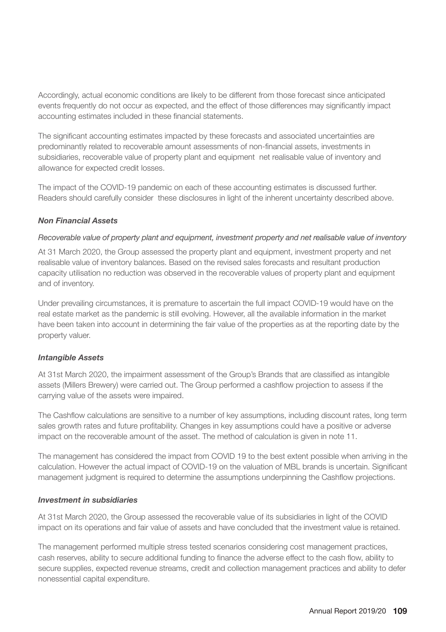Accordingly, actual economic conditions are likely to be different from those forecast since anticipated events frequently do not occur as expected, and the effect of those differences may significantly impact accounting estimates included in these financial statements.

The significant accounting estimates impacted by these forecasts and associated uncertainties are predominantly related to recoverable amount assessments of non-financial assets, investments in subsidiaries, recoverable value of property plant and equipment net realisable value of inventory and allowance for expected credit losses.

The impact of the COVID-19 pandemic on each of these accounting estimates is discussed further. Readers should carefully consider these disclosures in light of the inherent uncertainty described above.

### *Non Financial Assets*

#### *Recoverable value of property plant and equipment, investment property and net realisable value of inventory*

At 31 March 2020, the Group assessed the property plant and equipment, investment property and net realisable value of inventory balances. Based on the revised sales forecasts and resultant production capacity utilisation no reduction was observed in the recoverable values of property plant and equipment and of inventory.

Under prevailing circumstances, it is premature to ascertain the full impact COVID-19 would have on the real estate market as the pandemic is still evolving. However, all the available information in the market have been taken into account in determining the fair value of the properties as at the reporting date by the property valuer.

#### *Intangible Assets*

At 31st March 2020, the impairment assessment of the Group's Brands that are classified as intangible assets (Millers Brewery) were carried out. The Group performed a cashflow projection to assess if the carrying value of the assets were impaired.

The Cashflow calculations are sensitive to a number of key assumptions, including discount rates, long term sales growth rates and future profitability. Changes in key assumptions could have a positive or adverse impact on the recoverable amount of the asset. The method of calculation is given in note 11.

The management has considered the impact from COVID 19 to the best extent possible when arriving in the calculation. However the actual impact of COVID-19 on the valuation of MBL brands is uncertain. Significant management judgment is required to determine the assumptions underpinning the Cashflow projections.

### *Investment in subsidiaries*

At 31st March 2020, the Group assessed the recoverable value of its subsidiaries in light of the COVID impact on its operations and fair value of assets and have concluded that the investment value is retained.

The management performed multiple stress tested scenarios considering cost management practices, cash reserves, ability to secure additional funding to finance the adverse effect to the cash flow, ability to secure supplies, expected revenue streams, credit and collection management practices and ability to defer nonessential capital expenditure.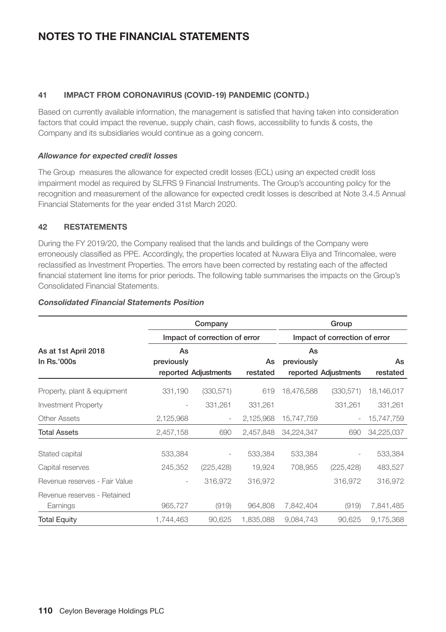# **NOTES TO THE FINANCIAL STATEMENTS**

### **41 IMPACT FROM CORONAVIRUS (COVID-19) PANDEMIC (CONTD.)**

Based on currently available information, the management is satisfied that having taken into consideration factors that could impact the revenue, supply chain, cash flows, accessibility to funds & costs, the Company and its subsidiaries would continue as a going concern.

### *Allowance for expected credit losses*

The Group measures the allowance for expected credit losses (ECL) using an expected credit loss impairment model as required by SLFRS 9 Financial Instruments. The Group's accounting policy for the recognition and measurement of the allowance for expected credit losses is described at Note 3.4.5 Annual Financial Statements for the year ended 31st March 2020.

### **42 RESTATEMENTS**

During the FY 2019/20, the Company realised that the lands and buildings of the Company were erroneously classified as PPE. Accordingly, the properties located at Nuwara Eliya and Trincomalee, were reclassified as Investment Properties. The errors have been corrected by restating each of the affected financial statement line items for prior periods. The following table summarises the impacts on the Group's Consolidated Financial Statements.

|                                         |                          | Company                       |                |                  | Group                         |                |  |  |
|-----------------------------------------|--------------------------|-------------------------------|----------------|------------------|-------------------------------|----------------|--|--|
|                                         |                          | Impact of correction of error |                |                  | Impact of correction of error |                |  |  |
| As at 1st April 2018<br>In Rs.'000s     | As<br>previously         | reported Adjustments          | As<br>restated | As<br>previously | reported Adjustments          | As<br>restated |  |  |
| Property, plant & equipment             | 331,190                  | (330, 571)                    | 619            | 18,476,588       | (330, 571)                    | 18,146,017     |  |  |
| <b>Investment Property</b>              | $\overline{\phantom{0}}$ | 331,261                       | 331,261        |                  | 331,261                       | 331,261        |  |  |
| <b>Other Assets</b>                     | 2,125,968                |                               | 2,125,968      | 15,747,759       |                               | 15,747,759     |  |  |
| <b>Total Assets</b>                     | 2,457,158                | 690                           | 2,457,848      | 34,224,347       | 690                           | 34,225,037     |  |  |
| Stated capital                          | 533,384                  |                               | 533,384        | 533,384          |                               | 533,384        |  |  |
| Capital reserves                        | 245,352                  | (225, 428)                    | 19,924         | 708,955          | (225, 428)                    | 483,527        |  |  |
| Revenue reserves - Fair Value           | $\overline{\phantom{a}}$ | 316,972                       | 316,972        |                  | 316,972                       | 316,972        |  |  |
| Revenue reserves - Retained<br>Earnings | 965,727                  | (919)                         | 964,808        | 7,842,404        | (919)                         | 7,841,485      |  |  |
| <b>Total Equity</b>                     | 1,744,463                | 90,625                        | 1,835,088      | 9,084,743        | 90,625                        | 9,175,368      |  |  |

#### *Consolidated Financial Statements Position*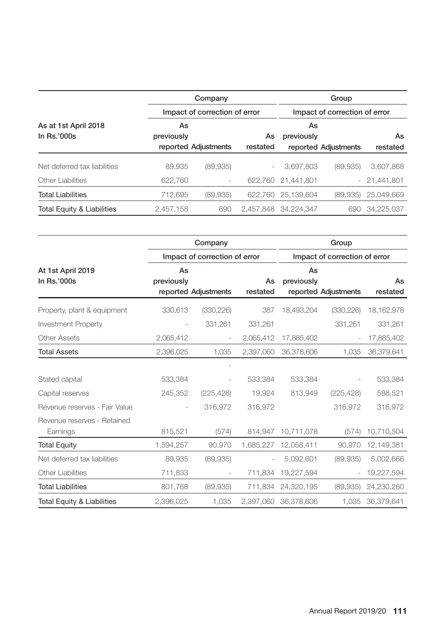| Company                               |                  |                               |                          | Group            |                               |               |  |  |
|---------------------------------------|------------------|-------------------------------|--------------------------|------------------|-------------------------------|---------------|--|--|
|                                       |                  | Impact of correction of error |                          |                  | Impact of correction of error |               |  |  |
| As at 1st April 2018<br>In $Rs.'000s$ | As<br>previously |                               | As                       | As<br>previously |                               | As            |  |  |
|                                       |                  | reported Adjustments          | restated                 |                  | reported Adjustments          | restated      |  |  |
| Net deferred tax liabilities          | 89.935           | (89, 935)                     | $\overline{\phantom{m}}$ | 3,697,803        | (89.935)                      | 3,607,868     |  |  |
| Other Liabilities                     | 622.760          | ۰                             | 622.760                  | 21.441.801       |                               | $-21,441,801$ |  |  |
| <b>Total Liabilities</b>              | 712.695          | (89, 935)                     | 622.760                  | 25.139.604       | (89.935)                      | 25.049.669    |  |  |
| Total Equity & Liabilities            | 2,457,158        | 690                           | 2.457.848                | 34.224.347       | 690                           | 34.225.037    |  |  |

|                                         | Company          |                               |                | Group                         |                      |                |  |
|-----------------------------------------|------------------|-------------------------------|----------------|-------------------------------|----------------------|----------------|--|
|                                         |                  | Impact of correction of error |                | Impact of correction of error |                      |                |  |
| At 1st April 2019<br>In Rs.'000s        | As<br>previously | reported Adjustments          | As<br>restated | As<br>previously              | reported Adjustments | As<br>restated |  |
| Property, plant & equipment             | 330,613          | (330, 226)                    | 387            | 18,493,204                    | (330, 226)           | 18, 162, 978   |  |
| <b>Investment Property</b>              |                  | 331,261                       | 331,261        |                               | 331,261              | 331,261        |  |
| Other Assets                            | 2,065,412        |                               | 2,065,412      | 17,885,402                    |                      | 17,885,402     |  |
| <b>Total Assets</b>                     | 2,396,025        | 1,035                         | 2,397,060      | 36,378,606                    | 1,035                | 36,379,641     |  |
|                                         |                  |                               |                |                               |                      |                |  |
| Stated capital                          | 533,384          |                               | 533,384        | 533,384                       |                      | 533,384        |  |
| Capital reserves                        | 245,352          | (225, 428)                    | 19,924         | 813,949                       | (225, 428)           | 588,521        |  |
| Revenue reserves - Fair Value           |                  | 316,972                       | 316,972        |                               | 316,972              | 316,972        |  |
| Revenue reserves - Retained<br>Earnings | 815,521          | (574)                         | 814,947        | 10,711,078                    | (574)                | 10,710,504     |  |
| <b>Total Equity</b>                     | 1,594,257        | 90,970                        | 1,685,227      | 12,058,411                    | 90,970               | 12,149,381     |  |
| Net deferred tax liabilities            | 89,935           | (89,935)                      |                | 5,092,601                     | (89, 935)            | 5,002,666      |  |
| <b>Other Liabilities</b>                | 711,833          |                               | 711,834        | 19,227,594                    |                      | 19,227,594     |  |
| <b>Total Liabilities</b>                | 801,768          | (89,935)                      | 711.834        | 24,320,195                    | (89, 935)            | 24,230,260     |  |
| <b>Total Equity &amp; Liabilities</b>   | 2.396.025        | 1,035                         | 2.397.060      | 36.378.606                    | 1.035                | 36.379.641     |  |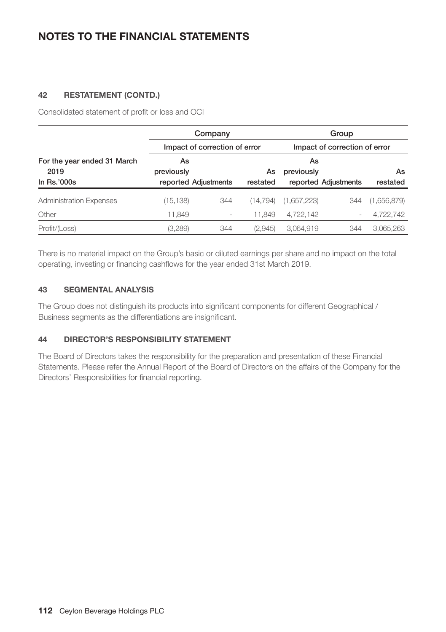## **NOTES TO THE FINANCIAL STATEMENTS**

### **42 RESTATEMENT (CONTD.)**

Consolidated statement of profit or loss and OCI

|                                                    |                               | Company              |                | Group                         |                      |                |  |
|----------------------------------------------------|-------------------------------|----------------------|----------------|-------------------------------|----------------------|----------------|--|
|                                                    | Impact of correction of error |                      |                | Impact of correction of error |                      |                |  |
| For the year ended 31 March<br>2019<br>In Rs.'000s | As<br>previously              | reported Adjustments | As<br>restated | As<br>previously              | reported Adjustments | As<br>restated |  |
| <b>Administration Expenses</b>                     | (15, 138)                     | 344                  | (14.794)       | (1,657,223)                   | 344                  | (1,656,879)    |  |
| Other                                              | 11,849                        | -                    | 11.849         | 4,722,142                     |                      | 4,722,742      |  |
| Profit/(Loss)                                      | (3,289)                       | 344                  | (2,945)        | 3.064.919                     | 344                  | 3,065,263      |  |

There is no material impact on the Group's basic or diluted earnings per share and no impact on the total operating, investing or financing cashflows for the year ended 31st March 2019.

### **43 SEGMENTAL ANALYSIS**

The Group does not distinguish its products into significant components for different Geographical / Business segments as the differentiations are insignificant.

### **44 DIRECTOR'S RESPONSIBILITY STATEMENT**

The Board of Directors takes the responsibility for the preparation and presentation of these Financial Statements. Please refer the Annual Report of the Board of Directors on the affairs of the Company for the Directors' Responsibilities for financial reporting.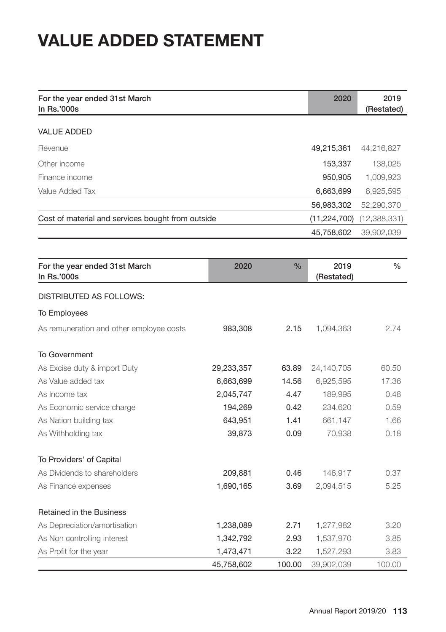# **VALUE ADDED STATEMENT**

| For the year ended 31st March<br>In Rs.'000s      |            |               | 2020                       | 2019<br>(Restated) |
|---------------------------------------------------|------------|---------------|----------------------------|--------------------|
| <b>VALUE ADDED</b>                                |            |               |                            |                    |
| Revenue                                           |            |               | 49,215,361                 | 44,216,827         |
| Other income                                      |            |               | 153,337                    | 138,025            |
| Finance income                                    |            |               | 950,905                    |                    |
| Value Added Tax                                   |            |               | 6,663,699                  | 1,009,923          |
|                                                   |            |               |                            | 6,925,595          |
| Cost of material and services bought from outside |            |               | 56,983,302<br>(11,224,700) | 52,290,370         |
|                                                   |            |               |                            | (12,388,331)       |
|                                                   |            |               | 45,758,602                 | 39,902,039         |
|                                                   |            |               |                            |                    |
| For the year ended 31st March<br>In Rs.'000s      | 2020       | $\frac{0}{0}$ | 2019<br>(Restated)         | $\%$               |
| DISTRIBUTED AS FOLLOWS:                           |            |               |                            |                    |
| <b>To Employees</b>                               |            |               |                            |                    |
| As remuneration and other employee costs          | 983,308    | 2.15          | 1,094,363                  | 2.74               |
| <b>To Government</b>                              |            |               |                            |                    |
| As Excise duty & import Duty                      | 29,233,357 | 63.89         | 24,140,705                 | 60.50              |
| As Value added tax                                | 6,663,699  | 14.56         | 6,925,595                  | 17.36              |
| As Income tax                                     | 2,045,747  | 4.47          | 189,995                    | 0.48               |
| As Economic service charge                        | 194,269    | 0.42          | 234,620                    | 0.59               |
| As Nation building tax                            | 643,951    | 1.41          | 661,147                    | 1.66               |
| As Withholding tax                                | 39,873     | 0.09          | 70,938                     | 0.18               |
| To Providers' of Capital                          |            |               |                            |                    |
| As Dividends to shareholders                      | 209,881    | 0.46          | 146,917                    | 0.37               |
| As Finance expenses                               | 1,690,165  | 3.69          | 2,094,515                  | 5.25               |
| <b>Retained in the Business</b>                   |            |               |                            |                    |
| As Depreciation/amortisation                      | 1,238,089  | 2.71          | 1,277,982                  | 3.20               |
| As Non controlling interest                       | 1,342,792  | 2.93          | 1,537,970                  | 3.85               |
| As Profit for the year                            | 1,473,471  | 3.22          | 1,527,293                  | 3.83               |

45,758,602 100.00 39,902,039 100.00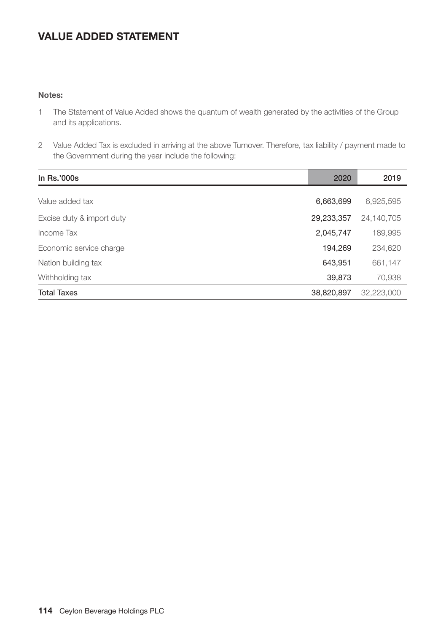# **VALUE ADDED STATEMENT**

### **Notes:**

- 1 The Statement of Value Added shows the quantum of wealth generated by the activities of the Group and its applications.
- 2 Value Added Tax is excluded in arriving at the above Turnover. Therefore, tax liability / payment made to the Government during the year include the following:

| In Rs.'000s               | 2020       | 2019       |
|---------------------------|------------|------------|
|                           |            |            |
| Value added tax           | 6,663,699  | 6,925,595  |
| Excise duty & import duty | 29,233,357 | 24,140,705 |
| Income Tax                | 2,045,747  | 189,995    |
| Economic service charge   | 194,269    | 234,620    |
| Nation building tax       | 643,951    | 661,147    |
| Withholding tax           | 39,873     | 70,938     |
| <b>Total Taxes</b>        | 38,820,897 | 32,223,000 |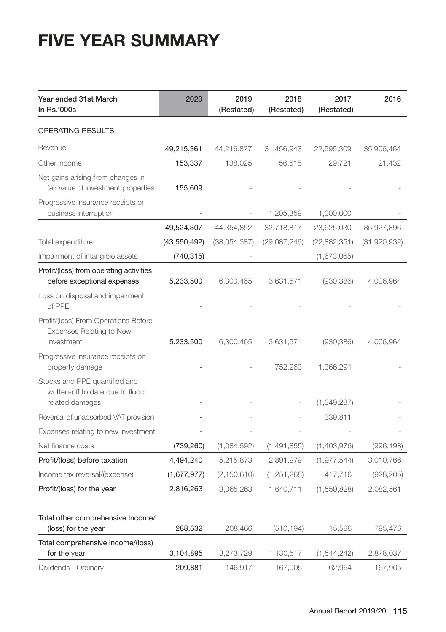# **FIVE YEAR SUMMARY**

| Year ended 31st March<br>In Rs.'000s                                                 | 2020           | 2019<br>(Restated) | 2018<br>(Restated) | 2017<br>(Restated) | 2016         |
|--------------------------------------------------------------------------------------|----------------|--------------------|--------------------|--------------------|--------------|
| <b>OPERATING RESULTS</b>                                                             |                |                    |                    |                    |              |
| Revenue                                                                              | 49,215,361     | 44,216,827         | 31,456,943         | 22,595,309         | 35,906,464   |
| Other income                                                                         | 153,337        | 138,025            | 56,515             | 29,721             | 21,432       |
| Net gains arising from changes in<br>fair value of investment properties             | 155,609        |                    |                    |                    |              |
| Progressive insurance receipts on<br>business interruption                           |                |                    | 1,205,359          | 1,000,000          |              |
|                                                                                      | 49,524,307     | 44,354,852         | 32,718,817         | 23,625,030         | 35,927,896   |
| Total expenditure                                                                    | (43, 550, 492) | (38,054,387)       | (29,087,246)       | (22,882,351)       | (31,920,932) |
| Impairment of intangible assets                                                      | (740, 315)     |                    |                    | (1,673,065)        |              |
| Profit/(loss) from operating activities<br>before exceptional expenses               | 5,233,500      | 6,300,465          | 3,631,571          | (930, 386)         | 4,006,964    |
| Loss on disposal and impairment<br>of PPE                                            |                |                    |                    |                    |              |
| Profit/(loss) From Operations Before<br>Expenses Relating to New<br>Investment       | 5,233,500      | 6,300,465          | 3,631,571          | (930, 386)         | 4,006,964    |
| Progressive insurance receipts on<br>property damage                                 |                |                    | 752,263            | 1,366,294          |              |
| Stocks and PPE quantified and<br>written-off to date due to flood<br>related damages |                |                    |                    | (1,349,287)        |              |
| Reversal of unabsorbed VAT provision                                                 |                |                    |                    | 339,811            |              |
| Expenses relating to new investment                                                  |                |                    |                    |                    |              |
| Net finance costs                                                                    | (739, 260)     | (1,084,592)        | (1,491,855)        | (1,403,976)        | (996, 198)   |
| Profit/(loss) before taxation                                                        | 4,494,240      | 5,215,873          | 2,891,979          | (1, 977, 544)      | 3,010,766    |
| Income tax reversal/(expense)                                                        | (1,677,977)    | (2, 150, 610)      | (1, 251, 268)      | 417,716            | (928, 205)   |
| Profit/(loss) for the year                                                           | 2,816,263      | 3,065,263          | 1,640,711          | (1,559,828)        | 2,082,561    |
| Total other comprehensive Income/<br>(loss) for the year                             | 288,632        | 208,466            | (510, 194)         | 15,586             | 795,476      |
| Total comprehensive income/(loss)<br>for the year                                    | 3,104,895      | 3,273,729          | 1,130,517          | (1, 544, 242)      | 2,878,037    |
| Dividends - Ordinary                                                                 | 209,881        | 146,917            | 167,905            | 62,964             | 167,905      |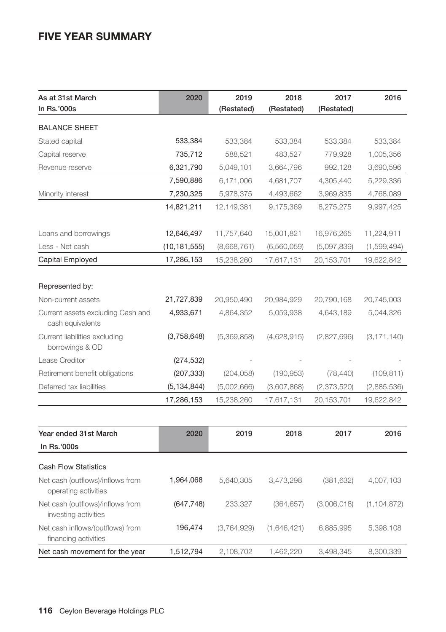# **FIVE YEAR SUMMARY**

| As at 31st March<br>In Rs.'000s                          | 2020           | 2019<br>(Restated) | 2018<br>(Restated) | 2017<br>(Restated) | 2016          |
|----------------------------------------------------------|----------------|--------------------|--------------------|--------------------|---------------|
| <b>BALANCE SHEET</b>                                     |                |                    |                    |                    |               |
| Stated capital                                           | 533,384        | 533,384            | 533,384            | 533,384            | 533,384       |
| Capital reserve                                          | 735,712        | 588,521            | 483,527            | 779,928            | 1,005,356     |
| Revenue reserve                                          | 6,321,790      | 5,049,101          | 3,664,796          | 992,128            | 3,690,596     |
|                                                          | 7,590,886      | 6,171,006          | 4,681,707          | 4,305,440          | 5,229,336     |
| Minority interest                                        | 7,230,325      | 5,978,375          | 4,493,662          | 3,969,835          | 4,768,089     |
|                                                          | 14,821,211     | 12,149,381         | 9,175,369          | 8,275,275          | 9,997,425     |
| Loans and borrowings                                     | 12,646,497     | 11,757,640         | 15,001,821         | 16,976,265         | 11,224,911    |
| Less - Net cash                                          | (10, 181, 555) | (8,668,761)        | (6,560,059)        | (5,097,839)        | (1,599,494)   |
| Capital Employed                                         | 17,286,153     | 15,238,260         | 17,617,131         | 20,153,701         | 19,622,842    |
|                                                          |                |                    |                    |                    |               |
| Represented by:                                          |                |                    |                    |                    |               |
| Non-current assets                                       | 21,727,839     | 20,950,490         | 20,984,929         | 20,790,168         | 20,745,003    |
| Current assets excluding Cash and<br>cash equivalents    | 4,933,671      | 4,864,352          | 5,059,938          | 4,643,189          | 5,044,326     |
| Current liabilities excluding<br>borrowings & OD         | (3,758,648)    | (5,369,858)        | (4,628,915)        | (2,827,696)        | (3, 171, 140) |
| Lease Creditor                                           | (274, 532)     |                    |                    |                    |               |
| Retirement benefit obligations                           | (207, 333)     | (204, 058)         | (190, 953)         | (78, 440)          | (109, 811)    |
| Deferred tax liabilities                                 | (5, 134, 844)  | (5,002,666)        | (3,607,868)        | (2,373,520)        | (2,885,536)   |
|                                                          | 17,286,153     | 15,238,260         | 17,617,131         | 20,153,701         | 19,622,842    |
|                                                          |                |                    |                    |                    |               |
| Year ended 31st March                                    | 2020           | 2019               | 2018               | 2017               | 2016          |
| In Rs.'000s                                              |                |                    |                    |                    |               |
| <b>Cash Flow Statistics</b>                              |                |                    |                    |                    |               |
| Net cash (outflows)/inflows from<br>operating activities | 1,964,068      | 5,640,305          | 3,473,298          | (381, 632)         | 4,007,103     |
| Net cash (outflows)/inflows from<br>investing activities | (647, 748)     | 233,327            | (364, 657)         | (3,006,018)        | (1, 104, 872) |
| Net cash inflows/(outflows) from<br>financing activities | 196,474        | (3,764,929)        | (1,646,421)        | 6,885,995          | 5,398,108     |
| Net cash movement for the year                           | 1,512,794      | 2,108,702          | 1,462,220          | 3,498,345          | 8,300,339     |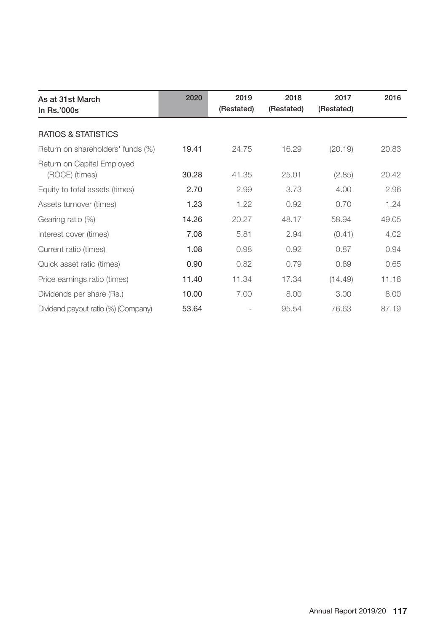| As at 31st March<br>In Rs.'000s              | 2020  | 2019<br>(Restated) | 2018<br>(Restated) | 2017<br>(Restated) | 2016  |
|----------------------------------------------|-------|--------------------|--------------------|--------------------|-------|
| <b>RATIOS &amp; STATISTICS</b>               |       |                    |                    |                    |       |
| Return on shareholders' funds (%)            | 19.41 | 24.75              | 16.29              | (20.19)            | 20.83 |
| Return on Capital Employed<br>(ROCE) (times) | 30.28 | 41.35              | 25.01              | (2.85)             | 20.42 |
| Equity to total assets (times)               | 2.70  | 2.99               | 3.73               | 4.00               | 2.96  |
| Assets turnover (times)                      | 1.23  | 1.22               | 0.92               | 0.70               | 1.24  |
| Gearing ratio (%)                            | 14.26 | 20.27              | 48.17              | 58.94              | 49.05 |
| Interest cover (times)                       | 7.08  | 5.81               | 2.94               | (0.41)             | 4.02  |
| Current ratio (times)                        | 1.08  | 0.98               | 0.92               | 0.87               | 0.94  |
| Quick asset ratio (times)                    | 0.90  | 0.82               | 0.79               | 0.69               | 0.65  |
| Price earnings ratio (times)                 | 11.40 | 11.34              | 17.34              | (14.49)            | 11.18 |
| Dividends per share (Rs.)                    | 10.00 | 7.00               | 8.00               | 3.00               | 8.00  |
| Dividend payout ratio (%) (Company)          | 53.64 |                    | 95.54              | 76.63              | 87.19 |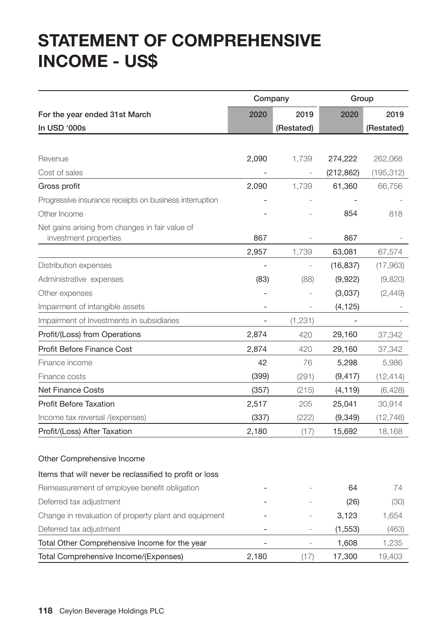# **STATEMENT OF COMPREHENSIVE INCOME - US\$**

|                                                           | Company        |                          | Group             |                     |
|-----------------------------------------------------------|----------------|--------------------------|-------------------|---------------------|
| For the year ended 31st March                             | 2020           | 2019                     | 2020              | 2019                |
| In USD '000s                                              |                | (Restated)               |                   | (Restated)          |
|                                                           |                |                          |                   |                     |
| Revenue                                                   | 2,090          | 1,739                    | 274,222           | 262,068             |
| Cost of sales                                             |                |                          | (212, 862)        | (195, 312)          |
| Gross profit                                              | 2,090          | 1,739                    | 61,360            | 66,756              |
| Progressive insurance receipts on business interruption   |                |                          |                   |                     |
| Other Income                                              |                |                          | 854               | 818                 |
| Net gains arising from changes in fair value of           |                |                          |                   |                     |
| investment properties                                     | 867            |                          | 867               |                     |
|                                                           | 2,957          | 1,739                    | 63,081            | 67,574              |
| Distribution expenses                                     |                | $\overline{\phantom{m}}$ | (16, 837)         | (17,963)            |
| Administrative expenses                                   | (83)           | (88)                     | (9,922)           | (9,820)             |
| Other expenses                                            |                |                          | (3,037)           | (2,449)             |
| Impairment of intangible assets                           |                |                          | (4, 125)          |                     |
| Impairment of Investments in subsidiaries                 |                | (1,231)                  |                   |                     |
| Profit/(Loss) from Operations                             | 2,874          | 420                      | 29,160            | 37,342              |
| Profit Before Finance Cost                                | 2,874          | 420                      | 29,160            | 37,342              |
| Finance income                                            | 42             | 76                       | 5,298             | 5,986               |
| Finance costs                                             | (399)          | (291)                    | (9, 417)          | (12,414)            |
| <b>Net Finance Costs</b><br><b>Profit Before Taxation</b> | (357)<br>2,517 | (215)<br>205             | (4, 119)          | (6,428)             |
| Income tax reversal /(expenses)                           | (337)          | (222)                    | 25,041<br>(9,349) | 30,914<br>(12, 746) |
| Profit/(Loss) After Taxation                              | 2,180          | (17)                     | 15,692            | 18,168              |
|                                                           |                |                          |                   |                     |
| Other Comprehensive Income                                |                |                          |                   |                     |
| Items that will never be reclassified to profit or loss   |                |                          |                   |                     |
| Remeasurement of employee benefit obligation              |                |                          | 64                | 74                  |
| Deferred tax adjustment                                   |                |                          | (26)              | (30)                |
| Change in revaluation of property plant and equipment     |                |                          | 3,123             | 1,654               |
| Deferred tax adjustment                                   |                |                          | (1, 553)          | (463)               |
| Total Other Comprehensive Income for the year             |                | $\overline{a}$           | 1,608             | 1,235               |
| Total Comprehensive Income/(Expenses)                     | 2,180          | (17)                     | 17,300            | 19,403              |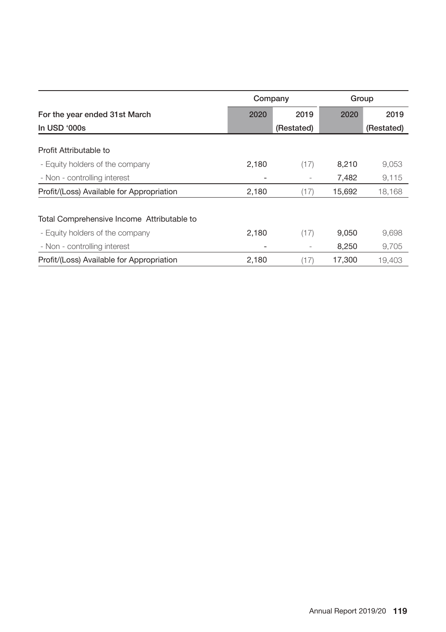|                                            | Company |            | Group  |            |
|--------------------------------------------|---------|------------|--------|------------|
| For the year ended 31st March              | 2020    | 2019       | 2020   | 2019       |
| In USD '000s                               |         | (Restated) |        | (Restated) |
| Profit Attributable to                     |         |            |        |            |
| - Equity holders of the company            | 2,180   | (17)       | 8,210  | 9,053      |
| - Non - controlling interest               |         |            | 7,482  | 9,115      |
| Profit/(Loss) Available for Appropriation  | 2,180   | (17)       | 15,692 | 18,168     |
| Total Comprehensive Income Attributable to |         |            |        |            |
| - Equity holders of the company            | 2,180   | (17)       | 9,050  | 9,698      |
| - Non - controlling interest               |         |            | 8,250  | 9,705      |
| Profit/(Loss) Available for Appropriation  | 2.180   | (17)       | 17.300 | 19.403     |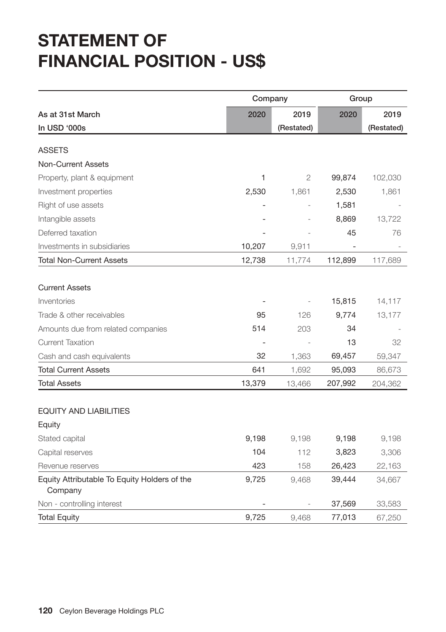# **STATEMENT OF FINANCIAL POSITION - US\$**

|                                                         | Company        |            | Group   |            |  |
|---------------------------------------------------------|----------------|------------|---------|------------|--|
| As at 31st March                                        | 2020           | 2019       | 2020    | 2019       |  |
| In USD '000s                                            |                | (Restated) |         | (Restated) |  |
|                                                         |                |            |         |            |  |
| <b>ASSETS</b>                                           |                |            |         |            |  |
| <b>Non-Current Assets</b>                               |                |            |         |            |  |
| Property, plant & equipment                             | 1              | 2          | 99,874  | 102,030    |  |
| Investment properties                                   | 2,530          | 1,861      | 2,530   | 1,861      |  |
| Right of use assets                                     |                |            | 1,581   |            |  |
| Intangible assets                                       |                |            | 8,869   | 13,722     |  |
| Deferred taxation                                       |                |            | 45      | 76         |  |
| Investments in subsidiaries                             | 10,207         | 9,911      |         |            |  |
| <b>Total Non-Current Assets</b>                         | 12,738         | 11,774     | 112,899 | 117,689    |  |
|                                                         |                |            |         |            |  |
| <b>Current Assets</b>                                   |                |            |         |            |  |
| Inventories                                             |                |            | 15,815  | 14,117     |  |
| Trade & other receivables                               | 95             | 126        | 9,774   | 13,177     |  |
| Amounts due from related companies                      | 514            | 203        | 34      |            |  |
| <b>Current Taxation</b>                                 | $\overline{a}$ |            | 13      | 32         |  |
| Cash and cash equivalents                               | 32             | 1,363      | 69,457  | 59,347     |  |
| <b>Total Current Assets</b>                             | 641            | 1,692      | 95,093  | 86,673     |  |
| <b>Total Assets</b>                                     | 13,379         | 13,466     | 207,992 | 204,362    |  |
|                                                         |                |            |         |            |  |
| <b>EQUITY AND LIABILITIES</b>                           |                |            |         |            |  |
| Equity                                                  |                |            |         |            |  |
| Stated capital                                          | 9,198          | 9,198      | 9,198   | 9,198      |  |
| Capital reserves                                        | 104            | 112        | 3,823   | 3,306      |  |
| Revenue reserves                                        | 423            | 158        | 26,423  | 22,163     |  |
| Equity Attributable To Equity Holders of the<br>Company | 9,725          | 9,468      | 39,444  | 34,667     |  |
| Non - controlling interest                              |                |            | 37,569  | 33,583     |  |
| <b>Total Equity</b>                                     | 9,725          | 9,468      | 77,013  | 67,250     |  |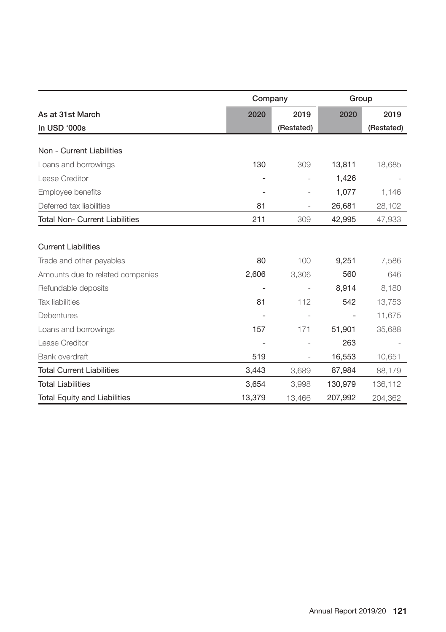|                                       | Company |                | Group   |            |
|---------------------------------------|---------|----------------|---------|------------|
| As at 31st March                      | 2020    | 2019           | 2020    | 2019       |
| In USD '000s                          |         | (Restated)     |         | (Restated) |
|                                       |         |                |         |            |
| Non - Current Liabilities             |         |                |         |            |
| Loans and borrowings                  | 130     | 309            | 13,811  | 18,685     |
| Lease Creditor                        |         |                | 1,426   |            |
| Employee benefits                     |         | $\overline{a}$ | 1,077   | 1,146      |
| Deferred tax liabilities              | 81      |                | 26,681  | 28,102     |
| <b>Total Non- Current Liabilities</b> | 211     | 309            | 42,995  | 47,933     |
|                                       |         |                |         |            |
| <b>Current Liabilities</b>            |         |                |         |            |
| Trade and other payables              | 80      | 100            | 9,251   | 7,586      |
| Amounts due to related companies      | 2,606   | 3,306          | 560     | 646        |
| Refundable deposits                   |         |                | 8,914   | 8,180      |
| <b>Tax liabilities</b>                | 81      | 112            | 542     | 13,753     |
| Debentures                            |         |                |         | 11,675     |
| Loans and borrowings                  | 157     | 171            | 51,901  | 35,688     |
| Lease Creditor                        |         |                | 263     |            |
| Bank overdraft                        | 519     |                | 16,553  | 10,651     |
| <b>Total Current Liabilities</b>      | 3,443   | 3,689          | 87,984  | 88,179     |
| <b>Total Liabilities</b>              | 3,654   | 3,998          | 130,979 | 136,112    |
| <b>Total Equity and Liabilities</b>   | 13,379  | 13,466         | 207,992 | 204,362    |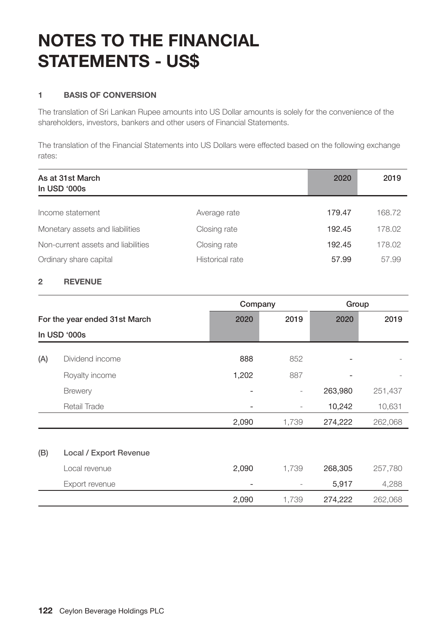# **NOTES TO THE FINANCIAL STATEMENTS - US\$**

### **1 BASIS OF CONVERSION**

The translation of Sri Lankan Rupee amounts into US Dollar amounts is solely for the convenience of the shareholders, investors, bankers and other users of Financial Statements.

The translation of the Financial Statements into US Dollars were effected based on the following exchange rates:

| As at 31st March<br>In USD '000s   |                 | 2020   | 2019   |
|------------------------------------|-----------------|--------|--------|
| Income statement                   | Average rate    | 179.47 | 168.72 |
| Monetary assets and liabilities    | Closing rate    | 192.45 | 178.02 |
| Non-current assets and liabilities | Closing rate    | 192.45 | 178.02 |
| Ordinary share capital             | Historical rate | 57.99  | 57.99  |

### **2 REVENUE**

|                               |                        | Company |                          | Group   |         |
|-------------------------------|------------------------|---------|--------------------------|---------|---------|
| For the year ended 31st March |                        | 2020    | 2019                     | 2020    | 2019    |
|                               | In USD '000s           |         |                          |         |         |
| (A)                           | Dividend income        | 888     | 852                      |         |         |
|                               | Royalty income         | 1,202   | 887                      | ٠       |         |
|                               | <b>Brewery</b>         |         | $\overline{\phantom{0}}$ | 263,980 | 251,437 |
|                               | Retail Trade           |         | $\overline{\phantom{a}}$ | 10,242  | 10,631  |
|                               |                        | 2,090   | 1,739                    | 274,222 | 262,068 |
|                               |                        |         |                          |         |         |
| (B)                           | Local / Export Revenue |         |                          |         |         |
|                               | Local revenue          | 2,090   | 1,739                    | 268,305 | 257,780 |
|                               | Export revenue         |         |                          | 5,917   | 4,288   |
|                               |                        | 2,090   | 1,739                    | 274,222 | 262,068 |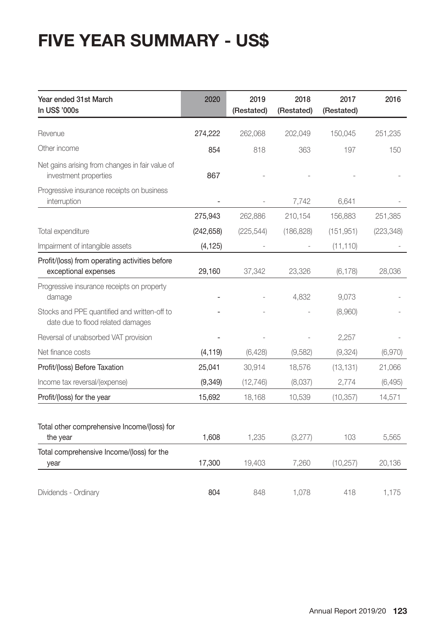# **FIVE YEAR SUMMARY - US\$**

| Year ended 31st March<br>In US\$ '000s                                            | 2020                     | 2019<br>(Restated) | 2018<br>(Restated) | 2017<br>(Restated) | 2016       |
|-----------------------------------------------------------------------------------|--------------------------|--------------------|--------------------|--------------------|------------|
| Revenue                                                                           | 274,222                  | 262,068            | 202,049            | 150,045            | 251,235    |
| Other income                                                                      | 854                      | 818                | 363                | 197                | 150        |
| Net gains arising from changes in fair value of<br>investment properties          | 867                      |                    |                    |                    |            |
| Progressive insurance receipts on business<br>interruption                        | $\overline{\phantom{a}}$ |                    | 7,742              | 6,641              |            |
|                                                                                   | 275,943                  | 262,886            | 210,154            | 156,883            | 251,385    |
| Total expenditure                                                                 | (242, 658)               | (225, 544)         | (186, 828)         | (151, 951)         | (223, 348) |
| Impairment of intangible assets                                                   | (4, 125)                 |                    |                    | (11, 110)          |            |
| Profit/(loss) from operating activities before<br>exceptional expenses            | 29,160                   | 37,342             | 23,326             | (6, 178)           | 28,036     |
| Progressive insurance receipts on property<br>damage                              |                          |                    | 4,832              | 9,073              |            |
| Stocks and PPE quantified and written-off to<br>date due to flood related damages |                          |                    |                    | (8,960)            |            |
| Reversal of unabsorbed VAT provision                                              |                          |                    |                    | 2,257              |            |
| Net finance costs                                                                 | (4, 119)                 | (6, 428)           | (9,582)            | (9, 324)           | (6,970)    |
| Profit/(loss) Before Taxation                                                     | 25,041                   | 30,914             | 18,576             | (13, 131)          | 21,066     |
| Income tax reversal/(expense)                                                     | (9, 349)                 | (12, 746)          | (8,037)            | 2,774              | (6, 495)   |
| Profit/(loss) for the year                                                        | 15,692                   | 18,168             | 10,539             | (10, 357)          | 14,571     |
| Total other comprehensive Income/(loss) for<br>the year                           | 1,608                    | 1,235              | (3,277)            | 103                | 5,565      |
| Total comprehensive Income/(loss) for the<br>year                                 | 17,300                   | 19,403             | 7,260              | (10, 257)          | 20,136     |
| Dividends - Ordinary                                                              | 804                      | 848                | 1,078              | 418                | 1,175      |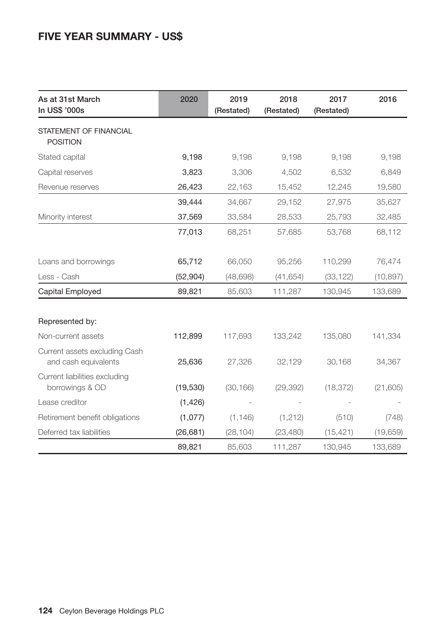# **FIVE YEAR SUMMARY - US\$**

| As at 31st March<br>In US\$ '000s                     | 2020      | 2019<br>(Restated) | 2018<br>(Restated) |           | 2016      |
|-------------------------------------------------------|-----------|--------------------|--------------------|-----------|-----------|
| STATEMENT OF FINANCIAL<br><b>POSITION</b>             |           |                    |                    |           |           |
| Stated capital                                        | 9,198     | 9,198              | 9,198              | 9,198     | 9,198     |
| Capital reserves                                      | 3,823     | 3,306              | 4,502              | 6,532     | 6,849     |
| Revenue reserves                                      | 26,423    | 22,163             | 15,452             | 12,245    | 19,580    |
|                                                       | 39,444    | 34,667             | 29,152             | 27,975    | 35,627    |
| Minority interest                                     | 37,569    | 33,584             | 28,533             | 25,793    | 32,485    |
|                                                       | 77,013    | 68,251             | 57,685             | 53,768    | 68,112    |
| Loans and borrowings                                  | 65,712    | 66,050             | 95,256             | 110,299   | 76,474    |
| Less - Cash                                           | (52, 904) | (48, 698)          | (41, 654)          | (33, 122) | (10, 897) |
| Capital Employed                                      | 89,821    | 85,603             | 111,287            | 130,945   | 133,689   |
| Represented by:                                       |           |                    |                    |           |           |
| Non-current assets                                    | 112,899   | 117,693            | 133,242            | 135,080   | 141,334   |
| Current assets excluding Cash<br>and cash equivalents | 25,636    | 27,326             | 32,129             | 30,168    | 34,367    |
| Current liabilities excluding<br>borrowings & OD      | (19, 530) | (30, 166)          | (29, 392)          | (18, 372) | (21, 605) |
| Lease creditor                                        | (1,426)   |                    |                    |           |           |
| Retirement benefit obligations                        | (1,077)   | (1, 146)           | (1,212)            | (510)     | (748)     |
| Deferred tax liabilities                              | (26, 681) | (28, 104)          | (23, 480)          | (15, 421) | (19,659)  |
|                                                       | 89,821    | 85,603             | 111,287            | 130,945   | 133,689   |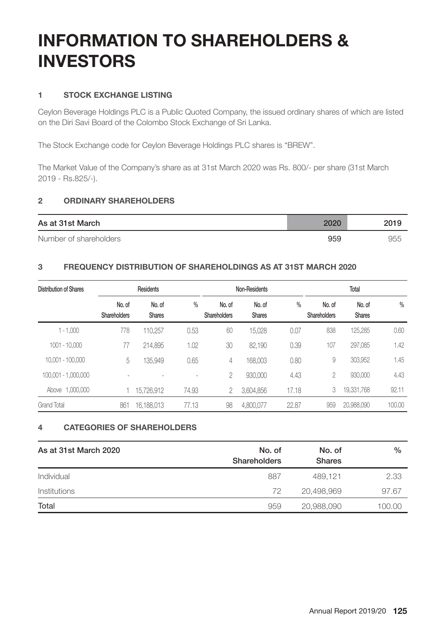# **INFORMATION TO SHAREHOLDERS & INVESTORS**

### **1 STOCK EXCHANGE LISTING**

Ceylon Beverage Holdings PLC is a Public Quoted Company, the issued ordinary shares of which are listed on the Diri Savi Board of the Colombo Stock Exchange of Sri Lanka.

The Stock Exchange code for Ceylon Beverage Holdings PLC shares is "BREW".

The Market Value of the Company's share as at 31st March 2020 was Rs. 800/- per share (31st March 2019 - Rs.825/-).

### **2 ORDINARY SHAREHOLDERS**

| As at 31st March       | 2020 | 2019 |
|------------------------|------|------|
| Number of shareholders | 959  | 955  |

### **3 FREQUENCY DISTRIBUTION OF SHAREHOLDINGS AS AT 31ST MARCH 2020**

| Distribution of Shares |                        | Residents               |                          |                        | Non-Residents    |               |                        | Total                   |               |
|------------------------|------------------------|-------------------------|--------------------------|------------------------|------------------|---------------|------------------------|-------------------------|---------------|
|                        | No. of<br>Shareholders | No. of<br><b>Shares</b> | $\frac{0}{0}$            | No. of<br>Shareholders | No. of<br>Shares | $\frac{0}{0}$ | No. of<br>Shareholders | No. of<br><b>Shares</b> | $\frac{0}{0}$ |
| $1 - 1,000$            | 778                    | 110.257                 | 0.53                     | 60                     | 15,028           | 0.07          | 838                    | 125,285                 | 0.60          |
| 1001 - 10.000          | 77                     | 214,895                 | 1.02                     | 30                     | 82,190           | 0.39          | 107                    | 297.085                 | 1.42          |
| 10.001 - 100.000       | 5                      | 135,949                 | 0.65                     | 4                      | 168,003          | 0.80          | 9                      | 303.952                 | 1.45          |
| 100.001 - 1.000.000    |                        |                         | $\overline{\phantom{a}}$ | 2                      | 930,000          | 4.43          | 2                      | 930,000                 | 4.43          |
| Above 1,000,000        |                        | 15,726,912              | 74.93                    |                        | 3,604,856        | 17.18         | 3                      | 19,331,768              | 92.11         |
| <b>Grand Total</b>     | 861                    | 16,188,013              | 77.13                    | 98                     | 4,800,077        | 22.87         | 959                    | 20,988,090              | 100.00        |

### **4 CATEGORIES OF SHAREHOLDERS**

| As at 31st March 2020 | No. of<br>Shareholders | No. of<br><b>Shares</b> | $\%$   |
|-----------------------|------------------------|-------------------------|--------|
| Individual            | 887                    | 489.121                 | 2.33   |
| <i>Institutions</i>   | 72                     | 20,498,969              | 97.67  |
| Total                 | 959                    | 20,988,090              | 100.00 |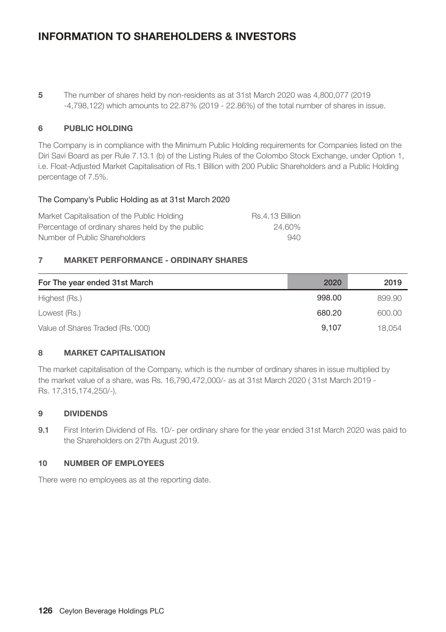# **INFORMATION TO SHAREHOLDERS & INVESTORS**

**5** The number of shares held by non-residents as at 31st March 2020 was 4,800,077 (2019 -4,798,122) which amounts to 22.87% (2019 - 22.86%) of the total number of shares in issue.

### **6 PUBLIC HOLDING**

The Company is in compliance with the Minimum Public Holding requirements for Companies listed on the Diri Savi Board as per Rule 7.13.1 (b) of the Listing Rules of the Colombo Stock Exchange, under Option 1, i.e. Float-Adjusted Market Capitalisation of Rs.1 Billion with 200 Public Shareholders and a Public Holding percentage of 7.5%.

### The Company's Public Holding as at 31st March 2020

| Market Capitalisation of the Public Holding      | Rs.4.13 Billion |
|--------------------------------------------------|-----------------|
| Percentage of ordinary shares held by the public | 24.60%          |
| Number of Public Shareholders                    | 940             |

### **7 MARKET PERFORMANCE - ORDINARY SHARES**

| For The year ended 31st March    | 2020   | 2019   |
|----------------------------------|--------|--------|
| Highest (Rs.)                    | 998.00 | 899.90 |
| Lowest (Rs.)                     | 680.20 | 600.00 |
| Value of Shares Traded (Rs.'000) | 9.107  | 18.054 |

### **8 MARKET CAPITALISATION**

The market capitalisation of the Company, which is the number of ordinary shares in issue multiplied by the market value of a share, was Rs. 16,790,472,000/- as at 31st March 2020 ( 31st March 2019 - Rs. 17,315,174,250/-).

### **9 DIVIDENDS**

9.1 First Interim Dividend of Rs. 10/- per ordinary share for the year ended 31st March 2020 was paid to the Shareholders on 27th August 2019.

### **10 NUMBER OF EMPLOYEES**

There were no employees as at the reporting date.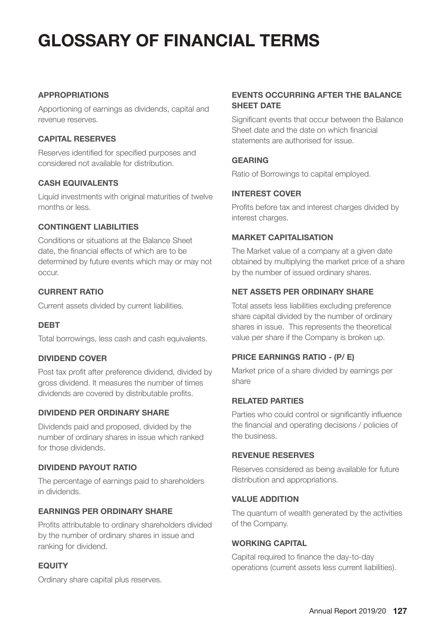# **GLOSSARY OF FINANCIAL TERMS**

### **APPROPRIATIONS**

Apportioning of earnings as dividends, capital and revenue reserves.

### **CAPITAL RESERVES**

Reserves identified for specified purposes and considered not available for distribution.

### **CASH EQUIVALENTS**

Liquid investments with original maturities of twelve months or less.

## **CONTINGENT LIABILITIES**

Conditions or situations at the Balance Sheet date, the financial effects of which are to be determined by future events which may or may not occur.

### **CURRENT RATIO**

Current assets divided by current liabilities.

### **DEBT**

Total borrowings, less cash and cash equivalents.

### **DIVIDEND COVER**

Post tax profit after preference dividend, divided by gross dividend. It measures the number of times dividends are covered by distributable profits.

### **DIVIDEND PER ORDINARY SHARE**

Dividends paid and proposed, divided by the number of ordinary shares in issue which ranked for those dividends.

### **DIVIDEND PAYOUT RATIO**

The percentage of earnings paid to shareholders in dividends.

### **EARNINGS PER ORDINARY SHARE**

Profits attributable to ordinary shareholders divided by the number of ordinary shares in issue and ranking for dividend.

## **EQUITY**

Ordinary share capital plus reserves.

## **EVENTS OCCURRING AFTER THE BALANCE SHEET DATE**

Significant events that occur between the Balance Sheet date and the date on which financial statements are authorised for issue.

### **GEARING**

Ratio of Borrowings to capital employed.

### **INTEREST COVER**

Profits before tax and interest charges divided by interest charges.

### **MARKET CAPITALISATION**

The Market value of a company at a given date obtained by multiplying the market price of a share by the number of issued ordinary shares.

### **NET ASSETS PER ORDINARY SHARE**

Total assets less liabilities excluding preference share capital divided by the number of ordinary shares in issue. This represents the theoretical value per share if the Company is broken up.

## **PRICE EARNINGS RATIO - (P/ E)**

Market price of a share divided by earnings per share

### **RELATED PARTIES**

Parties who could control or significantly influence the financial and operating decisions / policies of the business.

### **REVENUE RESERVES**

Reserves considered as being available for future distribution and appropriations.

#### **VALUE ADDITION**

The quantum of wealth generated by the activities of the Company.

### **WORKING CAPITAL**

Capital required to finance the day-to-day operations (current assets less current liabilities).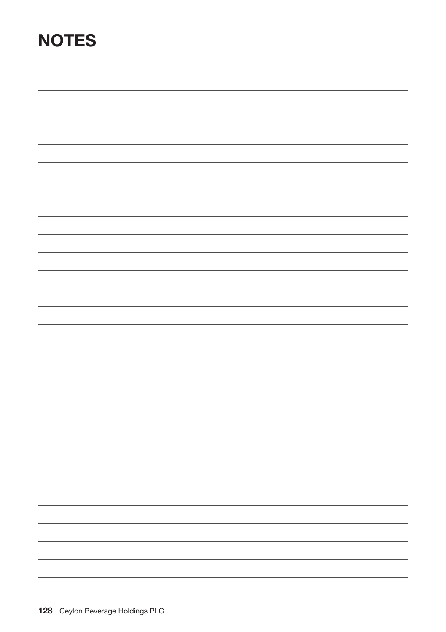# **NOTES**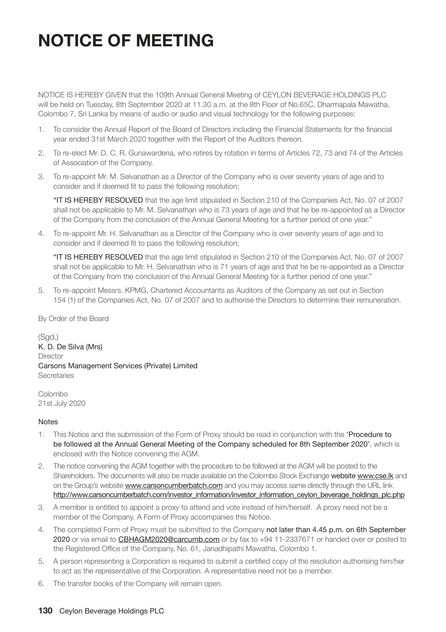# **NOTICE OF MEETING**

NOTICE IS HEREBY GIVEN that the 109th Annual General Meeting of CEYLON BEVERAGE HOLDINGS PLC will be held on Tuesday, 8th September 2020 at 11.30 a.m. at the 8th Floor of No.65C, Dharmapala Mawatha, Colombo 7, Sri Lanka by means of audio or audio and visual technology for the following purposes:

- 1. To consider the Annual Report of the Board of Directors including the Financial Statements for the financial year ended 31st March 2020 together with the Report of the Auditors thereon.
- 2. To re-elect Mr. D. C. R. Gunawardena, who retires by rotation in terms of Articles 72, 73 and 74 of the Articles of Association of the Company.
- 3. To re-appoint Mr. M. Selvanathan as a Director of the Company who is over seventy years of age and to consider and if deemed fit to pass the following resolution;

"IT IS HEREBY RESOLVED that the age limit stipulated in Section 210 of the Companies Act, No. 07 of 2007 shall not be applicable to Mr. M. Selvanathan who is 73 years of age and that he be re-appointed as a Director of the Company from the conclusion of the Annual General Meeting for a further period of one year."

4. To re-appoint Mr. H. Selvanathan as a Director of the Company who is over seventy years of age and to consider and if deemed fit to pass the following resolution;

"IT IS HEREBY RESOLVED that the age limit stipulated in Section 210 of the Companies Act, No. 07 of 2007 shall not be applicable to Mr. H. Selvanathan who is 71 years of age and that he be re-appointed as a Director of the Company from the conclusion of the Annual General Meeting for a further period of one year."

5. To re-appoint Messrs. KPMG, Chartered Accountants as Auditors of the Company as set out in Section 154 (1) of the Companies Act, No. 07 of 2007 and to authorise the Directors to determine their remuneration.

By Order of the Board

 $(Sad.)$ K. D. De Silva (Mrs) **Director** Carsons Management Services (Private) Limited **Secretaries** 

Colombo 21st July 2020

#### **Notes**

- 1. This Notice and the submission of the Form of Proxy should be read in conjunction with the 'Procedure to be followed at the Annual General Meeting of the Company scheduled for 8th September 2020', which is enclosed with the Notice convening the AGM.
- 2. The notice convening the AGM together with the procedure to be followed at the AGM will be posted to the Shareholders. The documents will also be made available on the Colombo Stock Exchange website www.cse.lk and on the Group's website www.carsoncumberbatch.com and you may access same directly through the URL link http://www.carsoncumberbatch.com/investor\_information/investor\_information\_ceylon\_beverage\_holdings\_plc.php
- 3. A member is entitled to appoint a proxy to attend and vote instead of him/herself. A proxy need not be a member of the Company. A Form of Proxy accompanies this Notice.
- 4. The completed Form of Proxy must be submitted to the Company not later than 4.45 p.m. on 6th September 2020 or via email to CBHAGM2020@carcumb.com or by fax to +94 11-2337671 or handed over or posted to the Registered Office of the Company, No. 61, Janadhipathi Mawatha, Colombo 1.
- 5. A person representing a Corporation is required to submit a certified copy of the resolution authorising him/her to act as the representative of the Corporation. A representative need not be a member.
- 6. The transfer books of the Company will remain open.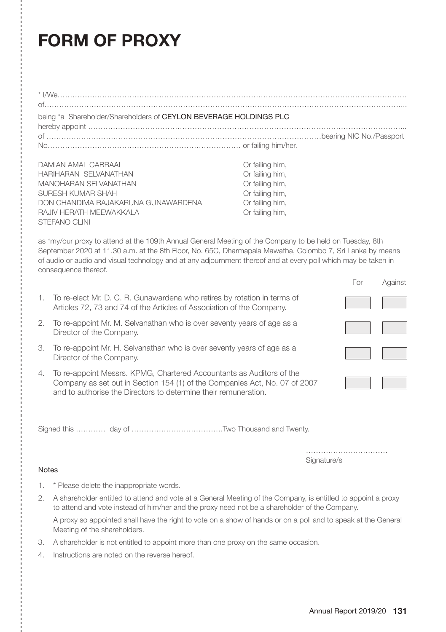# **FORM OF PROXY**

|                                                                                                                                                                                                                                                                                                                                                                 | being *a Shareholder/Shareholders of CEYLON BEVERAGE HOLDINGS PLC                                                                                                                                                     |  |             |     |         |  |
|-----------------------------------------------------------------------------------------------------------------------------------------------------------------------------------------------------------------------------------------------------------------------------------------------------------------------------------------------------------------|-----------------------------------------------------------------------------------------------------------------------------------------------------------------------------------------------------------------------|--|-------------|-----|---------|--|
| DAMIAN AMAL CABRAAL<br>Or failing him,<br>HARIHARAN SELVANATHAN<br>Or failing him,<br>Or failing him,<br><b>MANOHARAN SELVANATHAN</b><br>SURESH KUMAR SHAH<br>Or failing him,<br>DON CHANDIMA RAJAKARUNA GUNAWARDENA<br>Or failing him,<br>RAJIV HERATH MEEWAKKALA<br>Or failing him,<br><b>STEFANO CLINI</b>                                                   |                                                                                                                                                                                                                       |  |             |     |         |  |
| as *my/our proxy to attend at the 109th Annual General Meeting of the Company to be held on Tuesday, 8th<br>September 2020 at 11.30 a.m. at the 8th Floor, No. 65C, Dharmapala Mawatha, Colombo 7, Sri Lanka by means<br>of audio or audio and visual technology and at any adjournment thereof and at every poll which may be taken in<br>consequence thereof. |                                                                                                                                                                                                                       |  |             |     |         |  |
|                                                                                                                                                                                                                                                                                                                                                                 |                                                                                                                                                                                                                       |  |             | For | Against |  |
| 1.                                                                                                                                                                                                                                                                                                                                                              | To re-elect Mr. D. C. R. Gunawardena who retires by rotation in terms of<br>Articles 72, 73 and 74 of the Articles of Association of the Company.                                                                     |  |             |     |         |  |
| 2.                                                                                                                                                                                                                                                                                                                                                              | To re-appoint Mr. M. Selvanathan who is over seventy years of age as a<br>Director of the Company.                                                                                                                    |  |             |     |         |  |
| З.                                                                                                                                                                                                                                                                                                                                                              | To re-appoint Mr. H. Selvanathan who is over seventy years of age as a<br>Director of the Company.                                                                                                                    |  |             |     |         |  |
| 4.                                                                                                                                                                                                                                                                                                                                                              | To re-appoint Messrs. KPMG, Chartered Accountants as Auditors of the<br>Company as set out in Section 154 (1) of the Companies Act, No. 07 of 2007<br>and to authorise the Directors to determine their remuneration. |  |             |     |         |  |
|                                                                                                                                                                                                                                                                                                                                                                 |                                                                                                                                                                                                                       |  |             |     |         |  |
| <b>Notes</b>                                                                                                                                                                                                                                                                                                                                                    |                                                                                                                                                                                                                       |  | Signature/s |     |         |  |

- 1. \* Please delete the inappropriate words.
- 2. A shareholder entitled to attend and vote at a General Meeting of the Company, is entitled to appoint a proxy to attend and vote instead of him/her and the proxy need not be a shareholder of the Company.

A proxy so appointed shall have the right to vote on a show of hands or on a poll and to speak at the General Meeting of the shareholders.

- 3. A shareholder is not entitled to appoint more than one proxy on the same occasion.
- 4. Instructions are noted on the reverse hereof.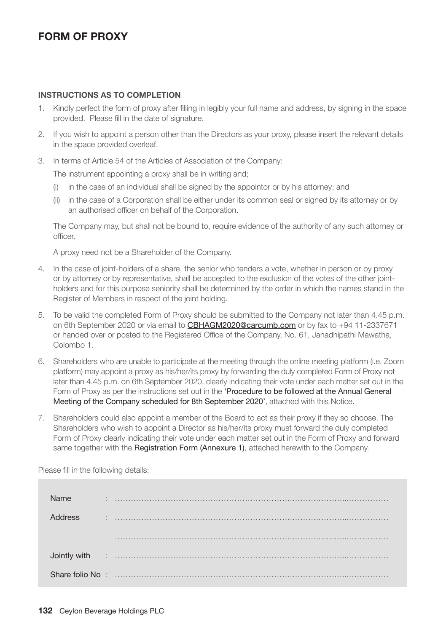## **FORM OF PROXY**

### **INSTRUCTIONS AS TO COMPLETION**

- 1. Kindly perfect the form of proxy after filling in legibly your full name and address, by signing in the space provided. Please fill in the date of signature.
- 2. If you wish to appoint a person other than the Directors as your proxy, please insert the relevant details in the space provided overleaf.
- 3. In terms of Article 54 of the Articles of Association of the Company:

The instrument appointing a proxy shall be in writing and;

- (i) in the case of an individual shall be signed by the appointor or by his attorney; and
- (ii) in the case of a Corporation shall be either under its common seal or signed by its attorney or by an authorised officer on behalf of the Corporation.

The Company may, but shall not be bound to, require evidence of the authority of any such attorney or officer.

A proxy need not be a Shareholder of the Company.

- 4. In the case of joint-holders of a share, the senior who tenders a vote, whether in person or by proxy or by attorney or by representative, shall be accepted to the exclusion of the votes of the other jointholders and for this purpose seniority shall be determined by the order in which the names stand in the Register of Members in respect of the joint holding.
- 5. To be valid the completed Form of Proxy should be submitted to the Company not later than 4.45 p.m. on 6th September 2020 or via email to CBHAGM2020@carcumb.com or by fax to +94 11-2337671 or handed over or posted to the Registered Office of the Company, No. 61, Janadhipathi Mawatha, Colombo 1.
- 6. Shareholders who are unable to participate at the meeting through the online meeting platform (i.e. Zoom platform) may appoint a proxy as his/her/its proxy by forwarding the duly completed Form of Proxy not later than 4.45 p.m. on 6th September 2020, clearly indicating their vote under each matter set out in the Form of Proxy as per the instructions set out in the 'Procedure to be followed at the Annual General Meeting of the Company scheduled for 8th September 2020', attached with this Notice.
- 7. Shareholders could also appoint a member of the Board to act as their proxy if they so choose. The Shareholders who wish to appoint a Director as his/her/its proxy must forward the duly completed Form of Proxy clearly indicating their vote under each matter set out in the Form of Proxy and forward same together with the Registration Form (Annexure 1), attached herewith to the Company.

| <b>Name</b>    | ÷ |  |
|----------------|---|--|
| <b>Address</b> |   |  |
|                |   |  |
|                |   |  |
|                |   |  |

Please fill in the following details: